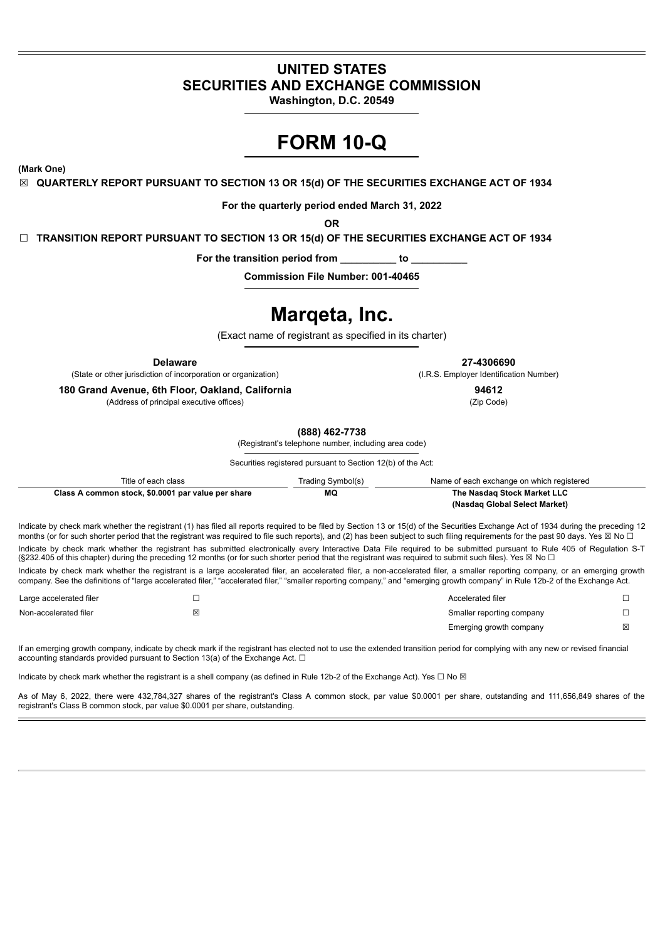## **UNITED STATES SECURITIES AND EXCHANGE COMMISSION**

**Washington, D.C. 20549**

# **FORM 10-Q**

**(Mark One)**

☒ **QUARTERLY REPORT PURSUANT TO SECTION 13 OR 15(d) OF THE SECURITIES EXCHANGE ACT OF 1934**

**For the quarterly period ended March 31, 2022**

**OR**

☐ **TRANSITION REPORT PURSUANT TO SECTION 13 OR 15(d) OF THE SECURITIES EXCHANGE ACT OF 1934**

**For the transition period from \_\_\_\_\_\_\_\_\_\_ to \_\_\_\_\_\_\_\_\_\_**

**Commission File Number: 001-40465**

## **Marqeta, Inc.**

(Exact name of registrant as specified in its charter)

(State or other jurisdiction of incorporation or organization) (I.R.S. Employer Identification Number)

**180 Grand Avenue, 6th Floor, Oakland, California 94612**

(Address of principal executive offices) (Zip Code)

**Delaware 27-4306690**

**(888) 462-7738** (Registrant's telephone number, including area code)

Securities registered pursuant to Section 12(b) of the Act:

| Title of each class                                | Trading Symbol(s) | Name of each exchange on which registered |
|----------------------------------------------------|-------------------|-------------------------------------------|
| Class A common stock, \$0.0001 par value per share | МC                | The Nasdag Stock Market LLC               |
|                                                    |                   | (Nasdag Global Select Market)             |

Indicate by check mark whether the registrant (1) has filed all reports required to be filed by Section 13 or 15(d) of the Securities Exchange Act of 1934 during the preceding 12 months (or for such shorter period that the registrant was required to file such reports), and (2) has been subject to such filing requirements for the past 90 days. Yes ⊠ No □ Indicate by check mark whether the registrant has submitted electronically every Interactive Data File required to be submitted pursuant to Rule 405 of Regulation S-T (§232.405 of this chapter) during the preceding 12 months (or for such shorter period that the registrant was required to submit such files). Yes  $\boxtimes$  No  $\Box$ 

Indicate by check mark whether the registrant is a large accelerated filer, an accelerated filer, a non-accelerated filer, a smaller reporting company, or an emerging growth company. See the definitions of "large accelerated filer," "accelerated filer," "smaller reporting company," and "emerging growth company" in Rule 12b-2 of the Exchange Act.

| Large accelerated filer | Accelerated filer         |   |
|-------------------------|---------------------------|---|
| Non-accelerated filer   | Smaller reporting company |   |
|                         | Emerging growth company   | X |

If an emerging growth company, indicate by check mark if the registrant has elected not to use the extended transition period for complying with any new or revised financial accounting standards provided pursuant to Section 13(a) of the Exchange Act.  $\square$ 

Indicate by check mark whether the registrant is a shell company (as defined in Rule 12b-2 of the Exchange Act). Yes □ No ⊠

<span id="page-0-0"></span>As of May 6, 2022, there were 432,784,327 shares of the registrant's Class A common stock, par value \$0.0001 per share, outstanding and 111,656,849 shares of the registrant's Class B common stock, par value \$0.0001 per share, outstanding.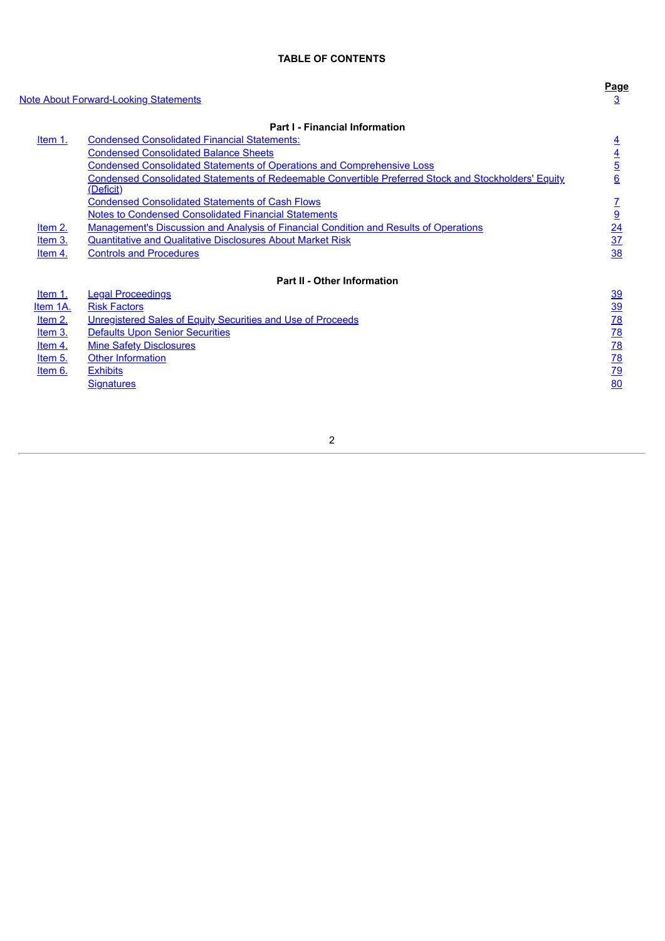## **TABLE OF CONTENTS**

<span id="page-1-0"></span>

|           | <b>Note About Forward-Looking Statements</b>                                                         | <b>Page</b><br>$\overline{3}$ |
|-----------|------------------------------------------------------------------------------------------------------|-------------------------------|
|           | <b>Part I - Financial Information</b>                                                                |                               |
| Item 1.   | <b>Condensed Consolidated Financial Statements:</b>                                                  |                               |
|           | <b>Condensed Consolidated Balance Sheets</b>                                                         |                               |
|           | <b>Condensed Consolidated Statements of Operations and Comprehensive Loss</b>                        | $\frac{4}{5}$                 |
|           | Condensed Consolidated Statements of Redeemable Convertible Preferred Stock and Stockholders' Equity |                               |
|           | (Deficit)                                                                                            |                               |
|           | <b>Condensed Consolidated Statements of Cash Flows</b>                                               |                               |
|           | <b>Notes to Condensed Consolidated Financial Statements</b>                                          | $\frac{7}{9}$                 |
| Item $2.$ | <b>Management's Discussion and Analysis of Financial Condition and Results of Operations</b>         | 24                            |
| Item 3.   | <b>Quantitative and Qualitative Disclosures About Market Risk</b>                                    | 37                            |
| Item 4.   | <b>Controls and Procedures</b>                                                                       | 38                            |
|           | Part II - Other Information                                                                          |                               |
| Item $1.$ | <b>Legal Proceedings</b>                                                                             | $\frac{39}{2}$                |
| Item 1A.  | <b>Risk Factors</b>                                                                                  | 39                            |
| Item $2.$ | Unregistered Sales of Equity Securities and Use of Proceeds                                          | <u>78</u>                     |
| Item 3.   | <b>Defaults Upon Senior Securities</b>                                                               | <u>78</u>                     |
| Item 4.   | <b>Mine Safety Disclosures</b>                                                                       | <u>78</u>                     |
| Item $5.$ | Other Information                                                                                    | <u>78</u>                     |
| Item 6.   | <b>Exhibits</b>                                                                                      |                               |
|           | <b>Signatures</b>                                                                                    | $\frac{79}{80}$               |
|           |                                                                                                      |                               |
|           |                                                                                                      |                               |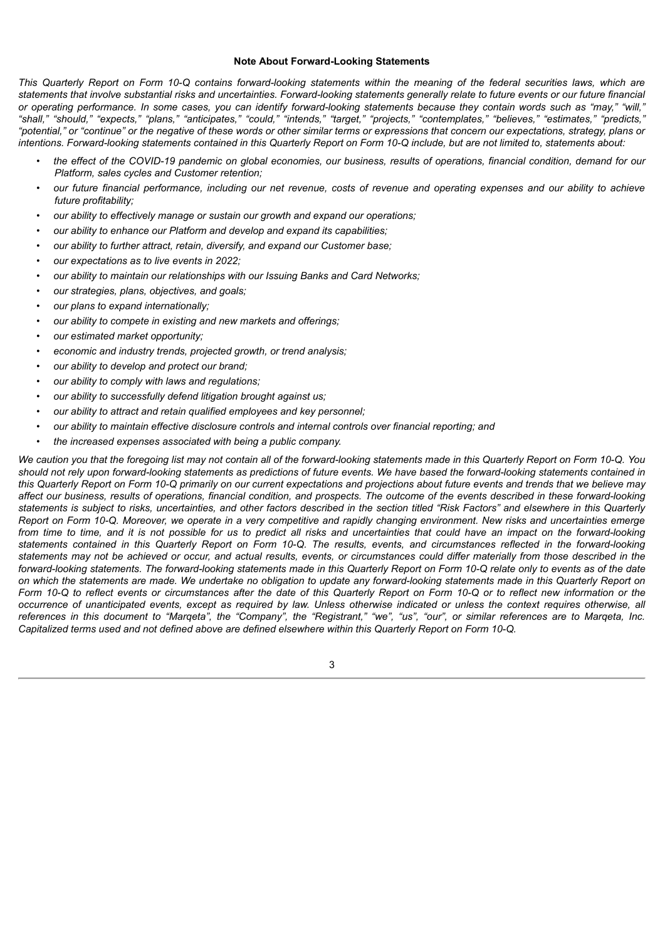#### **Note About Forward-Looking Statements**

This Quarterly Report on Form 10-Q contains forward-looking statements within the meaning of the federal securities laws, which are statements that involve substantial risks and uncertainties. Forward-looking statements generally relate to future events or our future financial or operating performance. In some cases, you can identify forward-looking statements because they contain words such as "may," "will." "shall," "should," "expects," "plans," "anticipates," "could," "intends," "target," "projects," "contemplates," "believes," "estimates," "predicts, "potential," or "continue" or the negative of these words or other similar terms or expressions that concern our expectations, strategy, plans or intentions. Forward-looking statements contained in this Quarterly Report on Form 10-Q include, but are not limited to, statements about:

- the effect of the COVID-19 pandemic on global economies, our business, results of operations, financial condition, demand for our *Platform, sales cycles and Customer retention;*
- our future financial performance, including our net revenue, costs of revenue and operating expenses and our ability to achieve *future profitability;*
- *• our ability to effectively manage or sustain our growth and expand our operations;*
- *• our ability to enhance our Platform and develop and expand its capabilities;*
- *• our ability to further attract, retain, diversify, and expand our Customer base;*
- *• our expectations as to live events in 2022;*
- *• our ability to maintain our relationships with our Issuing Banks and Card Networks;*
- *• our strategies, plans, objectives, and goals;*
- *• our plans to expand internationally;*
- *• our ability to compete in existing and new markets and offerings;*
- *• our estimated market opportunity;*
- *• economic and industry trends, projected growth, or trend analysis;*
- *• our ability to develop and protect our brand;*
- *• our ability to comply with laws and regulations;*
- *• our ability to successfully defend litigation brought against us;*
- *• our ability to attract and retain qualified employees and key personnel;*
- *• our ability to maintain effective disclosure controls and internal controls over financial reporting; and*
- *• the increased expenses associated with being a public company.*

<span id="page-2-0"></span>We caution you that the foregoing list may not contain all of the forward-looking statements made in this Quarterly Report on Form 10-Q. You should not rely upon forward-looking statements as predictions of future events. We have based the forward-looking statements contained in this Quarterly Report on Form 10-Q primarily on our current expectations and projections about future events and trends that we believe may affect our business, results of operations, financial condition, and prospects. The outcome of the events described in these forward-looking statements is subject to risks, uncertainties, and other factors described in the section titled "Risk Factors" and elsewhere in this Quarterly Report on Form 10-Q. Moreover, we operate in a very competitive and rapidly changing environment. New risks and uncertainties emerge from time to time, and it is not possible for us to predict all risks and uncertainties that could have an impact on the forward-looking statements contained in this Quarterly Report on Form 10-Q. The results, events, and circumstances reflected in the forward-looking statements may not be achieved or occur, and actual results, events, or circumstances could differ materially from those described in the forward-looking statements. The forward-looking statements made in this Quarterly Report on Form 10-Q relate only to events as of the date on which the statements are made. We undertake no obligation to update any forward-looking statements made in this Quarterly Report on Form 10-Q to reflect events or circumstances after the date of this Quarterly Report on Form 10-Q or to reflect new information or the occurrence of unanticipated events, except as required by law. Unless otherwise indicated or unless the context requires otherwise, all references in this document to "Marqeta", the "Company", the "Registrant," "we", "us", "our", or similar references are to Marqeta, Inc. Capitalized terms used and not defined above are defined elsewhere within this Quarterly Report on Form 10-Q.

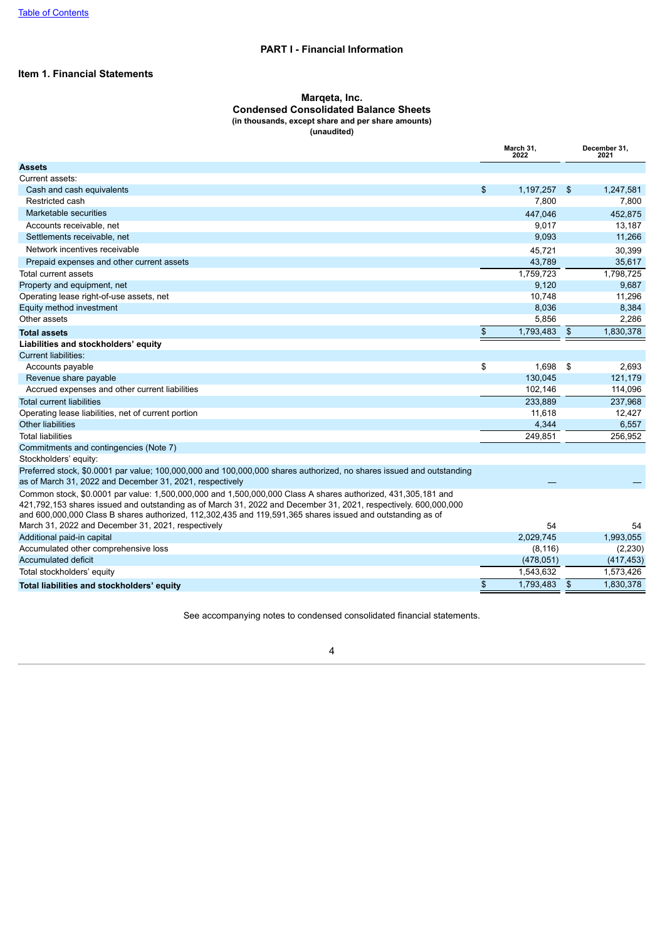## **PART I - Financial Information**

## <span id="page-3-1"></span><span id="page-3-0"></span>**Item 1. Financial Statements**

#### **Marqeta, Inc. Condensed Consolidated Balance Sheets (in thousands, except share and per share amounts) (unaudited)**

|                                                                                                                                                                                                                                                                                                                                                                                                     |                | March 31,<br>2022 |               | December 31,<br>2021 |  |
|-----------------------------------------------------------------------------------------------------------------------------------------------------------------------------------------------------------------------------------------------------------------------------------------------------------------------------------------------------------------------------------------------------|----------------|-------------------|---------------|----------------------|--|
| <b>Assets</b>                                                                                                                                                                                                                                                                                                                                                                                       |                |                   |               |                      |  |
| Current assets:                                                                                                                                                                                                                                                                                                                                                                                     |                |                   |               |                      |  |
| Cash and cash equivalents                                                                                                                                                                                                                                                                                                                                                                           | $\$\$          | 1,197,257         | -\$           | 1,247,581            |  |
| Restricted cash                                                                                                                                                                                                                                                                                                                                                                                     |                | 7,800             |               | 7,800                |  |
| Marketable securities                                                                                                                                                                                                                                                                                                                                                                               |                | 447.046           |               | 452,875              |  |
| Accounts receivable, net                                                                                                                                                                                                                                                                                                                                                                            |                | 9,017             |               | 13,187               |  |
| Settlements receivable, net                                                                                                                                                                                                                                                                                                                                                                         |                | 9,093             |               | 11,266               |  |
| Network incentives receivable                                                                                                                                                                                                                                                                                                                                                                       |                | 45.721            |               | 30.399               |  |
| Prepaid expenses and other current assets                                                                                                                                                                                                                                                                                                                                                           |                | 43,789            |               | 35,617               |  |
| Total current assets                                                                                                                                                                                                                                                                                                                                                                                |                | 1,759,723         |               | 1,798,725            |  |
| Property and equipment, net                                                                                                                                                                                                                                                                                                                                                                         |                | 9,120             |               | 9,687                |  |
| Operating lease right-of-use assets, net                                                                                                                                                                                                                                                                                                                                                            |                | 10,748            |               | 11,296               |  |
| Equity method investment                                                                                                                                                                                                                                                                                                                                                                            |                | 8,036             |               | 8,384                |  |
| Other assets                                                                                                                                                                                                                                                                                                                                                                                        |                | 5,856             |               | 2.286                |  |
| <b>Total assets</b>                                                                                                                                                                                                                                                                                                                                                                                 | \$             | 1,793,483         | $\sqrt[6]{3}$ | 1,830,378            |  |
| Liabilities and stockholders' equity                                                                                                                                                                                                                                                                                                                                                                |                |                   |               |                      |  |
| Current liabilities:                                                                                                                                                                                                                                                                                                                                                                                |                |                   |               |                      |  |
| Accounts payable                                                                                                                                                                                                                                                                                                                                                                                    | \$             | 1,698             | \$            | 2,693                |  |
| Revenue share payable                                                                                                                                                                                                                                                                                                                                                                               |                | 130,045           |               | 121,179              |  |
| Accrued expenses and other current liabilities                                                                                                                                                                                                                                                                                                                                                      |                | 102,146           |               | 114,096              |  |
| <b>Total current liabilities</b>                                                                                                                                                                                                                                                                                                                                                                    |                | 233,889           |               | 237,968              |  |
| Operating lease liabilities, net of current portion                                                                                                                                                                                                                                                                                                                                                 |                | 11,618            |               | 12,427               |  |
| <b>Other liabilities</b>                                                                                                                                                                                                                                                                                                                                                                            |                | 4,344             |               | 6,557                |  |
| <b>Total liabilities</b>                                                                                                                                                                                                                                                                                                                                                                            |                | 249,851           |               | 256,952              |  |
| Commitments and contingencies (Note 7)                                                                                                                                                                                                                                                                                                                                                              |                |                   |               |                      |  |
| Stockholders' equity:                                                                                                                                                                                                                                                                                                                                                                               |                |                   |               |                      |  |
| Preferred stock, \$0.0001 par value; 100,000,000 and 100,000,000 shares authorized, no shares issued and outstanding<br>as of March 31, 2022 and December 31, 2021, respectively                                                                                                                                                                                                                    |                |                   |               |                      |  |
| Common stock, \$0.0001 par value: 1,500,000,000 and 1,500,000,000 Class A shares authorized, 431,305,181 and<br>421,792,153 shares issued and outstanding as of March 31, 2022 and December 31, 2021, respectively. 600,000,000<br>and 600,000,000 Class B shares authorized, 112,302,435 and 119,591,365 shares issued and outstanding as of<br>March 31, 2022 and December 31, 2021, respectively |                | 54                |               | 54                   |  |
| Additional paid-in capital                                                                                                                                                                                                                                                                                                                                                                          |                | 2,029,745         |               | 1,993,055            |  |
| Accumulated other comprehensive loss                                                                                                                                                                                                                                                                                                                                                                |                | (8, 116)          |               | (2, 230)             |  |
| <b>Accumulated deficit</b>                                                                                                                                                                                                                                                                                                                                                                          |                | (478, 051)        |               | (417, 453)           |  |
| Total stockholders' equity                                                                                                                                                                                                                                                                                                                                                                          |                | 1,543,632         |               | 1,573,426            |  |
| Total liabilities and stockholders' equity                                                                                                                                                                                                                                                                                                                                                          | $\mathfrak{S}$ | 1,793,483 \$      |               | 1,830,378            |  |

<span id="page-3-2"></span>See accompanying notes to condensed consolidated financial statements.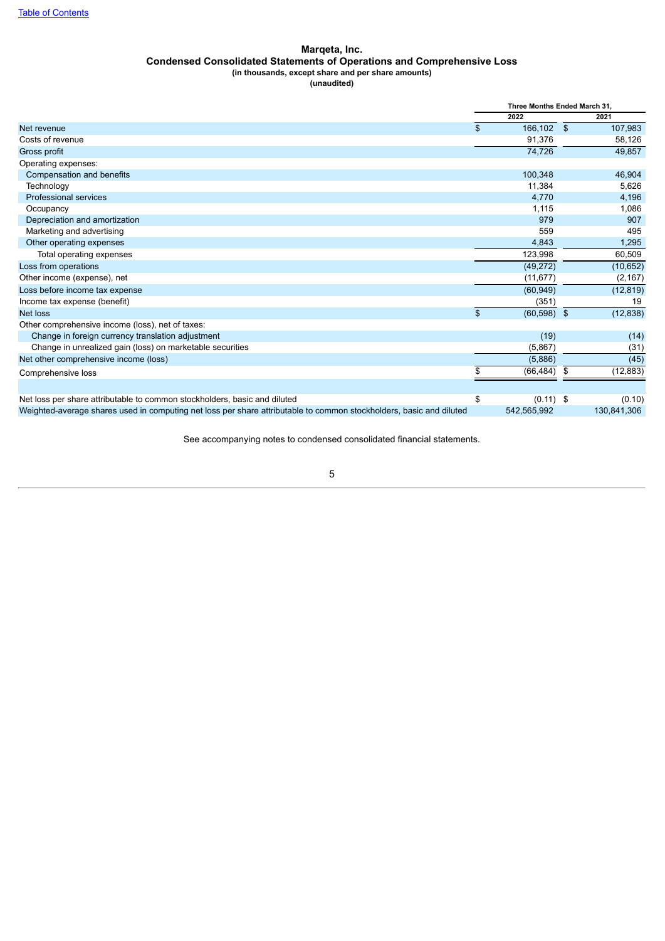#### **Marqeta, Inc. Condensed Consolidated Statements of Operations and Comprehensive Loss (in thousands, except share and per share amounts) (unaudited)**

|                                                                                                                     | Three Months Ended March 31, |                |                 |
|---------------------------------------------------------------------------------------------------------------------|------------------------------|----------------|-----------------|
|                                                                                                                     |                              | 2022           | 2021            |
| Net revenue                                                                                                         | \$                           | 166,102 \$     | 107,983         |
| Costs of revenue                                                                                                    |                              | 91,376         | 58,126          |
| Gross profit                                                                                                        |                              | 74,726         | 49.857          |
| Operating expenses:                                                                                                 |                              |                |                 |
| Compensation and benefits                                                                                           |                              | 100.348        | 46,904          |
| Technology                                                                                                          |                              | 11,384         | 5,626           |
| <b>Professional services</b>                                                                                        |                              | 4.770          | 4,196           |
| Occupancy                                                                                                           |                              | 1,115          | 1,086           |
| Depreciation and amortization                                                                                       |                              | 979            | 907             |
| Marketing and advertising                                                                                           |                              | 559            | 495             |
| Other operating expenses                                                                                            |                              | 4,843          | 1,295           |
| Total operating expenses                                                                                            |                              | 123,998        | 60,509          |
| Loss from operations                                                                                                |                              | (49, 272)      | (10, 652)       |
| Other income (expense), net                                                                                         |                              | (11, 677)      | (2, 167)        |
| Loss before income tax expense                                                                                      |                              | (60, 949)      | (12, 819)       |
| Income tax expense (benefit)                                                                                        |                              | (351)          | 19              |
| Net loss                                                                                                            | \$                           | $(60, 598)$ \$ | (12, 838)       |
| Other comprehensive income (loss), net of taxes:                                                                    |                              |                |                 |
| Change in foreign currency translation adjustment                                                                   |                              | (19)           | (14)            |
| Change in unrealized gain (loss) on marketable securities                                                           |                              | (5,867)        | (31)            |
| Net other comprehensive income (loss)                                                                               |                              | (5,886)        | (45)            |
| Comprehensive loss                                                                                                  |                              | (66, 484)      | \$<br>(12, 883) |
|                                                                                                                     |                              |                |                 |
| Net loss per share attributable to common stockholders, basic and diluted                                           | \$                           | $(0.11)$ \$    | (0.10)          |
| Weighted-average shares used in computing net loss per share attributable to common stockholders, basic and diluted |                              | 542,565,992    | 130,841,306     |

<span id="page-4-0"></span>See accompanying notes to condensed consolidated financial statements.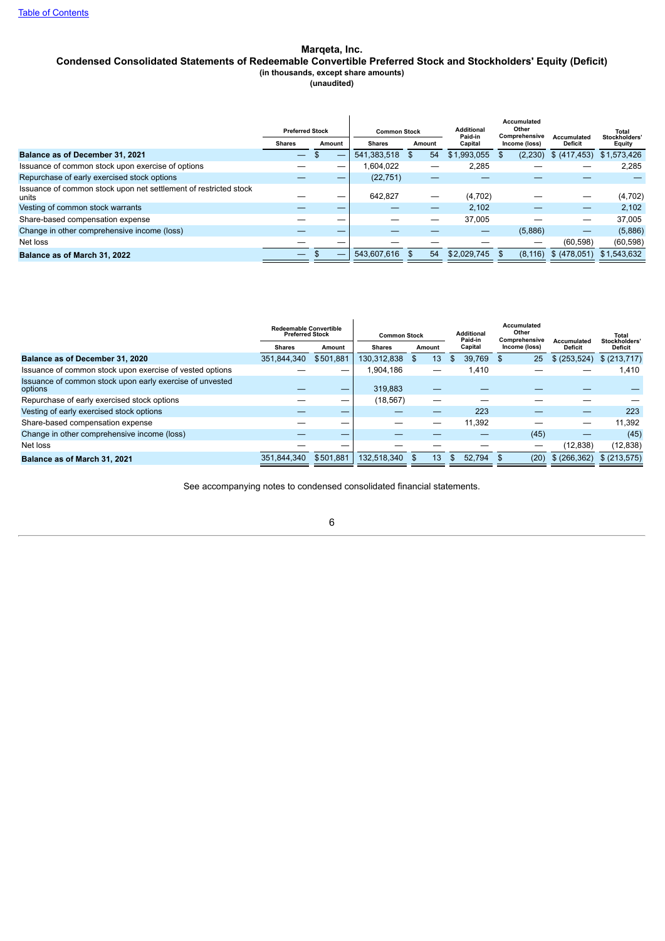#### **Marqeta, Inc.**

## **Condensed Consolidated Statements of Redeemable Convertible Preferred Stock and Stockholders' Equity (Deficit)**

**(in thousands, except share amounts) (unaudited)**

| <b>Preferred Stock</b>   |        |           |               | <b>Additional</b>                                    | <b>Accumulated</b><br>Other |                | <b>Total</b>                        |
|--------------------------|--------|-----------|---------------|------------------------------------------------------|-----------------------------|----------------|-------------------------------------|
| <b>Shares</b>            | Amount |           | Amount        | Capital                                              | Income (loss)               | <b>Deficit</b> | Stockholders'<br>Equity             |
| $\overline{\phantom{0}}$ | _      |           | 54<br>- \$    | \$1,993,055                                          | (2,230)<br>\$.              |                | \$1,573,426                         |
|                          |        | 1.604.022 | –             | 2.285                                                |                             |                | 2.285                               |
|                          |        | (22, 751) |               |                                                      |                             |                |                                     |
|                          |        | 642.827   |               | (4, 702)                                             |                             |                | (4,702)                             |
|                          |        |           | _             | 2.102                                                |                             |                | 2,102                               |
|                          |        |           |               | 37.005                                               |                             |                | 37,005                              |
|                          |        |           |               |                                                      | (5,886)                     |                | (5,886)                             |
|                          |        |           |               |                                                      |                             | (60.598)       | (60, 598)                           |
| $\overline{\phantom{0}}$ |        |           | 54            | \$2.029.745                                          | (8, 116)                    | \$ (478,051)   | \$1.543.632                         |
|                          |        | –<br>_    | <b>Shares</b> | <b>Common Stock</b><br>541,383,518<br>543.607.616 \$ | Paid-in                     | Comprehensive  | <b>Accumulated</b><br>\$ (417, 453) |

|                                                                     | <b>Redeemable Convertible</b><br><b>Preferred Stock</b> |           | <b>Common Stock</b> |        |  | <b>Additional</b><br>Paid-in | Accumulated<br>Other<br>Comprehensive |                               | Total                                 |
|---------------------------------------------------------------------|---------------------------------------------------------|-----------|---------------------|--------|--|------------------------------|---------------------------------------|-------------------------------|---------------------------------------|
|                                                                     | <b>Shares</b>                                           | Amount    | <b>Shares</b>       | Amount |  | Capital<br>Income (loss)     |                                       | Accumulated<br><b>Deficit</b> | <b>Stockholders</b><br><b>Deficit</b> |
| Balance as of December 31, 2020                                     | 351,844,340                                             | \$501.881 | 130.312.838         | 13     |  | 39,769                       | 25                                    | \$ (253, 524)                 | \$ (213,717)                          |
| Issuance of common stock upon exercise of vested options            |                                                         |           | 1,904,186           | –      |  | 1,410                        |                                       |                               | 1.410                                 |
| Issuance of common stock upon early exercise of unvested<br>options |                                                         | _         | 319,883             |        |  |                              |                                       |                               |                                       |
| Repurchase of early exercised stock options                         |                                                         |           | (18, 567)           |        |  |                              |                                       |                               |                                       |
| Vesting of early exercised stock options                            |                                                         |           |                     |        |  | 223                          |                                       |                               | 223                                   |
| Share-based compensation expense                                    |                                                         |           |                     |        |  | 11,392                       |                                       | —                             | 11,392                                |
| Change in other comprehensive income (loss)                         |                                                         |           |                     |        |  |                              | (45)                                  | –                             | (45)                                  |
| Net loss                                                            |                                                         |           |                     |        |  |                              | –                                     | (12, 838)                     | (12, 838)                             |
| Balance as of March 31, 2021                                        | 351.844.340                                             | \$501.881 | 132.518.340         | 13     |  | 52.794                       | (20)                                  | \$ (266.362)                  | \$ (213, 575)                         |

<span id="page-5-0"></span>See accompanying notes to condensed consolidated financial statements.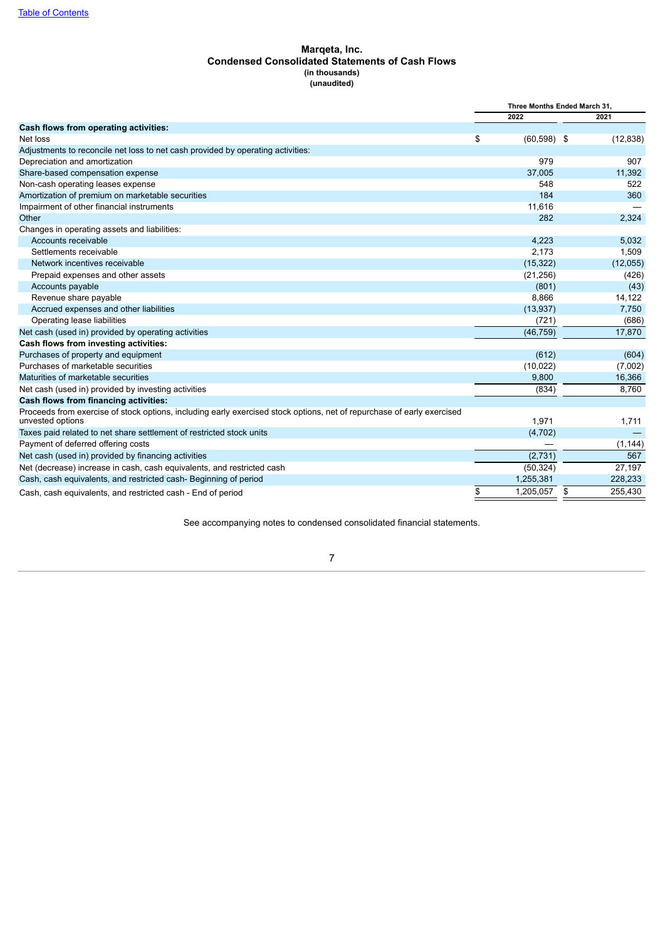#### **Marqeta, Inc. Condensed Consolidated Statements of Cash Flows (in thousands) (unaudited)**

|                                                                                                                                            | Three Months Ended March 31, |                |    |           |
|--------------------------------------------------------------------------------------------------------------------------------------------|------------------------------|----------------|----|-----------|
|                                                                                                                                            |                              | 2022           |    | 2021      |
| Cash flows from operating activities:                                                                                                      |                              |                |    |           |
| Net loss                                                                                                                                   | \$                           | $(60, 598)$ \$ |    | (12, 838) |
| Adjustments to reconcile net loss to net cash provided by operating activities:                                                            |                              |                |    |           |
| Depreciation and amortization                                                                                                              |                              | 979            |    | 907       |
| Share-based compensation expense                                                                                                           |                              | 37,005         |    | 11,392    |
| Non-cash operating leases expense                                                                                                          |                              | 548            |    | 522       |
| Amortization of premium on marketable securities                                                                                           |                              | 184            |    | 360       |
| Impairment of other financial instruments                                                                                                  |                              | 11,616         |    |           |
| Other                                                                                                                                      |                              | 282            |    | 2,324     |
| Changes in operating assets and liabilities:                                                                                               |                              |                |    |           |
| Accounts receivable                                                                                                                        |                              | 4,223          |    | 5,032     |
| Settlements receivable                                                                                                                     |                              | 2,173          |    | 1,509     |
| Network incentives receivable                                                                                                              |                              | (15, 322)      |    | (12,055)  |
| Prepaid expenses and other assets                                                                                                          |                              | (21, 256)      |    | (426)     |
| Accounts payable                                                                                                                           |                              | (801)          |    | (43)      |
| Revenue share payable                                                                                                                      |                              | 8,866          |    | 14,122    |
| Accrued expenses and other liabilities                                                                                                     |                              | (13, 937)      |    | 7,750     |
| Operating lease liabilities                                                                                                                |                              | (721)          |    | (686)     |
| Net cash (used in) provided by operating activities                                                                                        |                              | (46, 759)      |    | 17,870    |
| Cash flows from investing activities:                                                                                                      |                              |                |    |           |
| Purchases of property and equipment                                                                                                        |                              | (612)          |    | (604)     |
| Purchases of marketable securities                                                                                                         |                              | (10, 022)      |    | (7,002)   |
| Maturities of marketable securities                                                                                                        |                              | 9,800          |    | 16,366    |
| Net cash (used in) provided by investing activities                                                                                        |                              | (834)          |    | 8,760     |
| Cash flows from financing activities:                                                                                                      |                              |                |    |           |
| Proceeds from exercise of stock options, including early exercised stock options, net of repurchase of early exercised<br>unvested options |                              | 1,971          |    | 1,711     |
| Taxes paid related to net share settlement of restricted stock units                                                                       |                              | (4,702)        |    |           |
| Payment of deferred offering costs                                                                                                         |                              |                |    | (1, 144)  |
| Net cash (used in) provided by financing activities                                                                                        |                              | (2,731)        |    | 567       |
| Net (decrease) increase in cash, cash equivalents, and restricted cash                                                                     |                              | (50, 324)      |    | 27,197    |
| Cash, cash equivalents, and restricted cash-Beginning of period                                                                            |                              | 1,255,381      |    | 228,233   |
|                                                                                                                                            | \$                           | 1,205,057      | \$ | 255,430   |
| Cash, cash equivalents, and restricted cash - End of period                                                                                |                              |                |    |           |

See accompanying notes to condensed consolidated financial statements.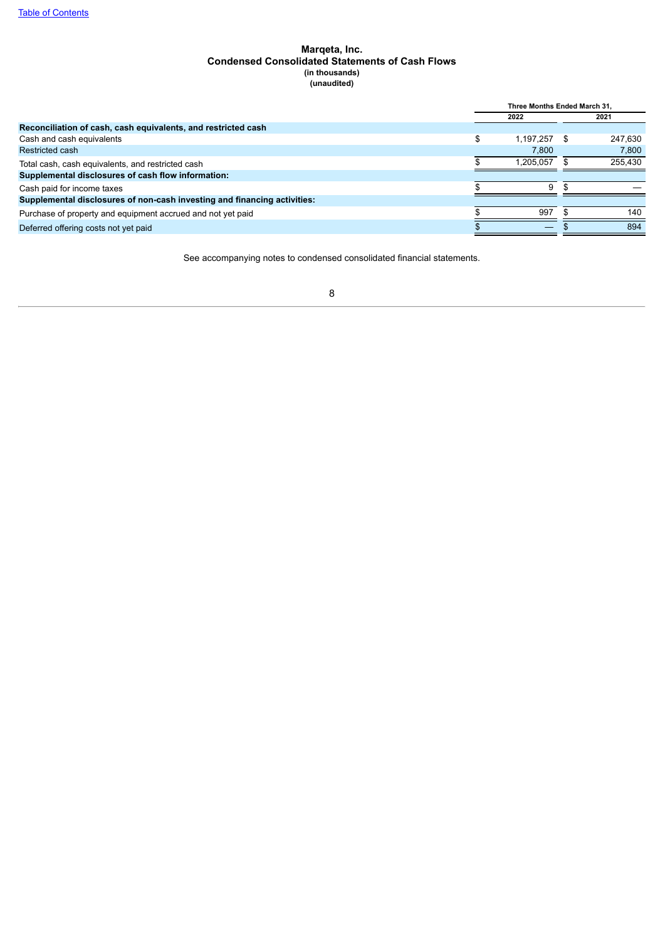### **Marqeta, Inc. Condensed Consolidated Statements of Cash Flows (in thousands) (unaudited)**

|                                                                          | Three Months Ended March 31. |  |         |
|--------------------------------------------------------------------------|------------------------------|--|---------|
|                                                                          | 2022                         |  | 2021    |
| Reconciliation of cash, cash equivalents, and restricted cash            |                              |  |         |
| Cash and cash equivalents                                                | 1.197.257                    |  | 247,630 |
| Restricted cash                                                          | 7.800                        |  | 7,800   |
| Total cash, cash equivalents, and restricted cash                        | 1.205.057                    |  | 255,430 |
| Supplemental disclosures of cash flow information:                       |                              |  |         |
| Cash paid for income taxes                                               | 9                            |  |         |
| Supplemental disclosures of non-cash investing and financing activities: |                              |  |         |
| Purchase of property and equipment accrued and not yet paid              | 997                          |  | 140     |
| Deferred offering costs not yet paid                                     | $\overline{\phantom{0}}$     |  | 894     |
|                                                                          |                              |  |         |

<span id="page-7-0"></span>See accompanying notes to condensed consolidated financial statements.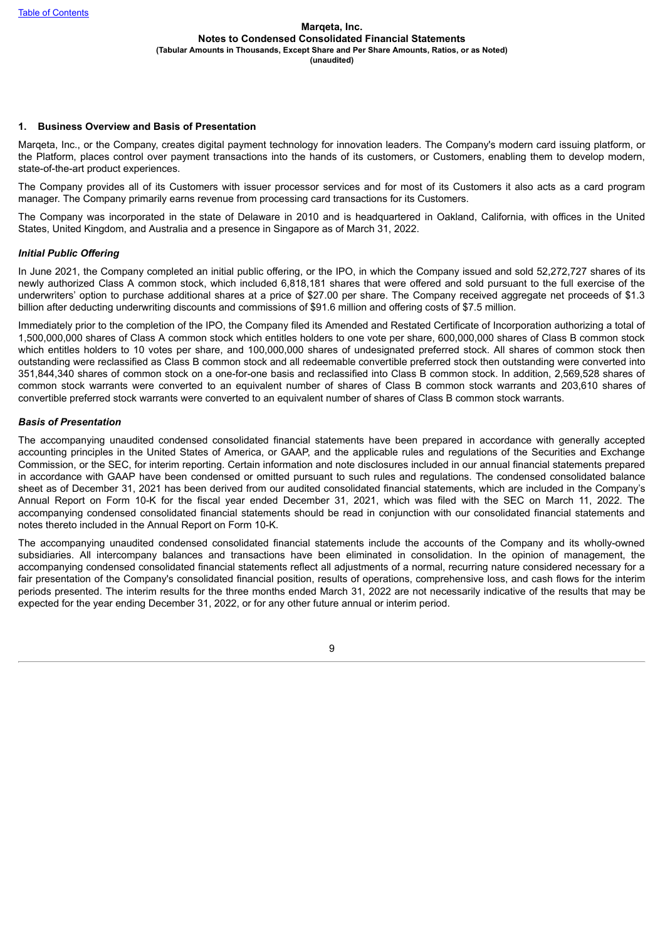#### **1. Business Overview and Basis of Presentation**

Marqeta, Inc., or the Company, creates digital payment technology for innovation leaders. The Company's modern card issuing platform, or the Platform, places control over payment transactions into the hands of its customers, or Customers, enabling them to develop modern, state-of-the-art product experiences.

The Company provides all of its Customers with issuer processor services and for most of its Customers it also acts as a card program manager. The Company primarily earns revenue from processing card transactions for its Customers.

The Company was incorporated in the state of Delaware in 2010 and is headquartered in Oakland, California, with offices in the United States, United Kingdom, and Australia and a presence in Singapore as of March 31, 2022.

#### *Initial Public Offering*

In June 2021, the Company completed an initial public offering, or the IPO, in which the Company issued and sold 52,272,727 shares of its newly authorized Class A common stock, which included 6,818,181 shares that were offered and sold pursuant to the full exercise of the underwriters' option to purchase additional shares at a price of \$27.00 per share. The Company received aggregate net proceeds of \$1.3 billion after deducting underwriting discounts and commissions of \$91.6 million and offering costs of \$7.5 million.

Immediately prior to the completion of the IPO, the Company filed its Amended and Restated Certificate of Incorporation authorizing a total of 1,500,000,000 shares of Class A common stock which entitles holders to one vote per share, 600,000,000 shares of Class B common stock which entitles holders to 10 votes per share, and 100,000,000 shares of undesignated preferred stock. All shares of common stock then outstanding were reclassified as Class B common stock and all redeemable convertible preferred stock then outstanding were converted into 351,844,340 shares of common stock on a one-for-one basis and reclassified into Class B common stock. In addition, 2,569,528 shares of common stock warrants were converted to an equivalent number of shares of Class B common stock warrants and 203,610 shares of convertible preferred stock warrants were converted to an equivalent number of shares of Class B common stock warrants.

#### *Basis of Presentation*

The accompanying unaudited condensed consolidated financial statements have been prepared in accordance with generally accepted accounting principles in the United States of America, or GAAP, and the applicable rules and regulations of the Securities and Exchange Commission, or the SEC, for interim reporting. Certain information and note disclosures included in our annual financial statements prepared in accordance with GAAP have been condensed or omitted pursuant to such rules and regulations. The condensed consolidated balance sheet as of December 31, 2021 has been derived from our audited consolidated financial statements, which are included in the Company's Annual Report on Form 10-K for the fiscal year ended December 31, 2021, which was filed with the SEC on March 11, 2022. The accompanying condensed consolidated financial statements should be read in conjunction with our consolidated financial statements and notes thereto included in the Annual Report on Form 10-K.

The accompanying unaudited condensed consolidated financial statements include the accounts of the Company and its wholly-owned subsidiaries. All intercompany balances and transactions have been eliminated in consolidation. In the opinion of management, the accompanying condensed consolidated financial statements reflect all adjustments of a normal, recurring nature considered necessary for a fair presentation of the Company's consolidated financial position, results of operations, comprehensive loss, and cash flows for the interim periods presented. The interim results for the three months ended March 31, 2022 are not necessarily indicative of the results that may be expected for the year ending December 31, 2022, or for any other future annual or interim period.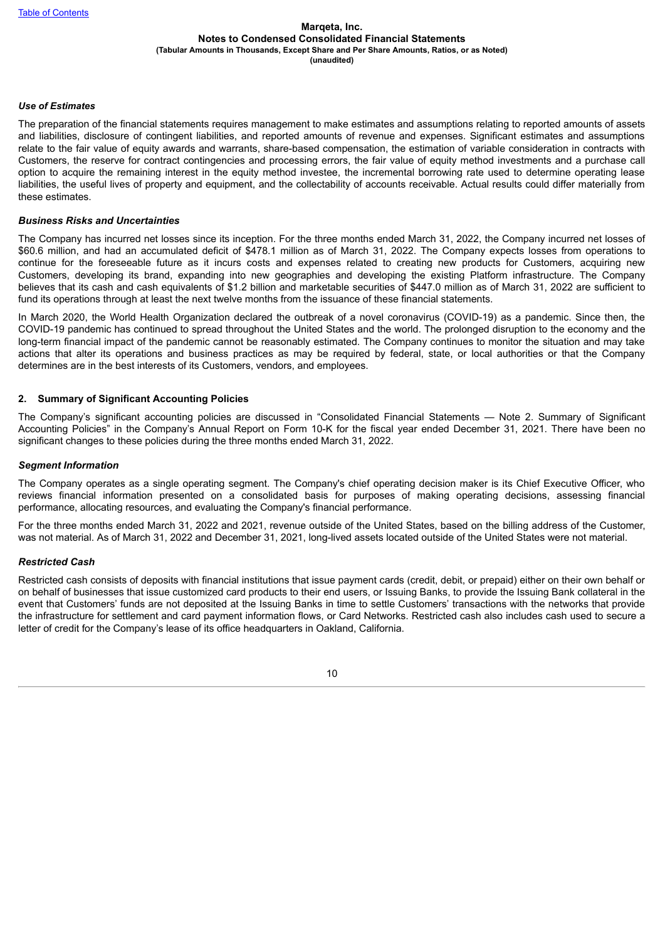#### *Use of Estimates*

The preparation of the financial statements requires management to make estimates and assumptions relating to reported amounts of assets and liabilities, disclosure of contingent liabilities, and reported amounts of revenue and expenses. Significant estimates and assumptions relate to the fair value of equity awards and warrants, share-based compensation, the estimation of variable consideration in contracts with Customers, the reserve for contract contingencies and processing errors, the fair value of equity method investments and a purchase call option to acquire the remaining interest in the equity method investee, the incremental borrowing rate used to determine operating lease liabilities, the useful lives of property and equipment, and the collectability of accounts receivable. Actual results could differ materially from these estimates.

#### *Business Risks and Uncertainties*

The Company has incurred net losses since its inception. For the three months ended March 31, 2022, the Company incurred net losses of \$60.6 million, and had an accumulated deficit of \$478.1 million as of March 31, 2022. The Company expects losses from operations to continue for the foreseeable future as it incurs costs and expenses related to creating new products for Customers, acquiring new Customers, developing its brand, expanding into new geographies and developing the existing Platform infrastructure. The Company believes that its cash and cash equivalents of \$1.2 billion and marketable securities of \$447.0 million as of March 31, 2022 are sufficient to fund its operations through at least the next twelve months from the issuance of these financial statements.

In March 2020, the World Health Organization declared the outbreak of a novel coronavirus (COVID-19) as a pandemic. Since then, the COVID-19 pandemic has continued to spread throughout the United States and the world. The prolonged disruption to the economy and the long-term financial impact of the pandemic cannot be reasonably estimated. The Company continues to monitor the situation and may take actions that alter its operations and business practices as may be required by federal, state, or local authorities or that the Company determines are in the best interests of its Customers, vendors, and employees.

#### **2. Summary of Significant Accounting Policies**

The Company's significant accounting policies are discussed in "Consolidated Financial Statements — Note 2. Summary of Significant Accounting Policies" in the Company's Annual Report on Form 10-K for the fiscal year ended December 31, 2021. There have been no significant changes to these policies during the three months ended March 31, 2022.

#### *Segment Information*

The Company operates as a single operating segment. The Company's chief operating decision maker is its Chief Executive Officer, who reviews financial information presented on a consolidated basis for purposes of making operating decisions, assessing financial performance, allocating resources, and evaluating the Company's financial performance.

For the three months ended March 31, 2022 and 2021, revenue outside of the United States, based on the billing address of the Customer, was not material. As of March 31, 2022 and December 31, 2021, long-lived assets located outside of the United States were not material.

#### *Restricted Cash*

Restricted cash consists of deposits with financial institutions that issue payment cards (credit, debit, or prepaid) either on their own behalf or on behalf of businesses that issue customized card products to their end users, or Issuing Banks, to provide the Issuing Bank collateral in the event that Customers' funds are not deposited at the Issuing Banks in time to settle Customers' transactions with the networks that provide the infrastructure for settlement and card payment information flows, or Card Networks. Restricted cash also includes cash used to secure a letter of credit for the Company's lease of its office headquarters in Oakland, California.

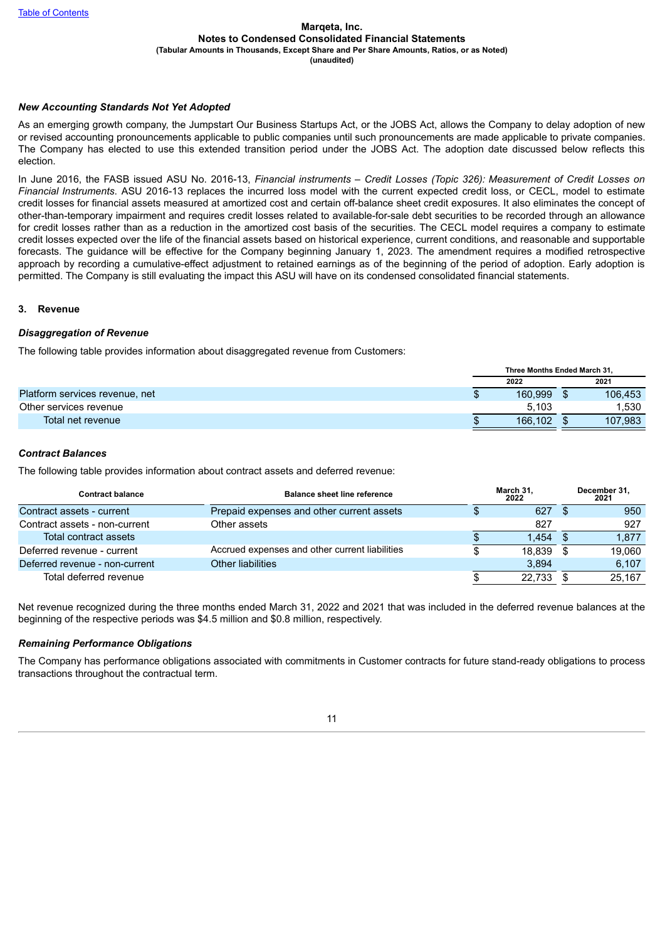**(unaudited)**

#### *New Accounting Standards Not Yet Adopted*

As an emerging growth company, the Jumpstart Our Business Startups Act, or the JOBS Act, allows the Company to delay adoption of new or revised accounting pronouncements applicable to public companies until such pronouncements are made applicable to private companies. The Company has elected to use this extended transition period under the JOBS Act. The adoption date discussed below reflects this election.

In June 2016, the FASB issued ASU No. 2016-13, *Financial instruments – Credit Losses (Topic 326): Measurement of Credit Losses on Financial Instruments*. ASU 2016-13 replaces the incurred loss model with the current expected credit loss, or CECL, model to estimate credit losses for financial assets measured at amortized cost and certain off-balance sheet credit exposures. It also eliminates the concept of other-than-temporary impairment and requires credit losses related to available-for-sale debt securities to be recorded through an allowance for credit losses rather than as a reduction in the amortized cost basis of the securities. The CECL model requires a company to estimate credit losses expected over the life of the financial assets based on historical experience, current conditions, and reasonable and supportable forecasts. The guidance will be effective for the Company beginning January 1, 2023. The amendment requires a modified retrospective approach by recording a cumulative-effect adjustment to retained earnings as of the beginning of the period of adoption. Early adoption is permitted. The Company is still evaluating the impact this ASU will have on its condensed consolidated financial statements.

#### **3. Revenue**

#### *Disaggregation of Revenue*

The following table provides information about disaggregated revenue from Customers:

|                                | Three Months Ended March 31. |         |  |                  |  |
|--------------------------------|------------------------------|---------|--|------------------|--|
|                                |                              | 2022    |  | 2021             |  |
| Platform services revenue, net |                              | 160.999 |  | 106.453          |  |
| Other services revenue         |                              | 5.103   |  | $^{\prime}$ .530 |  |
| Total net revenue              |                              | 166.102 |  | 107,983          |  |

#### *Contract Balances*

The following table provides information about contract assets and deferred revenue:

| <b>Balance sheet line reference</b><br><b>Contract balance</b> |                                                |  | March 31.<br>2022 | December 31.<br>2021 |
|----------------------------------------------------------------|------------------------------------------------|--|-------------------|----------------------|
| Contract assets - current                                      | Prepaid expenses and other current assets      |  | 627               | 950                  |
| Contract assets - non-current                                  | Other assets                                   |  | 827               | 927                  |
| Total contract assets                                          |                                                |  | 1.454             | 1,877                |
| Deferred revenue - current                                     | Accrued expenses and other current liabilities |  | 18.839            | 19.060               |
| Deferred revenue - non-current                                 | Other liabilities                              |  | 3.894             | 6.107                |
| Total deferred revenue                                         |                                                |  | 22.733            | 25.167               |

Net revenue recognized during the three months ended March 31, 2022 and 2021 that was included in the deferred revenue balances at the beginning of the respective periods was \$4.5 million and \$0.8 million, respectively.

## *Remaining Performance Obligations*

The Company has performance obligations associated with commitments in Customer contracts for future stand-ready obligations to process transactions throughout the contractual term.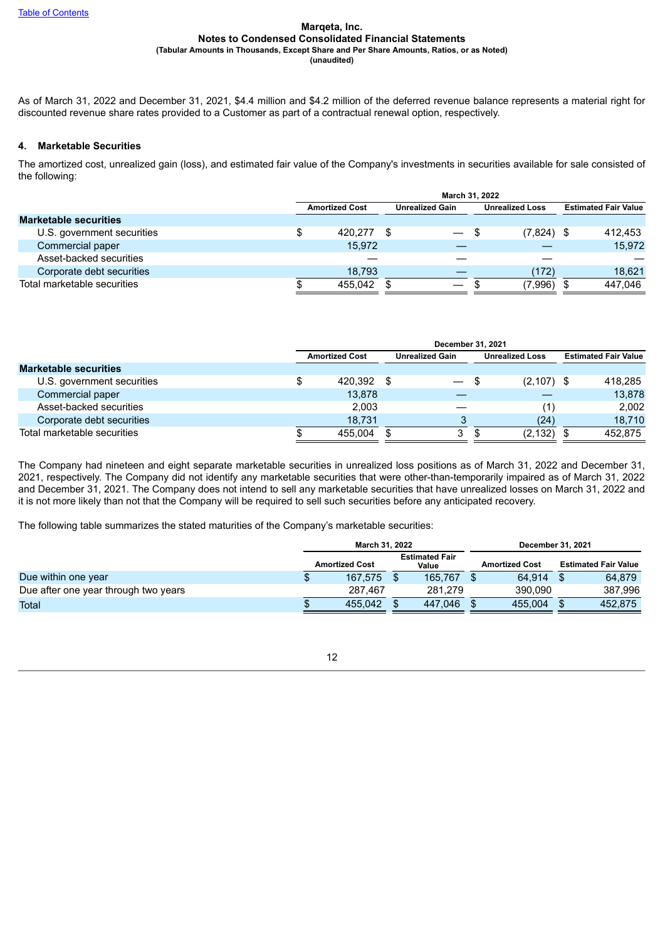**(unaudited)**

As of March 31, 2022 and December 31, 2021, \$4.4 million and \$4.2 million of the deferred revenue balance represents a material right for discounted revenue share rates provided to a Customer as part of a contractual renewal option, respectively.

## **4. Marketable Securities**

The amortized cost, unrealized gain (loss), and estimated fair value of the Company's investments in securities available for sale consisted of the following:

|                              | March 31, 2022        |            |  |                        |                        |          |  |                             |  |
|------------------------------|-----------------------|------------|--|------------------------|------------------------|----------|--|-----------------------------|--|
|                              | <b>Amortized Cost</b> |            |  | <b>Unrealized Gain</b> | <b>Unrealized Loss</b> |          |  | <b>Estimated Fair Value</b> |  |
| <b>Marketable securities</b> |                       |            |  |                        |                        |          |  |                             |  |
| U.S. government securities   |                       | 420.277 \$ |  | $\qquad \qquad$        | - \$                   | (7, 824) |  | 412,453                     |  |
| Commercial paper             |                       | 15.972     |  |                        |                        |          |  | 15,972                      |  |
| Asset-backed securities      |                       |            |  |                        |                        |          |  |                             |  |
| Corporate debt securities    |                       | 18.793     |  |                        |                        | (172)    |  | 18,621                      |  |
| Total marketable securities  |                       | 455.042    |  | $\hspace{0.05cm}$      |                        | (7,996)  |  | 447,046                     |  |

|                              | December 31, 2021 |                       |      |                          |      |                        |  |                             |  |
|------------------------------|-------------------|-----------------------|------|--------------------------|------|------------------------|--|-----------------------------|--|
|                              |                   | <b>Amortized Cost</b> |      | <b>Unrealized Gain</b>   |      | <b>Unrealized Loss</b> |  | <b>Estimated Fair Value</b> |  |
| <b>Marketable securities</b> |                   |                       |      |                          |      |                        |  |                             |  |
| U.S. government securities   |                   | 420.392               | - \$ | $\overline{\phantom{0}}$ | - \$ | $(2, 107)$ \$          |  | 418.285                     |  |
| Commercial paper             |                   | 13.878                |      |                          |      |                        |  | 13.878                      |  |
| Asset-backed securities      |                   | 2,003                 |      |                          |      |                        |  | 2,002                       |  |
| Corporate debt securities    |                   | 18.731                |      |                          |      | (24)                   |  | 18.710                      |  |
| Total marketable securities  |                   | 455.004               |      | 3                        | -5   | (2, 132)               |  | 452.875                     |  |

The Company had nineteen and eight separate marketable securities in unrealized loss positions as of March 31, 2022 and December 31, 2021, respectively. The Company did not identify any marketable securities that were other-than-temporarily impaired as of March 31, 2022 and December 31, 2021. The Company does not intend to sell any marketable securities that have unrealized losses on March 31, 2022 and it is not more likely than not that the Company will be required to sell such securities before any anticipated recovery.

The following table summarizes the stated maturities of the Company's marketable securities:

|                                      |  | March 31, 2022                                          |  |         |                       |         | December 31, 2021 |                             |  |
|--------------------------------------|--|---------------------------------------------------------|--|---------|-----------------------|---------|-------------------|-----------------------------|--|
|                                      |  | <b>Estimated Fair</b><br><b>Amortized Cost</b><br>Value |  |         | <b>Amortized Cost</b> |         |                   | <b>Estimated Fair Value</b> |  |
| Due within one year                  |  | 167.575                                                 |  | 165.767 |                       | 64.914  |                   | 64.879                      |  |
| Due after one year through two years |  | 287.467                                                 |  | 281.279 |                       | 390.090 |                   | 387.996                     |  |
| Total                                |  | 455.042                                                 |  | 447.046 |                       | 455.004 |                   | 452.875                     |  |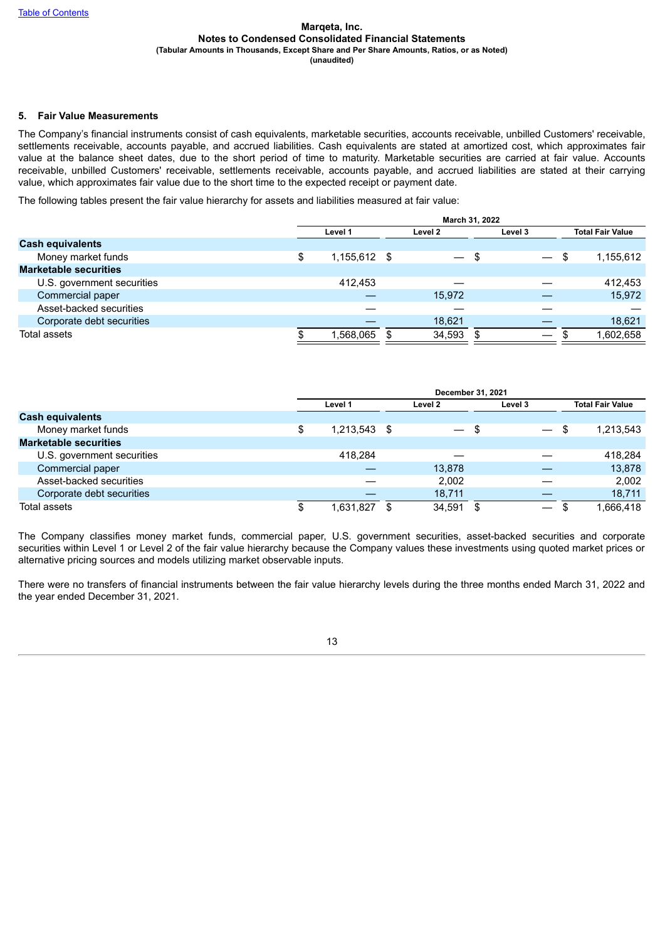## **5. Fair Value Measurements**

The Company's financial instruments consist of cash equivalents, marketable securities, accounts receivable, unbilled Customers' receivable, settlements receivable, accounts payable, and accrued liabilities. Cash equivalents are stated at amortized cost, which approximates fair value at the balance sheet dates, due to the short period of time to maturity. Marketable securities are carried at fair value. Accounts receivable, unbilled Customers' receivable, settlements receivable, accounts payable, and accrued liabilities are stated at their carrying value, which approximates fair value due to the short time to the expected receipt or payment date.

The following tables present the fair value hierarchy for assets and liabilities measured at fair value:

|                              |    | March 31, 2022 |   |           |      |                          |     |                         |
|------------------------------|----|----------------|---|-----------|------|--------------------------|-----|-------------------------|
|                              |    | Level 1        |   | Level 2   |      | Level 3                  |     | <b>Total Fair Value</b> |
| <b>Cash equivalents</b>      |    |                |   |           |      |                          |     |                         |
| Money market funds           | \$ | 1,155,612 \$   |   |           | - \$ | $\overline{\phantom{0}}$ | -\$ | 1,155,612               |
| <b>Marketable securities</b> |    |                |   |           |      |                          |     |                         |
| U.S. government securities   |    | 412.453        |   |           |      |                          |     | 412,453                 |
| Commercial paper             |    |                |   | 15.972    |      |                          |     | 15.972                  |
| Asset-backed securities      |    |                |   |           |      |                          |     |                         |
| Corporate debt securities    |    |                |   | 18,621    |      |                          |     | 18.621                  |
| Total assets                 |    | 1,568,065      | S | 34,593 \$ |      | $\overline{\phantom{0}}$ |     | 1,602,658               |
|                              |    |                |   |           |      |                          |     |                         |

|                              | December 31, 2021 |              |  |                          |      |                          |     |                         |
|------------------------------|-------------------|--------------|--|--------------------------|------|--------------------------|-----|-------------------------|
|                              |                   | Level 1      |  | Level 2                  |      | Level 3                  |     | <b>Total Fair Value</b> |
| <b>Cash equivalents</b>      |                   |              |  |                          |      |                          |     |                         |
| Money market funds           | \$                | 1,213,543 \$ |  | $\overline{\phantom{0}}$ | \$   | $\overline{\phantom{0}}$ | -\$ | 1,213,543               |
| <b>Marketable securities</b> |                   |              |  |                          |      |                          |     |                         |
| U.S. government securities   |                   | 418.284      |  |                          |      |                          |     | 418.284                 |
| Commercial paper             |                   |              |  | 13,878                   |      |                          |     | 13,878                  |
| Asset-backed securities      |                   |              |  | 2.002                    |      |                          |     | 2.002                   |
| Corporate debt securities    |                   |              |  | 18,711                   |      |                          |     | 18,711                  |
| Total assets                 | \$                | 1,631,827    |  | 34.591                   | - \$ | $\equiv$                 |     | 1.666.418               |

The Company classifies money market funds, commercial paper, U.S. government securities, asset-backed securities and corporate securities within Level 1 or Level 2 of the fair value hierarchy because the Company values these investments using quoted market prices or alternative pricing sources and models utilizing market observable inputs.

There were no transfers of financial instruments between the fair value hierarchy levels during the three months ended March 31, 2022 and the year ended December 31, 2021.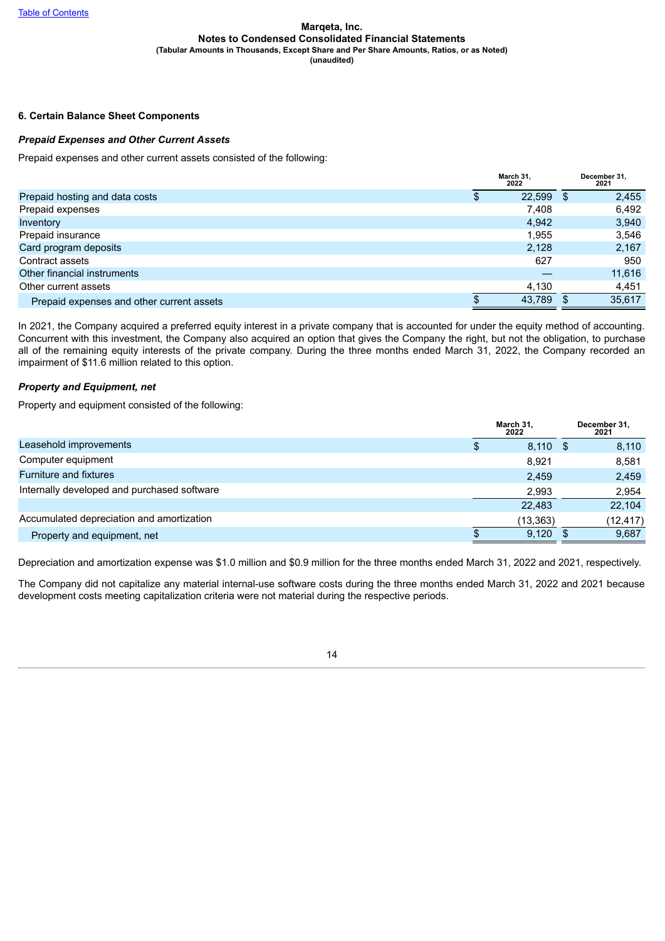## **6. Certain Balance Sheet Components**

## *Prepaid Expenses and Other Current Assets*

Prepaid expenses and other current assets consisted of the following:

|                                           | March 31,<br>2022 |      | December 31,<br>2021 |  |
|-------------------------------------------|-------------------|------|----------------------|--|
| Prepaid hosting and data costs            | 22,599            | - \$ | 2,455                |  |
| Prepaid expenses                          | 7.408             |      | 6,492                |  |
| Inventory                                 | 4.942             |      | 3,940                |  |
| Prepaid insurance                         | 1.955             |      | 3,546                |  |
| Card program deposits                     | 2.128             |      | 2,167                |  |
| Contract assets                           | 627               |      | 950                  |  |
| Other financial instruments               |                   |      | 11,616               |  |
| Other current assets                      | 4,130             |      | 4.451                |  |
| Prepaid expenses and other current assets | 43,789            |      | 35,617               |  |

In 2021, the Company acquired a preferred equity interest in a private company that is accounted for under the equity method of accounting. Concurrent with this investment, the Company also acquired an option that gives the Company the right, but not the obligation, to purchase all of the remaining equity interests of the private company. During the three months ended March 31, 2022, the Company recorded an impairment of \$11.6 million related to this option.

## *Property and Equipment, net*

Property and equipment consisted of the following:

|                                             |   | March 31.<br>2022 |      | December 31.<br>2021 |
|---------------------------------------------|---|-------------------|------|----------------------|
| Leasehold improvements                      | S | 8,110             | - \$ | 8,110                |
| Computer equipment                          |   | 8.921             |      | 8,581                |
| Furniture and fixtures                      |   | 2,459             |      | 2,459                |
| Internally developed and purchased software |   | 2.993             |      | 2,954                |
|                                             |   | 22.483            |      | 22,104               |
| Accumulated depreciation and amortization   |   | (13, 363)         |      | (12,417)             |
| Property and equipment, net                 |   | 9,120             | \$.  | 9,687                |

Depreciation and amortization expense was \$1.0 million and \$0.9 million for the three months ended March 31, 2022 and 2021, respectively.

The Company did not capitalize any material internal-use software costs during the three months ended March 31, 2022 and 2021 because development costs meeting capitalization criteria were not material during the respective periods.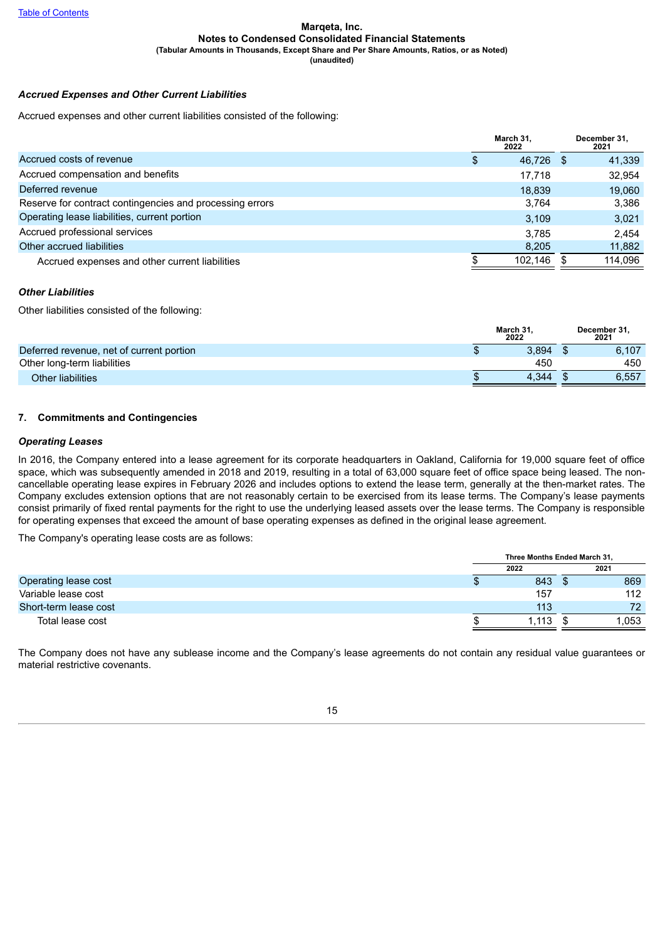**(unaudited)**

## *Accrued Expenses and Other Current Liabilities*

Accrued expenses and other current liabilities consisted of the following:

|                                                          | March 31.<br>2022 |    | December 31,<br>2021 |
|----------------------------------------------------------|-------------------|----|----------------------|
| Accrued costs of revenue                                 | \$<br>46.726      | -S | 41,339               |
| Accrued compensation and benefits                        | 17.718            |    | 32.954               |
| Deferred revenue                                         | 18.839            |    | 19.060               |
| Reserve for contract contingencies and processing errors | 3.764             |    | 3,386                |
| Operating lease liabilities, current portion             | 3.109             |    | 3.021                |
| Accrued professional services                            | 3.785             |    | 2.454                |
| Other accrued liabilities                                | 8.205             |    | 11,882               |
| Accrued expenses and other current liabilities           | 102,146           |    | 114.096              |

## *Other Liabilities*

Other liabilities consisted of the following:

|                                          | March 31.<br>2022 | December 31.<br>2021 |
|------------------------------------------|-------------------|----------------------|
| Deferred revenue, net of current portion | 3.894             | 6.107                |
| Other long-term liabilities              | 450               | 450                  |
| Other liabilities                        | 4.344             | 6.557                |

## **7. Commitments and Contingencies**

#### *Operating Leases*

In 2016, the Company entered into a lease agreement for its corporate headquarters in Oakland, California for 19,000 square feet of office space, which was subsequently amended in 2018 and 2019, resulting in a total of 63,000 square feet of office space being leased. The noncancellable operating lease expires in February 2026 and includes options to extend the lease term, generally at the then-market rates. The Company excludes extension options that are not reasonably certain to be exercised from its lease terms. The Company's lease payments consist primarily of fixed rental payments for the right to use the underlying leased assets over the lease terms. The Company is responsible for operating expenses that exceed the amount of base operating expenses as defined in the original lease agreement.

The Company's operating lease costs are as follows:

|                       | Three Months Ended March 31, |       |
|-----------------------|------------------------------|-------|
|                       | 2022                         | 2021  |
| Operating lease cost  | 843                          | 869   |
| Variable lease cost   | 157                          | 112   |
| Short-term lease cost | 113                          | 72    |
| Total lease cost      | 1.113                        | 1.053 |

The Company does not have any sublease income and the Company's lease agreements do not contain any residual value guarantees or material restrictive covenants.

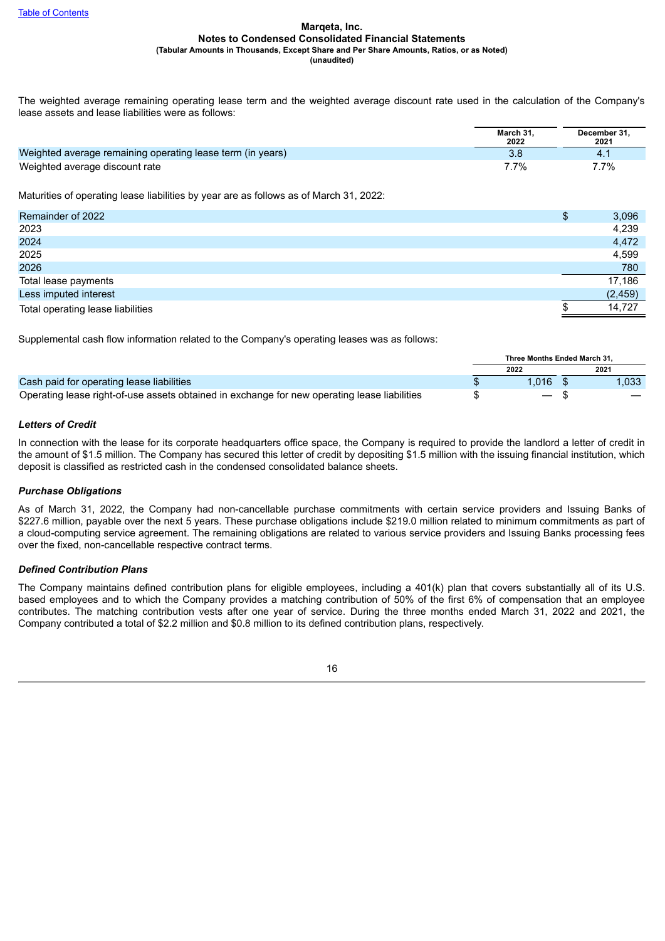**(unaudited)**

The weighted average remaining operating lease term and the weighted average discount rate used in the calculation of the Company's lease assets and lease liabilities were as follows:

|                                                            | March 31.<br>2022 | December 31.<br>2021 |
|------------------------------------------------------------|-------------------|----------------------|
| Weighted average remaining operating lease term (in years) |                   |                      |
| Weighted average discount rate                             | $7.7\%$           | 7.7%                 |

Maturities of operating lease liabilities by year are as follows as of March 31, 2022:

| Remainder of 2022                 | \$<br>3,096 |
|-----------------------------------|-------------|
| 2023                              | 4,239       |
| 2024                              | 4,472       |
| 2025                              | 4,599       |
| 2026                              | 780         |
| Total lease payments              | 17,186      |
| Less imputed interest             | (2, 459)    |
| Total operating lease liabilities | 14,727      |

Supplemental cash flow information related to the Company's operating leases was as follows:

|                                                                                              |  | Three Months Ended March 31. |  |       |
|----------------------------------------------------------------------------------------------|--|------------------------------|--|-------|
|                                                                                              |  | 2022                         |  | 2021  |
| Cash paid for operating lease liabilities                                                    |  | 1.016                        |  | 1.033 |
| Operating lease right-of-use assets obtained in exchange for new operating lease liabilities |  | $ \mathcal{L}$               |  |       |

## *Letters of Credit*

In connection with the lease for its corporate headquarters office space, the Company is required to provide the landlord a letter of credit in the amount of \$1.5 million. The Company has secured this letter of credit by depositing \$1.5 million with the issuing financial institution, which deposit is classified as restricted cash in the condensed consolidated balance sheets.

## *Purchase Obligations*

As of March 31, 2022, the Company had non-cancellable purchase commitments with certain service providers and Issuing Banks of \$227.6 million, payable over the next 5 years. These purchase obligations include \$219.0 million related to minimum commitments as part of a cloud-computing service agreement. The remaining obligations are related to various service providers and Issuing Banks processing fees over the fixed, non-cancellable respective contract terms.

## *Defined Contribution Plans*

The Company maintains defined contribution plans for eligible employees, including a 401(k) plan that covers substantially all of its U.S. based employees and to which the Company provides a matching contribution of 50% of the first 6% of compensation that an employee contributes. The matching contribution vests after one year of service. During the three months ended March 31, 2022 and 2021, the Company contributed a total of \$2.2 million and \$0.8 million to its defined contribution plans, respectively.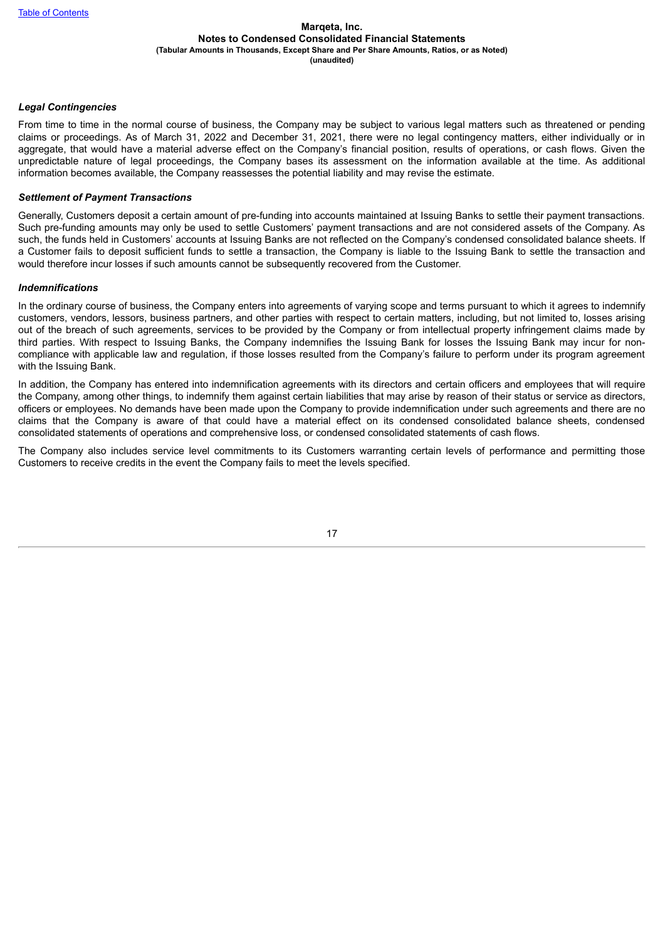#### *Legal Contingencies*

From time to time in the normal course of business, the Company may be subject to various legal matters such as threatened or pending claims or proceedings. As of March 31, 2022 and December 31, 2021, there were no legal contingency matters, either individually or in aggregate, that would have a material adverse effect on the Company's financial position, results of operations, or cash flows. Given the unpredictable nature of legal proceedings, the Company bases its assessment on the information available at the time. As additional information becomes available, the Company reassesses the potential liability and may revise the estimate.

#### *Settlement of Payment Transactions*

Generally, Customers deposit a certain amount of pre-funding into accounts maintained at Issuing Banks to settle their payment transactions. Such pre-funding amounts may only be used to settle Customers' payment transactions and are not considered assets of the Company. As such, the funds held in Customers' accounts at Issuing Banks are not reflected on the Company's condensed consolidated balance sheets. If a Customer fails to deposit sufficient funds to settle a transaction, the Company is liable to the Issuing Bank to settle the transaction and would therefore incur losses if such amounts cannot be subsequently recovered from the Customer.

#### *Indemnifications*

In the ordinary course of business, the Company enters into agreements of varying scope and terms pursuant to which it agrees to indemnify customers, vendors, lessors, business partners, and other parties with respect to certain matters, including, but not limited to, losses arising out of the breach of such agreements, services to be provided by the Company or from intellectual property infringement claims made by third parties. With respect to Issuing Banks, the Company indemnifies the Issuing Bank for losses the Issuing Bank may incur for noncompliance with applicable law and regulation, if those losses resulted from the Company's failure to perform under its program agreement with the Issuing Bank.

In addition, the Company has entered into indemnification agreements with its directors and certain officers and employees that will require the Company, among other things, to indemnify them against certain liabilities that may arise by reason of their status or service as directors, officers or employees. No demands have been made upon the Company to provide indemnification under such agreements and there are no claims that the Company is aware of that could have a material effect on its condensed consolidated balance sheets, condensed consolidated statements of operations and comprehensive loss, or condensed consolidated statements of cash flows.

The Company also includes service level commitments to its Customers warranting certain levels of performance and permitting those Customers to receive credits in the event the Company fails to meet the levels specified.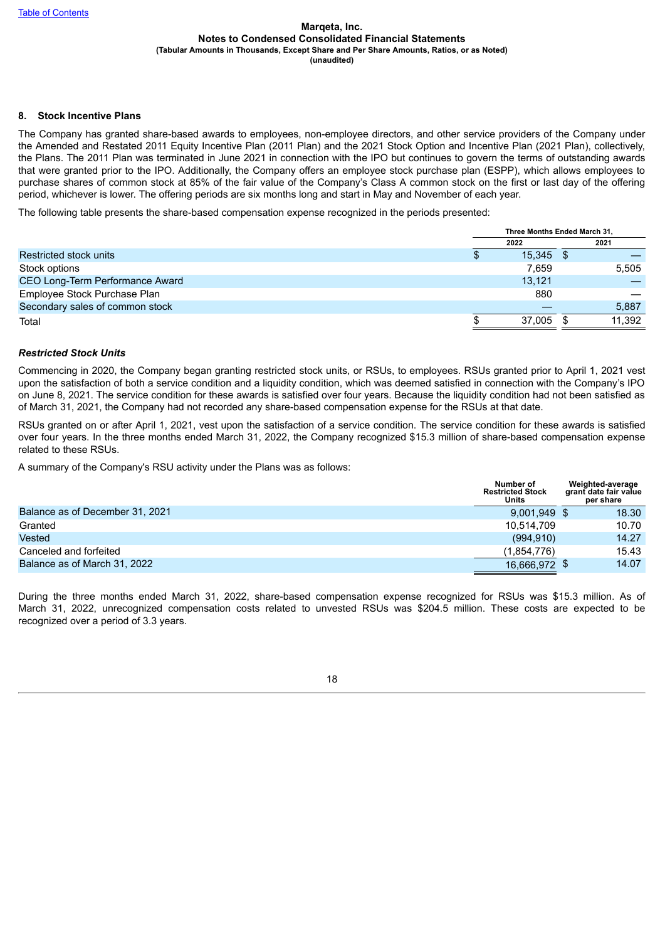## **8. Stock Incentive Plans**

The Company has granted share-based awards to employees, non-employee directors, and other service providers of the Company under the Amended and Restated 2011 Equity Incentive Plan (2011 Plan) and the 2021 Stock Option and Incentive Plan (2021 Plan), collectively, the Plans. The 2011 Plan was terminated in June 2021 in connection with the IPO but continues to govern the terms of outstanding awards that were granted prior to the IPO. Additionally, the Company offers an employee stock purchase plan (ESPP), which allows employees to purchase shares of common stock at 85% of the fair value of the Company's Class A common stock on the first or last day of the offering period, whichever is lower. The offering periods are six months long and start in May and November of each year.

The following table presents the share-based compensation expense recognized in the periods presented:

|                                 | Three Months Ended March 31. |           |  |        |
|---------------------------------|------------------------------|-----------|--|--------|
|                                 |                              | 2022      |  | 2021   |
| Restricted stock units          |                              | 15,345 \$ |  |        |
| Stock options                   |                              | 7.659     |  | 5.505  |
| CEO Long-Term Performance Award |                              | 13,121    |  |        |
| Employee Stock Purchase Plan    |                              | 880       |  |        |
| Secondary sales of common stock |                              |           |  | 5,887  |
| Total                           |                              | 37,005    |  | 11.392 |

#### *Restricted Stock Units*

Commencing in 2020, the Company began granting restricted stock units, or RSUs, to employees. RSUs granted prior to April 1, 2021 vest upon the satisfaction of both a service condition and a liquidity condition, which was deemed satisfied in connection with the Company's IPO on June 8, 2021. The service condition for these awards is satisfied over four years. Because the liquidity condition had not been satisfied as of March 31, 2021, the Company had not recorded any share-based compensation expense for the RSUs at that date.

RSUs granted on or after April 1, 2021, vest upon the satisfaction of a service condition. The service condition for these awards is satisfied over four years. In the three months ended March 31, 2022, the Company recognized \$15.3 million of share-based compensation expense related to these RSUs.

A summary of the Company's RSU activity under the Plans was as follows:

|                                 | Number of<br><b>Restricted Stock</b><br>Units | Weighted-average<br>grant date fair value<br>per share |  |
|---------------------------------|-----------------------------------------------|--------------------------------------------------------|--|
| Balance as of December 31, 2021 | $9,001,949$ \$                                | 18.30                                                  |  |
| Granted                         | 10.514.709                                    | 10.70                                                  |  |
| Vested                          | (994, 910)                                    | 14.27                                                  |  |
| Canceled and forfeited          | (1,854,776)                                   | 15.43                                                  |  |
| Balance as of March 31, 2022    | 16.666.972 \$                                 | 14.07                                                  |  |

During the three months ended March 31, 2022, share-based compensation expense recognized for RSUs was \$15.3 million. As of March 31, 2022, unrecognized compensation costs related to unvested RSUs was \$204.5 million. These costs are expected to be recognized over a period of 3.3 years.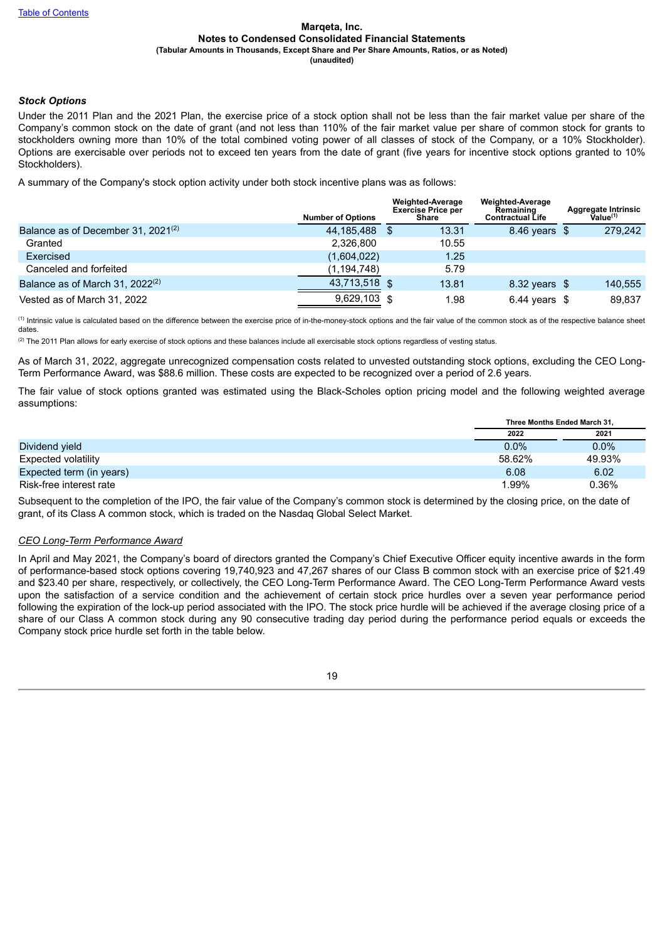#### *Stock Options*

Under the 2011 Plan and the 2021 Plan, the exercise price of a stock option shall not be less than the fair market value per share of the Company's common stock on the date of grant (and not less than 110% of the fair market value per share of common stock for grants to stockholders owning more than 10% of the total combined voting power of all classes of stock of the Company, or a 10% Stockholder). Options are exercisable over periods not to exceed ten years from the date of grant (five years for incentive stock options granted to 10% Stockholders).

A summary of the Company's stock option activity under both stock incentive plans was as follows:

|                                                | <b>Number of Options</b> |     | <b>Weighted-Average</b><br><b>Exercise Price per</b><br>Share | <b>Weighted-Average</b><br>Remaining<br>Contractual Life | <b>Aggregate Intrinsic</b><br>$\bar{V}$ alue $(1)$ |
|------------------------------------------------|--------------------------|-----|---------------------------------------------------------------|----------------------------------------------------------|----------------------------------------------------|
| Balance as of December 31, 2021 <sup>(2)</sup> | 44.185.488               | \$. | 13.31                                                         | $8.46 \text{ years}$ \$                                  | 279.242                                            |
| Granted                                        | 2.326.800                |     | 10.55                                                         |                                                          |                                                    |
| Exercised                                      | (1,604,022)              |     | 1.25                                                          |                                                          |                                                    |
| Canceled and forfeited                         | (1, 194, 748)            |     | 5.79                                                          |                                                          |                                                    |
| Balance as of March 31, 2022 <sup>(2)</sup>    | 43,713,518 \$            |     | 13.81                                                         | $8.32 \,\text{years}$ \$                                 | 140,555                                            |
| Vested as of March 31, 2022                    | 9,629,103                |     | 1.98                                                          | $6.44 \,\text{years}$ \$                                 | 89.837                                             |

 $<sup>(1)</sup>$  Intrinsic value is calculated based on the difference between the exercise price of in-the-money-stock options and the fair value of the common stock as of the respective balance sheet</sup> dates.

 $^{(2)}$  The 2011 Plan allows for early exercise of stock options and these balances include all exercisable stock options regardless of vesting status.

As of March 31, 2022, aggregate unrecognized compensation costs related to unvested outstanding stock options, excluding the CEO Long-Term Performance Award, was \$88.6 million. These costs are expected to be recognized over a period of 2.6 years.

The fair value of stock options granted was estimated using the Black-Scholes option pricing model and the following weighted average assumptions:

|                            | Three Months Ended March 31, |         |
|----------------------------|------------------------------|---------|
|                            | 2022                         | 2021    |
| Dividend yield             | $0.0\%$                      | $0.0\%$ |
| <b>Expected volatility</b> | 58.62%                       | 49.93%  |
| Expected term (in years)   | 6.08                         | 6.02    |
| Risk-free interest rate    | 1.99%                        | 0.36%   |

Subsequent to the completion of the IPO, the fair value of the Company's common stock is determined by the closing price, on the date of grant, of its Class A common stock, which is traded on the Nasdaq Global Select Market.

#### *CEO Long-Term Performance Award*

In April and May 2021, the Company's board of directors granted the Company's Chief Executive Officer equity incentive awards in the form of performance-based stock options covering 19,740,923 and 47,267 shares of our Class B common stock with an exercise price of \$21.49 and \$23.40 per share, respectively, or collectively, the CEO Long-Term Performance Award. The CEO Long-Term Performance Award vests upon the satisfaction of a service condition and the achievement of certain stock price hurdles over a seven year performance period following the expiration of the lock-up period associated with the IPO. The stock price hurdle will be achieved if the average closing price of a share of our Class A common stock during any 90 consecutive trading day period during the performance period equals or exceeds the Company stock price hurdle set forth in the table below.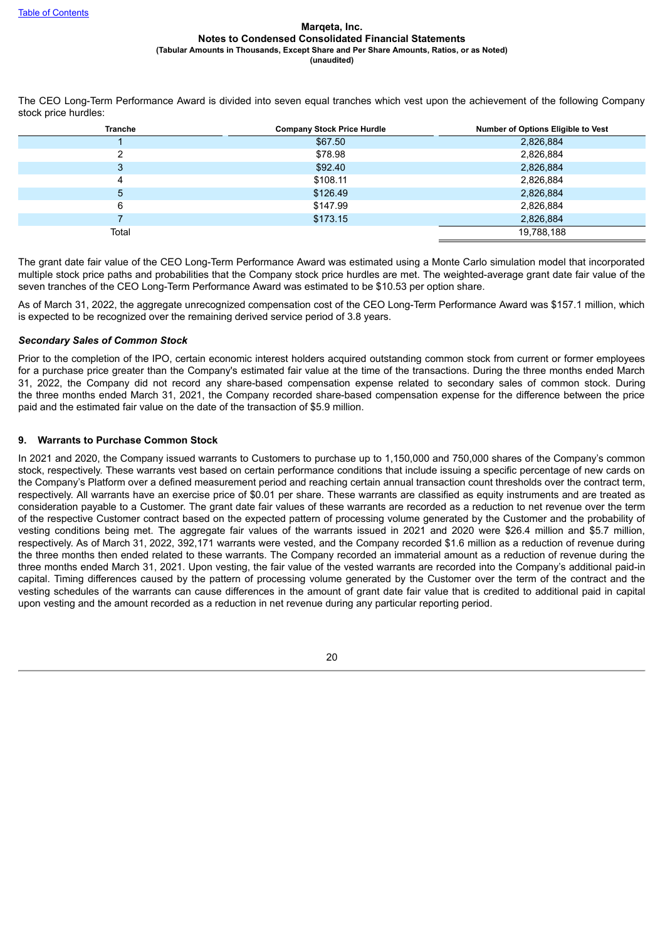The CEO Long-Term Performance Award is divided into seven equal tranches which vest upon the achievement of the following Company stock price hurdles:

| <b>Tranche</b> | <b>Company Stock Price Hurdle</b> | <b>Number of Options Eligible to Vest</b> |
|----------------|-----------------------------------|-------------------------------------------|
|                | \$67.50                           | 2,826,884                                 |
| ົ              | \$78.98                           | 2,826,884                                 |
| 3              | \$92.40                           | 2,826,884                                 |
| 4              | \$108.11                          | 2,826,884                                 |
| 5              | \$126.49                          | 2,826,884                                 |
| 6              | \$147.99                          | 2,826,884                                 |
|                | \$173.15                          | 2,826,884                                 |
| Total          |                                   | 19,788,188                                |

The grant date fair value of the CEO Long-Term Performance Award was estimated using a Monte Carlo simulation model that incorporated multiple stock price paths and probabilities that the Company stock price hurdles are met. The weighted-average grant date fair value of the seven tranches of the CEO Long-Term Performance Award was estimated to be \$10.53 per option share.

As of March 31, 2022, the aggregate unrecognized compensation cost of the CEO Long-Term Performance Award was \$157.1 million, which is expected to be recognized over the remaining derived service period of 3.8 years.

## *Secondary Sales of Common Stock*

Prior to the completion of the IPO, certain economic interest holders acquired outstanding common stock from current or former employees for a purchase price greater than the Company's estimated fair value at the time of the transactions. During the three months ended March 31, 2022, the Company did not record any share-based compensation expense related to secondary sales of common stock. During the three months ended March 31, 2021, the Company recorded share-based compensation expense for the difference between the price paid and the estimated fair value on the date of the transaction of \$5.9 million.

## **9. Warrants to Purchase Common Stock**

In 2021 and 2020, the Company issued warrants to Customers to purchase up to 1,150,000 and 750,000 shares of the Company's common stock, respectively. These warrants vest based on certain performance conditions that include issuing a specific percentage of new cards on the Company's Platform over a defined measurement period and reaching certain annual transaction count thresholds over the contract term, respectively. All warrants have an exercise price of \$0.01 per share. These warrants are classified as equity instruments and are treated as consideration payable to a Customer. The grant date fair values of these warrants are recorded as a reduction to net revenue over the term of the respective Customer contract based on the expected pattern of processing volume generated by the Customer and the probability of vesting conditions being met. The aggregate fair values of the warrants issued in 2021 and 2020 were \$26.4 million and \$5.7 million, respectively. As of March 31, 2022, 392,171 warrants were vested, and the Company recorded \$1.6 million as a reduction of revenue during the three months then ended related to these warrants. The Company recorded an immaterial amount as a reduction of revenue during the three months ended March 31, 2021. Upon vesting, the fair value of the vested warrants are recorded into the Company's additional paid-in capital. Timing differences caused by the pattern of processing volume generated by the Customer over the term of the contract and the vesting schedules of the warrants can cause differences in the amount of grant date fair value that is credited to additional paid in capital upon vesting and the amount recorded as a reduction in net revenue during any particular reporting period.

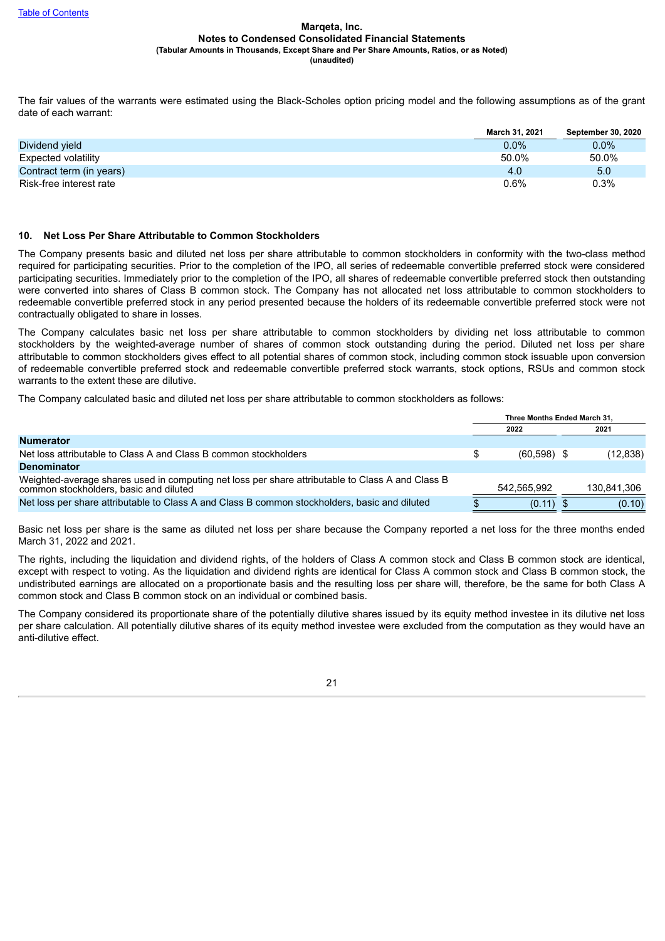**(unaudited)**

The fair values of the warrants were estimated using the Black-Scholes option pricing model and the following assumptions as of the grant date of each warrant:

|                            | <b>March 31, 2021</b> | <b>September 30, 2020</b> |
|----------------------------|-----------------------|---------------------------|
| Dividend yield             | 0.0%                  | $0.0\%$                   |
| <b>Expected volatility</b> | 50.0%                 | 50.0%                     |
| Contract term (in years)   | 4.0                   | 5.0                       |
| Risk-free interest rate    | 0.6%                  | $0.3\%$                   |

#### **10. Net Loss Per Share Attributable to Common Stockholders**

The Company presents basic and diluted net loss per share attributable to common stockholders in conformity with the two-class method required for participating securities. Prior to the completion of the IPO, all series of redeemable convertible preferred stock were considered participating securities. Immediately prior to the completion of the IPO, all shares of redeemable convertible preferred stock then outstanding were converted into shares of Class B common stock. The Company has not allocated net loss attributable to common stockholders to redeemable convertible preferred stock in any period presented because the holders of its redeemable convertible preferred stock were not contractually obligated to share in losses.

The Company calculates basic net loss per share attributable to common stockholders by dividing net loss attributable to common stockholders by the weighted-average number of shares of common stock outstanding during the period. Diluted net loss per share attributable to common stockholders gives effect to all potential shares of common stock, including common stock issuable upon conversion of redeemable convertible preferred stock and redeemable convertible preferred stock warrants, stock options, RSUs and common stock warrants to the extent these are dilutive.

The Company calculated basic and diluted net loss per share attributable to common stockholders as follows:

|                                                                                                                                            | Three Months Ended March 31, |               |  |             |
|--------------------------------------------------------------------------------------------------------------------------------------------|------------------------------|---------------|--|-------------|
|                                                                                                                                            |                              | 2022          |  | 2021        |
| <b>Numerator</b>                                                                                                                           |                              |               |  |             |
| Net loss attributable to Class A and Class B common stockholders                                                                           |                              | $(60.598)$ \$ |  | (12, 838)   |
| <b>Denominator</b>                                                                                                                         |                              |               |  |             |
| Weighted-average shares used in computing net loss per share attributable to Class A and Class B<br>common stockholders, basic and diluted |                              | 542.565.992   |  | 130.841.306 |
| Net loss per share attributable to Class A and Class B common stockholders, basic and diluted                                              |                              | $(0.11)$ \$   |  | (0.10)      |

Basic net loss per share is the same as diluted net loss per share because the Company reported a net loss for the three months ended March 31, 2022 and 2021.

The rights, including the liquidation and dividend rights, of the holders of Class A common stock and Class B common stock are identical, except with respect to voting. As the liquidation and dividend rights are identical for Class A common stock and Class B common stock, the undistributed earnings are allocated on a proportionate basis and the resulting loss per share will, therefore, be the same for both Class A common stock and Class B common stock on an individual or combined basis.

The Company considered its proportionate share of the potentially dilutive shares issued by its equity method investee in its dilutive net loss per share calculation. All potentially dilutive shares of its equity method investee were excluded from the computation as they would have an anti-dilutive effect.

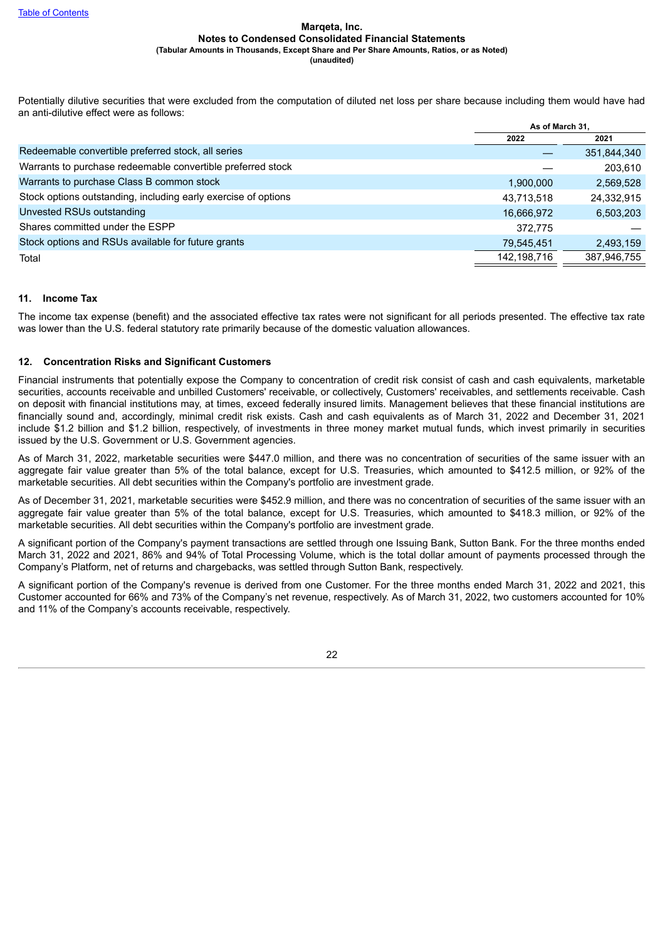Potentially dilutive securities that were excluded from the computation of diluted net loss per share because including them would have had an anti-dilutive effect were as follows:

|                                                                |             | As of March 31, |
|----------------------------------------------------------------|-------------|-----------------|
|                                                                | 2022        | 2021            |
| Redeemable convertible preferred stock, all series             |             | 351,844,340     |
| Warrants to purchase redeemable convertible preferred stock    |             | 203,610         |
| Warrants to purchase Class B common stock                      | 1,900,000   | 2,569,528       |
| Stock options outstanding, including early exercise of options | 43,713,518  | 24,332,915      |
| Unvested RSUs outstanding                                      | 16,666,972  | 6,503,203       |
| Shares committed under the ESPP                                | 372.775     |                 |
| Stock options and RSUs available for future grants             | 79,545,451  | 2,493,159       |
| Total                                                          | 142,198,716 | 387,946,755     |
|                                                                |             |                 |

#### **11. Income Tax**

The income tax expense (benefit) and the associated effective tax rates were not significant for all periods presented. The effective tax rate was lower than the U.S. federal statutory rate primarily because of the domestic valuation allowances.

#### **12. Concentration Risks and Significant Customers**

Financial instruments that potentially expose the Company to concentration of credit risk consist of cash and cash equivalents, marketable securities, accounts receivable and unbilled Customers' receivable, or collectively, Customers' receivables, and settlements receivable. Cash on deposit with financial institutions may, at times, exceed federally insured limits. Management believes that these financial institutions are financially sound and, accordingly, minimal credit risk exists. Cash and cash equivalents as of March 31, 2022 and December 31, 2021 include \$1.2 billion and \$1.2 billion, respectively, of investments in three money market mutual funds, which invest primarily in securities issued by the U.S. Government or U.S. Government agencies.

As of March 31, 2022, marketable securities were \$447.0 million, and there was no concentration of securities of the same issuer with an aggregate fair value greater than 5% of the total balance, except for U.S. Treasuries, which amounted to \$412.5 million, or 92% of the marketable securities. All debt securities within the Company's portfolio are investment grade.

As of December 31, 2021, marketable securities were \$452.9 million, and there was no concentration of securities of the same issuer with an aggregate fair value greater than 5% of the total balance, except for U.S. Treasuries, which amounted to \$418.3 million, or 92% of the marketable securities. All debt securities within the Company's portfolio are investment grade.

A significant portion of the Company's payment transactions are settled through one Issuing Bank, Sutton Bank. For the three months ended March 31, 2022 and 2021, 86% and 94% of Total Processing Volume, which is the total dollar amount of payments processed through the Company's Platform, net of returns and chargebacks, was settled through Sutton Bank, respectively.

A significant portion of the Company's revenue is derived from one Customer. For the three months ended March 31, 2022 and 2021, this Customer accounted for 66% and 73% of the Company's net revenue, respectively. As of March 31, 2022, two customers accounted for 10% and 11% of the Company's accounts receivable, respectively.

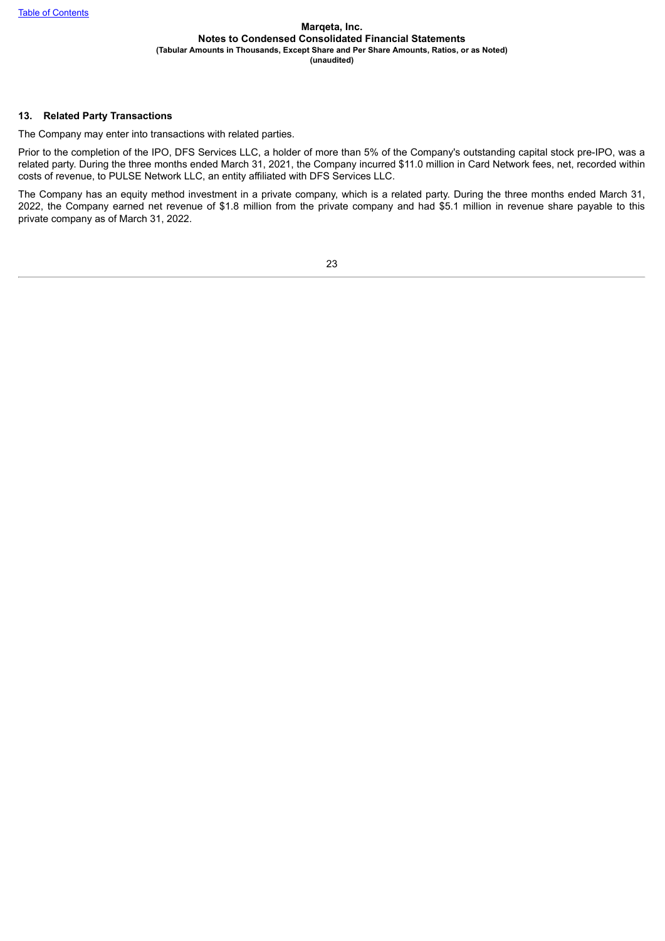## **13. Related Party Transactions**

The Company may enter into transactions with related parties.

Prior to the completion of the IPO, DFS Services LLC, a holder of more than 5% of the Company's outstanding capital stock pre-IPO, was a related party. During the three months ended March 31, 2021, the Company incurred \$11.0 million in Card Network fees, net, recorded within costs of revenue, to PULSE Network LLC, an entity affiliated with DFS Services LLC.

<span id="page-22-0"></span>The Company has an equity method investment in a private company, which is a related party. During the three months ended March 31, 2022, the Company earned net revenue of \$1.8 million from the private company and had \$5.1 million in revenue share payable to this private company as of March 31, 2022.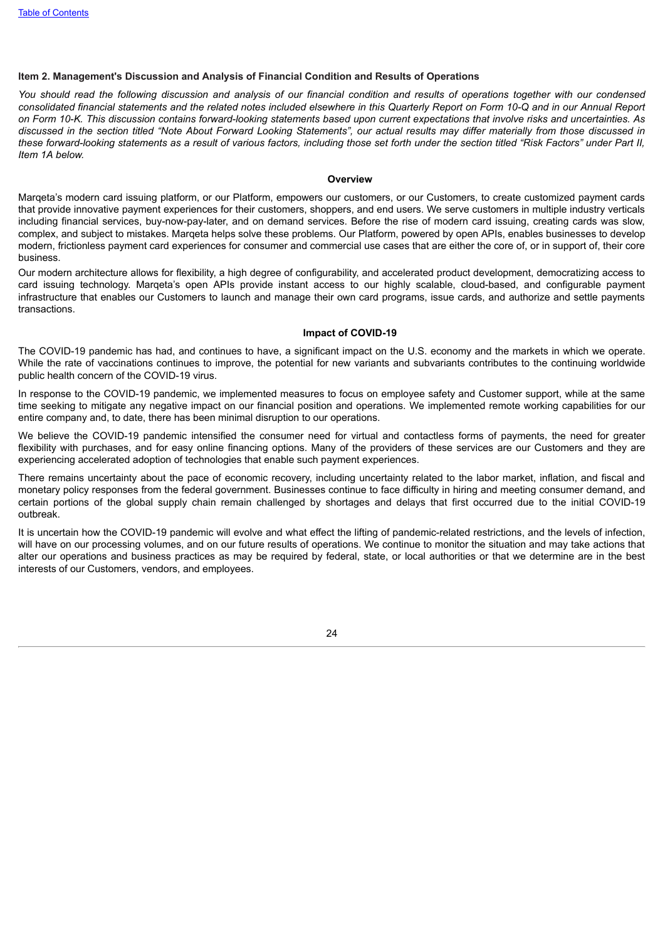#### **Item 2. Management's Discussion and Analysis of Financial Condition and Results of Operations**

You should read the following discussion and analysis of our financial condition and results of operations together with our condensed consolidated financial statements and the related notes included elsewhere in this Quarterly Report on Form 10-Q and in our Annual Report on Form 10-K. This discussion contains forward-looking statements based upon current expectations that involve risks and uncertainties. As discussed in the section titled "Note About Forward Looking Statements", our actual results may differ materially from those discussed in these forward-looking statements as a result of various factors, including those set forth under the section titled "Risk Factors" under Part II, *Item 1A below.*

#### **Overview**

Marqeta's modern card issuing platform, or our Platform, empowers our customers, or our Customers, to create customized payment cards that provide innovative payment experiences for their customers, shoppers, and end users. We serve customers in multiple industry verticals including financial services, buy-now-pay-later, and on demand services. Before the rise of modern card issuing, creating cards was slow, complex, and subject to mistakes. Marqeta helps solve these problems. Our Platform, powered by open APIs, enables businesses to develop modern, frictionless payment card experiences for consumer and commercial use cases that are either the core of, or in support of, their core business.

Our modern architecture allows for flexibility, a high degree of configurability, and accelerated product development, democratizing access to card issuing technology. Marqeta's open APIs provide instant access to our highly scalable, cloud-based, and configurable payment infrastructure that enables our Customers to launch and manage their own card programs, issue cards, and authorize and settle payments transactions.

#### **Impact of COVID-19**

The COVID-19 pandemic has had, and continues to have, a significant impact on the U.S. economy and the markets in which we operate. While the rate of vaccinations continues to improve, the potential for new variants and subvariants contributes to the continuing worldwide public health concern of the COVID-19 virus.

In response to the COVID-19 pandemic, we implemented measures to focus on employee safety and Customer support, while at the same time seeking to mitigate any negative impact on our financial position and operations. We implemented remote working capabilities for our entire company and, to date, there has been minimal disruption to our operations.

We believe the COVID-19 pandemic intensified the consumer need for virtual and contactless forms of payments, the need for greater flexibility with purchases, and for easy online financing options. Many of the providers of these services are our Customers and they are experiencing accelerated adoption of technologies that enable such payment experiences.

There remains uncertainty about the pace of economic recovery, including uncertainty related to the labor market, inflation, and fiscal and monetary policy responses from the federal government. Businesses continue to face difficulty in hiring and meeting consumer demand, and certain portions of the global supply chain remain challenged by shortages and delays that first occurred due to the initial COVID-19 outbreak.

It is uncertain how the COVID-19 pandemic will evolve and what effect the lifting of pandemic-related restrictions, and the levels of infection, will have on our processing volumes, and on our future results of operations. We continue to monitor the situation and may take actions that alter our operations and business practices as may be required by federal, state, or local authorities or that we determine are in the best interests of our Customers, vendors, and employees.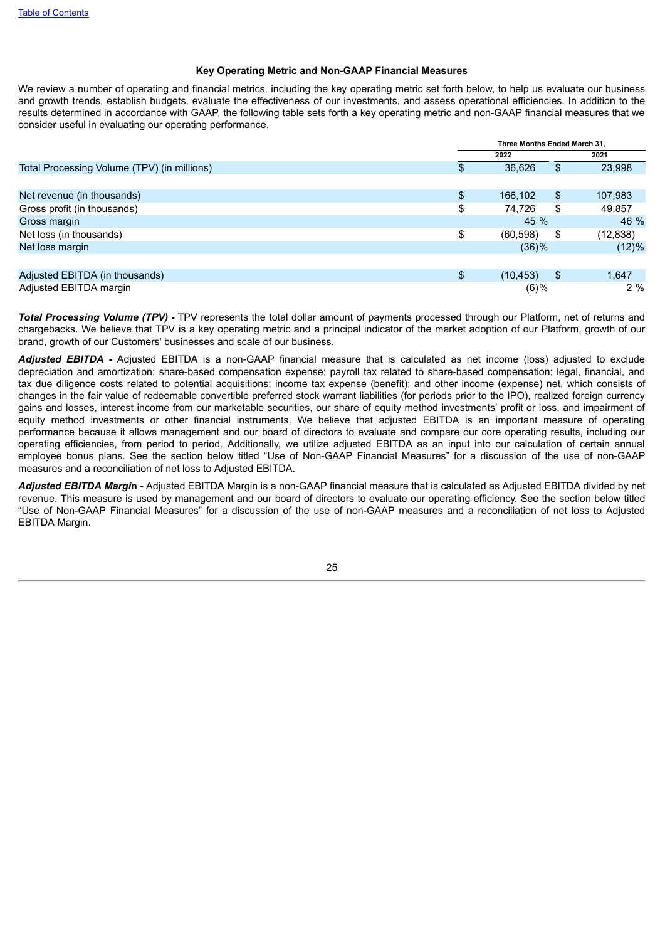#### **Key Operating Metric and Non-GAAP Financial Measures**

We review a number of operating and financial metrics, including the key operating metric set forth below, to help us evaluate our business and growth trends, establish budgets, evaluate the effectiveness of our investments, and assess operational efficiencies. In addition to the results determined in accordance with GAAP, the following table sets forth a key operating metric and non-GAAP financial measures that we consider useful in evaluating our operating performance.

|                                             |     | Three Months Ended March 31, |    |           |  |
|---------------------------------------------|-----|------------------------------|----|-----------|--|
|                                             |     | 2022                         |    | 2021      |  |
| Total Processing Volume (TPV) (in millions) | \$. | 36,626                       | \$ | 23,998    |  |
|                                             |     |                              |    |           |  |
| Net revenue (in thousands)                  | \$  | 166,102                      | \$ | 107,983   |  |
| Gross profit (in thousands)                 | \$  | 74,726                       | \$ | 49,857    |  |
| Gross margin                                |     | 45 %                         |    | 46 %      |  |
| Net loss (in thousands)                     | \$  | (60, 598)                    | \$ | (12, 838) |  |
| Net loss margin                             |     | $(36)$ %                     |    | (12)%     |  |
|                                             |     |                              |    |           |  |
| Adjusted EBITDA (in thousands)              | \$  | (10, 453)                    | \$ | 1,647     |  |
| Adjusted EBITDA margin                      |     | $(6)$ %                      |    | $2\%$     |  |

*Total Processing Volume (TPV)* **-** TPV represents the total dollar amount of payments processed through our Platform, net of returns and chargebacks. We believe that TPV is a key operating metric and a principal indicator of the market adoption of our Platform, growth of our brand, growth of our Customers' businesses and scale of our business.

*Adjusted EBITDA* **-** Adjusted EBITDA is a non-GAAP financial measure that is calculated as net income (loss) adjusted to exclude depreciation and amortization; share-based compensation expense; payroll tax related to share-based compensation; legal, financial, and tax due diligence costs related to potential acquisitions; income tax expense (benefit); and other income (expense) net, which consists of changes in the fair value of redeemable convertible preferred stock warrant liabilities (for periods prior to the IPO), realized foreign currency gains and losses, interest income from our marketable securities, our share of equity method investments' profit or loss, and impairment of equity method investments or other financial instruments. We believe that adjusted EBITDA is an important measure of operating performance because it allows management and our board of directors to evaluate and compare our core operating results, including our operating efficiencies, from period to period. Additionally, we utilize adjusted EBITDA as an input into our calculation of certain annual employee bonus plans. See the section below titled "Use of Non-GAAP Financial Measures" for a discussion of the use of non-GAAP measures and a reconciliation of net loss to Adjusted EBITDA.

*Adjusted EBITDA Margi***n -** Adjusted EBITDA Margin is a non-GAAP financial measure that is calculated as Adjusted EBITDA divided by net revenue. This measure is used by management and our board of directors to evaluate our operating efficiency. See the section below titled "Use of Non-GAAP Financial Measures" for a discussion of the use of non-GAAP measures and a reconciliation of net loss to Adjusted EBITDA Margin.

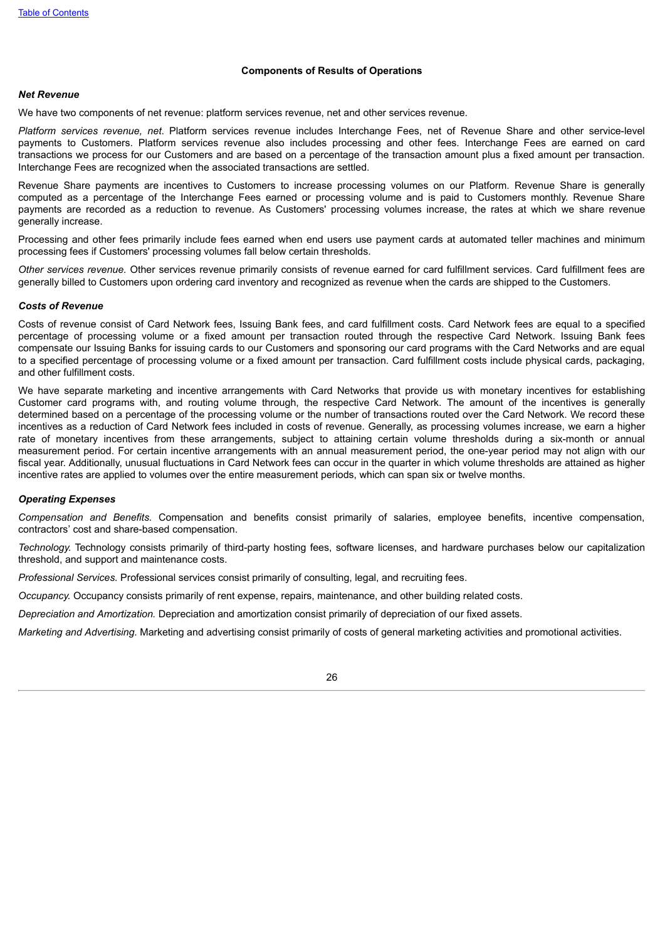#### **Components of Results of Operations**

#### *Net Revenue*

We have two components of net revenue: platform services revenue, net and other services revenue.

*Platform services revenue, net*. Platform services revenue includes Interchange Fees, net of Revenue Share and other service-level payments to Customers. Platform services revenue also includes processing and other fees. Interchange Fees are earned on card transactions we process for our Customers and are based on a percentage of the transaction amount plus a fixed amount per transaction. Interchange Fees are recognized when the associated transactions are settled.

Revenue Share payments are incentives to Customers to increase processing volumes on our Platform. Revenue Share is generally computed as a percentage of the Interchange Fees earned or processing volume and is paid to Customers monthly. Revenue Share payments are recorded as a reduction to revenue. As Customers' processing volumes increase, the rates at which we share revenue generally increase.

Processing and other fees primarily include fees earned when end users use payment cards at automated teller machines and minimum processing fees if Customers' processing volumes fall below certain thresholds.

*Other services revenue.* Other services revenue primarily consists of revenue earned for card fulfillment services. Card fulfillment fees are generally billed to Customers upon ordering card inventory and recognized as revenue when the cards are shipped to the Customers.

#### *Costs of Revenue*

Costs of revenue consist of Card Network fees, Issuing Bank fees, and card fulfillment costs. Card Network fees are equal to a specified percentage of processing volume or a fixed amount per transaction routed through the respective Card Network. Issuing Bank fees compensate our Issuing Banks for issuing cards to our Customers and sponsoring our card programs with the Card Networks and are equal to a specified percentage of processing volume or a fixed amount per transaction. Card fulfillment costs include physical cards, packaging, and other fulfillment costs.

We have separate marketing and incentive arrangements with Card Networks that provide us with monetary incentives for establishing Customer card programs with, and routing volume through, the respective Card Network. The amount of the incentives is generally determined based on a percentage of the processing volume or the number of transactions routed over the Card Network. We record these incentives as a reduction of Card Network fees included in costs of revenue. Generally, as processing volumes increase, we earn a higher rate of monetary incentives from these arrangements, subject to attaining certain volume thresholds during a six-month or annual measurement period. For certain incentive arrangements with an annual measurement period, the one-year period may not align with our fiscal year. Additionally, unusual fluctuations in Card Network fees can occur in the quarter in which volume thresholds are attained as higher incentive rates are applied to volumes over the entire measurement periods, which can span six or twelve months.

#### *Operating Expenses*

*Compensation and Benefits.* Compensation and benefits consist primarily of salaries, employee benefits, incentive compensation, contractors' cost and share-based compensation.

*Technology.* Technology consists primarily of third-party hosting fees, software licenses, and hardware purchases below our capitalization threshold, and support and maintenance costs.

*Professional Services.* Professional services consist primarily of consulting, legal, and recruiting fees.

*Occupancy.* Occupancy consists primarily of rent expense, repairs, maintenance, and other building related costs.

*Depreciation and Amortization.* Depreciation and amortization consist primarily of depreciation of our fixed assets.

*Marketing and Advertising.* Marketing and advertising consist primarily of costs of general marketing activities and promotional activities.

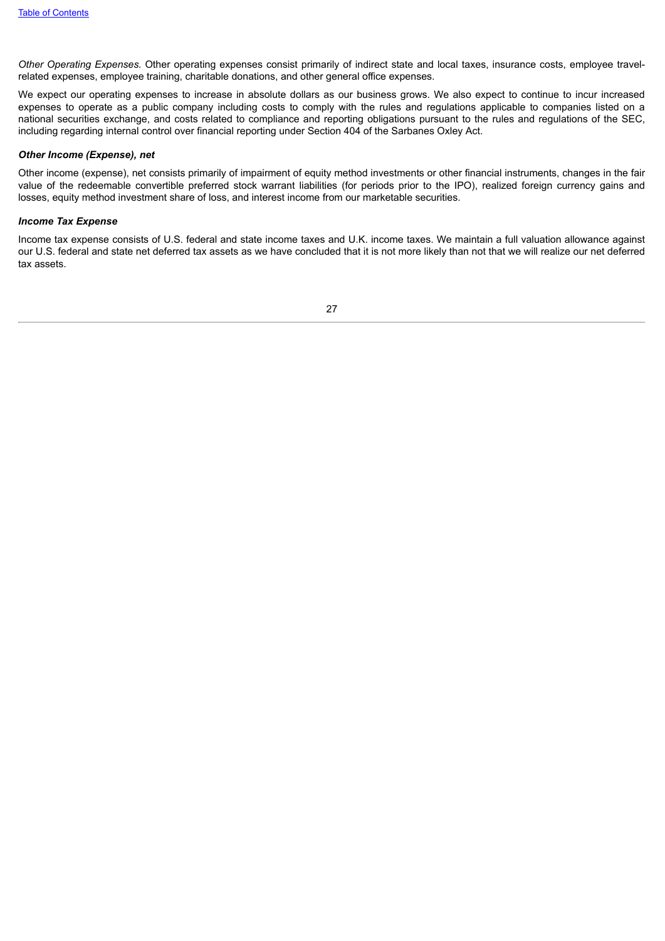*Other Operating Expenses.* Other operating expenses consist primarily of indirect state and local taxes, insurance costs, employee travelrelated expenses, employee training, charitable donations, and other general office expenses.

We expect our operating expenses to increase in absolute dollars as our business grows. We also expect to continue to incur increased expenses to operate as a public company including costs to comply with the rules and regulations applicable to companies listed on a national securities exchange, and costs related to compliance and reporting obligations pursuant to the rules and regulations of the SEC, including regarding internal control over financial reporting under Section 404 of the Sarbanes Oxley Act.

#### *Other Income (Expense), net*

Other income (expense), net consists primarily of impairment of equity method investments or other financial instruments, changes in the fair value of the redeemable convertible preferred stock warrant liabilities (for periods prior to the IPO), realized foreign currency gains and losses, equity method investment share of loss, and interest income from our marketable securities.

#### *Income Tax Expense*

Income tax expense consists of U.S. federal and state income taxes and U.K. income taxes. We maintain a full valuation allowance against our U.S. federal and state net deferred tax assets as we have concluded that it is not more likely than not that we will realize our net deferred tax assets.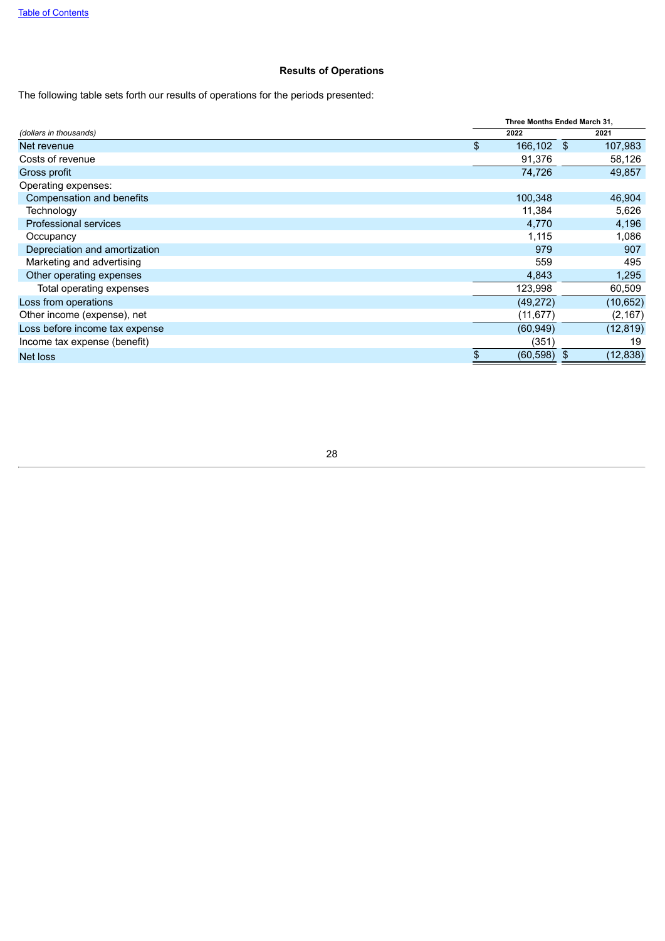## **Results of Operations**

The following table sets forth our results of operations for the periods presented:

|                                |      | Three Months Ended March 31, |     |           |  |  |
|--------------------------------|------|------------------------------|-----|-----------|--|--|
| (dollars in thousands)         | 2022 |                              |     | 2021      |  |  |
| Net revenue                    | \$   | 166,102                      | -\$ | 107,983   |  |  |
| Costs of revenue               |      | 91,376                       |     | 58,126    |  |  |
| Gross profit                   |      | 74,726                       |     | 49,857    |  |  |
| Operating expenses:            |      |                              |     |           |  |  |
| Compensation and benefits      |      | 100,348                      |     | 46,904    |  |  |
| Technology                     |      | 11,384                       |     | 5,626     |  |  |
| <b>Professional services</b>   |      | 4,770                        |     | 4,196     |  |  |
| Occupancy                      |      | 1,115                        |     | 1,086     |  |  |
| Depreciation and amortization  |      | 979                          |     | 907       |  |  |
| Marketing and advertising      |      | 559                          |     | 495       |  |  |
| Other operating expenses       |      | 4,843                        |     | 1,295     |  |  |
| Total operating expenses       |      | 123,998                      |     | 60,509    |  |  |
| Loss from operations           |      | (49, 272)                    |     | (10, 652) |  |  |
| Other income (expense), net    |      | (11, 677)                    |     | (2, 167)  |  |  |
| Loss before income tax expense |      | (60, 949)                    |     | (12, 819) |  |  |
| Income tax expense (benefit)   |      | (351)                        |     | 19        |  |  |
| <b>Net loss</b>                | \$   | (60, 598)                    | \$  | (12, 838) |  |  |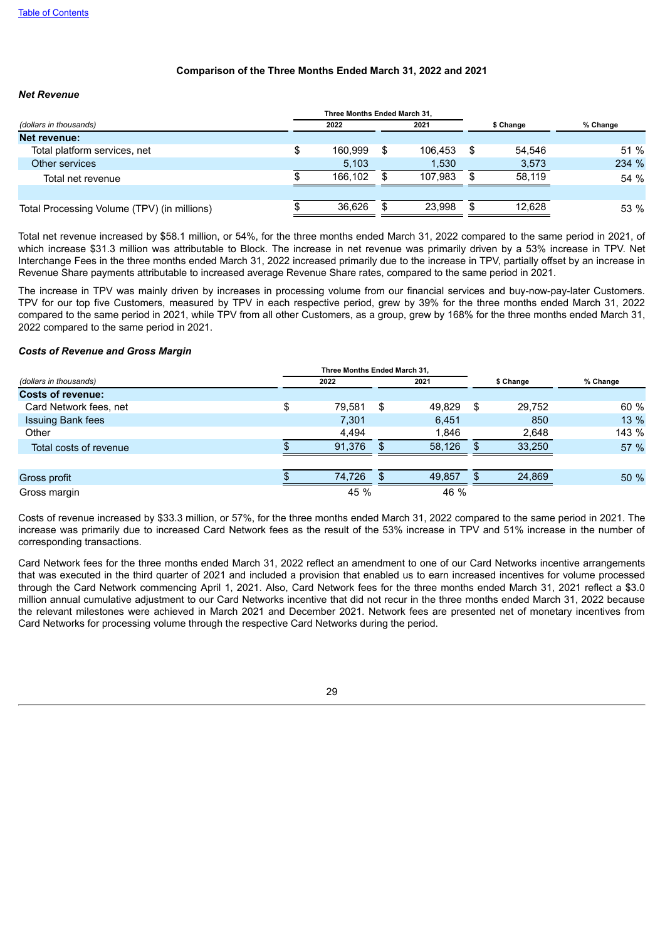## **Comparison of the Three Months Ended March 31, 2022 and 2021**

## *Net Revenue*

| (dollars in thousands)                      |  | Three Months Ended March 31. |      |         |           |        |          |  |
|---------------------------------------------|--|------------------------------|------|---------|-----------|--------|----------|--|
|                                             |  | 2022                         | 2021 |         | \$ Change |        | % Change |  |
| Net revenue:                                |  |                              |      |         |           |        |          |  |
| Total platform services, net                |  | 160.999                      |      | 106.453 | - \$      | 54.546 | 51 %     |  |
| Other services                              |  | 5.103                        |      | 1,530   |           | 3,573  | 234 %    |  |
| Total net revenue                           |  | 166.102                      |      | 107.983 |           | 58.119 | 54 %     |  |
|                                             |  |                              |      |         |           |        |          |  |
| Total Processing Volume (TPV) (in millions) |  | 36.626                       |      | 23.998  |           | 12,628 | 53 %     |  |

Total net revenue increased by \$58.1 million, or 54%, for the three months ended March 31, 2022 compared to the same period in 2021, of which increase \$31.3 million was attributable to Block. The increase in net revenue was primarily driven by a 53% increase in TPV. Net Interchange Fees in the three months ended March 31, 2022 increased primarily due to the increase in TPV, partially offset by an increase in Revenue Share payments attributable to increased average Revenue Share rates, compared to the same period in 2021.

The increase in TPV was mainly driven by increases in processing volume from our financial services and buy-now-pay-later Customers. TPV for our top five Customers, measured by TPV in each respective period, grew by 39% for the three months ended March 31, 2022 compared to the same period in 2021, while TPV from all other Customers, as a group, grew by 168% for the three months ended March 31, 2022 compared to the same period in 2021.

#### *Costs of Revenue and Gross Margin*

|                          | Three Months Ended March 31, |        |   |        |              |          |
|--------------------------|------------------------------|--------|---|--------|--------------|----------|
| (dollars in thousands)   |                              | 2022   |   | 2021   | \$ Change    | % Change |
| <b>Costs of revenue:</b> |                              |        |   |        |              |          |
| Card Network fees, net   | \$                           | 79,581 | S | 49.829 | \$<br>29.752 | 60 %     |
| <b>Issuing Bank fees</b> |                              | 7,301  |   | 6.451  | 850          | 13 %     |
| Other                    |                              | 4,494  |   | 1.846  | 2,648        | 143 %    |
| Total costs of revenue   |                              | 91.376 |   | 58,126 | 33,250       | 57 %     |
|                          |                              |        |   |        |              |          |
| Gross profit             |                              | 74,726 |   | 49.857 | 24,869       | 50 %     |
| Gross margin             |                              | 45 %   |   | 46 %   |              |          |

Costs of revenue increased by \$33.3 million, or 57%, for the three months ended March 31, 2022 compared to the same period in 2021. The increase was primarily due to increased Card Network fees as the result of the 53% increase in TPV and 51% increase in the number of corresponding transactions.

Card Network fees for the three months ended March 31, 2022 reflect an amendment to one of our Card Networks incentive arrangements that was executed in the third quarter of 2021 and included a provision that enabled us to earn increased incentives for volume processed through the Card Network commencing April 1, 2021. Also, Card Network fees for the three months ended March 31, 2021 reflect a \$3.0 million annual cumulative adjustment to our Card Networks incentive that did not recur in the three months ended March 31, 2022 because the relevant milestones were achieved in March 2021 and December 2021. Network fees are presented net of monetary incentives from Card Networks for processing volume through the respective Card Networks during the period.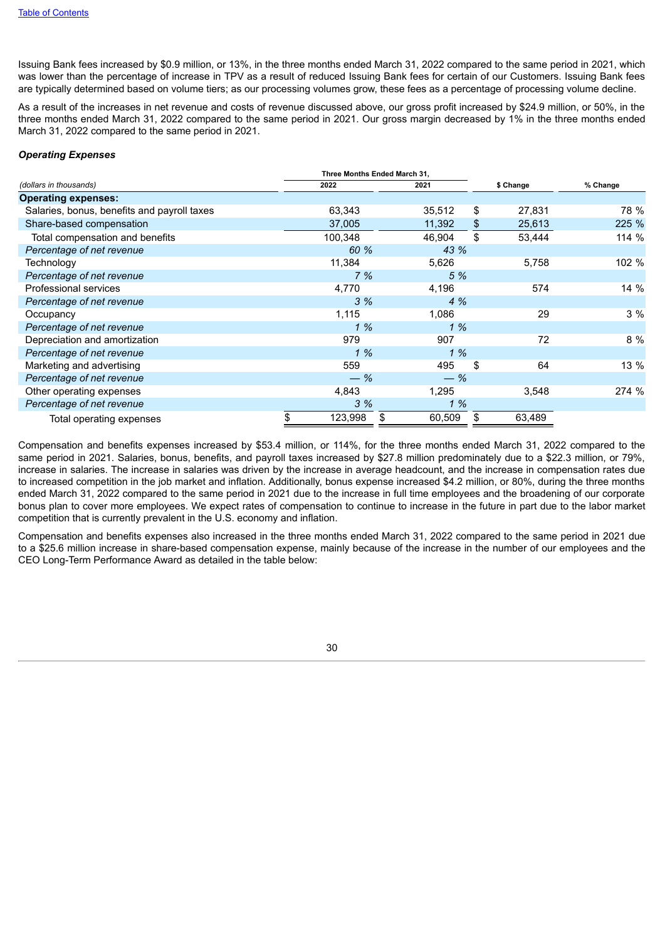Issuing Bank fees increased by \$0.9 million, or 13%, in the three months ended March 31, 2022 compared to the same period in 2021, which was lower than the percentage of increase in TPV as a result of reduced Issuing Bank fees for certain of our Customers. Issuing Bank fees are typically determined based on volume tiers; as our processing volumes grow, these fees as a percentage of processing volume decline.

As a result of the increases in net revenue and costs of revenue discussed above, our gross profit increased by \$24.9 million, or 50%, in the three months ended March 31, 2022 compared to the same period in 2021. Our gross margin decreased by 1% in the three months ended March 31, 2022 compared to the same period in 2021.

#### *Operating Expenses*

|                                             | Three Months Ended March 31, |         |              |    |           |          |
|---------------------------------------------|------------------------------|---------|--------------|----|-----------|----------|
| (dollars in thousands)                      |                              | 2022    | 2021         |    | \$ Change | % Change |
| <b>Operating expenses:</b>                  |                              |         |              |    |           |          |
| Salaries, bonus, benefits and payroll taxes |                              | 63,343  | 35,512       | \$ | 27,831    | 78 %     |
| Share-based compensation                    |                              | 37,005  | 11,392       | \$ | 25,613    | 225 %    |
| Total compensation and benefits             |                              | 100,348 | 46,904       | \$ | 53,444    | 114 %    |
| Percentage of net revenue                   |                              | 60 %    | 43%          |    |           |          |
| Technology                                  |                              | 11,384  | 5,626        |    | 5,758     | 102 %    |
| Percentage of net revenue                   |                              | 7%      | 5%           |    |           |          |
| Professional services                       |                              | 4,770   | 4,196        |    | 574       | 14 %     |
| Percentage of net revenue                   |                              | 3%      | 4%           |    |           |          |
| Occupancy                                   |                              | 1,115   | 1.086        |    | 29        | 3%       |
| Percentage of net revenue                   |                              | 1%      | 1%           |    |           |          |
| Depreciation and amortization               |                              | 979     | 907          |    | 72        | 8 %      |
| Percentage of net revenue                   |                              | 1%      | 1%           |    |           |          |
| Marketing and advertising                   |                              | 559     | 495          | \$ | 64        | 13 %     |
| Percentage of net revenue                   |                              | $-$ %   | $-$ %        |    |           |          |
| Other operating expenses                    |                              | 4,843   | 1,295        |    | 3,548     | 274 %    |
| Percentage of net revenue                   |                              | 3%      | 1%           |    |           |          |
| Total operating expenses                    | \$                           | 123,998 | 60,509<br>\$ | \$ | 63,489    |          |

Compensation and benefits expenses increased by \$53.4 million, or 114%, for the three months ended March 31, 2022 compared to the same period in 2021. Salaries, bonus, benefits, and payroll taxes increased by \$27.8 million predominately due to a \$22.3 million, or 79%, increase in salaries. The increase in salaries was driven by the increase in average headcount, and the increase in compensation rates due to increased competition in the job market and inflation. Additionally, bonus expense increased \$4.2 million, or 80%, during the three months ended March 31, 2022 compared to the same period in 2021 due to the increase in full time employees and the broadening of our corporate bonus plan to cover more employees. We expect rates of compensation to continue to increase in the future in part due to the labor market competition that is currently prevalent in the U.S. economy and inflation.

Compensation and benefits expenses also increased in the three months ended March 31, 2022 compared to the same period in 2021 due to a \$25.6 million increase in share-based compensation expense, mainly because of the increase in the number of our employees and the CEO Long-Term Performance Award as detailed in the table below:

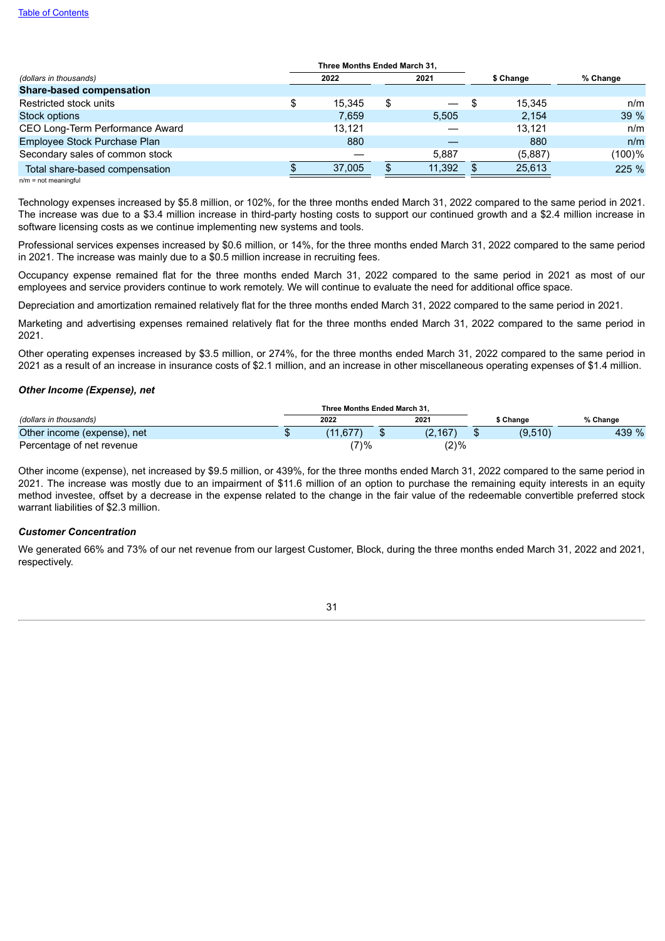|                                 |    | Three Months Ended March 31, |    |        |      |           |          |
|---------------------------------|----|------------------------------|----|--------|------|-----------|----------|
| (dollars in thousands)          |    | 2022                         |    | 2021   |      | \$ Change | % Change |
| <b>Share-based compensation</b> |    |                              |    |        |      |           |          |
| Restricted stock units          | \$ | 15.345                       | \$ |        | - 30 | 15.345    | n/m      |
| Stock options                   |    | 7.659                        |    | 5,505  |      | 2,154     | 39%      |
| CEO Long-Term Performance Award |    | 13.121                       |    |        |      | 13.121    | n/m      |
| Employee Stock Purchase Plan    |    | 880                          |    |        |      | 880       | n/m      |
| Secondary sales of common stock |    |                              |    | 5.887  |      | (5,887)   | (100)%   |
| Total share-based compensation  |    | 37,005                       |    | 11.392 | \$.  | 25.613    | 225 %    |
| $n/m = not meaningful$          |    |                              |    |        |      |           |          |

Technology expenses increased by \$5.8 million, or 102%, for the three months ended March 31, 2022 compared to the same period in 2021. The increase was due to a \$3.4 million increase in third-party hosting costs to support our continued growth and a \$2.4 million increase in software licensing costs as we continue implementing new systems and tools.

Professional services expenses increased by \$0.6 million, or 14%, for the three months ended March 31, 2022 compared to the same period in 2021. The increase was mainly due to a \$0.5 million increase in recruiting fees.

Occupancy expense remained flat for the three months ended March 31, 2022 compared to the same period in 2021 as most of our employees and service providers continue to work remotely. We will continue to evaluate the need for additional office space.

Depreciation and amortization remained relatively flat for the three months ended March 31, 2022 compared to the same period in 2021.

Marketing and advertising expenses remained relatively flat for the three months ended March 31, 2022 compared to the same period in 2021.

Other operating expenses increased by \$3.5 million, or 274%, for the three months ended March 31, 2022 compared to the same period in 2021 as a result of an increase in insurance costs of \$2.1 million, and an increase in other miscellaneous operating expenses of \$1.4 million.

#### *Other Income (Expense), net*

|                             | Three Months Ended March 31. |          |  |         |  |          |          |  |
|-----------------------------|------------------------------|----------|--|---------|--|----------|----------|--|
| (dollars in thousands)      |                              | 2022     |  | 2021    |  | ` Change | % Change |  |
| Other income (expense), net |                              | (11.677) |  | (2.167) |  | (9.510)  | 439 %    |  |
| Percentage of net revenue   |                              | (7)%     |  | $(2)\%$ |  |          |          |  |

Other income (expense), net increased by \$9.5 million, or 439%, for the three months ended March 31, 2022 compared to the same period in 2021. The increase was mostly due to an impairment of \$11.6 million of an option to purchase the remaining equity interests in an equity method investee, offset by a decrease in the expense related to the change in the fair value of the redeemable convertible preferred stock warrant liabilities of \$2.3 million.

#### *Customer Concentration*

We generated 66% and 73% of our net revenue from our largest Customer, Block, during the three months ended March 31, 2022 and 2021, respectively.

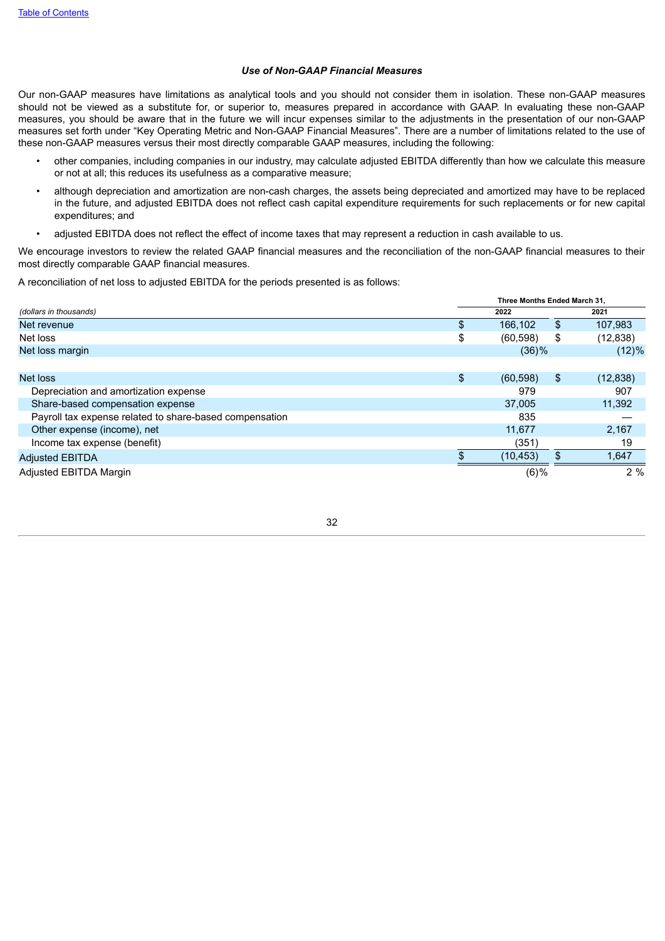## *Use of Non-GAAP Financial Measures*

Our non-GAAP measures have limitations as analytical tools and you should not consider them in isolation. These non-GAAP measures should not be viewed as a substitute for, or superior to, measures prepared in accordance with GAAP. In evaluating these non-GAAP measures, you should be aware that in the future we will incur expenses similar to the adjustments in the presentation of our non-GAAP measures set forth under "Key Operating Metric and Non-GAAP Financial Measures". There are a number of limitations related to the use of these non-GAAP measures versus their most directly comparable GAAP measures, including the following:

- other companies, including companies in our industry, may calculate adjusted EBITDA differently than how we calculate this measure or not at all; this reduces its usefulness as a comparative measure;
- although depreciation and amortization are non-cash charges, the assets being depreciated and amortized may have to be replaced in the future, and adjusted EBITDA does not reflect cash capital expenditure requirements for such replacements or for new capital expenditures; and
- adjusted EBITDA does not reflect the effect of income taxes that may represent a reduction in cash available to us.

We encourage investors to review the related GAAP financial measures and the reconciliation of the non-GAAP financial measures to their most directly comparable GAAP financial measures.

A reconciliation of net loss to adjusted EBITDA for the periods presented is as follows:

|                                                         | Three Months Ended March 31, |           |                |           |  |
|---------------------------------------------------------|------------------------------|-----------|----------------|-----------|--|
| (dollars in thousands)                                  | 2022                         |           |                | 2021      |  |
| Net revenue                                             | \$                           | 166,102   | $\mathfrak{F}$ | 107,983   |  |
| Net loss                                                | \$                           | (60, 598) | \$             | (12, 838) |  |
| Net loss margin                                         |                              | (36)%     |                | (12)%     |  |
|                                                         |                              |           |                |           |  |
| Net loss                                                | \$                           | (60, 598) | \$             | (12, 838) |  |
| Depreciation and amortization expense                   |                              | 979       |                | 907       |  |
| Share-based compensation expense                        |                              | 37,005    |                | 11,392    |  |
| Payroll tax expense related to share-based compensation |                              | 835       |                |           |  |
| Other expense (income), net                             |                              | 11.677    |                | 2,167     |  |
| Income tax expense (benefit)                            |                              | (351)     |                | 19        |  |
| <b>Adjusted EBITDA</b>                                  |                              | (10, 453) | \$             | 1,647     |  |
| Adjusted EBITDA Margin                                  |                              | $(6)$ %   |                | 2%        |  |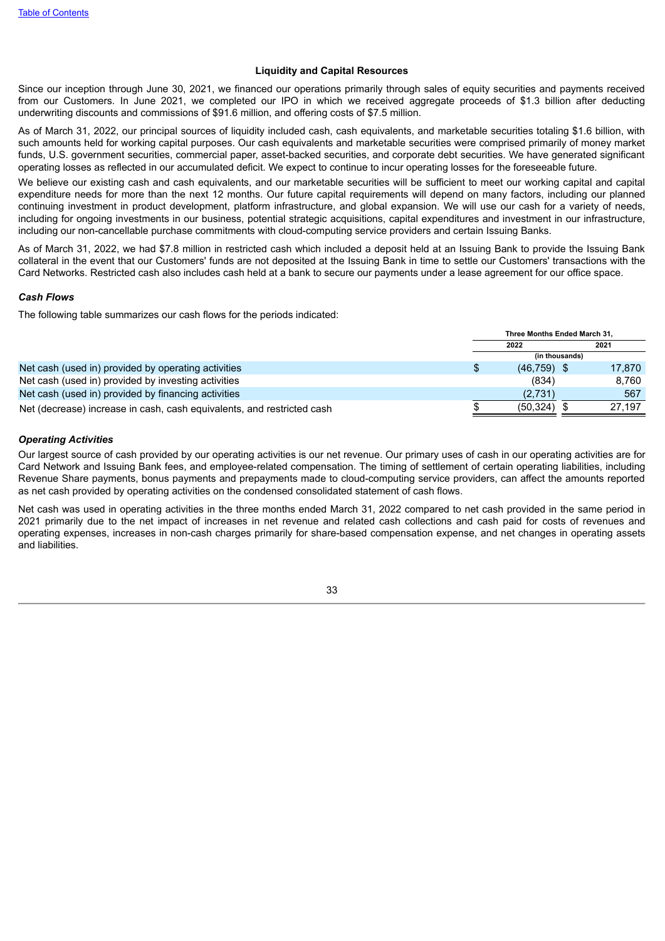#### **Liquidity and Capital Resources**

Since our inception through June 30, 2021, we financed our operations primarily through sales of equity securities and payments received from our Customers. In June 2021, we completed our IPO in which we received aggregate proceeds of \$1.3 billion after deducting underwriting discounts and commissions of \$91.6 million, and offering costs of \$7.5 million.

As of March 31, 2022, our principal sources of liquidity included cash, cash equivalents, and marketable securities totaling \$1.6 billion, with such amounts held for working capital purposes. Our cash equivalents and marketable securities were comprised primarily of money market funds, U.S. government securities, commercial paper, asset-backed securities, and corporate debt securities. We have generated significant operating losses as reflected in our accumulated deficit. We expect to continue to incur operating losses for the foreseeable future.

We believe our existing cash and cash equivalents, and our marketable securities will be sufficient to meet our working capital and capital expenditure needs for more than the next 12 months. Our future capital requirements will depend on many factors, including our planned continuing investment in product development, platform infrastructure, and global expansion. We will use our cash for a variety of needs, including for ongoing investments in our business, potential strategic acquisitions, capital expenditures and investment in our infrastructure, including our non-cancellable purchase commitments with cloud-computing service providers and certain Issuing Banks.

As of March 31, 2022, we had \$7.8 million in restricted cash which included a deposit held at an Issuing Bank to provide the Issuing Bank collateral in the event that our Customers' funds are not deposited at the Issuing Bank in time to settle our Customers' transactions with the Card Networks. Restricted cash also includes cash held at a bank to secure our payments under a lease agreement for our office space.

#### *Cash Flows*

The following table summarizes our cash flows for the periods indicated:

|                                                                        | Three Months Ended March 31. |                |        |  |
|------------------------------------------------------------------------|------------------------------|----------------|--------|--|
|                                                                        |                              | 2022           | 2021   |  |
|                                                                        |                              | (in thousands) |        |  |
| Net cash (used in) provided by operating activities                    |                              | $(46,759)$ \$  | 17.870 |  |
| Net cash (used in) provided by investing activities                    |                              | (834)          | 8.760  |  |
| Net cash (used in) provided by financing activities                    |                              | (2,731)        | 567    |  |
| Net (decrease) increase in cash, cash equivalents, and restricted cash |                              | (50.324)       | 27.197 |  |

## *Operating Activities*

Our largest source of cash provided by our operating activities is our net revenue. Our primary uses of cash in our operating activities are for Card Network and Issuing Bank fees, and employee-related compensation. The timing of settlement of certain operating liabilities, including Revenue Share payments, bonus payments and prepayments made to cloud-computing service providers, can affect the amounts reported as net cash provided by operating activities on the condensed consolidated statement of cash flows.

Net cash was used in operating activities in the three months ended March 31, 2022 compared to net cash provided in the same period in 2021 primarily due to the net impact of increases in net revenue and related cash collections and cash paid for costs of revenues and operating expenses, increases in non-cash charges primarily for share-based compensation expense, and net changes in operating assets and liabilities.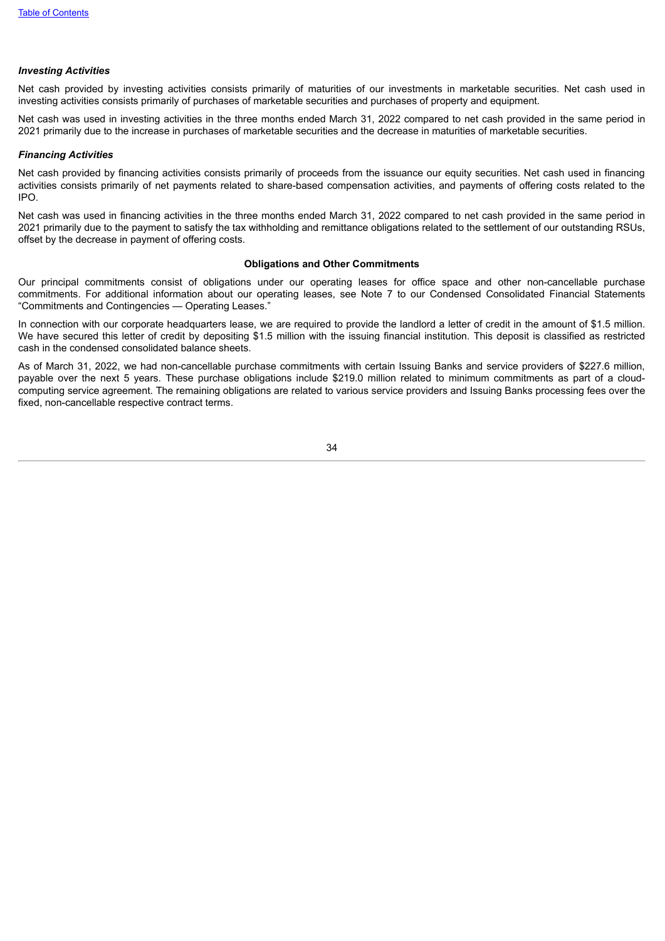#### *Investing Activities*

Net cash provided by investing activities consists primarily of maturities of our investments in marketable securities. Net cash used in investing activities consists primarily of purchases of marketable securities and purchases of property and equipment.

Net cash was used in investing activities in the three months ended March 31, 2022 compared to net cash provided in the same period in 2021 primarily due to the increase in purchases of marketable securities and the decrease in maturities of marketable securities.

#### *Financing Activities*

Net cash provided by financing activities consists primarily of proceeds from the issuance our equity securities. Net cash used in financing activities consists primarily of net payments related to share-based compensation activities, and payments of offering costs related to the IPO.

Net cash was used in financing activities in the three months ended March 31, 2022 compared to net cash provided in the same period in 2021 primarily due to the payment to satisfy the tax withholding and remittance obligations related to the settlement of our outstanding RSUs, offset by the decrease in payment of offering costs.

#### **Obligations and Other Commitments**

Our principal commitments consist of obligations under our operating leases for office space and other non-cancellable purchase commitments. For additional information about our operating leases, see Note 7 to our Condensed Consolidated Financial Statements "Commitments and Contingencies — Operating Leases."

In connection with our corporate headquarters lease, we are required to provide the landlord a letter of credit in the amount of \$1.5 million. We have secured this letter of credit by depositing \$1.5 million with the issuing financial institution. This deposit is classified as restricted cash in the condensed consolidated balance sheets.

As of March 31, 2022, we had non-cancellable purchase commitments with certain Issuing Banks and service providers of \$227.6 million, payable over the next 5 years. These purchase obligations include \$219.0 million related to minimum commitments as part of a cloudcomputing service agreement. The remaining obligations are related to various service providers and Issuing Banks processing fees over the fixed, non-cancellable respective contract terms.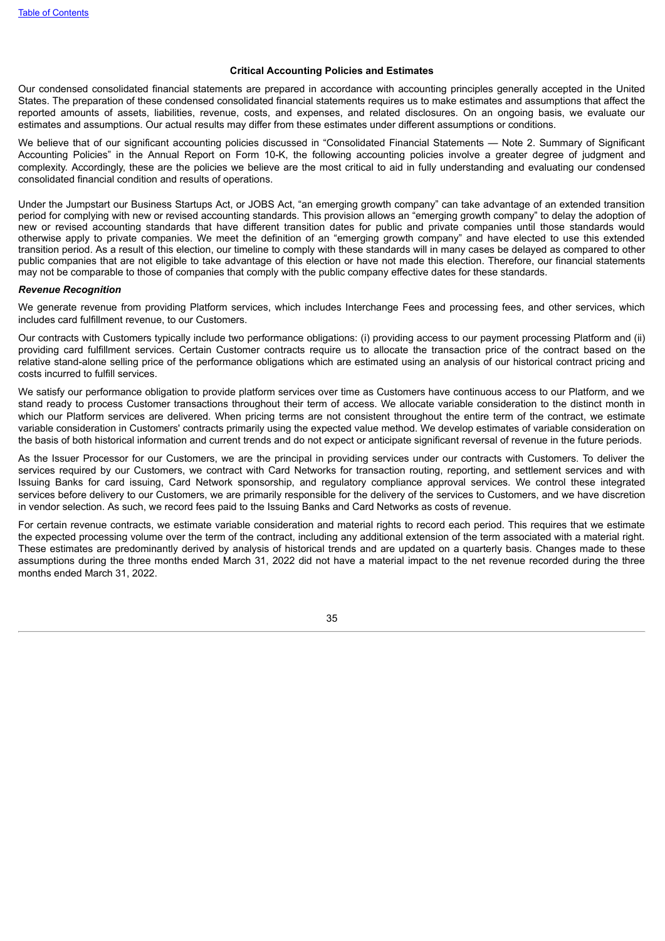#### **Critical Accounting Policies and Estimates**

Our condensed consolidated financial statements are prepared in accordance with accounting principles generally accepted in the United States. The preparation of these condensed consolidated financial statements requires us to make estimates and assumptions that affect the reported amounts of assets, liabilities, revenue, costs, and expenses, and related disclosures. On an ongoing basis, we evaluate our estimates and assumptions. Our actual results may differ from these estimates under different assumptions or conditions.

We believe that of our significant accounting policies discussed in "Consolidated Financial Statements — Note 2. Summary of Significant Accounting Policies" in the Annual Report on Form 10-K, the following accounting policies involve a greater degree of judgment and complexity. Accordingly, these are the policies we believe are the most critical to aid in fully understanding and evaluating our condensed consolidated financial condition and results of operations.

Under the Jumpstart our Business Startups Act, or JOBS Act, "an emerging growth company" can take advantage of an extended transition period for complying with new or revised accounting standards. This provision allows an "emerging growth company" to delay the adoption of new or revised accounting standards that have different transition dates for public and private companies until those standards would otherwise apply to private companies. We meet the definition of an "emerging growth company" and have elected to use this extended transition period. As a result of this election, our timeline to comply with these standards will in many cases be delayed as compared to other public companies that are not eligible to take advantage of this election or have not made this election. Therefore, our financial statements may not be comparable to those of companies that comply with the public company effective dates for these standards.

#### *Revenue Recognition*

We generate revenue from providing Platform services, which includes Interchange Fees and processing fees, and other services, which includes card fulfillment revenue, to our Customers.

Our contracts with Customers typically include two performance obligations: (i) providing access to our payment processing Platform and (ii) providing card fulfillment services. Certain Customer contracts require us to allocate the transaction price of the contract based on the relative stand-alone selling price of the performance obligations which are estimated using an analysis of our historical contract pricing and costs incurred to fulfill services.

We satisfy our performance obligation to provide platform services over time as Customers have continuous access to our Platform, and we stand ready to process Customer transactions throughout their term of access. We allocate variable consideration to the distinct month in which our Platform services are delivered. When pricing terms are not consistent throughout the entire term of the contract, we estimate variable consideration in Customers' contracts primarily using the expected value method. We develop estimates of variable consideration on the basis of both historical information and current trends and do not expect or anticipate significant reversal of revenue in the future periods.

As the Issuer Processor for our Customers, we are the principal in providing services under our contracts with Customers. To deliver the services required by our Customers, we contract with Card Networks for transaction routing, reporting, and settlement services and with Issuing Banks for card issuing, Card Network sponsorship, and regulatory compliance approval services. We control these integrated services before delivery to our Customers, we are primarily responsible for the delivery of the services to Customers, and we have discretion in vendor selection. As such, we record fees paid to the Issuing Banks and Card Networks as costs of revenue.

For certain revenue contracts, we estimate variable consideration and material rights to record each period. This requires that we estimate the expected processing volume over the term of the contract, including any additional extension of the term associated with a material right. These estimates are predominantly derived by analysis of historical trends and are updated on a quarterly basis. Changes made to these assumptions during the three months ended March 31, 2022 did not have a material impact to the net revenue recorded during the three months ended March 31, 2022.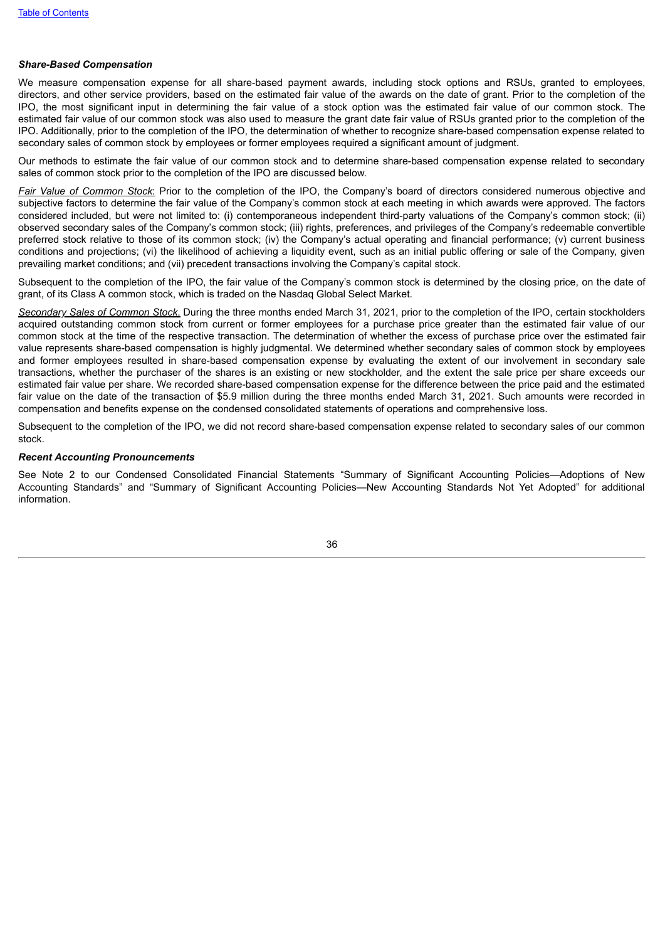## *Share-Based Compensation*

We measure compensation expense for all share-based payment awards, including stock options and RSUs, granted to employees, directors, and other service providers, based on the estimated fair value of the awards on the date of grant. Prior to the completion of the IPO, the most significant input in determining the fair value of a stock option was the estimated fair value of our common stock. The estimated fair value of our common stock was also used to measure the grant date fair value of RSUs granted prior to the completion of the IPO. Additionally, prior to the completion of the IPO, the determination of whether to recognize share-based compensation expense related to secondary sales of common stock by employees or former employees required a significant amount of judgment.

Our methods to estimate the fair value of our common stock and to determine share-based compensation expense related to secondary sales of common stock prior to the completion of the IPO are discussed below.

*Fair Value of Common Stock*: Prior to the completion of the IPO, the Company's board of directors considered numerous objective and subjective factors to determine the fair value of the Company's common stock at each meeting in which awards were approved. The factors considered included, but were not limited to: (i) contemporaneous independent third-party valuations of the Company's common stock; (ii) observed secondary sales of the Company's common stock; (iii) rights, preferences, and privileges of the Company's redeemable convertible preferred stock relative to those of its common stock; (iv) the Company's actual operating and financial performance; (v) current business conditions and projections; (vi) the likelihood of achieving a liquidity event, such as an initial public offering or sale of the Company, given prevailing market conditions; and (vii) precedent transactions involving the Company's capital stock.

Subsequent to the completion of the IPO, the fair value of the Company's common stock is determined by the closing price, on the date of grant, of its Class A common stock, which is traded on the Nasdaq Global Select Market.

*Secondary Sales of Common Stock*. During the three months ended March 31, 2021, prior to the completion of the IPO, certain stockholders acquired outstanding common stock from current or former employees for a purchase price greater than the estimated fair value of our common stock at the time of the respective transaction. The determination of whether the excess of purchase price over the estimated fair value represents share-based compensation is highly judgmental. We determined whether secondary sales of common stock by employees and former employees resulted in share-based compensation expense by evaluating the extent of our involvement in secondary sale transactions, whether the purchaser of the shares is an existing or new stockholder, and the extent the sale price per share exceeds our estimated fair value per share. We recorded share-based compensation expense for the difference between the price paid and the estimated fair value on the date of the transaction of \$5.9 million during the three months ended March 31, 2021. Such amounts were recorded in compensation and benefits expense on the condensed consolidated statements of operations and comprehensive loss.

Subsequent to the completion of the IPO, we did not record share-based compensation expense related to secondary sales of our common stock.

## *Recent Accounting Pronouncements*

<span id="page-35-0"></span>See Note 2 to our Condensed Consolidated Financial Statements "Summary of Significant Accounting Policies—Adoptions of New Accounting Standards" and "Summary of Significant Accounting Policies—New Accounting Standards Not Yet Adopted" for additional information.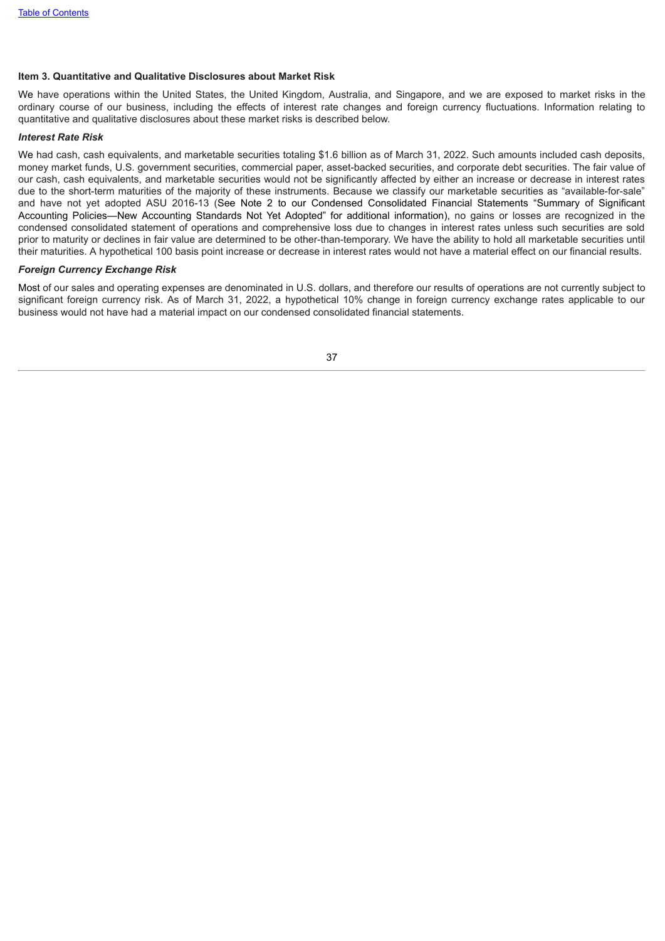# **Item 3. Quantitative and Qualitative Disclosures about Market Risk**

We have operations within the United States, the United Kingdom, Australia, and Singapore, and we are exposed to market risks in the ordinary course of our business, including the effects of interest rate changes and foreign currency fluctuations. Information relating to quantitative and qualitative disclosures about these market risks is described below.

# *Interest Rate Risk*

We had cash, cash equivalents, and marketable securities totaling \$1.6 billion as of March 31, 2022. Such amounts included cash deposits, money market funds, U.S. government securities, commercial paper, asset-backed securities, and corporate debt securities. The fair value of our cash, cash equivalents, and marketable securities would not be significantly affected by either an increase or decrease in interest rates due to the short-term maturities of the majority of these instruments. Because we classify our marketable securities as "available-for-sale" and have not yet adopted ASU 2016-13 (See Note 2 to our Condensed Consolidated Financial Statements "Summary of Significant Accounting Policies—New Accounting Standards Not Yet Adopted" for additional information), no gains or losses are recognized in the condensed consolidated statement of operations and comprehensive loss due to changes in interest rates unless such securities are sold prior to maturity or declines in fair value are determined to be other-than-temporary. We have the ability to hold all marketable securities until their maturities. A hypothetical 100 basis point increase or decrease in interest rates would not have a material effect on our financial results.

## *Foreign Currency Exchange Risk*

Most of our sales and operating expenses are denominated in U.S. dollars, and therefore our results of operations are not currently subject to significant foreign currency risk. As of March 31, 2022, a hypothetical 10% change in foreign currency exchange rates applicable to our business would not have had a material impact on our condensed consolidated financial statements.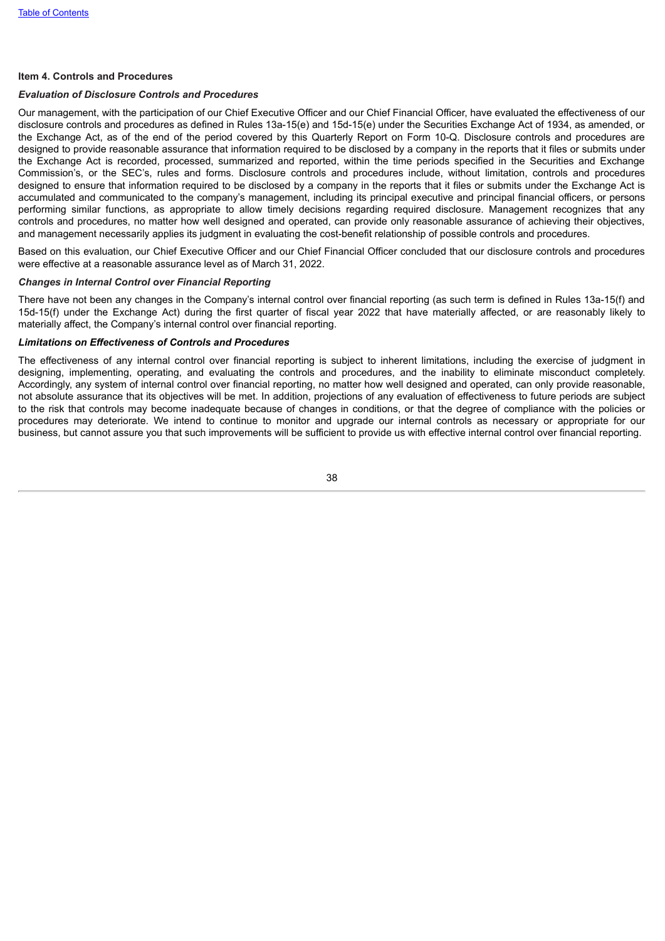# **Item 4. Controls and Procedures**

# *Evaluation of Disclosure Controls and Procedures*

Our management, with the participation of our Chief Executive Officer and our Chief Financial Officer, have evaluated the effectiveness of our disclosure controls and procedures as defined in Rules 13a-15(e) and 15d-15(e) under the Securities Exchange Act of 1934, as amended, or the Exchange Act, as of the end of the period covered by this Quarterly Report on Form 10-Q. Disclosure controls and procedures are designed to provide reasonable assurance that information required to be disclosed by a company in the reports that it files or submits under the Exchange Act is recorded, processed, summarized and reported, within the time periods specified in the Securities and Exchange Commission's, or the SEC's, rules and forms. Disclosure controls and procedures include, without limitation, controls and procedures designed to ensure that information required to be disclosed by a company in the reports that it files or submits under the Exchange Act is accumulated and communicated to the company's management, including its principal executive and principal financial officers, or persons performing similar functions, as appropriate to allow timely decisions regarding required disclosure. Management recognizes that any controls and procedures, no matter how well designed and operated, can provide only reasonable assurance of achieving their objectives, and management necessarily applies its judgment in evaluating the cost-benefit relationship of possible controls and procedures.

Based on this evaluation, our Chief Executive Officer and our Chief Financial Officer concluded that our disclosure controls and procedures were effective at a reasonable assurance level as of March 31, 2022.

#### *Changes in Internal Control over Financial Reporting*

There have not been any changes in the Company's internal control over financial reporting (as such term is defined in Rules 13a-15(f) and 15d-15(f) under the Exchange Act) during the first quarter of fiscal year 2022 that have materially affected, or are reasonably likely to materially affect, the Company's internal control over financial reporting.

## *Limitations on Effectiveness of Controls and Procedures*

The effectiveness of any internal control over financial reporting is subject to inherent limitations, including the exercise of judgment in designing, implementing, operating, and evaluating the controls and procedures, and the inability to eliminate misconduct completely. Accordingly, any system of internal control over financial reporting, no matter how well designed and operated, can only provide reasonable, not absolute assurance that its objectives will be met. In addition, projections of any evaluation of effectiveness to future periods are subject to the risk that controls may become inadequate because of changes in conditions, or that the degree of compliance with the policies or procedures may deteriorate. We intend to continue to monitor and upgrade our internal controls as necessary or appropriate for our business, but cannot assure you that such improvements will be sufficient to provide us with effective internal control over financial reporting.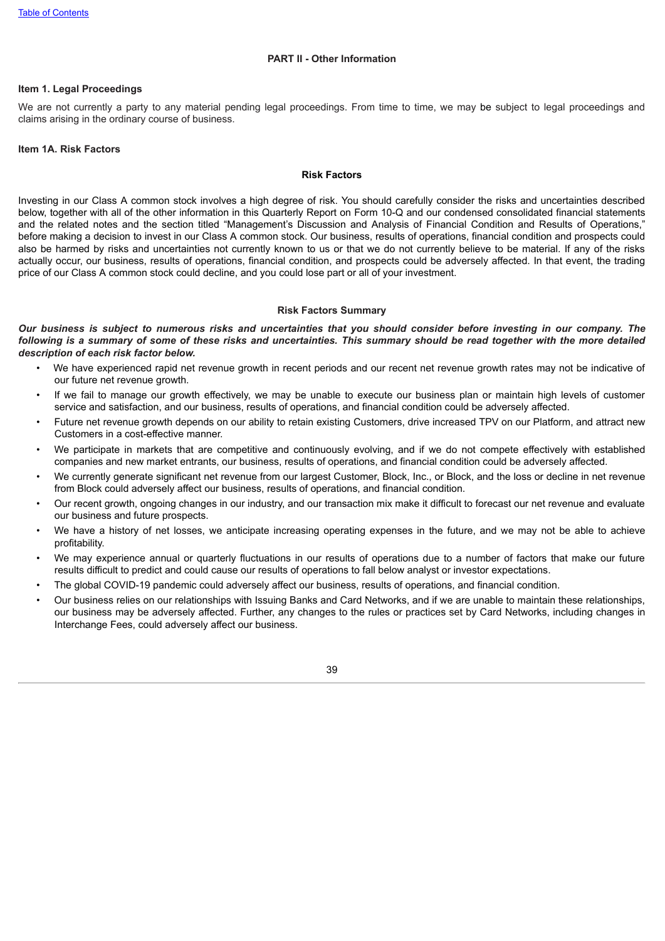## **PART II - Other Information**

# **Item 1. Legal Proceedings**

We are not currently a party to any material pending legal proceedings. From time to time, we may be subject to legal proceedings and claims arising in the ordinary course of business.

#### **Item 1A. Risk Factors**

#### **Risk Factors**

Investing in our Class A common stock involves a high degree of risk. You should carefully consider the risks and uncertainties described below, together with all of the other information in this Quarterly Report on Form 10-Q and our condensed consolidated financial statements and the related notes and the section titled "Management's Discussion and Analysis of Financial Condition and Results of Operations," before making a decision to invest in our Class A common stock. Our business, results of operations, financial condition and prospects could also be harmed by risks and uncertainties not currently known to us or that we do not currently believe to be material. If any of the risks actually occur, our business, results of operations, financial condition, and prospects could be adversely affected. In that event, the trading price of our Class A common stock could decline, and you could lose part or all of your investment.

## **Risk Factors Summary**

Our business is subject to numerous risks and uncertainties that you should consider before investing in our company. The following is a summary of some of these risks and uncertainties. This summary should be read together with the more detailed *description of each risk factor below.*

- *•* We have experienced rapid net revenue growth in recent periods and our recent net revenue growth rates may not be indicative of our future net revenue growth.
- If we fail to manage our growth effectively, we may be unable to execute our business plan or maintain high levels of customer service and satisfaction, and our business, results of operations, and financial condition could be adversely affected.
- Future net revenue growth depends on our ability to retain existing Customers, drive increased TPV on our Platform, and attract new Customers in a cost-effective manner.
- We participate in markets that are competitive and continuously evolving, and if we do not compete effectively with established companies and new market entrants, our business, results of operations, and financial condition could be adversely affected.
- We currently generate significant net revenue from our largest Customer, Block, Inc., or Block, and the loss or decline in net revenue from Block could adversely affect our business, results of operations, and financial condition.
- Our recent growth, ongoing changes in our industry, and our transaction mix make it difficult to forecast our net revenue and evaluate our business and future prospects.
- We have a history of net losses, we anticipate increasing operating expenses in the future, and we may not be able to achieve profitability.
- We may experience annual or quarterly fluctuations in our results of operations due to a number of factors that make our future results difficult to predict and could cause our results of operations to fall below analyst or investor expectations.
- The global COVID-19 pandemic could adversely affect our business, results of operations, and financial condition.
- Our business relies on our relationships with Issuing Banks and Card Networks, and if we are unable to maintain these relationships, our business may be adversely affected. Further, any changes to the rules or practices set by Card Networks, including changes in Interchange Fees, could adversely affect our business.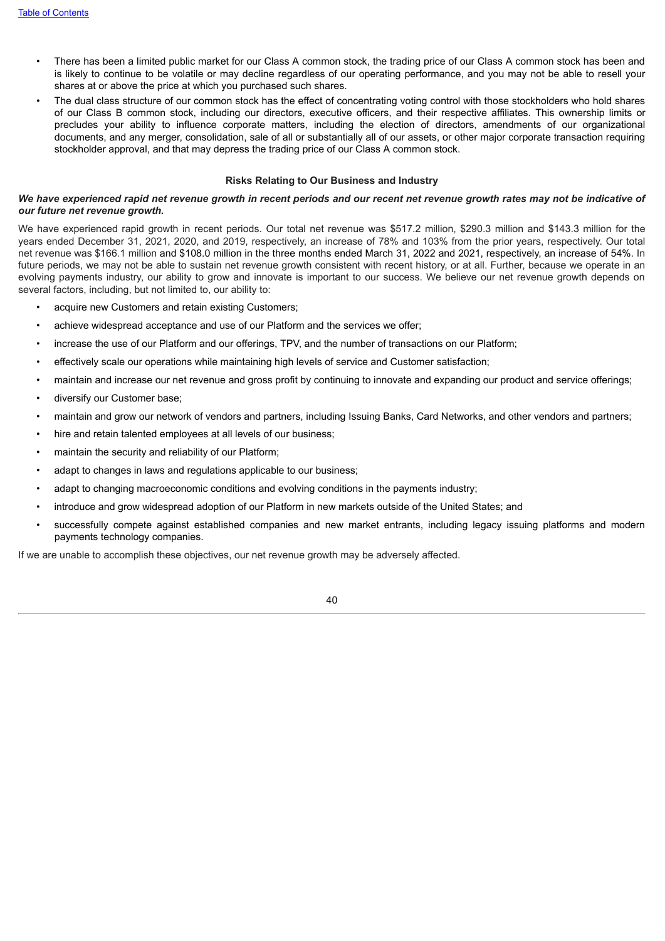- There has been a limited public market for our Class A common stock, the trading price of our Class A common stock has been and is likely to continue to be volatile or may decline regardless of our operating performance, and you may not be able to resell your shares at or above the price at which you purchased such shares.
- The dual class structure of our common stock has the effect of concentrating voting control with those stockholders who hold shares of our Class B common stock, including our directors, executive officers, and their respective affiliates. This ownership limits or precludes your ability to influence corporate matters, including the election of directors, amendments of our organizational documents, and any merger, consolidation, sale of all or substantially all of our assets, or other major corporate transaction requiring stockholder approval, and that may depress the trading price of our Class A common stock.

## **Risks Relating to Our Business and Industry**

#### We have experienced rapid net revenue growth in recent periods and our recent net revenue growth rates may not be indicative of *our future net revenue growth.*

We have experienced rapid growth in recent periods. Our total net revenue was \$517.2 million, \$290.3 million and \$143.3 million for the years ended December 31, 2021, 2020, and 2019, respectively, an increase of 78% and 103% from the prior years, respectively. Our total net revenue was \$166.1 million and \$108.0 million in the three months ended March 31, 2022 and 2021, respectively, an increase of 54%. In future periods, we may not be able to sustain net revenue growth consistent with recent history, or at all. Further, because we operate in an evolving payments industry, our ability to grow and innovate is important to our success. We believe our net revenue growth depends on several factors, including, but not limited to, our ability to:

- acquire new Customers and retain existing Customers:
- achieve widespread acceptance and use of our Platform and the services we offer;
- increase the use of our Platform and our offerings, TPV, and the number of transactions on our Platform;
- effectively scale our operations while maintaining high levels of service and Customer satisfaction;
- maintain and increase our net revenue and gross profit by continuing to innovate and expanding our product and service offerings;
- diversify our Customer base;
- maintain and grow our network of vendors and partners, including Issuing Banks, Card Networks, and other vendors and partners;
- hire and retain talented employees at all levels of our business;
- maintain the security and reliability of our Platform;
- adapt to changes in laws and regulations applicable to our business;
- adapt to changing macroeconomic conditions and evolving conditions in the payments industry:
- introduce and grow widespread adoption of our Platform in new markets outside of the United States; and
- successfully compete against established companies and new market entrants, including legacy issuing platforms and modern payments technology companies.

If we are unable to accomplish these objectives, our net revenue growth may be adversely affected.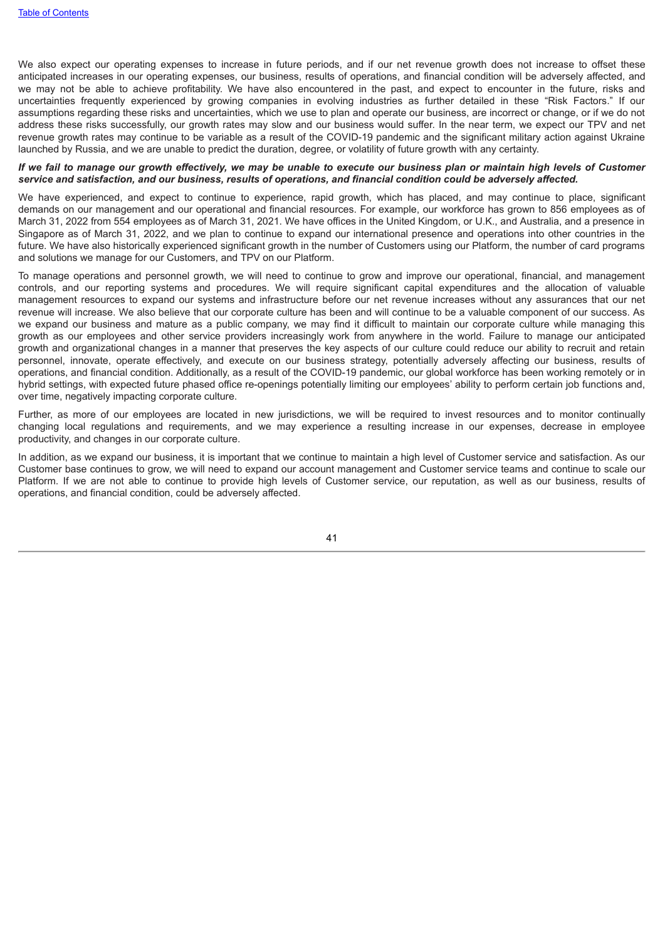We also expect our operating expenses to increase in future periods, and if our net revenue growth does not increase to offset these anticipated increases in our operating expenses, our business, results of operations, and financial condition will be adversely affected, and we may not be able to achieve profitability. We have also encountered in the past, and expect to encounter in the future, risks and uncertainties frequently experienced by growing companies in evolving industries as further detailed in these "Risk Factors." If our assumptions regarding these risks and uncertainties, which we use to plan and operate our business, are incorrect or change, or if we do not address these risks successfully, our growth rates may slow and our business would suffer. In the near term, we expect our TPV and net revenue growth rates may continue to be variable as a result of the COVID-19 pandemic and the significant military action against Ukraine launched by Russia, and we are unable to predict the duration, degree, or volatility of future growth with any certainty.

# If we fail to manage our growth effectively, we may be unable to execute our business plan or maintain high levels of Customer service and satisfaction, and our business, results of operations, and financial condition could be adversely affected.

We have experienced, and expect to continue to experience, rapid growth, which has placed, and may continue to place, significant demands on our management and our operational and financial resources. For example, our workforce has grown to 856 employees as of March 31, 2022 from 554 employees as of March 31, 2021. We have offices in the United Kingdom, or U.K., and Australia, and a presence in Singapore as of March 31, 2022, and we plan to continue to expand our international presence and operations into other countries in the future. We have also historically experienced significant growth in the number of Customers using our Platform, the number of card programs and solutions we manage for our Customers, and TPV on our Platform.

To manage operations and personnel growth, we will need to continue to grow and improve our operational, financial, and management controls, and our reporting systems and procedures. We will require significant capital expenditures and the allocation of valuable management resources to expand our systems and infrastructure before our net revenue increases without any assurances that our net revenue will increase. We also believe that our corporate culture has been and will continue to be a valuable component of our success. As we expand our business and mature as a public company, we may find it difficult to maintain our corporate culture while managing this growth as our employees and other service providers increasingly work from anywhere in the world. Failure to manage our anticipated growth and organizational changes in a manner that preserves the key aspects of our culture could reduce our ability to recruit and retain personnel, innovate, operate effectively, and execute on our business strategy, potentially adversely affecting our business, results of operations, and financial condition. Additionally, as a result of the COVID-19 pandemic, our global workforce has been working remotely or in hybrid settings, with expected future phased office re-openings potentially limiting our employees' ability to perform certain job functions and, over time, negatively impacting corporate culture.

Further, as more of our employees are located in new jurisdictions, we will be required to invest resources and to monitor continually changing local regulations and requirements, and we may experience a resulting increase in our expenses, decrease in employee productivity, and changes in our corporate culture.

In addition, as we expand our business, it is important that we continue to maintain a high level of Customer service and satisfaction. As our Customer base continues to grow, we will need to expand our account management and Customer service teams and continue to scale our Platform. If we are not able to continue to provide high levels of Customer service, our reputation, as well as our business, results of operations, and financial condition, could be adversely affected.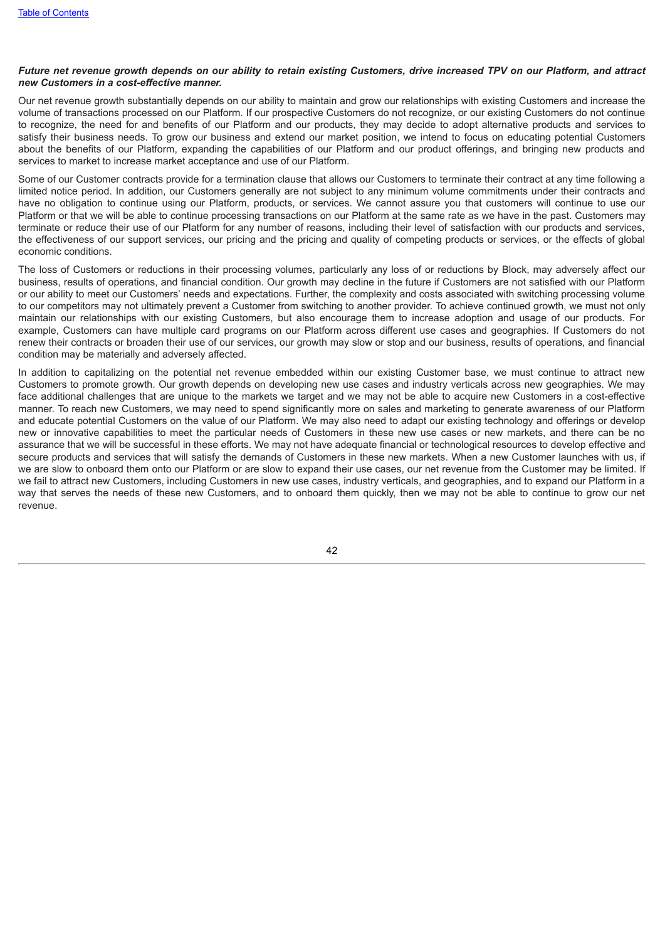## Future net revenue growth depends on our ability to retain existing Customers, drive increased TPV on our Platform, and attract *new Customers in a cost-effective manner.*

Our net revenue growth substantially depends on our ability to maintain and grow our relationships with existing Customers and increase the volume of transactions processed on our Platform. If our prospective Customers do not recognize, or our existing Customers do not continue to recognize, the need for and benefits of our Platform and our products, they may decide to adopt alternative products and services to satisfy their business needs. To grow our business and extend our market position, we intend to focus on educating potential Customers about the benefits of our Platform, expanding the capabilities of our Platform and our product offerings, and bringing new products and services to market to increase market acceptance and use of our Platform.

Some of our Customer contracts provide for a termination clause that allows our Customers to terminate their contract at any time following a limited notice period. In addition, our Customers generally are not subject to any minimum volume commitments under their contracts and have no obligation to continue using our Platform, products, or services. We cannot assure you that customers will continue to use our Platform or that we will be able to continue processing transactions on our Platform at the same rate as we have in the past. Customers may terminate or reduce their use of our Platform for any number of reasons, including their level of satisfaction with our products and services, the effectiveness of our support services, our pricing and the pricing and quality of competing products or services, or the effects of global economic conditions.

The loss of Customers or reductions in their processing volumes, particularly any loss of or reductions by Block, may adversely affect our business, results of operations, and financial condition. Our growth may decline in the future if Customers are not satisfied with our Platform or our ability to meet our Customers' needs and expectations. Further, the complexity and costs associated with switching processing volume to our competitors may not ultimately prevent a Customer from switching to another provider. To achieve continued growth, we must not only maintain our relationships with our existing Customers, but also encourage them to increase adoption and usage of our products. For example, Customers can have multiple card programs on our Platform across different use cases and geographies. If Customers do not renew their contracts or broaden their use of our services, our growth may slow or stop and our business, results of operations, and financial condition may be materially and adversely affected.

In addition to capitalizing on the potential net revenue embedded within our existing Customer base, we must continue to attract new Customers to promote growth. Our growth depends on developing new use cases and industry verticals across new geographies. We may face additional challenges that are unique to the markets we target and we may not be able to acquire new Customers in a cost-effective manner. To reach new Customers, we may need to spend significantly more on sales and marketing to generate awareness of our Platform and educate potential Customers on the value of our Platform. We may also need to adapt our existing technology and offerings or develop new or innovative capabilities to meet the particular needs of Customers in these new use cases or new markets, and there can be no assurance that we will be successful in these efforts. We may not have adequate financial or technological resources to develop effective and secure products and services that will satisfy the demands of Customers in these new markets. When a new Customer launches with us, if we are slow to onboard them onto our Platform or are slow to expand their use cases, our net revenue from the Customer may be limited. If we fail to attract new Customers, including Customers in new use cases, industry verticals, and geographies, and to expand our Platform in a way that serves the needs of these new Customers, and to onboard them quickly, then we may not be able to continue to grow our net revenue.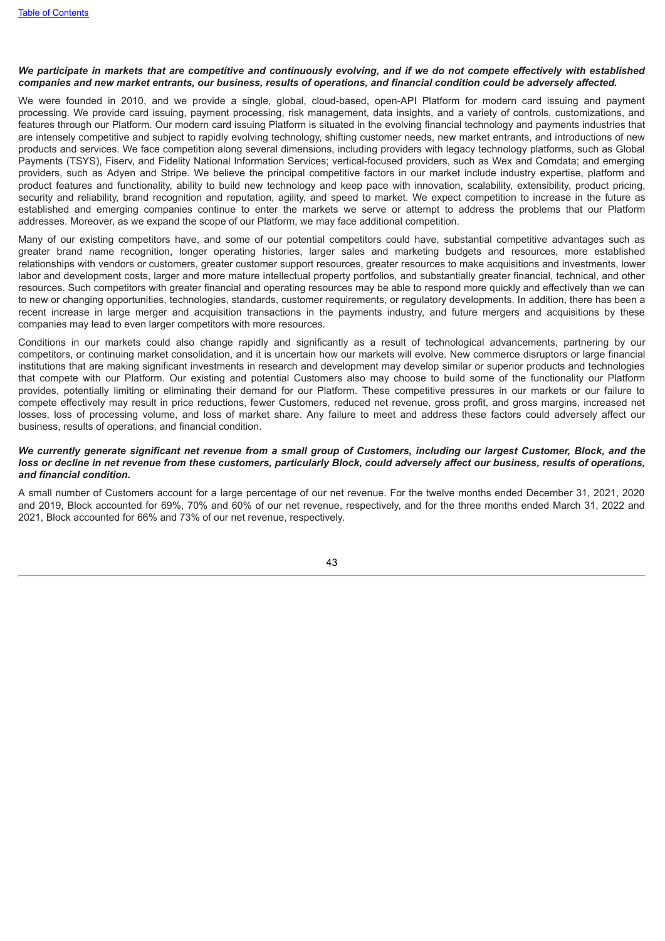#### We participate in markets that are competitive and continuously evolving, and if we do not compete effectively with established companies and new market entrants, our business, results of operations, and financial condition could be adversely affected.

We were founded in 2010, and we provide a single, global, cloud-based, open-API Platform for modern card issuing and payment processing. We provide card issuing, payment processing, risk management, data insights, and a variety of controls, customizations, and features through our Platform. Our modern card issuing Platform is situated in the evolving financial technology and payments industries that are intensely competitive and subject to rapidly evolving technology, shifting customer needs, new market entrants, and introductions of new products and services. We face competition along several dimensions, including providers with legacy technology platforms, such as Global Payments (TSYS), Fiserv, and Fidelity National Information Services; vertical-focused providers, such as Wex and Comdata; and emerging providers, such as Adyen and Stripe. We believe the principal competitive factors in our market include industry expertise, platform and product features and functionality, ability to build new technology and keep pace with innovation, scalability, extensibility, product pricing, security and reliability, brand recognition and reputation, agility, and speed to market. We expect competition to increase in the future as established and emerging companies continue to enter the markets we serve or attempt to address the problems that our Platform addresses. Moreover, as we expand the scope of our Platform, we may face additional competition.

Many of our existing competitors have, and some of our potential competitors could have, substantial competitive advantages such as greater brand name recognition, longer operating histories, larger sales and marketing budgets and resources, more established relationships with vendors or customers, greater customer support resources, greater resources to make acquisitions and investments, lower labor and development costs, larger and more mature intellectual property portfolios, and substantially greater financial, technical, and other resources. Such competitors with greater financial and operating resources may be able to respond more quickly and effectively than we can to new or changing opportunities, technologies, standards, customer requirements, or regulatory developments. In addition, there has been a recent increase in large merger and acquisition transactions in the payments industry, and future mergers and acquisitions by these companies may lead to even larger competitors with more resources.

Conditions in our markets could also change rapidly and significantly as a result of technological advancements, partnering by our competitors, or continuing market consolidation, and it is uncertain how our markets will evolve. New commerce disruptors or large financial institutions that are making significant investments in research and development may develop similar or superior products and technologies that compete with our Platform. Our existing and potential Customers also may choose to build some of the functionality our Platform provides, potentially limiting or eliminating their demand for our Platform. These competitive pressures in our markets or our failure to compete effectively may result in price reductions, fewer Customers, reduced net revenue, gross profit, and gross margins, increased net losses, loss of processing volume, and loss of market share. Any failure to meet and address these factors could adversely affect our business, results of operations, and financial condition.

## We currently generate significant net revenue from a small group of Customers, including our largest Customer, Block, and the loss or decline in net revenue from these customers, particularly Block, could adversely affect our business, results of operations, *and financial condition.*

A small number of Customers account for a large percentage of our net revenue. For the twelve months ended December 31, 2021, 2020 and 2019, Block accounted for 69%, 70% and 60% of our net revenue, respectively, and for the three months ended March 31, 2022 and 2021, Block accounted for 66% and 73% of our net revenue, respectively.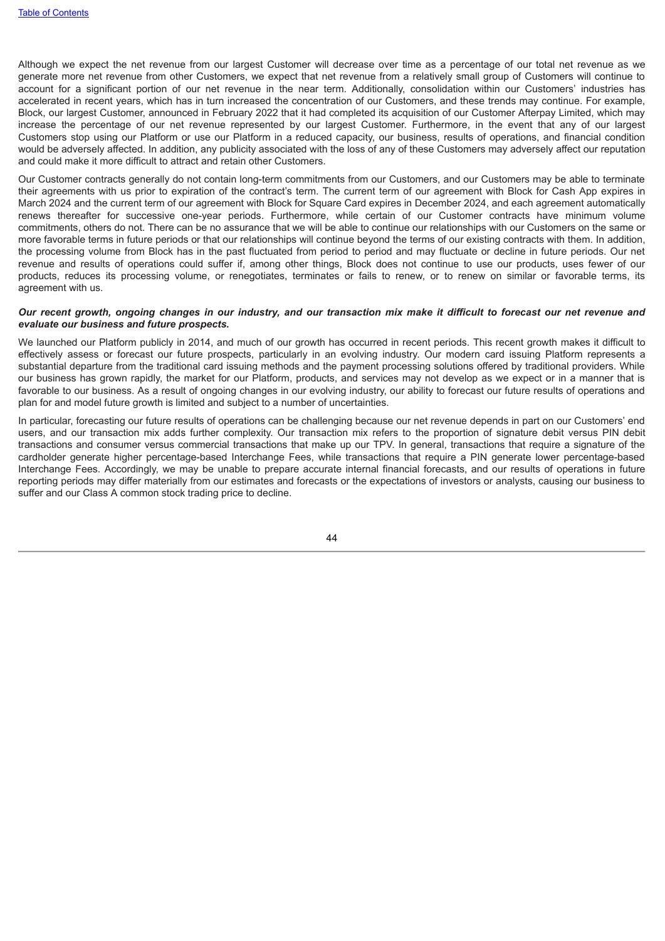Although we expect the net revenue from our largest Customer will decrease over time as a percentage of our total net revenue as we generate more net revenue from other Customers, we expect that net revenue from a relatively small group of Customers will continue to account for a significant portion of our net revenue in the near term. Additionally, consolidation within our Customers' industries has accelerated in recent years, which has in turn increased the concentration of our Customers, and these trends may continue. For example, Block, our largest Customer, announced in February 2022 that it had completed its acquisition of our Customer Afterpay Limited, which may increase the percentage of our net revenue represented by our largest Customer. Furthermore, in the event that any of our largest Customers stop using our Platform or use our Platform in a reduced capacity, our business, results of operations, and financial condition would be adversely affected. In addition, any publicity associated with the loss of any of these Customers may adversely affect our reputation and could make it more difficult to attract and retain other Customers.

Our Customer contracts generally do not contain long-term commitments from our Customers, and our Customers may be able to terminate their agreements with us prior to expiration of the contract's term. The current term of our agreement with Block for Cash App expires in March 2024 and the current term of our agreement with Block for Square Card expires in December 2024, and each agreement automatically renews thereafter for successive one-year periods. Furthermore, while certain of our Customer contracts have minimum volume commitments, others do not. There can be no assurance that we will be able to continue our relationships with our Customers on the same or more favorable terms in future periods or that our relationships will continue beyond the terms of our existing contracts with them. In addition, the processing volume from Block has in the past fluctuated from period to period and may fluctuate or decline in future periods. Our net revenue and results of operations could suffer if, among other things, Block does not continue to use our products, uses fewer of our products, reduces its processing volume, or renegotiates, terminates or fails to renew, or to renew on similar or favorable terms, its agreement with us.

#### Our recent growth, ongoing changes in our industry, and our transaction mix make it difficult to forecast our net revenue and *evaluate our business and future prospects.*

We launched our Platform publicly in 2014, and much of our growth has occurred in recent periods. This recent growth makes it difficult to effectively assess or forecast our future prospects, particularly in an evolving industry. Our modern card issuing Platform represents a substantial departure from the traditional card issuing methods and the payment processing solutions offered by traditional providers. While our business has grown rapidly, the market for our Platform, products, and services may not develop as we expect or in a manner that is favorable to our business. As a result of ongoing changes in our evolving industry, our ability to forecast our future results of operations and plan for and model future growth is limited and subject to a number of uncertainties.

In particular, forecasting our future results of operations can be challenging because our net revenue depends in part on our Customers' end users, and our transaction mix adds further complexity. Our transaction mix refers to the proportion of signature debit versus PIN debit transactions and consumer versus commercial transactions that make up our TPV. In general, transactions that require a signature of the cardholder generate higher percentage-based Interchange Fees, while transactions that require a PIN generate lower percentage-based Interchange Fees. Accordingly, we may be unable to prepare accurate internal financial forecasts, and our results of operations in future reporting periods may differ materially from our estimates and forecasts or the expectations of investors or analysts, causing our business to suffer and our Class A common stock trading price to decline.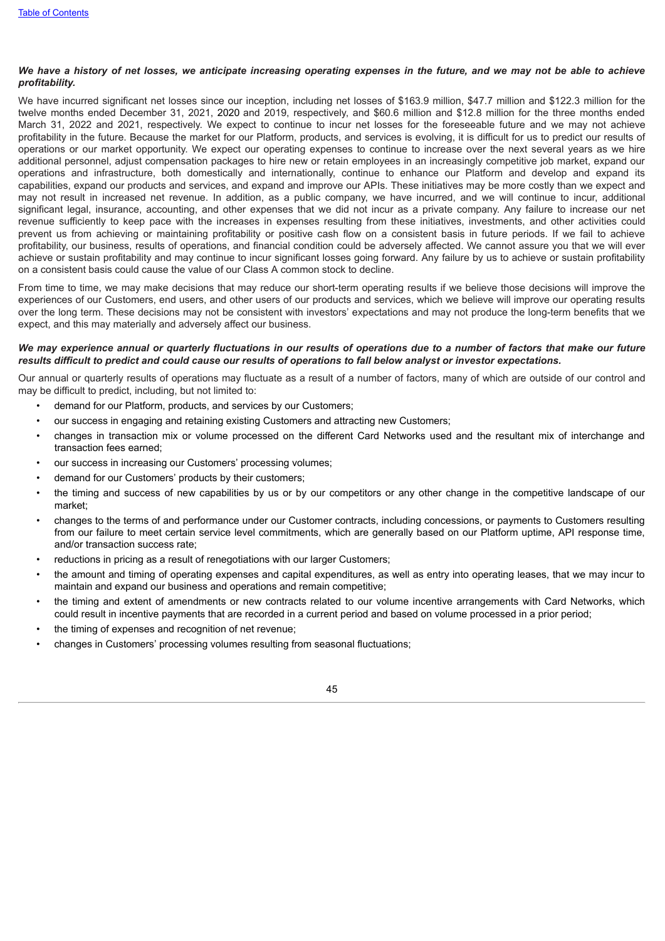## We have a history of net losses, we anticipate increasing operating expenses in the future, and we may not be able to achieve *profitability.*

We have incurred significant net losses since our inception, including net losses of \$163.9 million, \$47.7 million and \$122.3 million for the twelve months ended December 31, 2021, 2020 and 2019, respectively, and \$60.6 million and \$12.8 million for the three months ended March 31, 2022 and 2021, respectively. We expect to continue to incur net losses for the foreseeable future and we may not achieve profitability in the future. Because the market for our Platform, products, and services is evolving, it is difficult for us to predict our results of operations or our market opportunity. We expect our operating expenses to continue to increase over the next several years as we hire additional personnel, adjust compensation packages to hire new or retain employees in an increasingly competitive job market, expand our operations and infrastructure, both domestically and internationally, continue to enhance our Platform and develop and expand its capabilities, expand our products and services, and expand and improve our APIs. These initiatives may be more costly than we expect and may not result in increased net revenue. In addition, as a public company, we have incurred, and we will continue to incur, additional significant legal, insurance, accounting, and other expenses that we did not incur as a private company. Any failure to increase our net revenue sufficiently to keep pace with the increases in expenses resulting from these initiatives, investments, and other activities could prevent us from achieving or maintaining profitability or positive cash flow on a consistent basis in future periods. If we fail to achieve profitability, our business, results of operations, and financial condition could be adversely affected. We cannot assure you that we will ever achieve or sustain profitability and may continue to incur significant losses going forward. Any failure by us to achieve or sustain profitability on a consistent basis could cause the value of our Class A common stock to decline.

From time to time, we may make decisions that may reduce our short-term operating results if we believe those decisions will improve the experiences of our Customers, end users, and other users of our products and services, which we believe will improve our operating results over the long term. These decisions may not be consistent with investors' expectations and may not produce the long-term benefits that we expect, and this may materially and adversely affect our business.

## We may experience annual or quarterly fluctuations in our results of operations due to a number of factors that make our future results difficult to predict and could cause our results of operations to fall below analyst or investor expectations.

Our annual or quarterly results of operations may fluctuate as a result of a number of factors, many of which are outside of our control and may be difficult to predict, including, but not limited to:

- demand for our Platform, products, and services by our Customers;
- our success in engaging and retaining existing Customers and attracting new Customers;
- changes in transaction mix or volume processed on the different Card Networks used and the resultant mix of interchange and transaction fees earned;
- our success in increasing our Customers' processing volumes;
- demand for our Customers' products by their customers;
- the timing and success of new capabilities by us or by our competitors or any other change in the competitive landscape of our market;
- changes to the terms of and performance under our Customer contracts, including concessions, or payments to Customers resulting from our failure to meet certain service level commitments, which are generally based on our Platform uptime, API response time, and/or transaction success rate;
- reductions in pricing as a result of renegotiations with our larger Customers;
- the amount and timing of operating expenses and capital expenditures, as well as entry into operating leases, that we may incur to maintain and expand our business and operations and remain competitive;
- the timing and extent of amendments or new contracts related to our volume incentive arrangements with Card Networks, which could result in incentive payments that are recorded in a current period and based on volume processed in a prior period;
- the timing of expenses and recognition of net revenue;
- changes in Customers' processing volumes resulting from seasonal fluctuations;

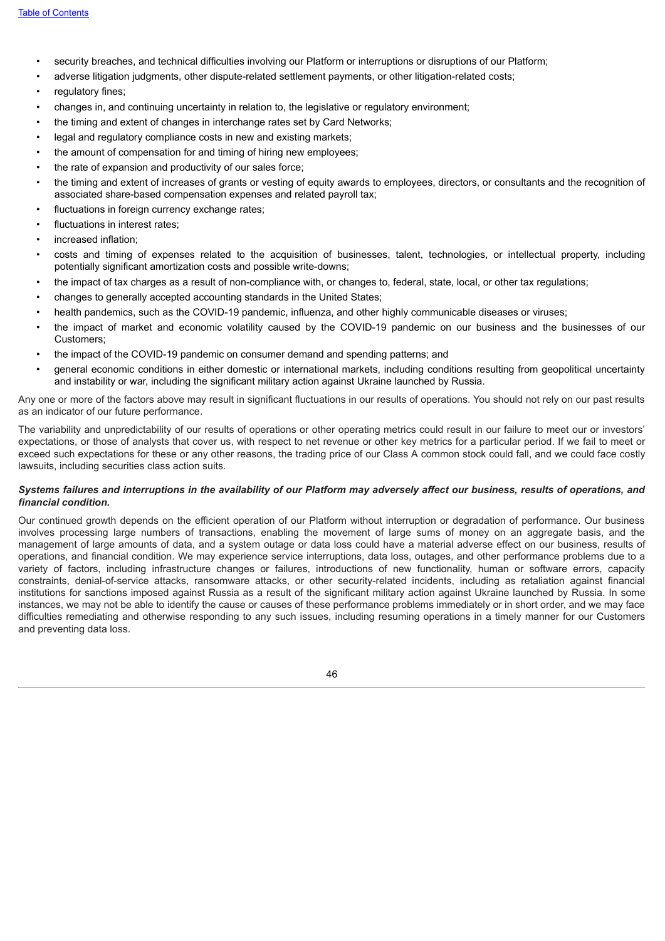- security breaches, and technical difficulties involving our Platform or interruptions or disruptions of our Platform;
- adverse litigation judgments, other dispute-related settlement payments, or other litigation-related costs;
- requlatory fines;
- changes in, and continuing uncertainty in relation to, the legislative or regulatory environment;
- the timing and extent of changes in interchange rates set by Card Networks;
- legal and regulatory compliance costs in new and existing markets;
- the amount of compensation for and timing of hiring new employees;
- the rate of expansion and productivity of our sales force;
- the timing and extent of increases of grants or vesting of equity awards to employees, directors, or consultants and the recognition of associated share-based compensation expenses and related payroll tax;
- fluctuations in foreign currency exchange rates;
- fluctuations in interest rates;
- increased inflation:
- costs and timing of expenses related to the acquisition of businesses, talent, technologies, or intellectual property, including potentially significant amortization costs and possible write-downs;
- the impact of tax charges as a result of non-compliance with, or changes to, federal, state, local, or other tax regulations;
- changes to generally accepted accounting standards in the United States;
- health pandemics, such as the COVID-19 pandemic, influenza, and other highly communicable diseases or viruses;
- the impact of market and economic volatility caused by the COVID-19 pandemic on our business and the businesses of our Customers;
- the impact of the COVID-19 pandemic on consumer demand and spending patterns; and
- general economic conditions in either domestic or international markets, including conditions resulting from geopolitical uncertainty and instability or war, including the significant military action against Ukraine launched by Russia.

Any one or more of the factors above may result in significant fluctuations in our results of operations. You should not rely on our past results as an indicator of our future performance.

The variability and unpredictability of our results of operations or other operating metrics could result in our failure to meet our or investors' expectations, or those of analysts that cover us, with respect to net revenue or other key metrics for a particular period. If we fail to meet or exceed such expectations for these or any other reasons, the trading price of our Class A common stock could fall, and we could face costly lawsuits, including securities class action suits.

# Systems failures and interruptions in the availability of our Platform may adversely affect our business, results of operations, and *financial condition.*

Our continued growth depends on the efficient operation of our Platform without interruption or degradation of performance. Our business involves processing large numbers of transactions, enabling the movement of large sums of money on an aggregate basis, and the management of large amounts of data, and a system outage or data loss could have a material adverse effect on our business, results of operations, and financial condition. We may experience service interruptions, data loss, outages, and other performance problems due to a variety of factors, including infrastructure changes or failures, introductions of new functionality, human or software errors, capacity constraints, denial-of-service attacks, ransomware attacks, or other security-related incidents, including as retaliation against financial institutions for sanctions imposed against Russia as a result of the significant military action against Ukraine launched by Russia. In some instances, we may not be able to identify the cause or causes of these performance problems immediately or in short order, and we may face difficulties remediating and otherwise responding to any such issues, including resuming operations in a timely manner for our Customers and preventing data loss.

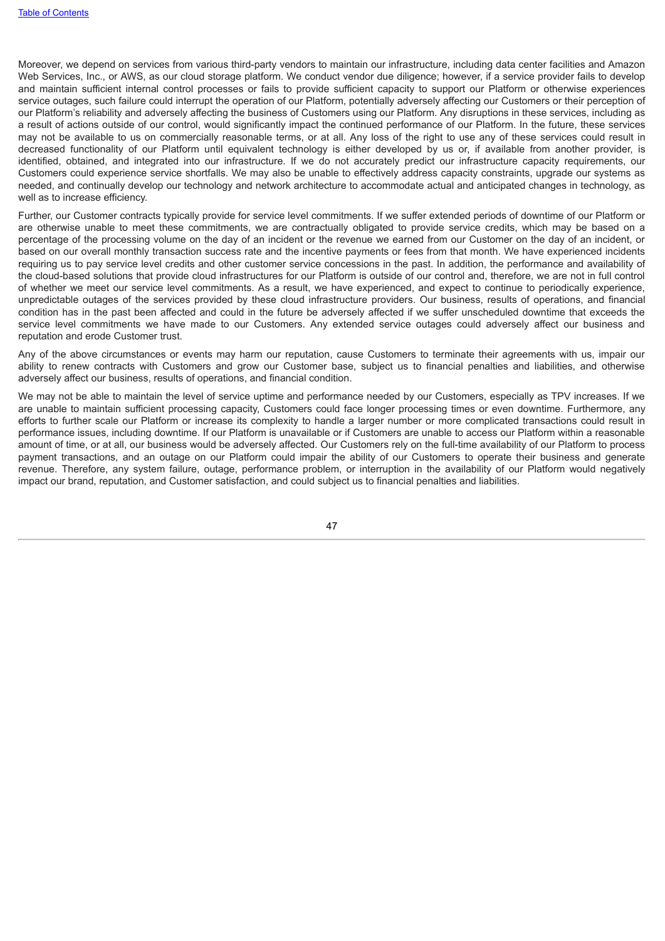Moreover, we depend on services from various third-party vendors to maintain our infrastructure, including data center facilities and Amazon Web Services, Inc., or AWS, as our cloud storage platform. We conduct vendor due diligence; however, if a service provider fails to develop and maintain sufficient internal control processes or fails to provide sufficient capacity to support our Platform or otherwise experiences service outages, such failure could interrupt the operation of our Platform, potentially adversely affecting our Customers or their perception of our Platform's reliability and adversely affecting the business of Customers using our Platform. Any disruptions in these services, including as a result of actions outside of our control, would significantly impact the continued performance of our Platform. In the future, these services may not be available to us on commercially reasonable terms, or at all. Any loss of the right to use any of these services could result in decreased functionality of our Platform until equivalent technology is either developed by us or, if available from another provider, is identified, obtained, and integrated into our infrastructure. If we do not accurately predict our infrastructure capacity requirements, our Customers could experience service shortfalls. We may also be unable to effectively address capacity constraints, upgrade our systems as needed, and continually develop our technology and network architecture to accommodate actual and anticipated changes in technology, as well as to increase efficiency.

Further, our Customer contracts typically provide for service level commitments. If we suffer extended periods of downtime of our Platform or are otherwise unable to meet these commitments, we are contractually obligated to provide service credits, which may be based on a percentage of the processing volume on the day of an incident or the revenue we earned from our Customer on the day of an incident, or based on our overall monthly transaction success rate and the incentive payments or fees from that month. We have experienced incidents requiring us to pay service level credits and other customer service concessions in the past. In addition, the performance and availability of the cloud-based solutions that provide cloud infrastructures for our Platform is outside of our control and, therefore, we are not in full control of whether we meet our service level commitments. As a result, we have experienced, and expect to continue to periodically experience, unpredictable outages of the services provided by these cloud infrastructure providers. Our business, results of operations, and financial condition has in the past been affected and could in the future be adversely affected if we suffer unscheduled downtime that exceeds the service level commitments we have made to our Customers. Any extended service outages could adversely affect our business and reputation and erode Customer trust.

Any of the above circumstances or events may harm our reputation, cause Customers to terminate their agreements with us, impair our ability to renew contracts with Customers and grow our Customer base, subject us to financial penalties and liabilities, and otherwise adversely affect our business, results of operations, and financial condition.

We may not be able to maintain the level of service uptime and performance needed by our Customers, especially as TPV increases. If we are unable to maintain sufficient processing capacity, Customers could face longer processing times or even downtime. Furthermore, any efforts to further scale our Platform or increase its complexity to handle a larger number or more complicated transactions could result in performance issues, including downtime. If our Platform is unavailable or if Customers are unable to access our Platform within a reasonable amount of time, or at all, our business would be adversely affected. Our Customers rely on the full-time availability of our Platform to process payment transactions, and an outage on our Platform could impair the ability of our Customers to operate their business and generate revenue. Therefore, any system failure, outage, performance problem, or interruption in the availability of our Platform would negatively impact our brand, reputation, and Customer satisfaction, and could subject us to financial penalties and liabilities.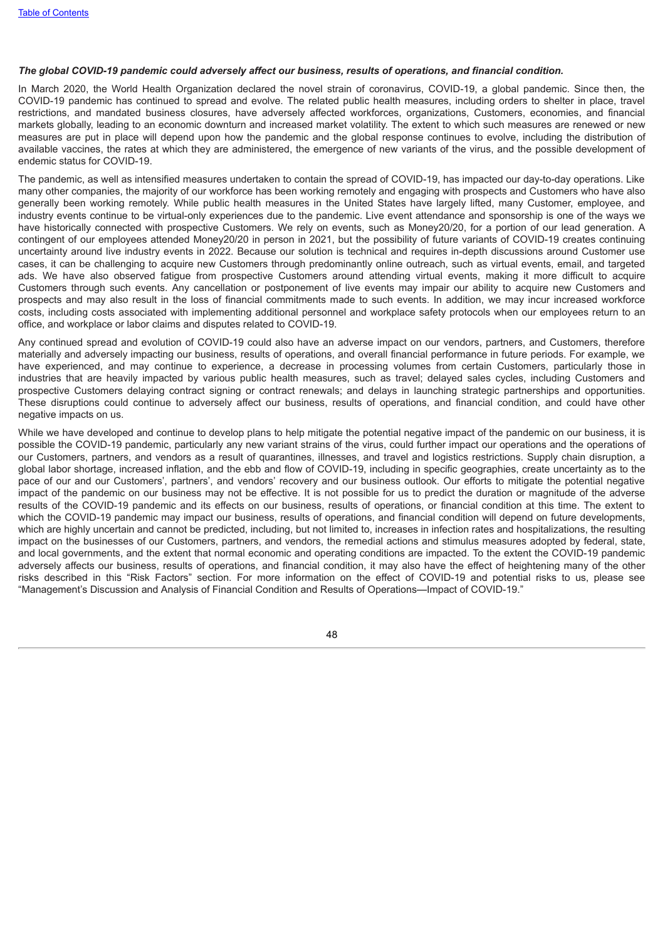## *The global COVID-19 pandemic could adversely affect our business, results of operations, and financial condition.*

In March 2020, the World Health Organization declared the novel strain of coronavirus, COVID-19, a global pandemic. Since then, the COVID-19 pandemic has continued to spread and evolve. The related public health measures, including orders to shelter in place, travel restrictions, and mandated business closures, have adversely affected workforces, organizations, Customers, economies, and financial markets globally, leading to an economic downturn and increased market volatility. The extent to which such measures are renewed or new measures are put in place will depend upon how the pandemic and the global response continues to evolve, including the distribution of available vaccines, the rates at which they are administered, the emergence of new variants of the virus, and the possible development of endemic status for COVID-19.

The pandemic, as well as intensified measures undertaken to contain the spread of COVID-19, has impacted our day-to-day operations. Like many other companies, the majority of our workforce has been working remotely and engaging with prospects and Customers who have also generally been working remotely. While public health measures in the United States have largely lifted, many Customer, employee, and industry events continue to be virtual-only experiences due to the pandemic. Live event attendance and sponsorship is one of the ways we have historically connected with prospective Customers. We rely on events, such as Money20/20, for a portion of our lead generation. A contingent of our employees attended Money20/20 in person in 2021, but the possibility of future variants of COVID-19 creates continuing uncertainty around live industry events in 2022. Because our solution is technical and requires in-depth discussions around Customer use cases, it can be challenging to acquire new Customers through predominantly online outreach, such as virtual events, email, and targeted ads. We have also observed fatigue from prospective Customers around attending virtual events, making it more difficult to acquire Customers through such events. Any cancellation or postponement of live events may impair our ability to acquire new Customers and prospects and may also result in the loss of financial commitments made to such events. In addition, we may incur increased workforce costs, including costs associated with implementing additional personnel and workplace safety protocols when our employees return to an office, and workplace or labor claims and disputes related to COVID-19.

Any continued spread and evolution of COVID-19 could also have an adverse impact on our vendors, partners, and Customers, therefore materially and adversely impacting our business, results of operations, and overall financial performance in future periods. For example, we have experienced, and may continue to experience, a decrease in processing volumes from certain Customers, particularly those in industries that are heavily impacted by various public health measures, such as travel; delayed sales cycles, including Customers and prospective Customers delaying contract signing or contract renewals; and delays in launching strategic partnerships and opportunities. These disruptions could continue to adversely affect our business, results of operations, and financial condition, and could have other negative impacts on us.

While we have developed and continue to develop plans to help mitigate the potential negative impact of the pandemic on our business, it is possible the COVID-19 pandemic, particularly any new variant strains of the virus, could further impact our operations and the operations of our Customers, partners, and vendors as a result of quarantines, illnesses, and travel and logistics restrictions. Supply chain disruption, a global labor shortage, increased inflation, and the ebb and flow of COVID-19, including in specific geographies, create uncertainty as to the pace of our and our Customers', partners', and vendors' recovery and our business outlook. Our efforts to mitigate the potential negative impact of the pandemic on our business may not be effective. It is not possible for us to predict the duration or magnitude of the adverse results of the COVID-19 pandemic and its effects on our business, results of operations, or financial condition at this time. The extent to which the COVID-19 pandemic may impact our business, results of operations, and financial condition will depend on future developments, which are highly uncertain and cannot be predicted, including, but not limited to, increases in infection rates and hospitalizations, the resulting impact on the businesses of our Customers, partners, and vendors, the remedial actions and stimulus measures adopted by federal, state, and local governments, and the extent that normal economic and operating conditions are impacted. To the extent the COVID-19 pandemic adversely affects our business, results of operations, and financial condition, it may also have the effect of heightening many of the other risks described in this "Risk Factors" section. For more information on the effect of COVID-19 and potential risks to us, please see "Management's Discussion and Analysis of Financial Condition and Results of Operations—Impact of COVID-19."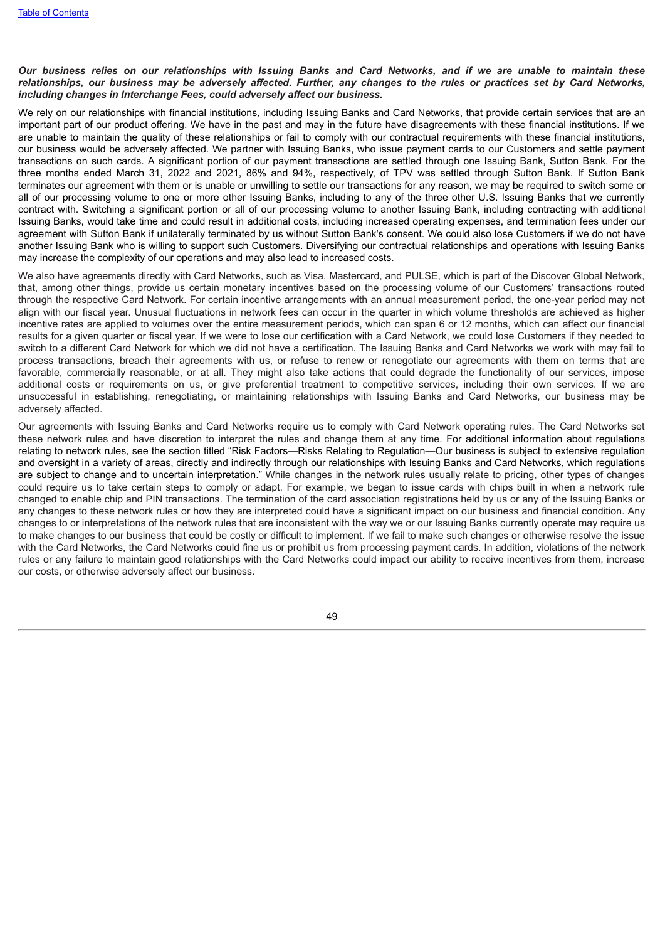## Our business relies on our relationships with Issuing Banks and Card Networks, and if we are unable to maintain these relationships, our business may be adversely affected. Further, any changes to the rules or practices set by Card Networks, *including changes in Interchange Fees, could adversely affect our business.*

We rely on our relationships with financial institutions, including Issuing Banks and Card Networks, that provide certain services that are an important part of our product offering. We have in the past and may in the future have disagreements with these financial institutions. If we are unable to maintain the quality of these relationships or fail to comply with our contractual requirements with these financial institutions, our business would be adversely affected. We partner with Issuing Banks, who issue payment cards to our Customers and settle payment transactions on such cards. A significant portion of our payment transactions are settled through one Issuing Bank, Sutton Bank. For the three months ended March 31, 2022 and 2021, 86% and 94%, respectively, of TPV was settled through Sutton Bank. If Sutton Bank terminates our agreement with them or is unable or unwilling to settle our transactions for any reason, we may be required to switch some or all of our processing volume to one or more other Issuing Banks, including to any of the three other U.S. Issuing Banks that we currently contract with. Switching a significant portion or all of our processing volume to another Issuing Bank, including contracting with additional Issuing Banks, would take time and could result in additional costs, including increased operating expenses, and termination fees under our agreement with Sutton Bank if unilaterally terminated by us without Sutton Bank's consent. We could also lose Customers if we do not have another Issuing Bank who is willing to support such Customers. Diversifying our contractual relationships and operations with Issuing Banks may increase the complexity of our operations and may also lead to increased costs.

We also have agreements directly with Card Networks, such as Visa, Mastercard, and PULSE, which is part of the Discover Global Network, that, among other things, provide us certain monetary incentives based on the processing volume of our Customers' transactions routed through the respective Card Network. For certain incentive arrangements with an annual measurement period, the one-year period may not align with our fiscal year. Unusual fluctuations in network fees can occur in the quarter in which volume thresholds are achieved as higher incentive rates are applied to volumes over the entire measurement periods, which can span 6 or 12 months, which can affect our financial results for a given quarter or fiscal year. If we were to lose our certification with a Card Network, we could lose Customers if they needed to switch to a different Card Network for which we did not have a certification. The Issuing Banks and Card Networks we work with may fail to process transactions, breach their agreements with us, or refuse to renew or renegotiate our agreements with them on terms that are favorable, commercially reasonable, or at all. They might also take actions that could degrade the functionality of our services, impose additional costs or requirements on us, or give preferential treatment to competitive services, including their own services. If we are unsuccessful in establishing, renegotiating, or maintaining relationships with Issuing Banks and Card Networks, our business may be adversely affected.

Our agreements with Issuing Banks and Card Networks require us to comply with Card Network operating rules. The Card Networks set these network rules and have discretion to interpret the rules and change them at any time. For additional information about regulations relating to network rules, see the section titled "Risk Factors—Risks Relating to Regulation—Our business is subject to extensive regulation and oversight in a variety of areas, directly and indirectly through our relationships with Issuing Banks and Card Networks, which regulations are subject to change and to uncertain interpretation." While changes in the network rules usually relate to pricing, other types of changes could require us to take certain steps to comply or adapt. For example, we began to issue cards with chips built in when a network rule changed to enable chip and PIN transactions. The termination of the card association registrations held by us or any of the Issuing Banks or any changes to these network rules or how they are interpreted could have a significant impact on our business and financial condition. Any changes to or interpretations of the network rules that are inconsistent with the way we or our Issuing Banks currently operate may require us to make changes to our business that could be costly or difficult to implement. If we fail to make such changes or otherwise resolve the issue with the Card Networks, the Card Networks could fine us or prohibit us from processing payment cards. In addition, violations of the network rules or any failure to maintain good relationships with the Card Networks could impact our ability to receive incentives from them, increase our costs, or otherwise adversely affect our business.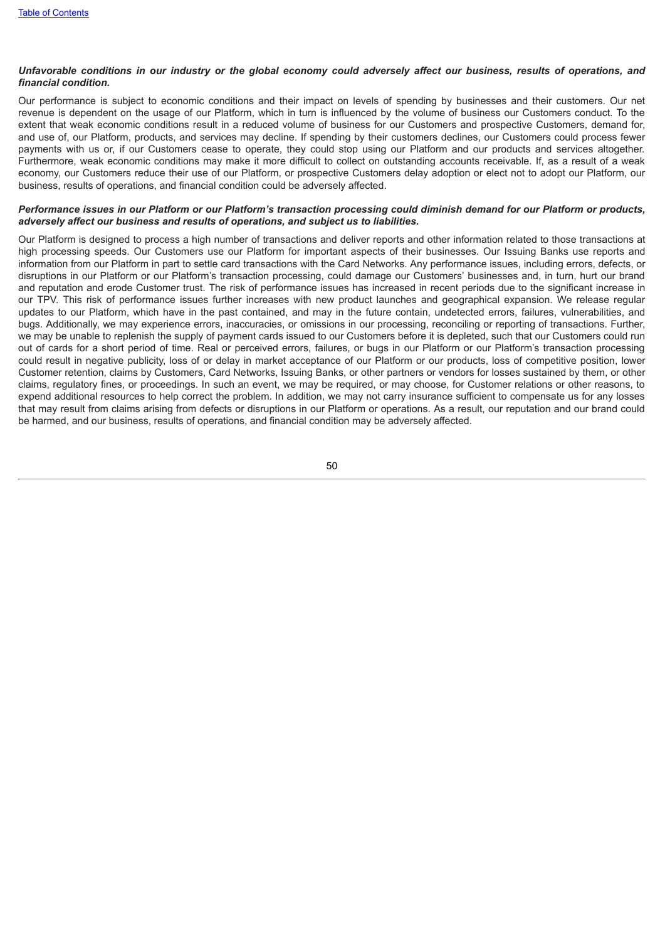## Unfavorable conditions in our industry or the global economy could adversely affect our business, results of operations, and *financial condition.*

Our performance is subject to economic conditions and their impact on levels of spending by businesses and their customers. Our net revenue is dependent on the usage of our Platform, which in turn is influenced by the volume of business our Customers conduct. To the extent that weak economic conditions result in a reduced volume of business for our Customers and prospective Customers, demand for, and use of, our Platform, products, and services may decline. If spending by their customers declines, our Customers could process fewer payments with us or, if our Customers cease to operate, they could stop using our Platform and our products and services altogether. Furthermore, weak economic conditions may make it more difficult to collect on outstanding accounts receivable. If, as a result of a weak economy, our Customers reduce their use of our Platform, or prospective Customers delay adoption or elect not to adopt our Platform, our business, results of operations, and financial condition could be adversely affected.

## Performance issues in our Platform or our Platform's transaction processing could diminish demand for our Platform or products. *adversely affect our business and results of operations, and subject us to liabilities.*

Our Platform is designed to process a high number of transactions and deliver reports and other information related to those transactions at high processing speeds. Our Customers use our Platform for important aspects of their businesses. Our Issuing Banks use reports and information from our Platform in part to settle card transactions with the Card Networks. Any performance issues, including errors, defects, or disruptions in our Platform or our Platform's transaction processing, could damage our Customers' businesses and, in turn, hurt our brand and reputation and erode Customer trust. The risk of performance issues has increased in recent periods due to the significant increase in our TPV. This risk of performance issues further increases with new product launches and geographical expansion. We release regular updates to our Platform, which have in the past contained, and may in the future contain, undetected errors, failures, vulnerabilities, and bugs. Additionally, we may experience errors, inaccuracies, or omissions in our processing, reconciling or reporting of transactions. Further, we may be unable to replenish the supply of payment cards issued to our Customers before it is depleted, such that our Customers could run out of cards for a short period of time. Real or perceived errors, failures, or bugs in our Platform or our Platform's transaction processing could result in negative publicity, loss of or delay in market acceptance of our Platform or our products, loss of competitive position, lower Customer retention, claims by Customers, Card Networks, Issuing Banks, or other partners or vendors for losses sustained by them, or other claims, regulatory fines, or proceedings. In such an event, we may be required, or may choose, for Customer relations or other reasons, to expend additional resources to help correct the problem. In addition, we may not carry insurance sufficient to compensate us for any losses that may result from claims arising from defects or disruptions in our Platform or operations. As a result, our reputation and our brand could be harmed, and our business, results of operations, and financial condition may be adversely affected.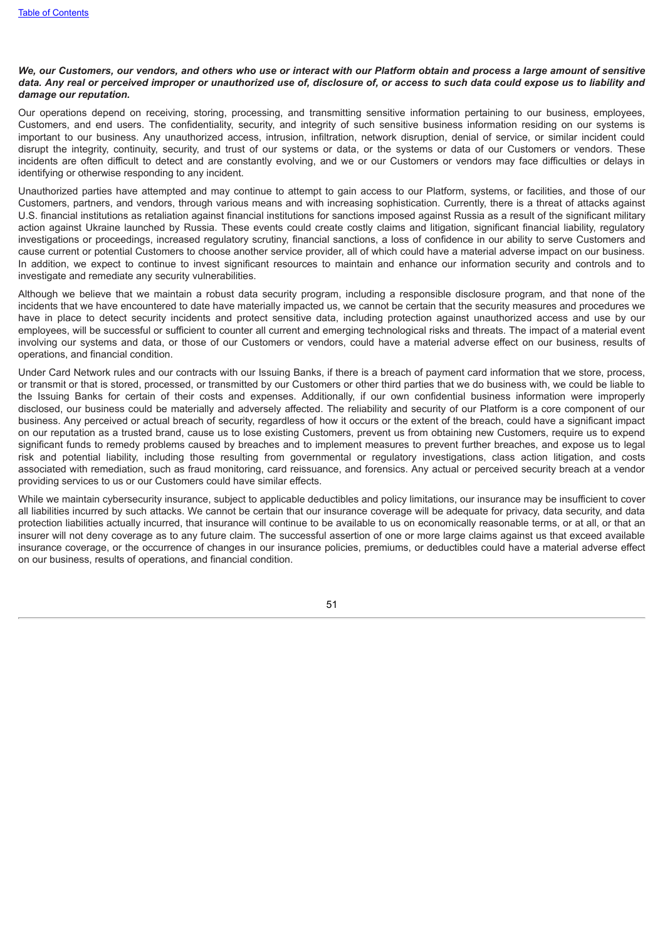#### We, our Customers, our vendors, and others who use or interact with our Platform obtain and process a large amount of sensitive data. Any real or perceived improper or unauthorized use of, disclosure of, or access to such data could expose us to liability and *damage our reputation.*

Our operations depend on receiving, storing, processing, and transmitting sensitive information pertaining to our business, employees, Customers, and end users. The confidentiality, security, and integrity of such sensitive business information residing on our systems is important to our business. Any unauthorized access, intrusion, infiltration, network disruption, denial of service, or similar incident could disrupt the integrity, continuity, security, and trust of our systems or data, or the systems or data of our Customers or vendors. These incidents are often difficult to detect and are constantly evolving, and we or our Customers or vendors may face difficulties or delays in identifying or otherwise responding to any incident.

Unauthorized parties have attempted and may continue to attempt to gain access to our Platform, systems, or facilities, and those of our Customers, partners, and vendors, through various means and with increasing sophistication. Currently, there is a threat of attacks against U.S. financial institutions as retaliation against financial institutions for sanctions imposed against Russia as a result of the significant military action against Ukraine launched by Russia. These events could create costly claims and litigation, significant financial liability, regulatory investigations or proceedings, increased regulatory scrutiny, financial sanctions, a loss of confidence in our ability to serve Customers and cause current or potential Customers to choose another service provider, all of which could have a material adverse impact on our business. In addition, we expect to continue to invest significant resources to maintain and enhance our information security and controls and to investigate and remediate any security vulnerabilities.

Although we believe that we maintain a robust data security program, including a responsible disclosure program, and that none of the incidents that we have encountered to date have materially impacted us, we cannot be certain that the security measures and procedures we have in place to detect security incidents and protect sensitive data, including protection against unauthorized access and use by our employees, will be successful or sufficient to counter all current and emerging technological risks and threats. The impact of a material event involving our systems and data, or those of our Customers or vendors, could have a material adverse effect on our business, results of operations, and financial condition.

Under Card Network rules and our contracts with our Issuing Banks, if there is a breach of payment card information that we store, process, or transmit or that is stored, processed, or transmitted by our Customers or other third parties that we do business with, we could be liable to the Issuing Banks for certain of their costs and expenses. Additionally, if our own confidential business information were improperly disclosed, our business could be materially and adversely affected. The reliability and security of our Platform is a core component of our business. Any perceived or actual breach of security, regardless of how it occurs or the extent of the breach, could have a significant impact on our reputation as a trusted brand, cause us to lose existing Customers, prevent us from obtaining new Customers, require us to expend significant funds to remedy problems caused by breaches and to implement measures to prevent further breaches, and expose us to legal risk and potential liability, including those resulting from governmental or regulatory investigations, class action litigation, and costs associated with remediation, such as fraud monitoring, card reissuance, and forensics. Any actual or perceived security breach at a vendor providing services to us or our Customers could have similar effects.

While we maintain cybersecurity insurance, subject to applicable deductibles and policy limitations, our insurance may be insufficient to cover all liabilities incurred by such attacks. We cannot be certain that our insurance coverage will be adequate for privacy, data security, and data protection liabilities actually incurred, that insurance will continue to be available to us on economically reasonable terms, or at all, or that an insurer will not deny coverage as to any future claim. The successful assertion of one or more large claims against us that exceed available insurance coverage, or the occurrence of changes in our insurance policies, premiums, or deductibles could have a material adverse effect on our business, results of operations, and financial condition.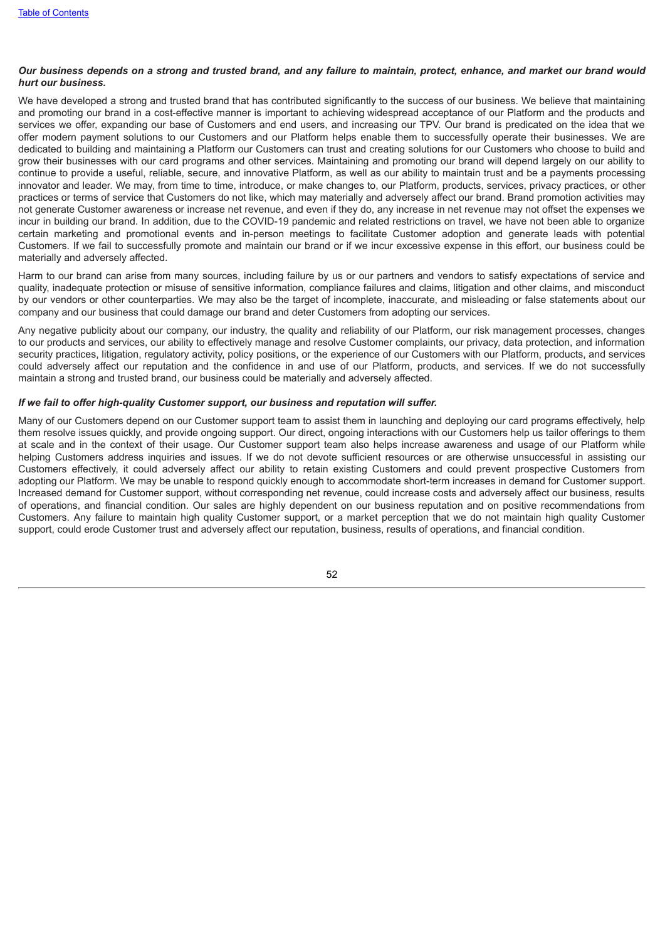## Our business depends on a strong and trusted brand, and any failure to maintain, protect, enhance, and market our brand would *hurt our business.*

We have developed a strong and trusted brand that has contributed significantly to the success of our business. We believe that maintaining and promoting our brand in a cost-effective manner is important to achieving widespread acceptance of our Platform and the products and services we offer, expanding our base of Customers and end users, and increasing our TPV. Our brand is predicated on the idea that we offer modern payment solutions to our Customers and our Platform helps enable them to successfully operate their businesses. We are dedicated to building and maintaining a Platform our Customers can trust and creating solutions for our Customers who choose to build and grow their businesses with our card programs and other services. Maintaining and promoting our brand will depend largely on our ability to continue to provide a useful, reliable, secure, and innovative Platform, as well as our ability to maintain trust and be a payments processing innovator and leader. We may, from time to time, introduce, or make changes to, our Platform, products, services, privacy practices, or other practices or terms of service that Customers do not like, which may materially and adversely affect our brand. Brand promotion activities may not generate Customer awareness or increase net revenue, and even if they do, any increase in net revenue may not offset the expenses we incur in building our brand. In addition, due to the COVID-19 pandemic and related restrictions on travel, we have not been able to organize certain marketing and promotional events and in-person meetings to facilitate Customer adoption and generate leads with potential Customers. If we fail to successfully promote and maintain our brand or if we incur excessive expense in this effort, our business could be materially and adversely affected.

Harm to our brand can arise from many sources, including failure by us or our partners and vendors to satisfy expectations of service and quality, inadequate protection or misuse of sensitive information, compliance failures and claims, litigation and other claims, and misconduct by our vendors or other counterparties. We may also be the target of incomplete, inaccurate, and misleading or false statements about our company and our business that could damage our brand and deter Customers from adopting our services.

Any negative publicity about our company, our industry, the quality and reliability of our Platform, our risk management processes, changes to our products and services, our ability to effectively manage and resolve Customer complaints, our privacy, data protection, and information security practices, litigation, regulatory activity, policy positions, or the experience of our Customers with our Platform, products, and services could adversely affect our reputation and the confidence in and use of our Platform, products, and services. If we do not successfully maintain a strong and trusted brand, our business could be materially and adversely affected.

## *If we fail to offer high-quality Customer support, our business and reputation will suffer.*

Many of our Customers depend on our Customer support team to assist them in launching and deploying our card programs effectively, help them resolve issues quickly, and provide ongoing support. Our direct, ongoing interactions with our Customers help us tailor offerings to them at scale and in the context of their usage. Our Customer support team also helps increase awareness and usage of our Platform while helping Customers address inquiries and issues. If we do not devote sufficient resources or are otherwise unsuccessful in assisting our Customers effectively, it could adversely affect our ability to retain existing Customers and could prevent prospective Customers from adopting our Platform. We may be unable to respond quickly enough to accommodate short-term increases in demand for Customer support. Increased demand for Customer support, without corresponding net revenue, could increase costs and adversely affect our business, results of operations, and financial condition. Our sales are highly dependent on our business reputation and on positive recommendations from Customers. Any failure to maintain high quality Customer support, or a market perception that we do not maintain high quality Customer support, could erode Customer trust and adversely affect our reputation, business, results of operations, and financial condition.

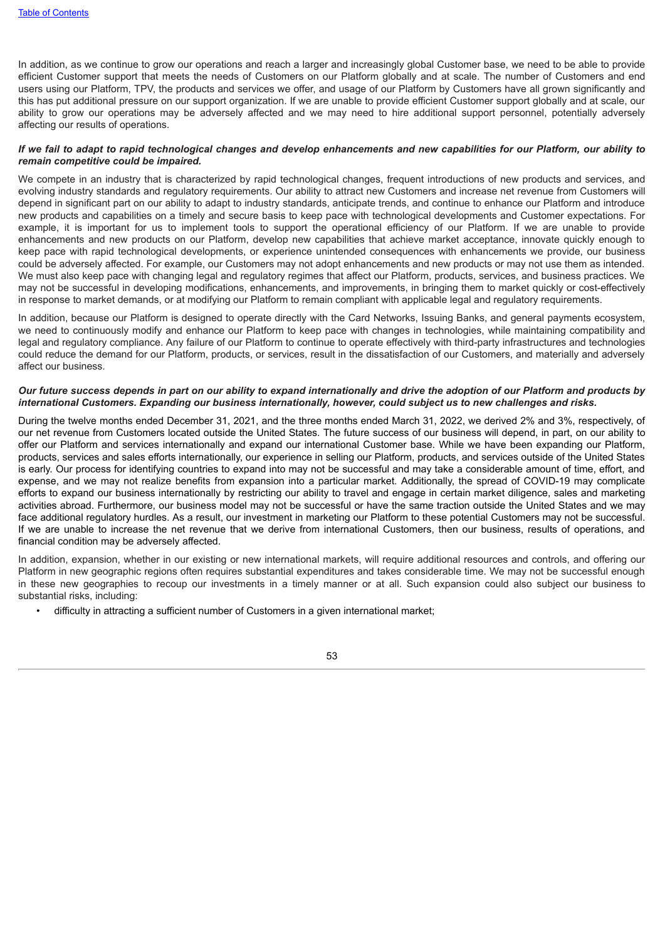In addition, as we continue to grow our operations and reach a larger and increasingly global Customer base, we need to be able to provide efficient Customer support that meets the needs of Customers on our Platform globally and at scale. The number of Customers and end users using our Platform, TPV, the products and services we offer, and usage of our Platform by Customers have all grown significantly and this has put additional pressure on our support organization. If we are unable to provide efficient Customer support globally and at scale, our ability to grow our operations may be adversely affected and we may need to hire additional support personnel, potentially adversely affecting our results of operations.

#### If we fail to adapt to rapid technological changes and develop enhancements and new capabilities for our Platform, our ability to *remain competitive could be impaired.*

We compete in an industry that is characterized by rapid technological changes, frequent introductions of new products and services, and evolving industry standards and regulatory requirements. Our ability to attract new Customers and increase net revenue from Customers will depend in significant part on our ability to adapt to industry standards, anticipate trends, and continue to enhance our Platform and introduce new products and capabilities on a timely and secure basis to keep pace with technological developments and Customer expectations. For example, it is important for us to implement tools to support the operational efficiency of our Platform. If we are unable to provide enhancements and new products on our Platform, develop new capabilities that achieve market acceptance, innovate quickly enough to keep pace with rapid technological developments, or experience unintended consequences with enhancements we provide, our business could be adversely affected. For example, our Customers may not adopt enhancements and new products or may not use them as intended. We must also keep pace with changing legal and regulatory regimes that affect our Platform, products, services, and business practices. We may not be successful in developing modifications, enhancements, and improvements, in bringing them to market quickly or cost-effectively in response to market demands, or at modifying our Platform to remain compliant with applicable legal and regulatory requirements.

In addition, because our Platform is designed to operate directly with the Card Networks, Issuing Banks, and general payments ecosystem, we need to continuously modify and enhance our Platform to keep pace with changes in technologies, while maintaining compatibility and legal and regulatory compliance. Any failure of our Platform to continue to operate effectively with third-party infrastructures and technologies could reduce the demand for our Platform, products, or services, result in the dissatisfaction of our Customers, and materially and adversely affect our business.

## Our future success depends in part on our ability to expand internationally and drive the adoption of our Platform and products by *international Customers. Expanding our business internationally, however, could subject us to new challenges and risks.*

During the twelve months ended December 31, 2021, and the three months ended March 31, 2022, we derived 2% and 3%, respectively, of our net revenue from Customers located outside the United States. The future success of our business will depend, in part, on our ability to offer our Platform and services internationally and expand our international Customer base. While we have been expanding our Platform, products, services and sales efforts internationally, our experience in selling our Platform, products, and services outside of the United States is early. Our process for identifying countries to expand into may not be successful and may take a considerable amount of time, effort, and expense, and we may not realize benefits from expansion into a particular market. Additionally, the spread of COVID-19 may complicate efforts to expand our business internationally by restricting our ability to travel and engage in certain market diligence, sales and marketing activities abroad. Furthermore, our business model may not be successful or have the same traction outside the United States and we may face additional regulatory hurdles. As a result, our investment in marketing our Platform to these potential Customers may not be successful. If we are unable to increase the net revenue that we derive from international Customers, then our business, results of operations, and financial condition may be adversely affected.

In addition, expansion, whether in our existing or new international markets, will require additional resources and controls, and offering our Platform in new geographic regions often requires substantial expenditures and takes considerable time. We may not be successful enough in these new geographies to recoup our investments in a timely manner or at all. Such expansion could also subject our business to substantial risks, including:

• difficulty in attracting a sufficient number of Customers in a given international market;

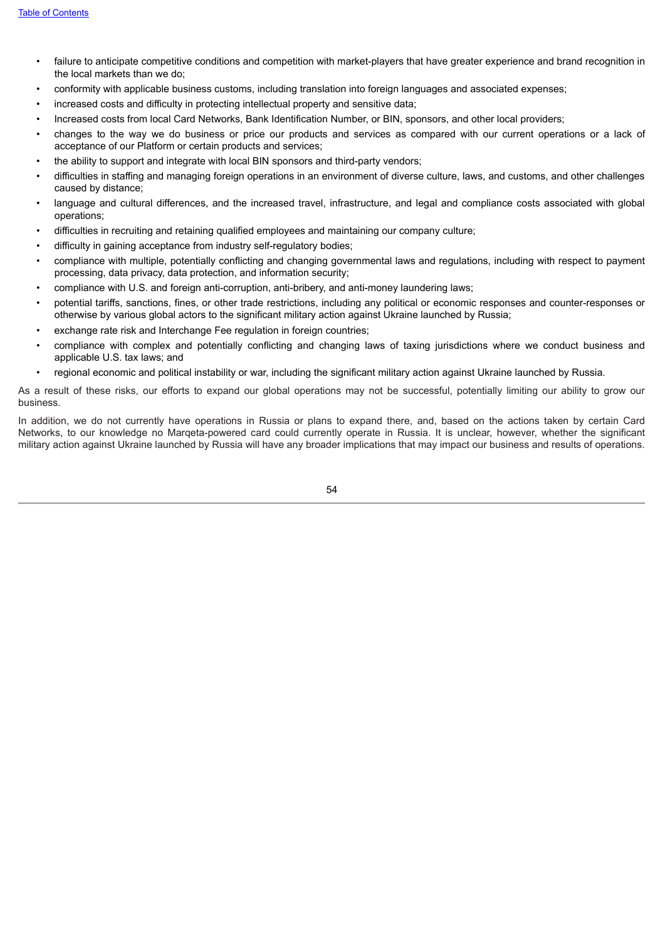- failure to anticipate competitive conditions and competition with market-players that have greater experience and brand recognition in the local markets than we do;
- conformity with applicable business customs, including translation into foreign languages and associated expenses;
- increased costs and difficulty in protecting intellectual property and sensitive data;
- Increased costs from local Card Networks, Bank Identification Number, or BIN, sponsors, and other local providers;
- changes to the way we do business or price our products and services as compared with our current operations or a lack of acceptance of our Platform or certain products and services;
- the ability to support and integrate with local BIN sponsors and third-party vendors;
- difficulties in staffing and managing foreign operations in an environment of diverse culture, laws, and customs, and other challenges caused by distance;
- language and cultural differences, and the increased travel, infrastructure, and legal and compliance costs associated with global operations;
- difficulties in recruiting and retaining qualified employees and maintaining our company culture;
- difficulty in gaining acceptance from industry self-regulatory bodies:
- compliance with multiple, potentially conflicting and changing governmental laws and regulations, including with respect to payment processing, data privacy, data protection, and information security;
- compliance with U.S. and foreign anti-corruption, anti-bribery, and anti-money laundering laws;
- potential tariffs, sanctions, fines, or other trade restrictions, including any political or economic responses and counter-responses or otherwise by various global actors to the significant military action against Ukraine launched by Russia;
- exchange rate risk and Interchange Fee regulation in foreign countries:
- compliance with complex and potentially conflicting and changing laws of taxing jurisdictions where we conduct business and applicable U.S. tax laws; and
- regional economic and political instability or war, including the significant military action against Ukraine launched by Russia.

As a result of these risks, our efforts to expand our global operations may not be successful, potentially limiting our ability to grow our business.

In addition, we do not currently have operations in Russia or plans to expand there, and, based on the actions taken by certain Card Networks, to our knowledge no Marqeta-powered card could currently operate in Russia. It is unclear, however, whether the significant military action against Ukraine launched by Russia will have any broader implications that may impact our business and results of operations.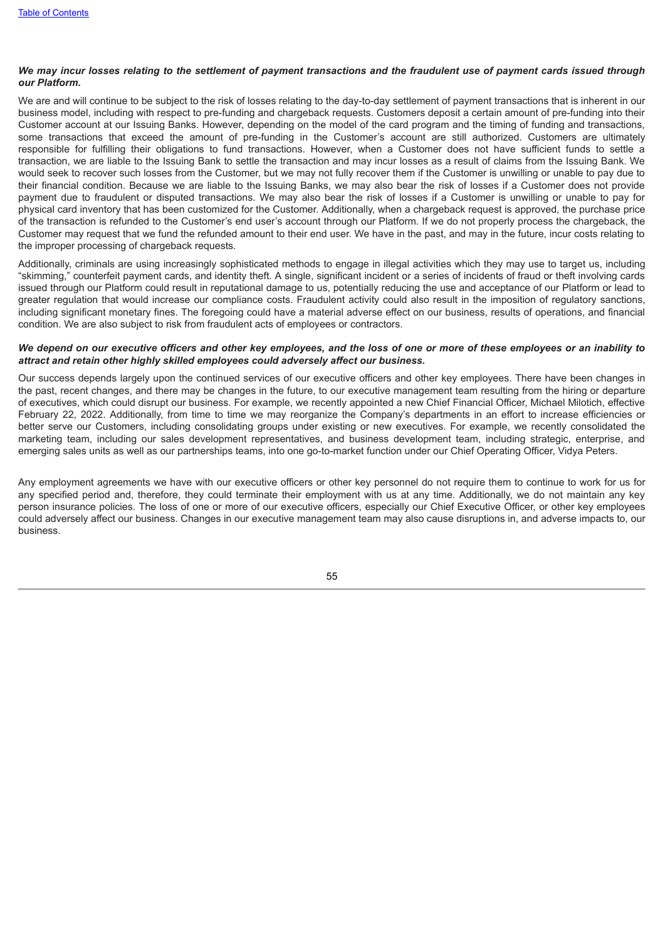## We may incur losses relating to the settlement of payment transactions and the fraudulent use of payment cards issued through *our Platform.*

We are and will continue to be subject to the risk of losses relating to the day-to-day settlement of payment transactions that is inherent in our business model, including with respect to pre-funding and chargeback requests. Customers deposit a certain amount of pre-funding into their Customer account at our Issuing Banks. However, depending on the model of the card program and the timing of funding and transactions, some transactions that exceed the amount of pre-funding in the Customer's account are still authorized. Customers are ultimately responsible for fulfilling their obligations to fund transactions. However, when a Customer does not have sufficient funds to settle a transaction, we are liable to the Issuing Bank to settle the transaction and may incur losses as a result of claims from the Issuing Bank. We would seek to recover such losses from the Customer, but we may not fully recover them if the Customer is unwilling or unable to pay due to their financial condition. Because we are liable to the Issuing Banks, we may also bear the risk of losses if a Customer does not provide payment due to fraudulent or disputed transactions. We may also bear the risk of losses if a Customer is unwilling or unable to pay for physical card inventory that has been customized for the Customer. Additionally, when a chargeback request is approved, the purchase price of the transaction is refunded to the Customer's end user's account through our Platform. If we do not properly process the chargeback, the Customer may request that we fund the refunded amount to their end user. We have in the past, and may in the future, incur costs relating to the improper processing of chargeback requests.

Additionally, criminals are using increasingly sophisticated methods to engage in illegal activities which they may use to target us, including "skimming," counterfeit payment cards, and identity theft. A single, significant incident or a series of incidents of fraud or theft involving cards issued through our Platform could result in reputational damage to us, potentially reducing the use and acceptance of our Platform or lead to greater regulation that would increase our compliance costs. Fraudulent activity could also result in the imposition of regulatory sanctions, including significant monetary fines. The foregoing could have a material adverse effect on our business, results of operations, and financial condition. We are also subject to risk from fraudulent acts of employees or contractors.

## We depend on our executive officers and other key employees, and the loss of one or more of these employees or an inability to *attract and retain other highly skilled employees could adversely affect our business.*

Our success depends largely upon the continued services of our executive officers and other key employees. There have been changes in the past, recent changes, and there may be changes in the future, to our executive management team resulting from the hiring or departure of executives, which could disrupt our business. For example, we recently appointed a new Chief Financial Officer, Michael Milotich, effective February 22, 2022. Additionally, from time to time we may reorganize the Company's departments in an effort to increase efficiencies or better serve our Customers, including consolidating groups under existing or new executives. For example, we recently consolidated the marketing team, including our sales development representatives, and business development team, including strategic, enterprise, and emerging sales units as well as our partnerships teams, into one go-to-market function under our Chief Operating Officer, Vidya Peters.

Any employment agreements we have with our executive officers or other key personnel do not require them to continue to work for us for any specified period and, therefore, they could terminate their employment with us at any time. Additionally, we do not maintain any key person insurance policies. The loss of one or more of our executive officers, especially our Chief Executive Officer, or other key employees could adversely affect our business. Changes in our executive management team may also cause disruptions in, and adverse impacts to, our business.

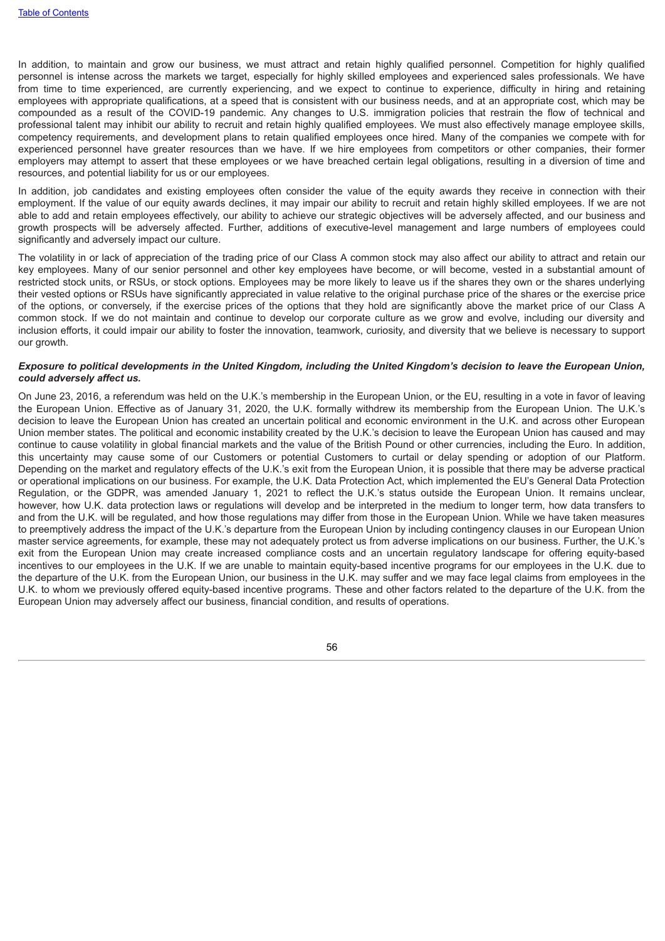In addition, to maintain and grow our business, we must attract and retain highly qualified personnel. Competition for highly qualified personnel is intense across the markets we target, especially for highly skilled employees and experienced sales professionals. We have from time to time experienced, are currently experiencing, and we expect to continue to experience, difficulty in hiring and retaining employees with appropriate qualifications, at a speed that is consistent with our business needs, and at an appropriate cost, which may be compounded as a result of the COVID-19 pandemic. Any changes to U.S. immigration policies that restrain the flow of technical and professional talent may inhibit our ability to recruit and retain highly qualified employees. We must also effectively manage employee skills, competency requirements, and development plans to retain qualified employees once hired. Many of the companies we compete with for experienced personnel have greater resources than we have. If we hire employees from competitors or other companies, their former employers may attempt to assert that these employees or we have breached certain legal obligations, resulting in a diversion of time and resources, and potential liability for us or our employees.

In addition, job candidates and existing employees often consider the value of the equity awards they receive in connection with their employment. If the value of our equity awards declines, it may impair our ability to recruit and retain highly skilled employees. If we are not able to add and retain employees effectively, our ability to achieve our strategic objectives will be adversely affected, and our business and growth prospects will be adversely affected. Further, additions of executive-level management and large numbers of employees could significantly and adversely impact our culture.

The volatility in or lack of appreciation of the trading price of our Class A common stock may also affect our ability to attract and retain our key employees. Many of our senior personnel and other key employees have become, or will become, vested in a substantial amount of restricted stock units, or RSUs, or stock options. Employees may be more likely to leave us if the shares they own or the shares underlying their vested options or RSUs have significantly appreciated in value relative to the original purchase price of the shares or the exercise price of the options, or conversely, if the exercise prices of the options that they hold are significantly above the market price of our Class A common stock. If we do not maintain and continue to develop our corporate culture as we grow and evolve, including our diversity and inclusion efforts, it could impair our ability to foster the innovation, teamwork, curiosity, and diversity that we believe is necessary to support our growth.

#### Exposure to political developments in the United Kingdom, including the United Kingdom's decision to leave the European Union, *could adversely affect us.*

On June 23, 2016, a referendum was held on the U.K.'s membership in the European Union, or the EU, resulting in a vote in favor of leaving the European Union. Effective as of January 31, 2020, the U.K. formally withdrew its membership from the European Union. The U.K.'s decision to leave the European Union has created an uncertain political and economic environment in the U.K. and across other European Union member states. The political and economic instability created by the U.K.'s decision to leave the European Union has caused and may continue to cause volatility in global financial markets and the value of the British Pound or other currencies, including the Euro. In addition, this uncertainty may cause some of our Customers or potential Customers to curtail or delay spending or adoption of our Platform. Depending on the market and regulatory effects of the U.K.'s exit from the European Union, it is possible that there may be adverse practical or operational implications on our business. For example, the U.K. Data Protection Act, which implemented the EU's General Data Protection Regulation, or the GDPR, was amended January 1, 2021 to reflect the U.K.'s status outside the European Union. It remains unclear, however, how U.K. data protection laws or regulations will develop and be interpreted in the medium to longer term, how data transfers to and from the U.K. will be regulated, and how those regulations may differ from those in the European Union. While we have taken measures to preemptively address the impact of the U.K.'s departure from the European Union by including contingency clauses in our European Union master service agreements, for example, these may not adequately protect us from adverse implications on our business. Further, the U.K.'s exit from the European Union may create increased compliance costs and an uncertain regulatory landscape for offering equity-based incentives to our employees in the U.K. If we are unable to maintain equity-based incentive programs for our employees in the U.K. due to the departure of the U.K. from the European Union, our business in the U.K. may suffer and we may face legal claims from employees in the U.K. to whom we previously offered equity-based incentive programs. These and other factors related to the departure of the U.K. from the European Union may adversely affect our business, financial condition, and results of operations.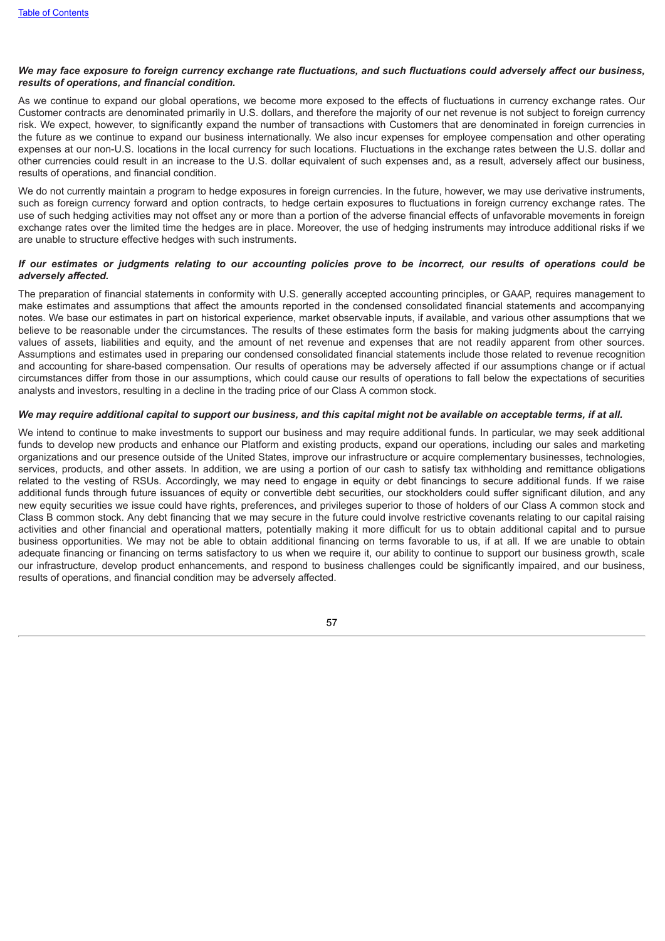## We may face exposure to foreign currency exchange rate fluctuations, and such fluctuations could adversely affect our business, *results of operations, and financial condition.*

As we continue to expand our global operations, we become more exposed to the effects of fluctuations in currency exchange rates. Our Customer contracts are denominated primarily in U.S. dollars, and therefore the majority of our net revenue is not subject to foreign currency risk. We expect, however, to significantly expand the number of transactions with Customers that are denominated in foreign currencies in the future as we continue to expand our business internationally. We also incur expenses for employee compensation and other operating expenses at our non-U.S. locations in the local currency for such locations. Fluctuations in the exchange rates between the U.S. dollar and other currencies could result in an increase to the U.S. dollar equivalent of such expenses and, as a result, adversely affect our business, results of operations, and financial condition.

We do not currently maintain a program to hedge exposures in foreign currencies. In the future, however, we may use derivative instruments, such as foreign currency forward and option contracts, to hedge certain exposures to fluctuations in foreign currency exchange rates. The use of such hedging activities may not offset any or more than a portion of the adverse financial effects of unfavorable movements in foreign exchange rates over the limited time the hedges are in place. Moreover, the use of hedging instruments may introduce additional risks if we are unable to structure effective hedges with such instruments.

## If our estimates or judgments relating to our accounting policies prove to be incorrect, our results of operations could be *adversely affected.*

The preparation of financial statements in conformity with U.S. generally accepted accounting principles, or GAAP, requires management to make estimates and assumptions that affect the amounts reported in the condensed consolidated financial statements and accompanying notes. We base our estimates in part on historical experience, market observable inputs, if available, and various other assumptions that we believe to be reasonable under the circumstances. The results of these estimates form the basis for making judgments about the carrying values of assets, liabilities and equity, and the amount of net revenue and expenses that are not readily apparent from other sources. Assumptions and estimates used in preparing our condensed consolidated financial statements include those related to revenue recognition and accounting for share-based compensation. Our results of operations may be adversely affected if our assumptions change or if actual circumstances differ from those in our assumptions, which could cause our results of operations to fall below the expectations of securities analysts and investors, resulting in a decline in the trading price of our Class A common stock.

# We may require additional capital to support our business, and this capital might not be available on acceptable terms, if at all.

We intend to continue to make investments to support our business and may require additional funds. In particular, we may seek additional funds to develop new products and enhance our Platform and existing products, expand our operations, including our sales and marketing organizations and our presence outside of the United States, improve our infrastructure or acquire complementary businesses, technologies, services, products, and other assets. In addition, we are using a portion of our cash to satisfy tax withholding and remittance obligations related to the vesting of RSUs. Accordingly, we may need to engage in equity or debt financings to secure additional funds. If we raise additional funds through future issuances of equity or convertible debt securities, our stockholders could suffer significant dilution, and any new equity securities we issue could have rights, preferences, and privileges superior to those of holders of our Class A common stock and Class B common stock. Any debt financing that we may secure in the future could involve restrictive covenants relating to our capital raising activities and other financial and operational matters, potentially making it more difficult for us to obtain additional capital and to pursue business opportunities. We may not be able to obtain additional financing on terms favorable to us, if at all. If we are unable to obtain adequate financing or financing on terms satisfactory to us when we require it, our ability to continue to support our business growth, scale our infrastructure, develop product enhancements, and respond to business challenges could be significantly impaired, and our business, results of operations, and financial condition may be adversely affected.

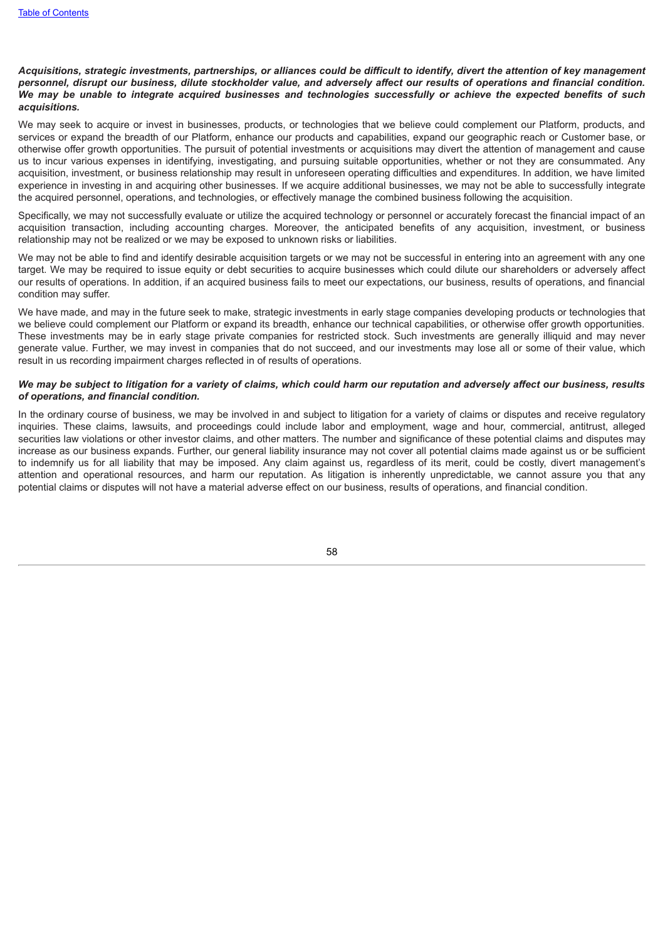## Acquisitions, strategic investments, partnerships, or alliances could be difficult to identify, divert the attention of key management personnel, disrupt our business, dilute stockholder value, and adversely affect our results of operations and financial condition. We may be unable to integrate acquired businesses and technologies successfully or achieve the expected benefits of such *acquisitions.*

We may seek to acquire or invest in businesses, products, or technologies that we believe could complement our Platform, products, and services or expand the breadth of our Platform, enhance our products and capabilities, expand our geographic reach or Customer base, or otherwise offer growth opportunities. The pursuit of potential investments or acquisitions may divert the attention of management and cause us to incur various expenses in identifying, investigating, and pursuing suitable opportunities, whether or not they are consummated. Any acquisition, investment, or business relationship may result in unforeseen operating difficulties and expenditures. In addition, we have limited experience in investing in and acquiring other businesses. If we acquire additional businesses, we may not be able to successfully integrate the acquired personnel, operations, and technologies, or effectively manage the combined business following the acquisition.

Specifically, we may not successfully evaluate or utilize the acquired technology or personnel or accurately forecast the financial impact of an acquisition transaction, including accounting charges. Moreover, the anticipated benefits of any acquisition, investment, or business relationship may not be realized or we may be exposed to unknown risks or liabilities.

We may not be able to find and identify desirable acquisition targets or we may not be successful in entering into an agreement with any one target. We may be required to issue equity or debt securities to acquire businesses which could dilute our shareholders or adversely affect our results of operations. In addition, if an acquired business fails to meet our expectations, our business, results of operations, and financial condition may suffer.

We have made, and may in the future seek to make, strategic investments in early stage companies developing products or technologies that we believe could complement our Platform or expand its breadth, enhance our technical capabilities, or otherwise offer growth opportunities. These investments may be in early stage private companies for restricted stock. Such investments are generally illiquid and may never generate value. Further, we may invest in companies that do not succeed, and our investments may lose all or some of their value, which result in us recording impairment charges reflected in of results of operations.

# We may be subject to litigation for a variety of claims, which could harm our reputation and adversely affect our business, results *of operations, and financial condition.*

In the ordinary course of business, we may be involved in and subject to litigation for a variety of claims or disputes and receive regulatory inquiries. These claims, lawsuits, and proceedings could include labor and employment, wage and hour, commercial, antitrust, alleged securities law violations or other investor claims, and other matters. The number and significance of these potential claims and disputes may increase as our business expands. Further, our general liability insurance may not cover all potential claims made against us or be sufficient to indemnify us for all liability that may be imposed. Any claim against us, regardless of its merit, could be costly, divert management's attention and operational resources, and harm our reputation. As litigation is inherently unpredictable, we cannot assure you that any potential claims or disputes will not have a material adverse effect on our business, results of operations, and financial condition.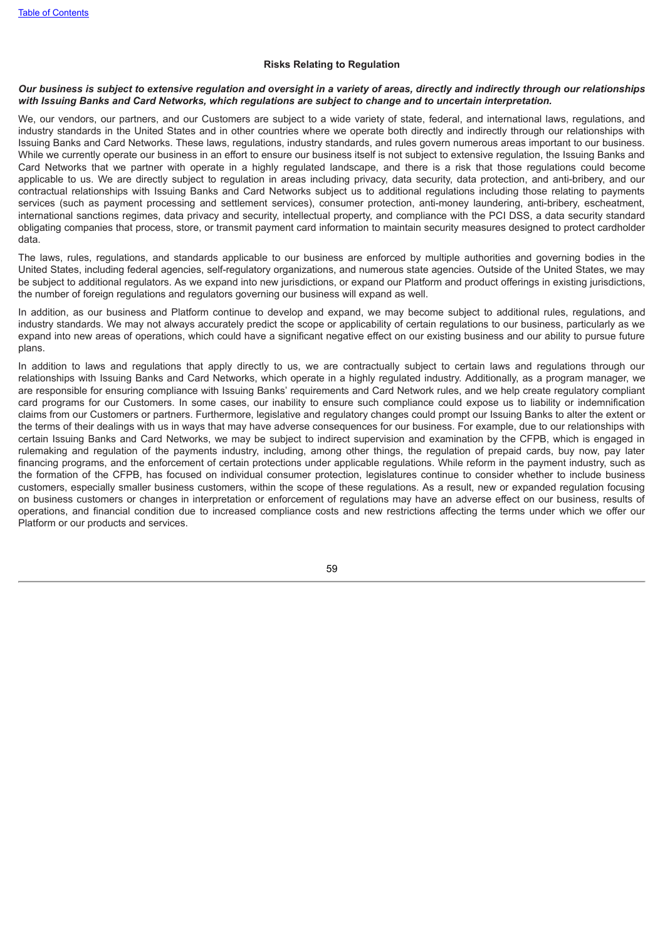#### **Risks Relating to Regulation**

#### Our business is subject to extensive requlation and oversight in a variety of areas, directly and indirectly through our relationships *with Issuing Banks and Card Networks, which regulations are subject to change and to uncertain interpretation.*

We, our vendors, our partners, and our Customers are subject to a wide variety of state, federal, and international laws, regulations, and industry standards in the United States and in other countries where we operate both directly and indirectly through our relationships with Issuing Banks and Card Networks. These laws, regulations, industry standards, and rules govern numerous areas important to our business. While we currently operate our business in an effort to ensure our business itself is not subject to extensive regulation, the Issuing Banks and Card Networks that we partner with operate in a highly regulated landscape, and there is a risk that those regulations could become applicable to us. We are directly subject to regulation in areas including privacy, data security, data protection, and anti-bribery, and our contractual relationships with Issuing Banks and Card Networks subject us to additional regulations including those relating to payments services (such as payment processing and settlement services), consumer protection, anti-money laundering, anti-bribery, escheatment, international sanctions regimes, data privacy and security, intellectual property, and compliance with the PCI DSS, a data security standard obligating companies that process, store, or transmit payment card information to maintain security measures designed to protect cardholder data.

The laws, rules, regulations, and standards applicable to our business are enforced by multiple authorities and governing bodies in the United States, including federal agencies, self-regulatory organizations, and numerous state agencies. Outside of the United States, we may be subject to additional regulators. As we expand into new jurisdictions, or expand our Platform and product offerings in existing jurisdictions, the number of foreign regulations and regulators governing our business will expand as well.

In addition, as our business and Platform continue to develop and expand, we may become subject to additional rules, regulations, and industry standards. We may not always accurately predict the scope or applicability of certain regulations to our business, particularly as we expand into new areas of operations, which could have a significant negative effect on our existing business and our ability to pursue future plans.

In addition to laws and regulations that apply directly to us, we are contractually subject to certain laws and regulations through our relationships with Issuing Banks and Card Networks, which operate in a highly regulated industry. Additionally, as a program manager, we are responsible for ensuring compliance with Issuing Banks' requirements and Card Network rules, and we help create regulatory compliant card programs for our Customers. In some cases, our inability to ensure such compliance could expose us to liability or indemnification claims from our Customers or partners. Furthermore, legislative and regulatory changes could prompt our Issuing Banks to alter the extent or the terms of their dealings with us in ways that may have adverse consequences for our business. For example, due to our relationships with certain Issuing Banks and Card Networks, we may be subject to indirect supervision and examination by the CFPB, which is engaged in rulemaking and regulation of the payments industry, including, among other things, the regulation of prepaid cards, buy now, pay later financing programs, and the enforcement of certain protections under applicable regulations. While reform in the payment industry, such as the formation of the CFPB, has focused on individual consumer protection, legislatures continue to consider whether to include business customers, especially smaller business customers, within the scope of these regulations. As a result, new or expanded regulation focusing on business customers or changes in interpretation or enforcement of regulations may have an adverse effect on our business, results of operations, and financial condition due to increased compliance costs and new restrictions affecting the terms under which we offer our Platform or our products and services.

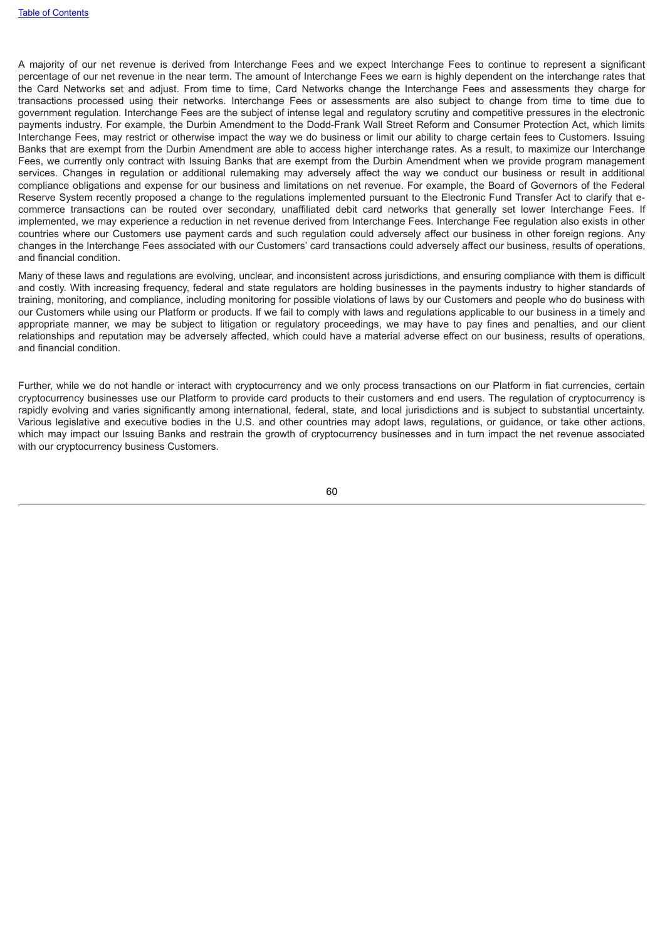A majority of our net revenue is derived from Interchange Fees and we expect Interchange Fees to continue to represent a significant percentage of our net revenue in the near term. The amount of Interchange Fees we earn is highly dependent on the interchange rates that the Card Networks set and adjust. From time to time, Card Networks change the Interchange Fees and assessments they charge for transactions processed using their networks. Interchange Fees or assessments are also subject to change from time to time due to government regulation. Interchange Fees are the subject of intense legal and regulatory scrutiny and competitive pressures in the electronic payments industry. For example, the Durbin Amendment to the Dodd-Frank Wall Street Reform and Consumer Protection Act, which limits Interchange Fees, may restrict or otherwise impact the way we do business or limit our ability to charge certain fees to Customers. Issuing Banks that are exempt from the Durbin Amendment are able to access higher interchange rates. As a result, to maximize our Interchange Fees, we currently only contract with Issuing Banks that are exempt from the Durbin Amendment when we provide program management services. Changes in regulation or additional rulemaking may adversely affect the way we conduct our business or result in additional compliance obligations and expense for our business and limitations on net revenue. For example, the Board of Governors of the Federal Reserve System recently proposed a change to the regulations implemented pursuant to the Electronic Fund Transfer Act to clarify that ecommerce transactions can be routed over secondary, unaffiliated debit card networks that generally set lower Interchange Fees. If implemented, we may experience a reduction in net revenue derived from Interchange Fees. Interchange Fee regulation also exists in other countries where our Customers use payment cards and such regulation could adversely affect our business in other foreign regions. Any changes in the Interchange Fees associated with our Customers' card transactions could adversely affect our business, results of operations, and financial condition.

Many of these laws and regulations are evolving, unclear, and inconsistent across jurisdictions, and ensuring compliance with them is difficult and costly. With increasing frequency, federal and state regulators are holding businesses in the payments industry to higher standards of training, monitoring, and compliance, including monitoring for possible violations of laws by our Customers and people who do business with our Customers while using our Platform or products. If we fail to comply with laws and regulations applicable to our business in a timely and appropriate manner, we may be subject to litigation or regulatory proceedings, we may have to pay fines and penalties, and our client relationships and reputation may be adversely affected, which could have a material adverse effect on our business, results of operations, and financial condition.

Further, while we do not handle or interact with cryptocurrency and we only process transactions on our Platform in fiat currencies, certain cryptocurrency businesses use our Platform to provide card products to their customers and end users. The regulation of cryptocurrency is rapidly evolving and varies significantly among international, federal, state, and local jurisdictions and is subject to substantial uncertainty. Various legislative and executive bodies in the U.S. and other countries may adopt laws, regulations, or guidance, or take other actions, which may impact our Issuing Banks and restrain the growth of cryptocurrency businesses and in turn impact the net revenue associated with our cryptocurrency business Customers.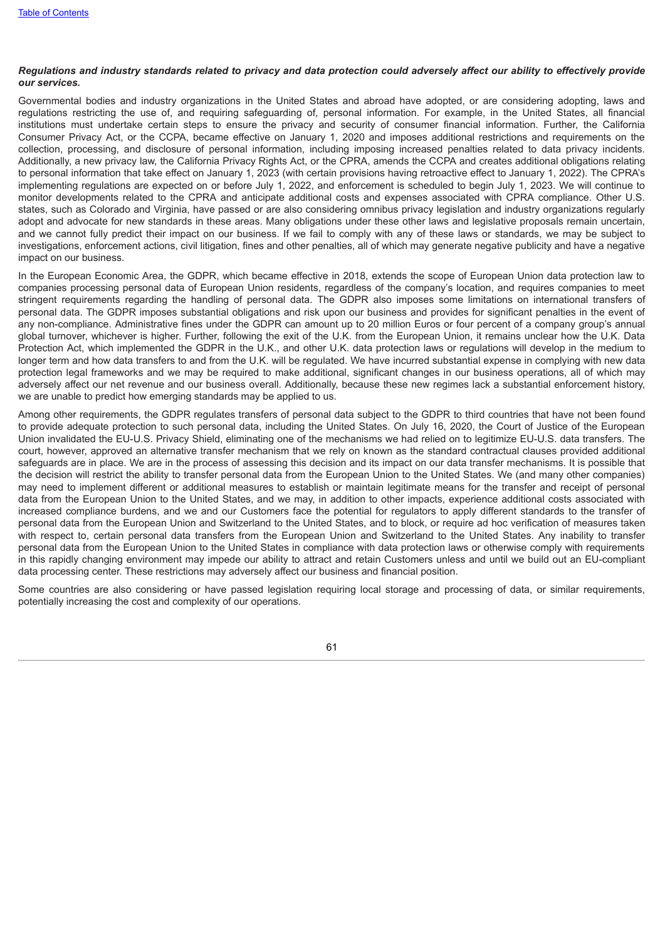## Regulations and industry standards related to privacy and data protection could adversely affect our ability to effectively provide *our services.*

Governmental bodies and industry organizations in the United States and abroad have adopted, or are considering adopting, laws and regulations restricting the use of, and requiring safeguarding of, personal information. For example, in the United States, all financial institutions must undertake certain steps to ensure the privacy and security of consumer financial information. Further, the California Consumer Privacy Act, or the CCPA, became effective on January 1, 2020 and imposes additional restrictions and requirements on the collection, processing, and disclosure of personal information, including imposing increased penalties related to data privacy incidents. Additionally, a new privacy law, the California Privacy Rights Act, or the CPRA, amends the CCPA and creates additional obligations relating to personal information that take effect on January 1, 2023 (with certain provisions having retroactive effect to January 1, 2022). The CPRA's implementing regulations are expected on or before July 1, 2022, and enforcement is scheduled to begin July 1, 2023. We will continue to monitor developments related to the CPRA and anticipate additional costs and expenses associated with CPRA compliance. Other U.S. states, such as Colorado and Virginia, have passed or are also considering omnibus privacy legislation and industry organizations regularly adopt and advocate for new standards in these areas. Many obligations under these other laws and legislative proposals remain uncertain, and we cannot fully predict their impact on our business. If we fail to comply with any of these laws or standards, we may be subject to investigations, enforcement actions, civil litigation, fines and other penalties, all of which may generate negative publicity and have a negative impact on our business.

In the European Economic Area, the GDPR, which became effective in 2018, extends the scope of European Union data protection law to companies processing personal data of European Union residents, regardless of the company's location, and requires companies to meet stringent requirements regarding the handling of personal data. The GDPR also imposes some limitations on international transfers of personal data. The GDPR imposes substantial obligations and risk upon our business and provides for significant penalties in the event of any non-compliance. Administrative fines under the GDPR can amount up to 20 million Euros or four percent of a company group's annual global turnover, whichever is higher. Further, following the exit of the U.K. from the European Union, it remains unclear how the U.K. Data Protection Act, which implemented the GDPR in the U.K., and other U.K. data protection laws or regulations will develop in the medium to longer term and how data transfers to and from the U.K. will be regulated. We have incurred substantial expense in complying with new data protection legal frameworks and we may be required to make additional, significant changes in our business operations, all of which may adversely affect our net revenue and our business overall. Additionally, because these new regimes lack a substantial enforcement history, we are unable to predict how emerging standards may be applied to us.

Among other requirements, the GDPR regulates transfers of personal data subject to the GDPR to third countries that have not been found to provide adequate protection to such personal data, including the United States. On July 16, 2020, the Court of Justice of the European Union invalidated the EU-U.S. Privacy Shield, eliminating one of the mechanisms we had relied on to legitimize EU-U.S. data transfers. The court, however, approved an alternative transfer mechanism that we rely on known as the standard contractual clauses provided additional safeguards are in place. We are in the process of assessing this decision and its impact on our data transfer mechanisms. It is possible that the decision will restrict the ability to transfer personal data from the European Union to the United States. We (and many other companies) may need to implement different or additional measures to establish or maintain legitimate means for the transfer and receipt of personal data from the European Union to the United States, and we may, in addition to other impacts, experience additional costs associated with increased compliance burdens, and we and our Customers face the potential for regulators to apply different standards to the transfer of personal data from the European Union and Switzerland to the United States, and to block, or require ad hoc verification of measures taken with respect to, certain personal data transfers from the European Union and Switzerland to the United States. Any inability to transfer personal data from the European Union to the United States in compliance with data protection laws or otherwise comply with requirements in this rapidly changing environment may impede our ability to attract and retain Customers unless and until we build out an EU-compliant data processing center. These restrictions may adversely affect our business and financial position.

Some countries are also considering or have passed legislation requiring local storage and processing of data, or similar requirements, potentially increasing the cost and complexity of our operations.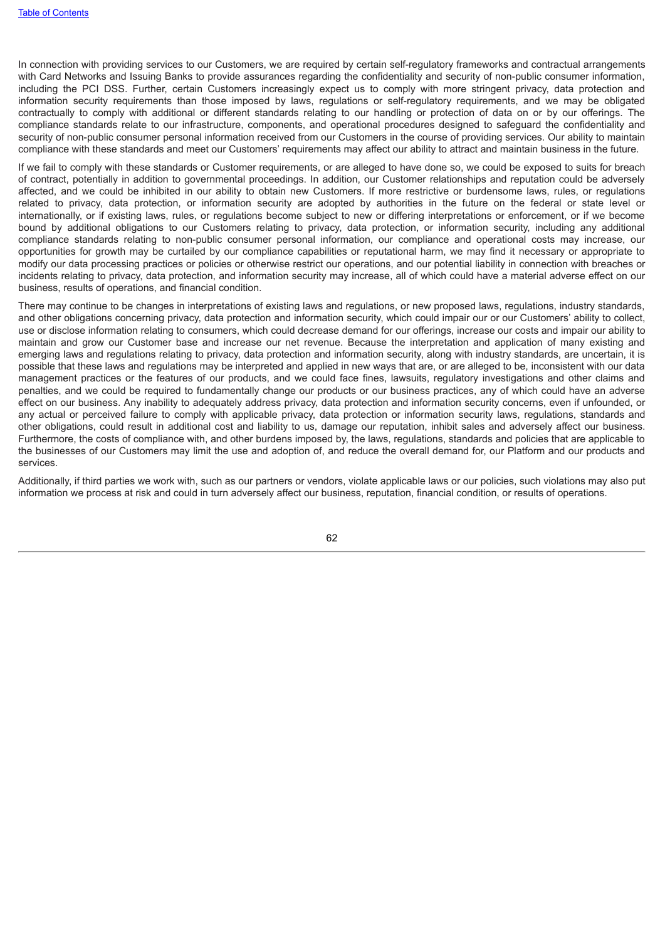In connection with providing services to our Customers, we are required by certain self-regulatory frameworks and contractual arrangements with Card Networks and Issuing Banks to provide assurances regarding the confidentiality and security of non-public consumer information, including the PCI DSS. Further, certain Customers increasingly expect us to comply with more stringent privacy, data protection and information security requirements than those imposed by laws, regulations or self-regulatory requirements, and we may be obligated contractually to comply with additional or different standards relating to our handling or protection of data on or by our offerings. The compliance standards relate to our infrastructure, components, and operational procedures designed to safeguard the confidentiality and security of non-public consumer personal information received from our Customers in the course of providing services. Our ability to maintain compliance with these standards and meet our Customers' requirements may affect our ability to attract and maintain business in the future.

If we fail to comply with these standards or Customer requirements, or are alleged to have done so, we could be exposed to suits for breach of contract, potentially in addition to governmental proceedings. In addition, our Customer relationships and reputation could be adversely affected, and we could be inhibited in our ability to obtain new Customers. If more restrictive or burdensome laws, rules, or regulations related to privacy, data protection, or information security are adopted by authorities in the future on the federal or state level or internationally, or if existing laws, rules, or regulations become subject to new or differing interpretations or enforcement, or if we become bound by additional obligations to our Customers relating to privacy, data protection, or information security, including any additional compliance standards relating to non-public consumer personal information, our compliance and operational costs may increase, our opportunities for growth may be curtailed by our compliance capabilities or reputational harm, we may find it necessary or appropriate to modify our data processing practices or policies or otherwise restrict our operations, and our potential liability in connection with breaches or incidents relating to privacy, data protection, and information security may increase, all of which could have a material adverse effect on our business, results of operations, and financial condition.

There may continue to be changes in interpretations of existing laws and regulations, or new proposed laws, regulations, industry standards, and other obligations concerning privacy, data protection and information security, which could impair our or our Customers' ability to collect, use or disclose information relating to consumers, which could decrease demand for our offerings, increase our costs and impair our ability to maintain and grow our Customer base and increase our net revenue. Because the interpretation and application of many existing and emerging laws and regulations relating to privacy, data protection and information security, along with industry standards, are uncertain, it is possible that these laws and regulations may be interpreted and applied in new ways that are, or are alleged to be, inconsistent with our data management practices or the features of our products, and we could face fines, lawsuits, regulatory investigations and other claims and penalties, and we could be required to fundamentally change our products or our business practices, any of which could have an adverse effect on our business. Any inability to adequately address privacy, data protection and information security concerns, even if unfounded, or any actual or perceived failure to comply with applicable privacy, data protection or information security laws, regulations, standards and other obligations, could result in additional cost and liability to us, damage our reputation, inhibit sales and adversely affect our business. Furthermore, the costs of compliance with, and other burdens imposed by, the laws, regulations, standards and policies that are applicable to the businesses of our Customers may limit the use and adoption of, and reduce the overall demand for, our Platform and our products and services.

Additionally, if third parties we work with, such as our partners or vendors, violate applicable laws or our policies, such violations may also put information we process at risk and could in turn adversely affect our business, reputation, financial condition, or results of operations.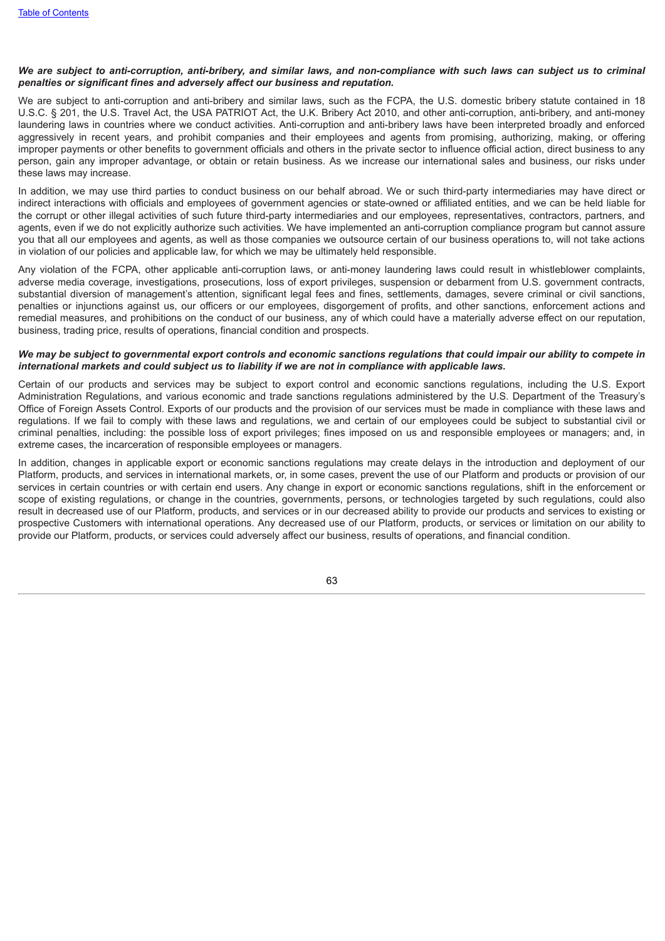## We are subject to anti-corruption, anti-bribery, and similar laws, and non-compliance with such laws can subject us to criminal *penalties or significant fines and adversely affect our business and reputation.*

We are subject to anti-corruption and anti-bribery and similar laws, such as the FCPA, the U.S. domestic bribery statute contained in 18 U.S.C. § 201, the U.S. Travel Act, the USA PATRIOT Act, the U.K. Bribery Act 2010, and other anti-corruption, anti-bribery, and anti-money laundering laws in countries where we conduct activities. Anti-corruption and anti-bribery laws have been interpreted broadly and enforced aggressively in recent years, and prohibit companies and their employees and agents from promising, authorizing, making, or offering improper payments or other benefits to government officials and others in the private sector to influence official action, direct business to any person, gain any improper advantage, or obtain or retain business. As we increase our international sales and business, our risks under these laws may increase.

In addition, we may use third parties to conduct business on our behalf abroad. We or such third-party intermediaries may have direct or indirect interactions with officials and employees of government agencies or state-owned or affiliated entities, and we can be held liable for the corrupt or other illegal activities of such future third-party intermediaries and our employees, representatives, contractors, partners, and agents, even if we do not explicitly authorize such activities. We have implemented an anti-corruption compliance program but cannot assure you that all our employees and agents, as well as those companies we outsource certain of our business operations to, will not take actions in violation of our policies and applicable law, for which we may be ultimately held responsible.

Any violation of the FCPA, other applicable anti-corruption laws, or anti-money laundering laws could result in whistleblower complaints, adverse media coverage, investigations, prosecutions, loss of export privileges, suspension or debarment from U.S. government contracts, substantial diversion of management's attention, significant legal fees and fines, settlements, damages, severe criminal or civil sanctions, penalties or injunctions against us, our officers or our employees, disgorgement of profits, and other sanctions, enforcement actions and remedial measures, and prohibitions on the conduct of our business, any of which could have a materially adverse effect on our reputation, business, trading price, results of operations, financial condition and prospects.

## We may be subject to governmental export controls and economic sanctions regulations that could impair our ability to compete in *international markets and could subject us to liability if we are not in compliance with applicable laws.*

Certain of our products and services may be subject to export control and economic sanctions regulations, including the U.S. Export Administration Regulations, and various economic and trade sanctions regulations administered by the U.S. Department of the Treasury's Office of Foreign Assets Control. Exports of our products and the provision of our services must be made in compliance with these laws and regulations. If we fail to comply with these laws and regulations, we and certain of our employees could be subject to substantial civil or criminal penalties, including: the possible loss of export privileges; fines imposed on us and responsible employees or managers; and, in extreme cases, the incarceration of responsible employees or managers.

In addition, changes in applicable export or economic sanctions regulations may create delays in the introduction and deployment of our Platform, products, and services in international markets, or, in some cases, prevent the use of our Platform and products or provision of our services in certain countries or with certain end users. Any change in export or economic sanctions regulations, shift in the enforcement or scope of existing regulations, or change in the countries, governments, persons, or technologies targeted by such regulations, could also result in decreased use of our Platform, products, and services or in our decreased ability to provide our products and services to existing or prospective Customers with international operations. Any decreased use of our Platform, products, or services or limitation on our ability to provide our Platform, products, or services could adversely affect our business, results of operations, and financial condition.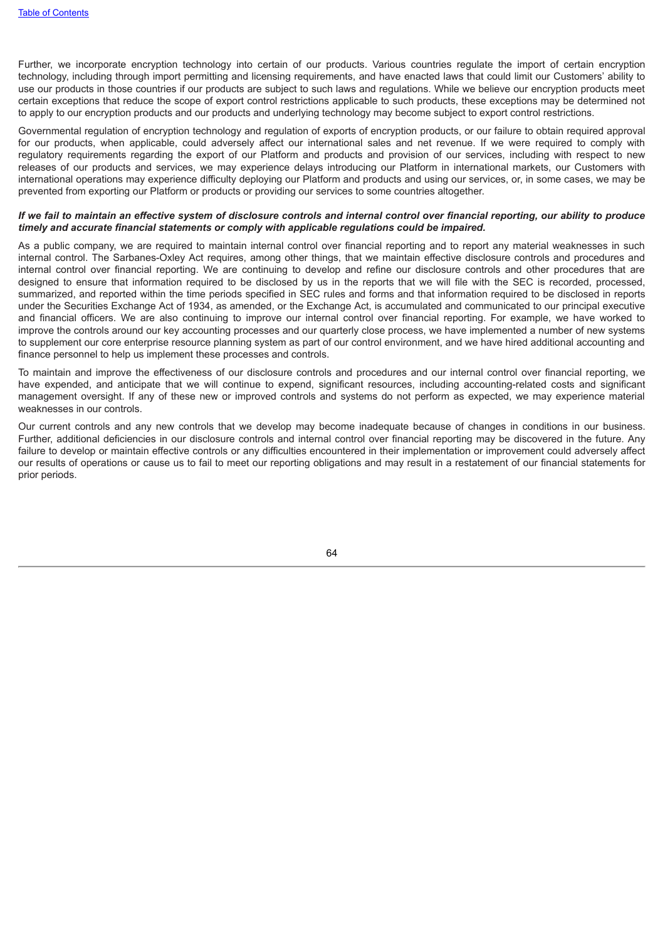Further, we incorporate encryption technology into certain of our products. Various countries regulate the import of certain encryption technology, including through import permitting and licensing requirements, and have enacted laws that could limit our Customers' ability to use our products in those countries if our products are subject to such laws and regulations. While we believe our encryption products meet certain exceptions that reduce the scope of export control restrictions applicable to such products, these exceptions may be determined not to apply to our encryption products and our products and underlying technology may become subject to export control restrictions.

Governmental regulation of encryption technology and regulation of exports of encryption products, or our failure to obtain required approval for our products, when applicable, could adversely affect our international sales and net revenue. If we were required to comply with regulatory requirements regarding the export of our Platform and products and provision of our services, including with respect to new releases of our products and services, we may experience delays introducing our Platform in international markets, our Customers with international operations may experience difficulty deploying our Platform and products and using our services, or, in some cases, we may be prevented from exporting our Platform or products or providing our services to some countries altogether.

## If we fail to maintain an effective system of disclosure controls and internal control over financial reporting, our ability to produce *timely and accurate financial statements or comply with applicable regulations could be impaired.*

As a public company, we are required to maintain internal control over financial reporting and to report any material weaknesses in such internal control. The Sarbanes-Oxley Act requires, among other things, that we maintain effective disclosure controls and procedures and internal control over financial reporting. We are continuing to develop and refine our disclosure controls and other procedures that are designed to ensure that information required to be disclosed by us in the reports that we will file with the SEC is recorded, processed, summarized, and reported within the time periods specified in SEC rules and forms and that information required to be disclosed in reports under the Securities Exchange Act of 1934, as amended, or the Exchange Act, is accumulated and communicated to our principal executive and financial officers. We are also continuing to improve our internal control over financial reporting. For example, we have worked to improve the controls around our key accounting processes and our quarterly close process, we have implemented a number of new systems to supplement our core enterprise resource planning system as part of our control environment, and we have hired additional accounting and finance personnel to help us implement these processes and controls.

To maintain and improve the effectiveness of our disclosure controls and procedures and our internal control over financial reporting, we have expended, and anticipate that we will continue to expend, significant resources, including accounting-related costs and significant management oversight. If any of these new or improved controls and systems do not perform as expected, we may experience material weaknesses in our controls.

Our current controls and any new controls that we develop may become inadequate because of changes in conditions in our business. Further, additional deficiencies in our disclosure controls and internal control over financial reporting may be discovered in the future. Any failure to develop or maintain effective controls or any difficulties encountered in their implementation or improvement could adversely affect our results of operations or cause us to fail to meet our reporting obligations and may result in a restatement of our financial statements for prior periods.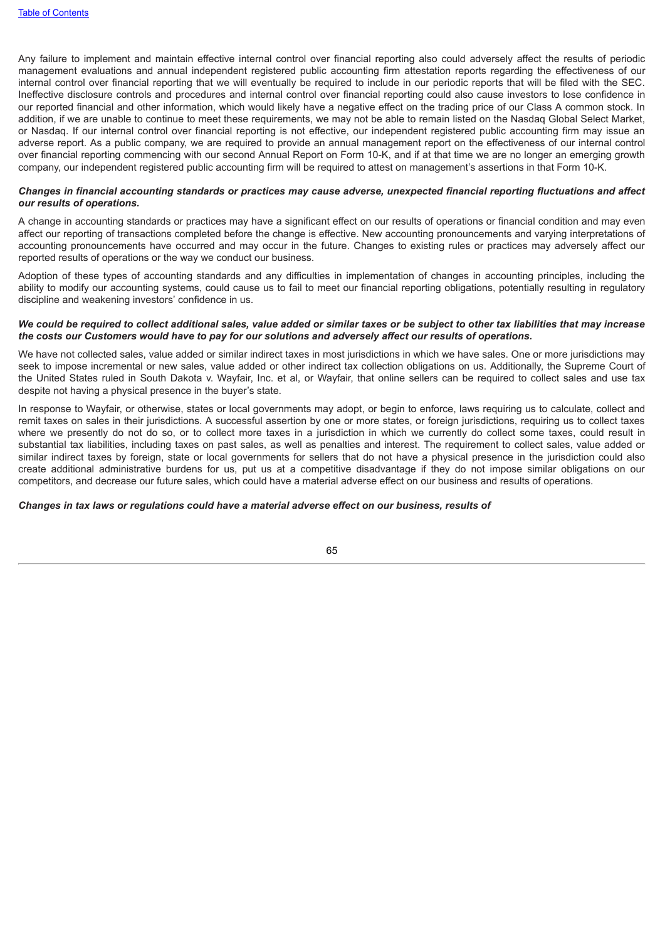Any failure to implement and maintain effective internal control over financial reporting also could adversely affect the results of periodic management evaluations and annual independent registered public accounting firm attestation reports regarding the effectiveness of our internal control over financial reporting that we will eventually be required to include in our periodic reports that will be filed with the SEC. Ineffective disclosure controls and procedures and internal control over financial reporting could also cause investors to lose confidence in our reported financial and other information, which would likely have a negative effect on the trading price of our Class A common stock. In addition, if we are unable to continue to meet these requirements, we may not be able to remain listed on the Nasdaq Global Select Market, or Nasdaq. If our internal control over financial reporting is not effective, our independent registered public accounting firm may issue an adverse report. As a public company, we are required to provide an annual management report on the effectiveness of our internal control over financial reporting commencing with our second Annual Report on Form 10-K, and if at that time we are no longer an emerging growth company, our independent registered public accounting firm will be required to attest on management's assertions in that Form 10-K.

## Changes in financial accounting standards or practices may cause adverse, unexpected financial reporting fluctuations and affect *our results of operations.*

A change in accounting standards or practices may have a significant effect on our results of operations or financial condition and may even affect our reporting of transactions completed before the change is effective. New accounting pronouncements and varying interpretations of accounting pronouncements have occurred and may occur in the future. Changes to existing rules or practices may adversely affect our reported results of operations or the way we conduct our business.

Adoption of these types of accounting standards and any difficulties in implementation of changes in accounting principles, including the ability to modify our accounting systems, could cause us to fail to meet our financial reporting obligations, potentially resulting in regulatory discipline and weakening investors' confidence in us.

## We could be required to collect additional sales, value added or similar taxes or be subject to other tax liabilities that may increase the costs our Customers would have to pay for our solutions and adversely affect our results of operations.

We have not collected sales, value added or similar indirect taxes in most jurisdictions in which we have sales. One or more jurisdictions may seek to impose incremental or new sales, value added or other indirect tax collection obligations on us. Additionally, the Supreme Court of the United States ruled in South Dakota v. Wayfair, Inc. et al, or Wayfair, that online sellers can be required to collect sales and use tax despite not having a physical presence in the buyer's state.

In response to Wayfair, or otherwise, states or local governments may adopt, or begin to enforce, laws requiring us to calculate, collect and remit taxes on sales in their jurisdictions. A successful assertion by one or more states, or foreign jurisdictions, requiring us to collect taxes where we presently do not do so, or to collect more taxes in a jurisdiction in which we currently do collect some taxes, could result in substantial tax liabilities, including taxes on past sales, as well as penalties and interest. The requirement to collect sales, value added or similar indirect taxes by foreign, state or local governments for sellers that do not have a physical presence in the jurisdiction could also create additional administrative burdens for us, put us at a competitive disadvantage if they do not impose similar obligations on our competitors, and decrease our future sales, which could have a material adverse effect on our business and results of operations.

## *Changes in tax laws or regulations could have a material adverse effect on our business, results of*

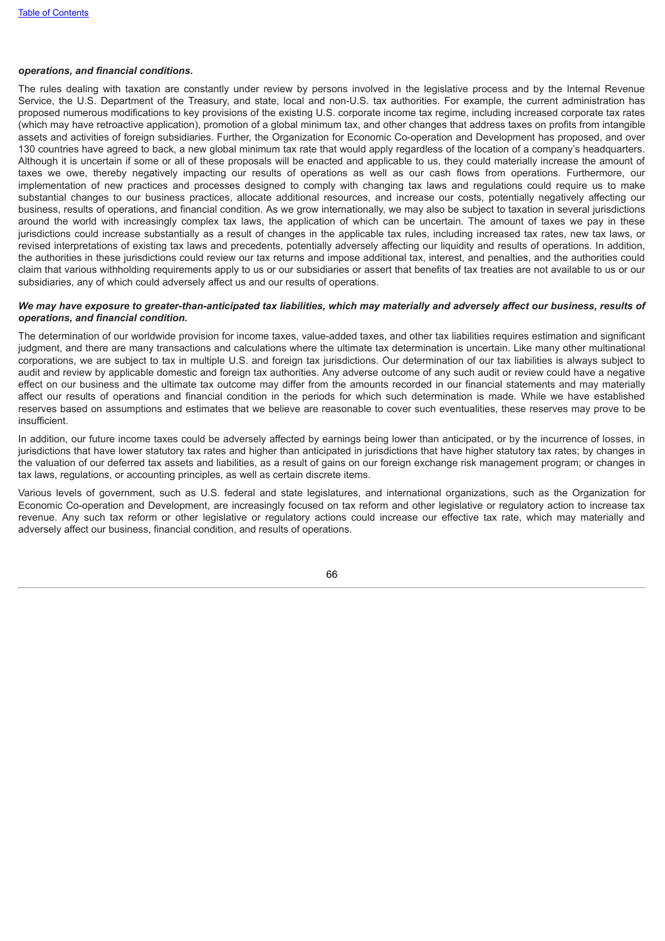# *operations, and financial conditions.*

The rules dealing with taxation are constantly under review by persons involved in the legislative process and by the Internal Revenue Service, the U.S. Department of the Treasury, and state, local and non-U.S. tax authorities. For example, the current administration has proposed numerous modifications to key provisions of the existing U.S. corporate income tax regime, including increased corporate tax rates (which may have retroactive application), promotion of a global minimum tax, and other changes that address taxes on profits from intangible assets and activities of foreign subsidiaries. Further, the Organization for Economic Co-operation and Development has proposed, and over 130 countries have agreed to back, a new global minimum tax rate that would apply regardless of the location of a company's headquarters. Although it is uncertain if some or all of these proposals will be enacted and applicable to us, they could materially increase the amount of taxes we owe, thereby negatively impacting our results of operations as well as our cash flows from operations. Furthermore, our implementation of new practices and processes designed to comply with changing tax laws and regulations could require us to make substantial changes to our business practices, allocate additional resources, and increase our costs, potentially negatively affecting our business, results of operations, and financial condition. As we grow internationally, we may also be subject to taxation in several jurisdictions around the world with increasingly complex tax laws, the application of which can be uncertain. The amount of taxes we pay in these jurisdictions could increase substantially as a result of changes in the applicable tax rules, including increased tax rates, new tax laws, or revised interpretations of existing tax laws and precedents, potentially adversely affecting our liquidity and results of operations. In addition, the authorities in these jurisdictions could review our tax returns and impose additional tax, interest, and penalties, and the authorities could claim that various withholding requirements apply to us or our subsidiaries or assert that benefits of tax treaties are not available to us or our subsidiaries, any of which could adversely affect us and our results of operations.

#### We may have exposure to greater-than-anticipated tax liabilities, which may materially and adversely affect our business, results of *operations, and financial condition.*

The determination of our worldwide provision for income taxes, value-added taxes, and other tax liabilities requires estimation and significant judgment, and there are many transactions and calculations where the ultimate tax determination is uncertain. Like many other multinational corporations, we are subject to tax in multiple U.S. and foreign tax jurisdictions. Our determination of our tax liabilities is always subject to audit and review by applicable domestic and foreign tax authorities. Any adverse outcome of any such audit or review could have a negative effect on our business and the ultimate tax outcome may differ from the amounts recorded in our financial statements and may materially affect our results of operations and financial condition in the periods for which such determination is made. While we have established reserves based on assumptions and estimates that we believe are reasonable to cover such eventualities, these reserves may prove to be insufficient.

In addition, our future income taxes could be adversely affected by earnings being lower than anticipated, or by the incurrence of losses, in jurisdictions that have lower statutory tax rates and higher than anticipated in jurisdictions that have higher statutory tax rates; by changes in the valuation of our deferred tax assets and liabilities, as a result of gains on our foreign exchange risk management program; or changes in tax laws, regulations, or accounting principles, as well as certain discrete items.

Various levels of government, such as U.S. federal and state legislatures, and international organizations, such as the Organization for Economic Co-operation and Development, are increasingly focused on tax reform and other legislative or regulatory action to increase tax revenue. Any such tax reform or other legislative or regulatory actions could increase our effective tax rate, which may materially and adversely affect our business, financial condition, and results of operations.

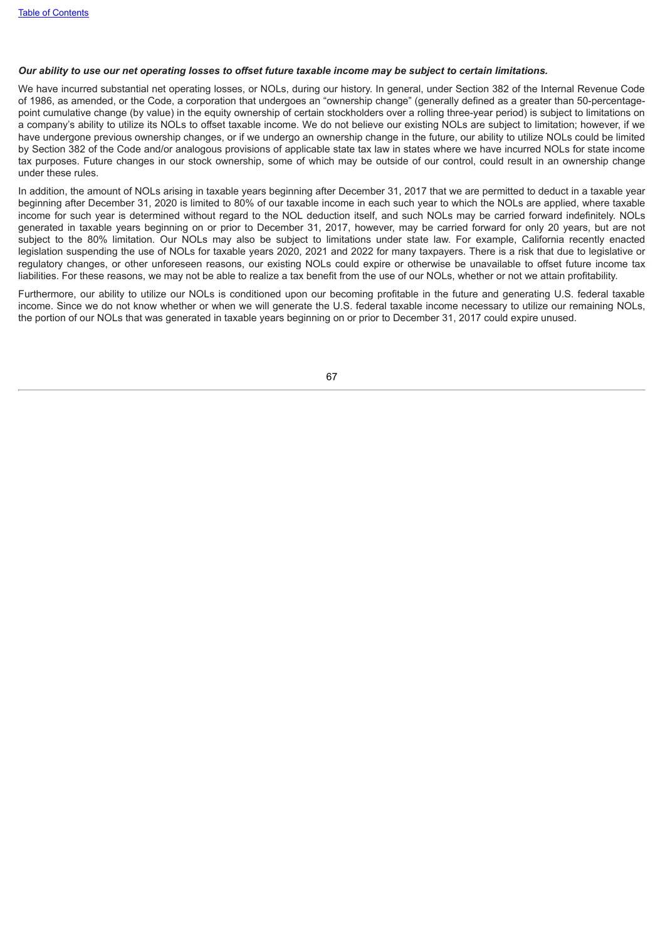# Our ability to use our net operating losses to offset future taxable income may be subject to certain limitations.

We have incurred substantial net operating losses, or NOLs, during our history. In general, under Section 382 of the Internal Revenue Code of 1986, as amended, or the Code, a corporation that undergoes an "ownership change" (generally defined as a greater than 50-percentagepoint cumulative change (by value) in the equity ownership of certain stockholders over a rolling three-year period) is subject to limitations on a company's ability to utilize its NOLs to offset taxable income. We do not believe our existing NOLs are subject to limitation; however, if we have undergone previous ownership changes, or if we undergo an ownership change in the future, our ability to utilize NOLs could be limited by Section 382 of the Code and/or analogous provisions of applicable state tax law in states where we have incurred NOLs for state income tax purposes. Future changes in our stock ownership, some of which may be outside of our control, could result in an ownership change under these rules.

In addition, the amount of NOLs arising in taxable years beginning after December 31, 2017 that we are permitted to deduct in a taxable year beginning after December 31, 2020 is limited to 80% of our taxable income in each such year to which the NOLs are applied, where taxable income for such year is determined without regard to the NOL deduction itself, and such NOLs may be carried forward indefinitely. NOLs generated in taxable years beginning on or prior to December 31, 2017, however, may be carried forward for only 20 years, but are not subject to the 80% limitation. Our NOLs may also be subject to limitations under state law. For example, California recently enacted legislation suspending the use of NOLs for taxable years 2020, 2021 and 2022 for many taxpayers. There is a risk that due to legislative or regulatory changes, or other unforeseen reasons, our existing NOLs could expire or otherwise be unavailable to offset future income tax liabilities. For these reasons, we may not be able to realize a tax benefit from the use of our NOLs, whether or not we attain profitability.

Furthermore, our ability to utilize our NOLs is conditioned upon our becoming profitable in the future and generating U.S. federal taxable income. Since we do not know whether or when we will generate the U.S. federal taxable income necessary to utilize our remaining NOLs, the portion of our NOLs that was generated in taxable years beginning on or prior to December 31, 2017 could expire unused.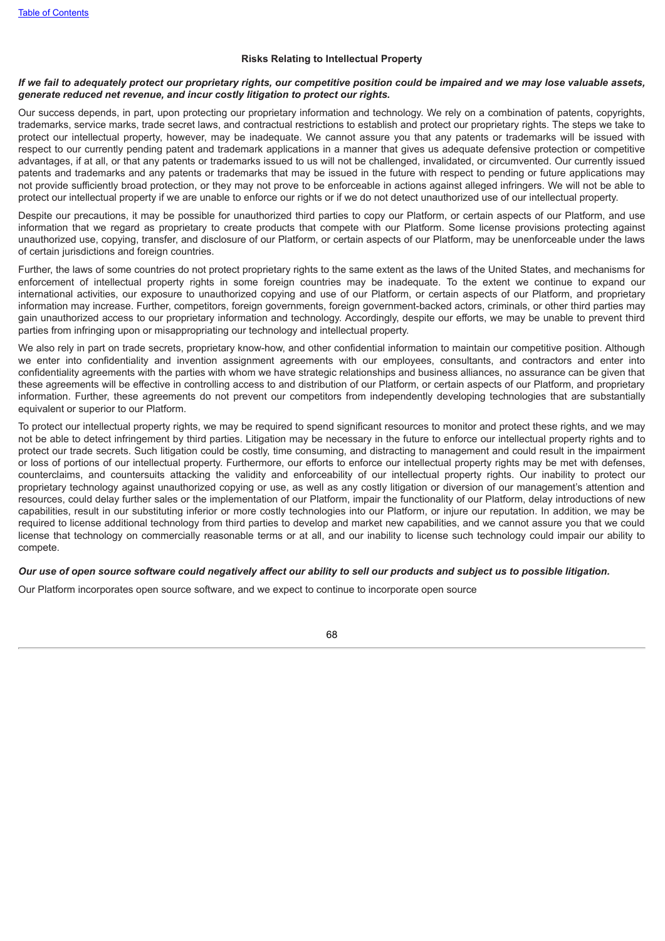#### **Risks Relating to Intellectual Property**

#### If we fail to adequately protect our proprietary rights, our competitive position could be impaired and we may lose valuable assets, *generate reduced net revenue, and incur costly litigation to protect our rights.*

Our success depends, in part, upon protecting our proprietary information and technology. We rely on a combination of patents, copyrights, trademarks, service marks, trade secret laws, and contractual restrictions to establish and protect our proprietary rights. The steps we take to protect our intellectual property, however, may be inadequate. We cannot assure you that any patents or trademarks will be issued with respect to our currently pending patent and trademark applications in a manner that gives us adequate defensive protection or competitive advantages, if at all, or that any patents or trademarks issued to us will not be challenged, invalidated, or circumvented. Our currently issued patents and trademarks and any patents or trademarks that may be issued in the future with respect to pending or future applications may not provide sufficiently broad protection, or they may not prove to be enforceable in actions against alleged infringers. We will not be able to protect our intellectual property if we are unable to enforce our rights or if we do not detect unauthorized use of our intellectual property.

Despite our precautions, it may be possible for unauthorized third parties to copy our Platform, or certain aspects of our Platform, and use information that we regard as proprietary to create products that compete with our Platform. Some license provisions protecting against unauthorized use, copying, transfer, and disclosure of our Platform, or certain aspects of our Platform, may be unenforceable under the laws of certain jurisdictions and foreign countries.

Further, the laws of some countries do not protect proprietary rights to the same extent as the laws of the United States, and mechanisms for enforcement of intellectual property rights in some foreign countries may be inadequate. To the extent we continue to expand our international activities, our exposure to unauthorized copying and use of our Platform, or certain aspects of our Platform, and proprietary information may increase. Further, competitors, foreign governments, foreign government-backed actors, criminals, or other third parties may gain unauthorized access to our proprietary information and technology. Accordingly, despite our efforts, we may be unable to prevent third parties from infringing upon or misappropriating our technology and intellectual property.

We also rely in part on trade secrets, proprietary know-how, and other confidential information to maintain our competitive position. Although we enter into confidentiality and invention assignment agreements with our employees, consultants, and contractors and enter into confidentiality agreements with the parties with whom we have strategic relationships and business alliances, no assurance can be given that these agreements will be effective in controlling access to and distribution of our Platform, or certain aspects of our Platform, and proprietary information. Further, these agreements do not prevent our competitors from independently developing technologies that are substantially equivalent or superior to our Platform.

To protect our intellectual property rights, we may be required to spend significant resources to monitor and protect these rights, and we may not be able to detect infringement by third parties. Litigation may be necessary in the future to enforce our intellectual property rights and to protect our trade secrets. Such litigation could be costly, time consuming, and distracting to management and could result in the impairment or loss of portions of our intellectual property. Furthermore, our efforts to enforce our intellectual property rights may be met with defenses, counterclaims, and countersuits attacking the validity and enforceability of our intellectual property rights. Our inability to protect our proprietary technology against unauthorized copying or use, as well as any costly litigation or diversion of our management's attention and resources, could delay further sales or the implementation of our Platform, impair the functionality of our Platform, delay introductions of new capabilities, result in our substituting inferior or more costly technologies into our Platform, or injure our reputation. In addition, we may be required to license additional technology from third parties to develop and market new capabilities, and we cannot assure you that we could license that technology on commercially reasonable terms or at all, and our inability to license such technology could impair our ability to compete.

## Our use of open source software could negatively affect our ability to sell our products and subject us to possible litigation.

Our Platform incorporates open source software, and we expect to continue to incorporate open source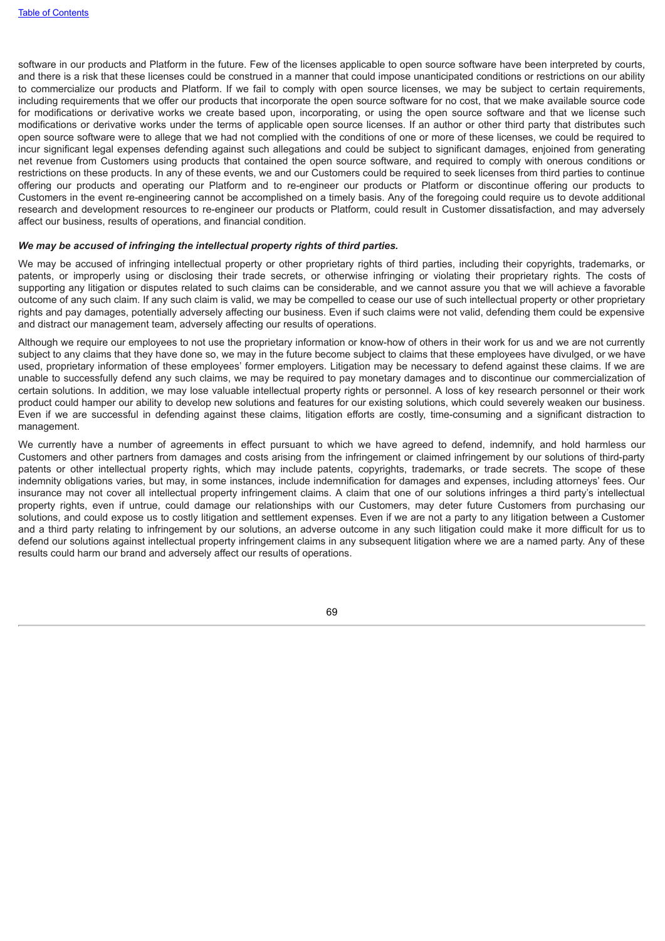software in our products and Platform in the future. Few of the licenses applicable to open source software have been interpreted by courts, and there is a risk that these licenses could be construed in a manner that could impose unanticipated conditions or restrictions on our ability to commercialize our products and Platform. If we fail to comply with open source licenses, we may be subject to certain requirements, including requirements that we offer our products that incorporate the open source software for no cost, that we make available source code for modifications or derivative works we create based upon, incorporating, or using the open source software and that we license such modifications or derivative works under the terms of applicable open source licenses. If an author or other third party that distributes such open source software were to allege that we had not complied with the conditions of one or more of these licenses, we could be required to incur significant legal expenses defending against such allegations and could be subject to significant damages, enjoined from generating net revenue from Customers using products that contained the open source software, and required to comply with onerous conditions or restrictions on these products. In any of these events, we and our Customers could be required to seek licenses from third parties to continue offering our products and operating our Platform and to re-engineer our products or Platform or discontinue offering our products to Customers in the event re-engineering cannot be accomplished on a timely basis. Any of the foregoing could require us to devote additional research and development resources to re-engineer our products or Platform, could result in Customer dissatisfaction, and may adversely affect our business, results of operations, and financial condition.

#### *We may be accused of infringing the intellectual property rights of third parties.*

We may be accused of infringing intellectual property or other proprietary rights of third parties, including their copyrights, trademarks, or patents, or improperly using or disclosing their trade secrets, or otherwise infringing or violating their proprietary rights. The costs of supporting any litigation or disputes related to such claims can be considerable, and we cannot assure you that we will achieve a favorable outcome of any such claim. If any such claim is valid, we may be compelled to cease our use of such intellectual property or other proprietary rights and pay damages, potentially adversely affecting our business. Even if such claims were not valid, defending them could be expensive and distract our management team, adversely affecting our results of operations.

Although we require our employees to not use the proprietary information or know-how of others in their work for us and we are not currently subject to any claims that they have done so, we may in the future become subject to claims that these employees have divulged, or we have used, proprietary information of these employees' former employers. Litigation may be necessary to defend against these claims. If we are unable to successfully defend any such claims, we may be required to pay monetary damages and to discontinue our commercialization of certain solutions. In addition, we may lose valuable intellectual property rights or personnel. A loss of key research personnel or their work product could hamper our ability to develop new solutions and features for our existing solutions, which could severely weaken our business. Even if we are successful in defending against these claims, litigation efforts are costly, time-consuming and a significant distraction to management.

We currently have a number of agreements in effect pursuant to which we have agreed to defend, indemnify, and hold harmless our Customers and other partners from damages and costs arising from the infringement or claimed infringement by our solutions of third-party patents or other intellectual property rights, which may include patents, copyrights, trademarks, or trade secrets. The scope of these indemnity obligations varies, but may, in some instances, include indemnification for damages and expenses, including attorneys' fees. Our insurance may not cover all intellectual property infringement claims. A claim that one of our solutions infringes a third party's intellectual property rights, even if untrue, could damage our relationships with our Customers, may deter future Customers from purchasing our solutions, and could expose us to costly litigation and settlement expenses. Even if we are not a party to any litigation between a Customer and a third party relating to infringement by our solutions, an adverse outcome in any such litigation could make it more difficult for us to defend our solutions against intellectual property infringement claims in any subsequent litigation where we are a named party. Any of these results could harm our brand and adversely affect our results of operations.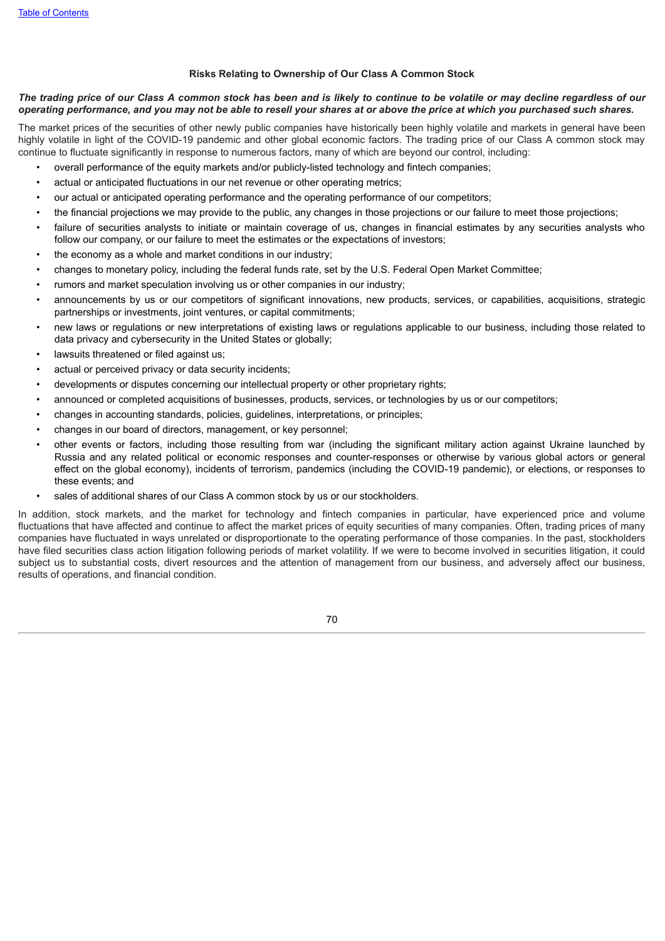# **Risks Relating to Ownership of Our Class A Common Stock**

#### The trading price of our Class A common stock has been and is likely to continue to be volatile or may decline regardless of our operating performance, and you may not be able to resell your shares at or above the price at which you purchased such shares.

The market prices of the securities of other newly public companies have historically been highly volatile and markets in general have been highly volatile in light of the COVID-19 pandemic and other global economic factors. The trading price of our Class A common stock may continue to fluctuate significantly in response to numerous factors, many of which are beyond our control, including:

- overall performance of the equity markets and/or publicly-listed technology and fintech companies;
- actual or anticipated fluctuations in our net revenue or other operating metrics;
- our actual or anticipated operating performance and the operating performance of our competitors;
- the financial projections we may provide to the public, any changes in those projections or our failure to meet those projections;
- failure of securities analysts to initiate or maintain coverage of us, changes in financial estimates by any securities analysts who follow our company, or our failure to meet the estimates or the expectations of investors;
- the economy as a whole and market conditions in our industry;
- changes to monetary policy, including the federal funds rate, set by the U.S. Federal Open Market Committee;
- rumors and market speculation involving us or other companies in our industry;
- announcements by us or our competitors of significant innovations, new products, services, or capabilities, acquisitions, strategic partnerships or investments, joint ventures, or capital commitments;
- new laws or regulations or new interpretations of existing laws or regulations applicable to our business, including those related to data privacy and cybersecurity in the United States or globally;
- lawsuits threatened or filed against us;
- actual or perceived privacy or data security incidents;
- developments or disputes concerning our intellectual property or other proprietary rights;
- announced or completed acquisitions of businesses, products, services, or technologies by us or our competitors;
- changes in accounting standards, policies, guidelines, interpretations, or principles;
- changes in our board of directors, management, or key personnel;
- other events or factors, including those resulting from war (including the significant military action against Ukraine launched by Russia and any related political or economic responses and counter-responses or otherwise by various global actors or general effect on the global economy), incidents of terrorism, pandemics (including the COVID-19 pandemic), or elections, or responses to these events; and
- sales of additional shares of our Class A common stock by us or our stockholders.

In addition, stock markets, and the market for technology and fintech companies in particular, have experienced price and volume fluctuations that have affected and continue to affect the market prices of equity securities of many companies. Often, trading prices of many companies have fluctuated in ways unrelated or disproportionate to the operating performance of those companies. In the past, stockholders have filed securities class action litigation following periods of market volatility. If we were to become involved in securities litigation, it could subject us to substantial costs, divert resources and the attention of management from our business, and adversely affect our business, results of operations, and financial condition.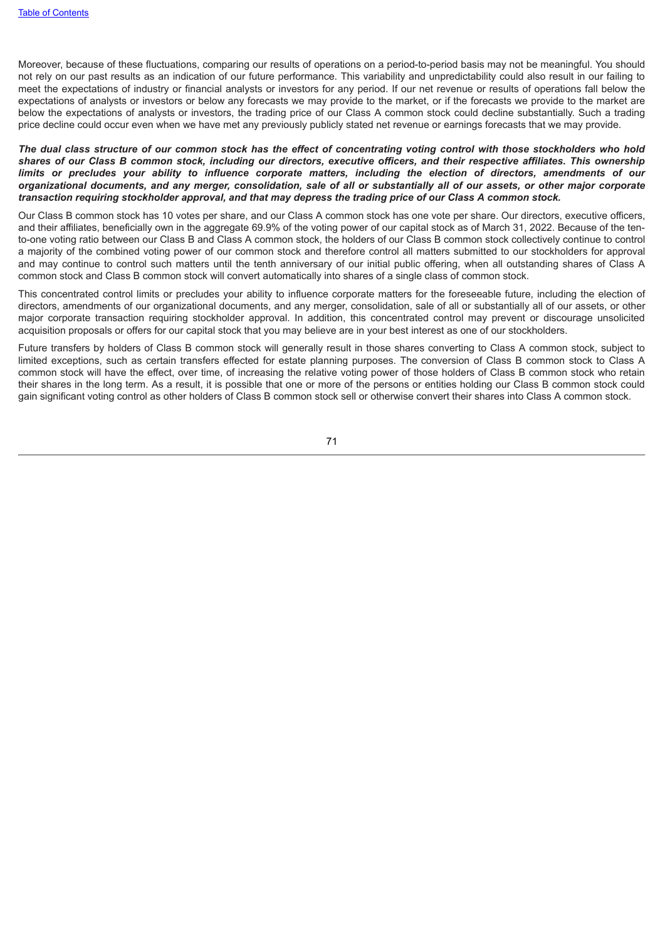Moreover, because of these fluctuations, comparing our results of operations on a period-to-period basis may not be meaningful. You should not rely on our past results as an indication of our future performance. This variability and unpredictability could also result in our failing to meet the expectations of industry or financial analysts or investors for any period. If our net revenue or results of operations fall below the expectations of analysts or investors or below any forecasts we may provide to the market, or if the forecasts we provide to the market are below the expectations of analysts or investors, the trading price of our Class A common stock could decline substantially. Such a trading price decline could occur even when we have met any previously publicly stated net revenue or earnings forecasts that we may provide.

#### The dual class structure of our common stock has the effect of concentrating voting control with those stockholders who hold shares of our Class B common stock, including our directors, executive officers, and their respective affiliates. This ownership limits or precludes your ability to influence corporate matters, including the election of directors, amendments of our organizational documents, and any merger, consolidation, sale of all or substantially all of our assets, or other major corporate transaction requiring stockholder approval, and that may depress the trading price of our Class A common stock.

Our Class B common stock has 10 votes per share, and our Class A common stock has one vote per share. Our directors, executive officers, and their affiliates, beneficially own in the aggregate 69.9% of the voting power of our capital stock as of March 31, 2022. Because of the tento-one voting ratio between our Class B and Class A common stock, the holders of our Class B common stock collectively continue to control a majority of the combined voting power of our common stock and therefore control all matters submitted to our stockholders for approval and may continue to control such matters until the tenth anniversary of our initial public offering, when all outstanding shares of Class A common stock and Class B common stock will convert automatically into shares of a single class of common stock.

This concentrated control limits or precludes your ability to influence corporate matters for the foreseeable future, including the election of directors, amendments of our organizational documents, and any merger, consolidation, sale of all or substantially all of our assets, or other major corporate transaction requiring stockholder approval. In addition, this concentrated control may prevent or discourage unsolicited acquisition proposals or offers for our capital stock that you may believe are in your best interest as one of our stockholders.

Future transfers by holders of Class B common stock will generally result in those shares converting to Class A common stock, subject to limited exceptions, such as certain transfers effected for estate planning purposes. The conversion of Class B common stock to Class A common stock will have the effect, over time, of increasing the relative voting power of those holders of Class B common stock who retain their shares in the long term. As a result, it is possible that one or more of the persons or entities holding our Class B common stock could gain significant voting control as other holders of Class B common stock sell or otherwise convert their shares into Class A common stock.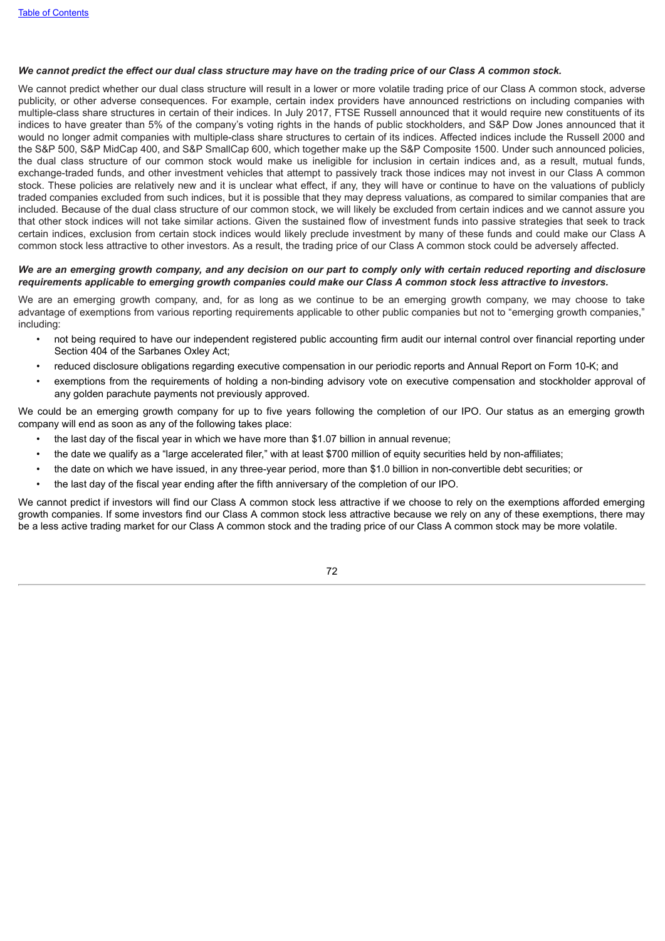# We cannot predict the effect our dual class structure may have on the trading price of our Class A common stock.

We cannot predict whether our dual class structure will result in a lower or more volatile trading price of our Class A common stock, adverse publicity, or other adverse consequences. For example, certain index providers have announced restrictions on including companies with multiple-class share structures in certain of their indices. In July 2017, FTSE Russell announced that it would require new constituents of its indices to have greater than 5% of the company's voting rights in the hands of public stockholders, and S&P Dow Jones announced that it would no longer admit companies with multiple-class share structures to certain of its indices. Affected indices include the Russell 2000 and the S&P 500, S&P MidCap 400, and S&P SmallCap 600, which together make up the S&P Composite 1500. Under such announced policies, the dual class structure of our common stock would make us ineligible for inclusion in certain indices and, as a result, mutual funds, exchange-traded funds, and other investment vehicles that attempt to passively track those indices may not invest in our Class A common stock. These policies are relatively new and it is unclear what effect, if any, they will have or continue to have on the valuations of publicly traded companies excluded from such indices, but it is possible that they may depress valuations, as compared to similar companies that are included. Because of the dual class structure of our common stock, we will likely be excluded from certain indices and we cannot assure you that other stock indices will not take similar actions. Given the sustained flow of investment funds into passive strategies that seek to track certain indices, exclusion from certain stock indices would likely preclude investment by many of these funds and could make our Class A common stock less attractive to other investors. As a result, the trading price of our Class A common stock could be adversely affected.

## We are an emerging growth company, and any decision on our part to comply only with certain reduced reporting and disclosure requirements applicable to emerging growth companies could make our Class A common stock less attractive to investors.

We are an emerging growth company, and, for as long as we continue to be an emerging growth company, we may choose to take advantage of exemptions from various reporting requirements applicable to other public companies but not to "emerging growth companies," including:

- not being required to have our independent registered public accounting firm audit our internal control over financial reporting under Section 404 of the Sarbanes Oxley Act;
- reduced disclosure obligations regarding executive compensation in our periodic reports and Annual Report on Form 10-K; and
- exemptions from the requirements of holding a non-binding advisory vote on executive compensation and stockholder approval of any golden parachute payments not previously approved.

We could be an emerging growth company for up to five years following the completion of our IPO. Our status as an emerging growth company will end as soon as any of the following takes place:

- the last day of the fiscal year in which we have more than \$1.07 billion in annual revenue;
- the date we qualify as a "large accelerated filer," with at least \$700 million of equity securities held by non-affiliates;
- the date on which we have issued, in any three-year period, more than \$1.0 billion in non-convertible debt securities; or
- the last day of the fiscal year ending after the fifth anniversary of the completion of our IPO.

We cannot predict if investors will find our Class A common stock less attractive if we choose to rely on the exemptions afforded emerging growth companies. If some investors find our Class A common stock less attractive because we rely on any of these exemptions, there may be a less active trading market for our Class A common stock and the trading price of our Class A common stock may be more volatile.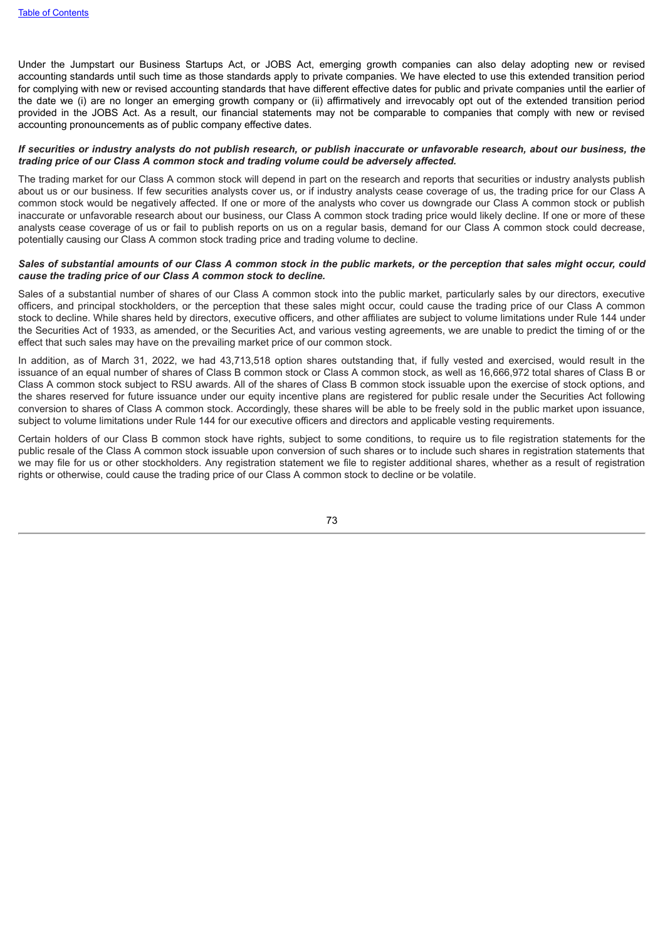Under the Jumpstart our Business Startups Act, or JOBS Act, emerging growth companies can also delay adopting new or revised accounting standards until such time as those standards apply to private companies. We have elected to use this extended transition period for complying with new or revised accounting standards that have different effective dates for public and private companies until the earlier of the date we (i) are no longer an emerging growth company or (ii) affirmatively and irrevocably opt out of the extended transition period provided in the JOBS Act. As a result, our financial statements may not be comparable to companies that comply with new or revised accounting pronouncements as of public company effective dates.

### If securities or industry analysts do not publish research, or publish inaccurate or unfavorable research, about our business, the *trading price of our Class A common stock and trading volume could be adversely affected.*

The trading market for our Class A common stock will depend in part on the research and reports that securities or industry analysts publish about us or our business. If few securities analysts cover us, or if industry analysts cease coverage of us, the trading price for our Class A common stock would be negatively affected. If one or more of the analysts who cover us downgrade our Class A common stock or publish inaccurate or unfavorable research about our business, our Class A common stock trading price would likely decline. If one or more of these analysts cease coverage of us or fail to publish reports on us on a regular basis, demand for our Class A common stock could decrease, potentially causing our Class A common stock trading price and trading volume to decline.

### Sales of substantial amounts of our Class A common stock in the public markets, or the perception that sales might occur, could *cause the trading price of our Class A common stock to decline.*

Sales of a substantial number of shares of our Class A common stock into the public market, particularly sales by our directors, executive officers, and principal stockholders, or the perception that these sales might occur, could cause the trading price of our Class A common stock to decline. While shares held by directors, executive officers, and other affiliates are subject to volume limitations under Rule 144 under the Securities Act of 1933, as amended, or the Securities Act, and various vesting agreements, we are unable to predict the timing of or the effect that such sales may have on the prevailing market price of our common stock.

In addition, as of March 31, 2022, we had 43,713,518 option shares outstanding that, if fully vested and exercised, would result in the issuance of an equal number of shares of Class B common stock or Class A common stock, as well as 16,666,972 total shares of Class B or Class A common stock subject to RSU awards. All of the shares of Class B common stock issuable upon the exercise of stock options, and the shares reserved for future issuance under our equity incentive plans are registered for public resale under the Securities Act following conversion to shares of Class A common stock. Accordingly, these shares will be able to be freely sold in the public market upon issuance, subject to volume limitations under Rule 144 for our executive officers and directors and applicable vesting requirements.

Certain holders of our Class B common stock have rights, subject to some conditions, to require us to file registration statements for the public resale of the Class A common stock issuable upon conversion of such shares or to include such shares in registration statements that we may file for us or other stockholders. Any registration statement we file to register additional shares, whether as a result of registration rights or otherwise, could cause the trading price of our Class A common stock to decline or be volatile.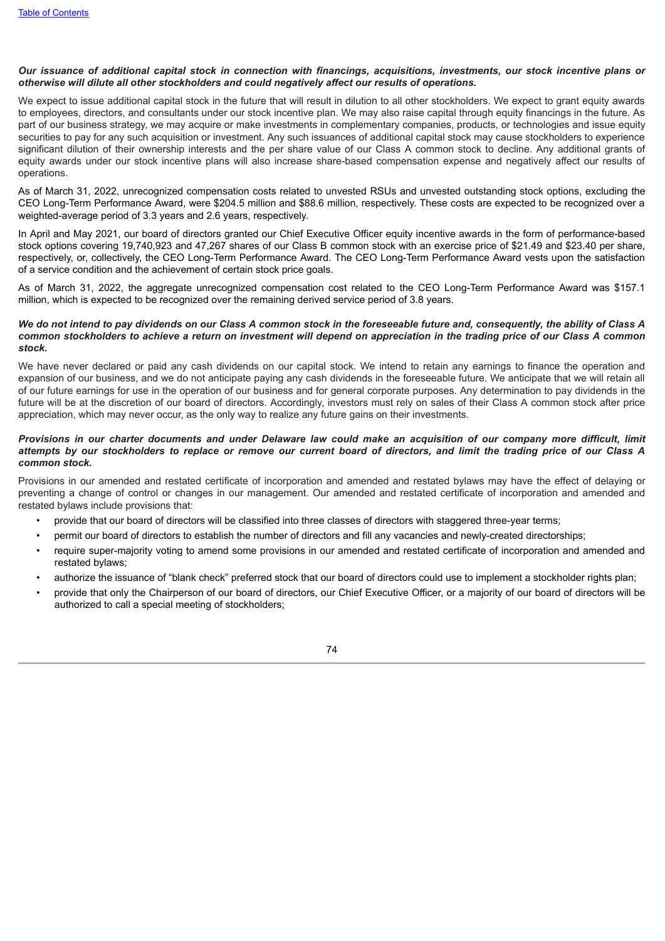### Our issuance of additional capital stock in connection with financings, acquisitions, investments, our stock incentive plans or *otherwise will dilute all other stockholders and could negatively affect our results of operations.*

We expect to issue additional capital stock in the future that will result in dilution to all other stockholders. We expect to grant equity awards to employees, directors, and consultants under our stock incentive plan. We may also raise capital through equity financings in the future. As part of our business strategy, we may acquire or make investments in complementary companies, products, or technologies and issue equity securities to pay for any such acquisition or investment. Any such issuances of additional capital stock may cause stockholders to experience significant dilution of their ownership interests and the per share value of our Class A common stock to decline. Any additional grants of equity awards under our stock incentive plans will also increase share-based compensation expense and negatively affect our results of operations.

As of March 31, 2022, unrecognized compensation costs related to unvested RSUs and unvested outstanding stock options, excluding the CEO Long-Term Performance Award, were \$204.5 million and \$88.6 million, respectively. These costs are expected to be recognized over a weighted-average period of 3.3 years and 2.6 years, respectively.

In April and May 2021, our board of directors granted our Chief Executive Officer equity incentive awards in the form of performance-based stock options covering 19,740,923 and 47,267 shares of our Class B common stock with an exercise price of \$21.49 and \$23.40 per share, respectively, or, collectively, the CEO Long-Term Performance Award. The CEO Long-Term Performance Award vests upon the satisfaction of a service condition and the achievement of certain stock price goals.

As of March 31, 2022, the aggregate unrecognized compensation cost related to the CEO Long-Term Performance Award was \$157.1 million, which is expected to be recognized over the remaining derived service period of 3.8 years.

### We do not intend to pay dividends on our Class A common stock in the foreseeable future and, consequently, the ability of Class A common stockholders to achieve a return on investment will depend on appreciation in the trading price of our Class A common *stock.*

We have never declared or paid any cash dividends on our capital stock. We intend to retain any earnings to finance the operation and expansion of our business, and we do not anticipate paying any cash dividends in the foreseeable future. We anticipate that we will retain all of our future earnings for use in the operation of our business and for general corporate purposes. Any determination to pay dividends in the future will be at the discretion of our board of directors. Accordingly, investors must rely on sales of their Class A common stock after price appreciation, which may never occur, as the only way to realize any future gains on their investments.

### Provisions in our charter documents and under Delaware law could make an acquisition of our company more difficult, limit attempts by our stockholders to replace or remove our current board of directors, and limit the trading price of our Class A *common stock.*

Provisions in our amended and restated certificate of incorporation and amended and restated bylaws may have the effect of delaying or preventing a change of control or changes in our management. Our amended and restated certificate of incorporation and amended and restated bylaws include provisions that:

- provide that our board of directors will be classified into three classes of directors with staggered three-year terms;
- permit our board of directors to establish the number of directors and fill any vacancies and newly-created directorships;
- require super-majority voting to amend some provisions in our amended and restated certificate of incorporation and amended and restated bylaws;
- authorize the issuance of "blank check" preferred stock that our board of directors could use to implement a stockholder rights plan;
- provide that only the Chairperson of our board of directors, our Chief Executive Officer, or a majority of our board of directors will be authorized to call a special meeting of stockholders;

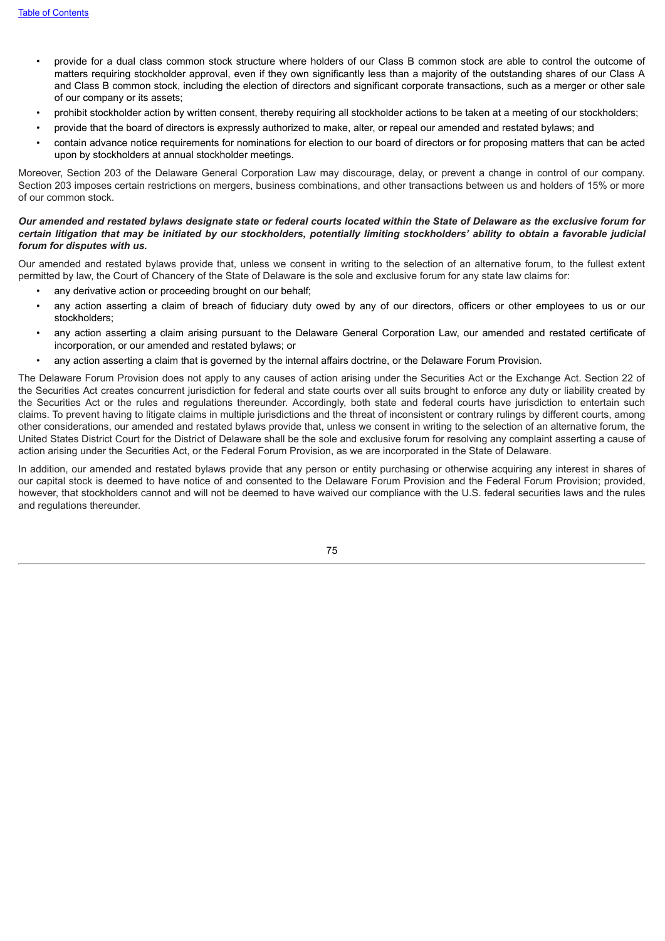- provide for a dual class common stock structure where holders of our Class B common stock are able to control the outcome of matters requiring stockholder approval, even if they own significantly less than a majority of the outstanding shares of our Class A and Class B common stock, including the election of directors and significant corporate transactions, such as a merger or other sale of our company or its assets;
- prohibit stockholder action by written consent, thereby requiring all stockholder actions to be taken at a meeting of our stockholders;
- provide that the board of directors is expressly authorized to make, alter, or repeal our amended and restated bylaws; and
- contain advance notice requirements for nominations for election to our board of directors or for proposing matters that can be acted upon by stockholders at annual stockholder meetings.

Moreover, Section 203 of the Delaware General Corporation Law may discourage, delay, or prevent a change in control of our company. Section 203 imposes certain restrictions on mergers, business combinations, and other transactions between us and holders of 15% or more of our common stock.

### Our amended and restated bylaws designate state or federal courts located within the State of Delaware as the exclusive forum for certain litigation that may be initiated by our stockholders, potentially limiting stockholders' ability to obtain a favorable judicial *forum for disputes with us.*

Our amended and restated bylaws provide that, unless we consent in writing to the selection of an alternative forum, to the fullest extent permitted by law, the Court of Chancery of the State of Delaware is the sole and exclusive forum for any state law claims for:

- any derivative action or proceeding brought on our behalf:
- any action asserting a claim of breach of fiduciary duty owed by any of our directors, officers or other employees to us or our stockholders;
- any action asserting a claim arising pursuant to the Delaware General Corporation Law, our amended and restated certificate of incorporation, or our amended and restated bylaws; or
- any action asserting a claim that is governed by the internal affairs doctrine, or the Delaware Forum Provision.

The Delaware Forum Provision does not apply to any causes of action arising under the Securities Act or the Exchange Act. Section 22 of the Securities Act creates concurrent jurisdiction for federal and state courts over all suits brought to enforce any duty or liability created by the Securities Act or the rules and regulations thereunder. Accordingly, both state and federal courts have jurisdiction to entertain such claims. To prevent having to litigate claims in multiple jurisdictions and the threat of inconsistent or contrary rulings by different courts, among other considerations, our amended and restated bylaws provide that, unless we consent in writing to the selection of an alternative forum, the United States District Court for the District of Delaware shall be the sole and exclusive forum for resolving any complaint asserting a cause of action arising under the Securities Act, or the Federal Forum Provision, as we are incorporated in the State of Delaware.

In addition, our amended and restated bylaws provide that any person or entity purchasing or otherwise acquiring any interest in shares of our capital stock is deemed to have notice of and consented to the Delaware Forum Provision and the Federal Forum Provision; provided, however, that stockholders cannot and will not be deemed to have waived our compliance with the U.S. federal securities laws and the rules and regulations thereunder.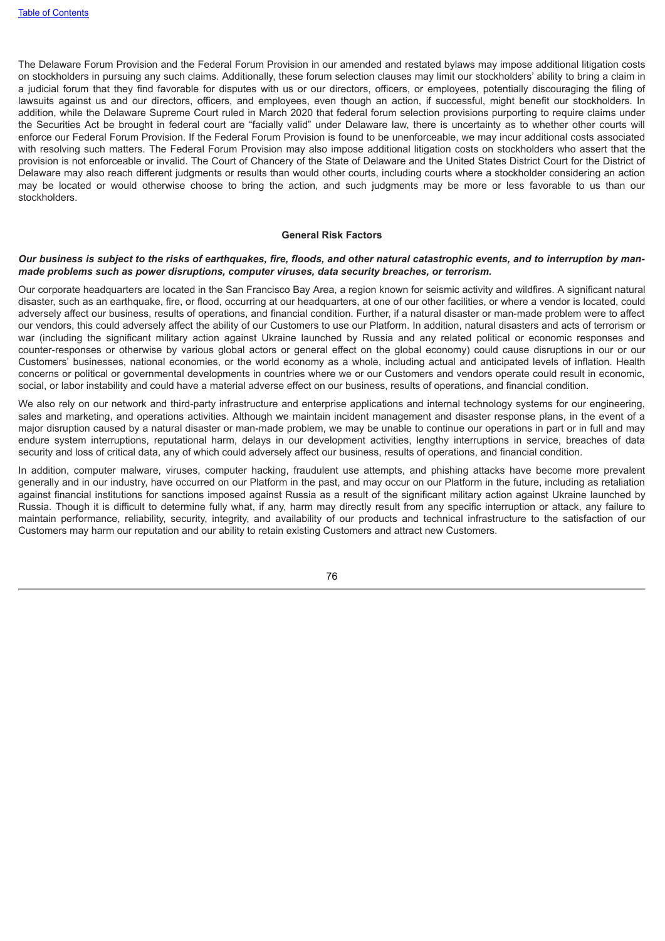The Delaware Forum Provision and the Federal Forum Provision in our amended and restated bylaws may impose additional litigation costs on stockholders in pursuing any such claims. Additionally, these forum selection clauses may limit our stockholders' ability to bring a claim in a judicial forum that they find favorable for disputes with us or our directors, officers, or employees, potentially discouraging the filing of lawsuits against us and our directors, officers, and employees, even though an action, if successful, might benefit our stockholders. In addition, while the Delaware Supreme Court ruled in March 2020 that federal forum selection provisions purporting to require claims under the Securities Act be brought in federal court are "facially valid" under Delaware law, there is uncertainty as to whether other courts will enforce our Federal Forum Provision. If the Federal Forum Provision is found to be unenforceable, we may incur additional costs associated with resolving such matters. The Federal Forum Provision may also impose additional litigation costs on stockholders who assert that the provision is not enforceable or invalid. The Court of Chancery of the State of Delaware and the United States District Court for the District of Delaware may also reach different judgments or results than would other courts, including courts where a stockholder considering an action may be located or would otherwise choose to bring the action, and such judgments may be more or less favorable to us than our stockholders.

#### **General Risk Factors**

#### Our business is subject to the risks of earthquakes, fire, floods, and other natural catastrophic events, and to interruption by man*made problems such as power disruptions, computer viruses, data security breaches, or terrorism.*

Our corporate headquarters are located in the San Francisco Bay Area, a region known for seismic activity and wildfires. A significant natural disaster, such as an earthquake, fire, or flood, occurring at our headquarters, at one of our other facilities, or where a vendor is located, could adversely affect our business, results of operations, and financial condition. Further, if a natural disaster or man-made problem were to affect our vendors, this could adversely affect the ability of our Customers to use our Platform. In addition, natural disasters and acts of terrorism or war (including the significant military action against Ukraine launched by Russia and any related political or economic responses and counter-responses or otherwise by various global actors or general effect on the global economy) could cause disruptions in our or our Customers' businesses, national economies, or the world economy as a whole, including actual and anticipated levels of inflation. Health concerns or political or governmental developments in countries where we or our Customers and vendors operate could result in economic, social, or labor instability and could have a material adverse effect on our business, results of operations, and financial condition.

We also rely on our network and third-party infrastructure and enterprise applications and internal technology systems for our engineering, sales and marketing, and operations activities. Although we maintain incident management and disaster response plans, in the event of a major disruption caused by a natural disaster or man-made problem, we may be unable to continue our operations in part or in full and may endure system interruptions, reputational harm, delays in our development activities, lengthy interruptions in service, breaches of data security and loss of critical data, any of which could adversely affect our business, results of operations, and financial condition.

In addition, computer malware, viruses, computer hacking, fraudulent use attempts, and phishing attacks have become more prevalent generally and in our industry, have occurred on our Platform in the past, and may occur on our Platform in the future, including as retaliation against financial institutions for sanctions imposed against Russia as a result of the significant military action against Ukraine launched by Russia. Though it is difficult to determine fully what, if any, harm may directly result from any specific interruption or attack, any failure to maintain performance, reliability, security, integrity, and availability of our products and technical infrastructure to the satisfaction of our Customers may harm our reputation and our ability to retain existing Customers and attract new Customers.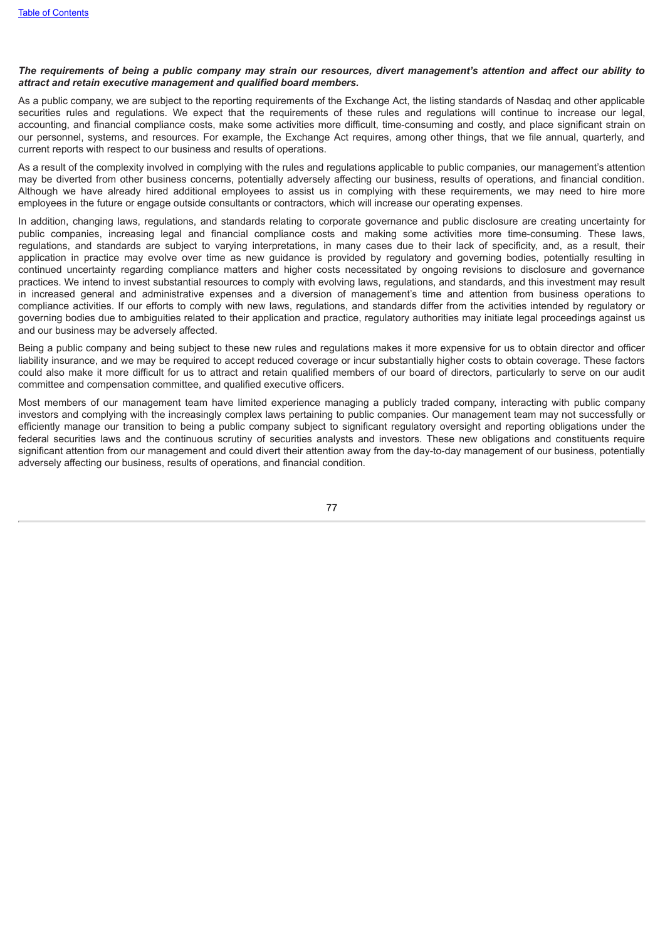### The requirements of being a public company may strain our resources, divert management's attention and affect our ability to *attract and retain executive management and qualified board members.*

As a public company, we are subject to the reporting requirements of the Exchange Act, the listing standards of Nasdaq and other applicable securities rules and regulations. We expect that the requirements of these rules and regulations will continue to increase our legal, accounting, and financial compliance costs, make some activities more difficult, time-consuming and costly, and place significant strain on our personnel, systems, and resources. For example, the Exchange Act requires, among other things, that we file annual, quarterly, and current reports with respect to our business and results of operations.

As a result of the complexity involved in complying with the rules and regulations applicable to public companies, our management's attention may be diverted from other business concerns, potentially adversely affecting our business, results of operations, and financial condition. Although we have already hired additional employees to assist us in complying with these requirements, we may need to hire more employees in the future or engage outside consultants or contractors, which will increase our operating expenses.

In addition, changing laws, regulations, and standards relating to corporate governance and public disclosure are creating uncertainty for public companies, increasing legal and financial compliance costs and making some activities more time-consuming. These laws, regulations, and standards are subject to varying interpretations, in many cases due to their lack of specificity, and, as a result, their application in practice may evolve over time as new guidance is provided by regulatory and governing bodies, potentially resulting in continued uncertainty regarding compliance matters and higher costs necessitated by ongoing revisions to disclosure and governance practices. We intend to invest substantial resources to comply with evolving laws, regulations, and standards, and this investment may result in increased general and administrative expenses and a diversion of management's time and attention from business operations to compliance activities. If our efforts to comply with new laws, regulations, and standards differ from the activities intended by regulatory or governing bodies due to ambiguities related to their application and practice, regulatory authorities may initiate legal proceedings against us and our business may be adversely affected.

Being a public company and being subject to these new rules and regulations makes it more expensive for us to obtain director and officer liability insurance, and we may be required to accept reduced coverage or incur substantially higher costs to obtain coverage. These factors could also make it more difficult for us to attract and retain qualified members of our board of directors, particularly to serve on our audit committee and compensation committee, and qualified executive officers.

Most members of our management team have limited experience managing a publicly traded company, interacting with public company investors and complying with the increasingly complex laws pertaining to public companies. Our management team may not successfully or efficiently manage our transition to being a public company subject to significant regulatory oversight and reporting obligations under the federal securities laws and the continuous scrutiny of securities analysts and investors. These new obligations and constituents require significant attention from our management and could divert their attention away from the day-to-day management of our business, potentially adversely affecting our business, results of operations, and financial condition.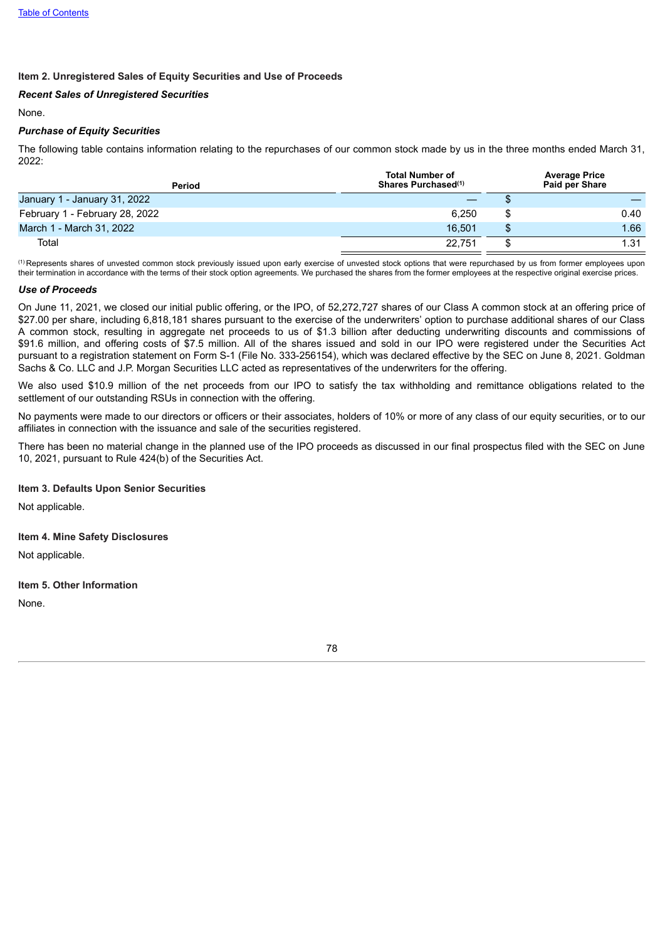# **Item 2. Unregistered Sales of Equity Securities and Use of Proceeds**

# *Recent Sales of Unregistered Securities*

None.

### *Purchase of Equity Securities*

The following table contains information relating to the repurchases of our common stock made by us in the three months ended March 31, 2022:

| Period                         | <b>Total Number of</b><br>Shares Purchased <sup>(1)</sup> |    | <b>Average Price</b><br>Paid per Share |  |  |
|--------------------------------|-----------------------------------------------------------|----|----------------------------------------|--|--|
| January 1 - January 31, 2022   |                                                           |    |                                        |  |  |
| February 1 - February 28, 2022 | 6.250                                                     | \$ | 0.40                                   |  |  |
| March 1 - March 31, 2022       | 16.501                                                    | \$ | 1.66                                   |  |  |
| Total                          | 22.751                                                    |    | 1.31                                   |  |  |

 $(1)$  Represents shares of unvested common stock previously issued upon early exercise of unvested stock options that were repurchased by us from former employees upon their termination in accordance with the terms of their stock option agreements. We purchased the shares from the former employees at the respective original exercise prices.

### *Use of Proceeds*

On June 11, 2021, we closed our initial public offering, or the IPO, of 52,272,727 shares of our Class A common stock at an offering price of \$27.00 per share, including 6,818,181 shares pursuant to the exercise of the underwriters' option to purchase additional shares of our Class A common stock, resulting in aggregate net proceeds to us of \$1.3 billion after deducting underwriting discounts and commissions of \$91.6 million, and offering costs of \$7.5 million. All of the shares issued and sold in our IPO were registered under the Securities Act pursuant to a registration statement on Form S-1 (File No. 333-256154), which was declared effective by the SEC on June 8, 2021. Goldman Sachs & Co. LLC and J.P. Morgan Securities LLC acted as representatives of the underwriters for the offering.

We also used \$10.9 million of the net proceeds from our IPO to satisfy the tax withholding and remittance obligations related to the settlement of our outstanding RSUs in connection with the offering.

No payments were made to our directors or officers or their associates, holders of 10% or more of any class of our equity securities, or to our affiliates in connection with the issuance and sale of the securities registered.

There has been no material change in the planned use of the IPO proceeds as discussed in our final prospectus filed with the SEC on June 10, 2021, pursuant to Rule 424(b) of the Securities Act.

### **Item 3. Defaults Upon Senior Securities**

Not applicable.

### **Item 4. Mine Safety Disclosures**

Not applicable.

### **Item 5. Other Information**

None.

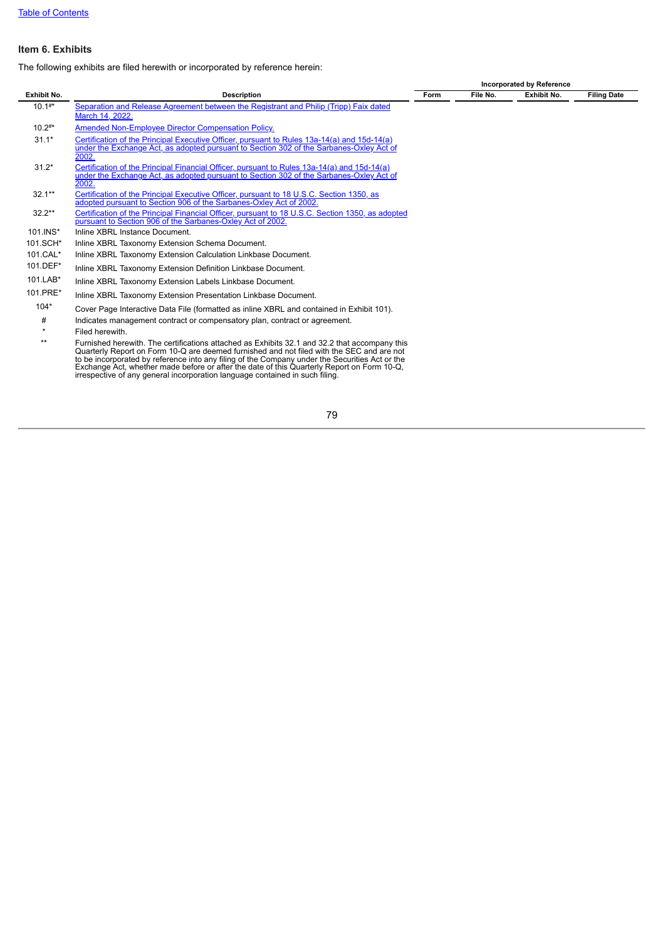## **Item 6. Exhibits**

The following exhibits are filed herewith or incorporated by reference herein:

|                    |                                                                                                                                                                                                                                                                                                                                                                                                                                                                            | <b>Incorporated by Reference</b> |          |                    |                    |
|--------------------|----------------------------------------------------------------------------------------------------------------------------------------------------------------------------------------------------------------------------------------------------------------------------------------------------------------------------------------------------------------------------------------------------------------------------------------------------------------------------|----------------------------------|----------|--------------------|--------------------|
| <b>Exhibit No.</b> | <b>Description</b>                                                                                                                                                                                                                                                                                                                                                                                                                                                         | Form                             | File No. | <b>Exhibit No.</b> | <b>Filing Date</b> |
| $10.1***$          | Separation and Release Agreement between the Registrant and Philip (Tripp) Faix dated<br>March 14, 2022.                                                                                                                                                                                                                                                                                                                                                                   |                                  |          |                    |                    |
| $10.2***$          | <b>Amended Non-Employee Director Compensation Policy.</b>                                                                                                                                                                                                                                                                                                                                                                                                                  |                                  |          |                    |                    |
| $31.1*$            | Certification of the Principal Executive Officer, pursuant to Rules 13a-14(a) and 15d-14(a)<br>under the Exchange Act, as adopted pursuant to Section 302 of the Sarbanes-Oxley Act of<br>2002.                                                                                                                                                                                                                                                                            |                                  |          |                    |                    |
| $31.2*$            | Certification of the Principal Financial Officer, pursuant to Rules 13a-14(a) and 15d-14(a)<br>under the Exchange Act, as adopted pursuant to Section 302 of the Sarbanes-Oxley Act of<br>2002.                                                                                                                                                                                                                                                                            |                                  |          |                    |                    |
| $32.1***$          | Certification of the Principal Executive Officer, pursuant to 18 U.S.C. Section 1350, as<br>adopted pursuant to Section 906 of the Sarbanes-Oxley Act of 2002.                                                                                                                                                                                                                                                                                                             |                                  |          |                    |                    |
| $32.2**$           | Certification of the Principal Financial Officer, pursuant to 18 U.S.C. Section 1350, as adopted<br>pursuant to Section 906 of the Sarbanes-Oxley Act of 2002.                                                                                                                                                                                                                                                                                                             |                                  |          |                    |                    |
| 101.INS*           | Inline XBRL Instance Document.                                                                                                                                                                                                                                                                                                                                                                                                                                             |                                  |          |                    |                    |
| 101.SCH*           | Inline XBRL Taxonomy Extension Schema Document.                                                                                                                                                                                                                                                                                                                                                                                                                            |                                  |          |                    |                    |
| 101.CAL*           | Inline XBRL Taxonomy Extension Calculation Linkbase Document.                                                                                                                                                                                                                                                                                                                                                                                                              |                                  |          |                    |                    |
| 101.DEF*           | Inline XBRL Taxonomy Extension Definition Linkbase Document.                                                                                                                                                                                                                                                                                                                                                                                                               |                                  |          |                    |                    |
| 101.LAB*           | Inline XBRL Taxonomy Extension Labels Linkbase Document.                                                                                                                                                                                                                                                                                                                                                                                                                   |                                  |          |                    |                    |
| 101.PRE*           | Inline XBRL Taxonomy Extension Presentation Linkbase Document.                                                                                                                                                                                                                                                                                                                                                                                                             |                                  |          |                    |                    |
| $104*$             | Cover Page Interactive Data File (formatted as inline XBRL and contained in Exhibit 101).                                                                                                                                                                                                                                                                                                                                                                                  |                                  |          |                    |                    |
| #                  | Indicates management contract or compensatory plan, contract or agreement.                                                                                                                                                                                                                                                                                                                                                                                                 |                                  |          |                    |                    |
|                    | Filed herewith.                                                                                                                                                                                                                                                                                                                                                                                                                                                            |                                  |          |                    |                    |
| $***$              | Furnished herewith. The certifications attached as Exhibits 32.1 and 32.2 that accompany this<br>Quarterly Report on Form 10-Q are deemed furnished and not filed with the SEC and are not<br>to be incorporated by reference into any filing of the Company under the Securities Act or the<br>Exchange Act, whether made before or after the date of this Quarterly Report on Form 10-Q.<br>irrespective of any general incorporation language contained in such filing. |                                  |          |                    |                    |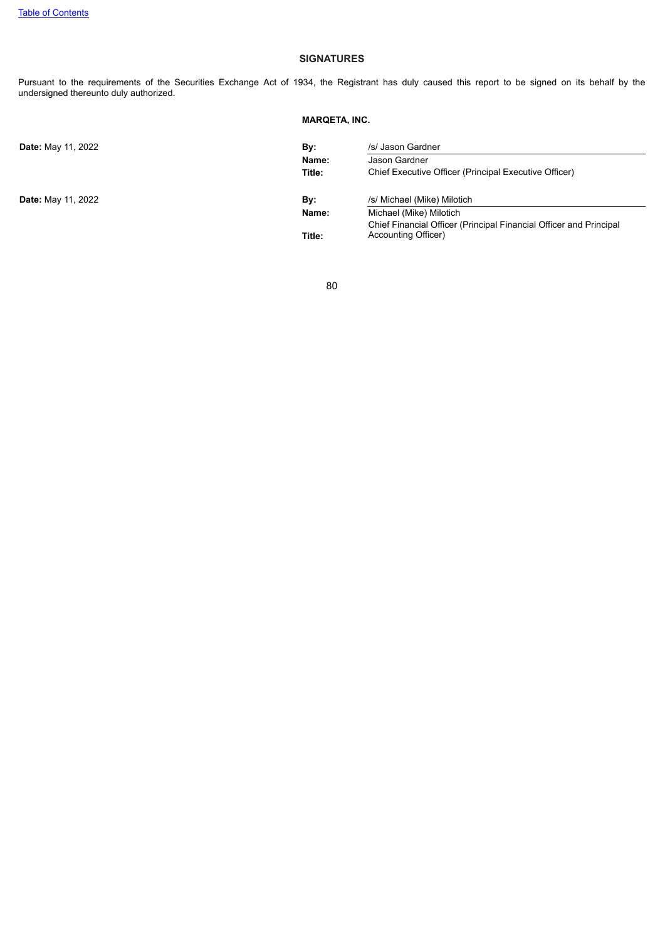## **SIGNATURES**

Pursuant to the requirements of the Securities Exchange Act of 1934, the Registrant has duly caused this report to be signed on its behalf by the undersigned thereunto duly authorized.

|                           | <b>MARQETA, INC.</b> |                                                                                           |  |
|---------------------------|----------------------|-------------------------------------------------------------------------------------------|--|
| <b>Date:</b> May 11, 2022 | By:                  | /s/ Jason Gardner                                                                         |  |
|                           | Name:                | Jason Gardner                                                                             |  |
|                           | Title:               | Chief Executive Officer (Principal Executive Officer)                                     |  |
| <b>Date:</b> May 11, 2022 | By:                  | /s/ Michael (Mike) Milotich                                                               |  |
|                           | Name:                | Michael (Mike) Milotich                                                                   |  |
|                           | Title:               | Chief Financial Officer (Principal Financial Officer and Principal<br>Accounting Officer) |  |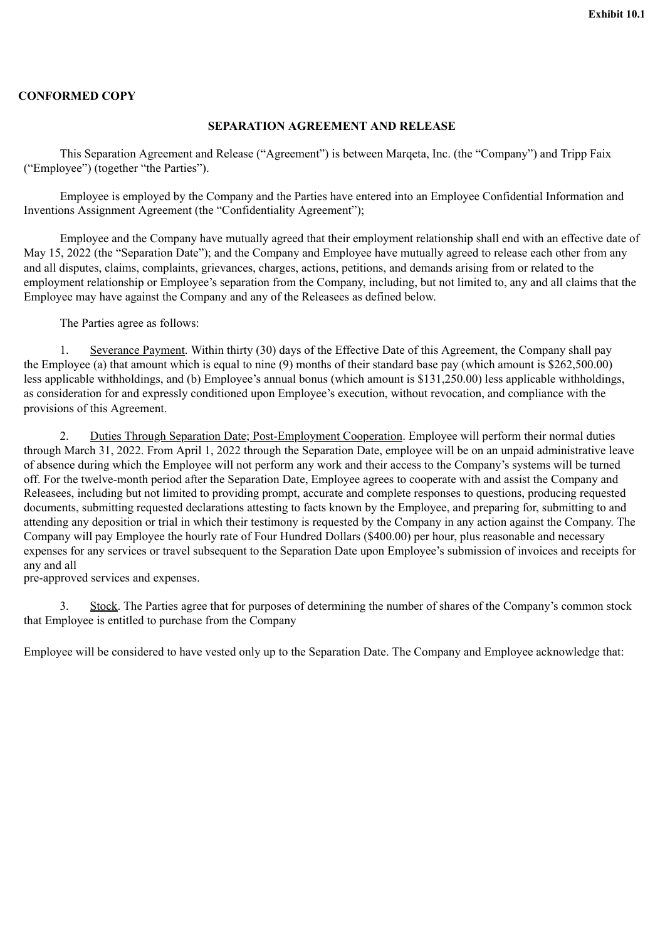## <span id="page-80-0"></span>**CONFORMED COPY**

## **SEPARATION AGREEMENT AND RELEASE**

This Separation Agreement and Release ("Agreement") is between Marqeta, Inc. (the "Company") and Tripp Faix ("Employee") (together "the Parties").

Employee is employed by the Company and the Parties have entered into an Employee Confidential Information and Inventions Assignment Agreement (the "Confidentiality Agreement");

Employee and the Company have mutually agreed that their employment relationship shall end with an effective date of May 15, 2022 (the "Separation Date"); and the Company and Employee have mutually agreed to release each other from any and all disputes, claims, complaints, grievances, charges, actions, petitions, and demands arising from or related to the employment relationship or Employee's separation from the Company, including, but not limited to, any and all claims that the Employee may have against the Company and any of the Releasees as defined below.

The Parties agree as follows:

1. Severance Payment. Within thirty (30) days of the Effective Date of this Agreement, the Company shall pay the Employee (a) that amount which is equal to nine (9) months of their standard base pay (which amount is \$262,500.00) less applicable withholdings, and (b) Employee's annual bonus (which amount is \$131,250.00) less applicable withholdings, as consideration for and expressly conditioned upon Employee's execution, without revocation, and compliance with the provisions of this Agreement.

2. Duties Through Separation Date; Post-Employment Cooperation. Employee will perform their normal duties through March 31, 2022. From April 1, 2022 through the Separation Date, employee will be on an unpaid administrative leave of absence during which the Employee will not perform any work and their access to the Company's systems will be turned off. For the twelve-month period after the Separation Date, Employee agrees to cooperate with and assist the Company and Releasees, including but not limited to providing prompt, accurate and complete responses to questions, producing requested documents, submitting requested declarations attesting to facts known by the Employee, and preparing for, submitting to and attending any deposition or trial in which their testimony is requested by the Company in any action against the Company. The Company will pay Employee the hourly rate of Four Hundred Dollars (\$400.00) per hour, plus reasonable and necessary expenses for any services or travel subsequent to the Separation Date upon Employee's submission of invoices and receipts for any and all

pre-approved services and expenses.

3. Stock. The Parties agree that for purposes of determining the number of shares of the Company's common stock that Employee is entitled to purchase from the Company

Employee will be considered to have vested only up to the Separation Date. The Company and Employee acknowledge that: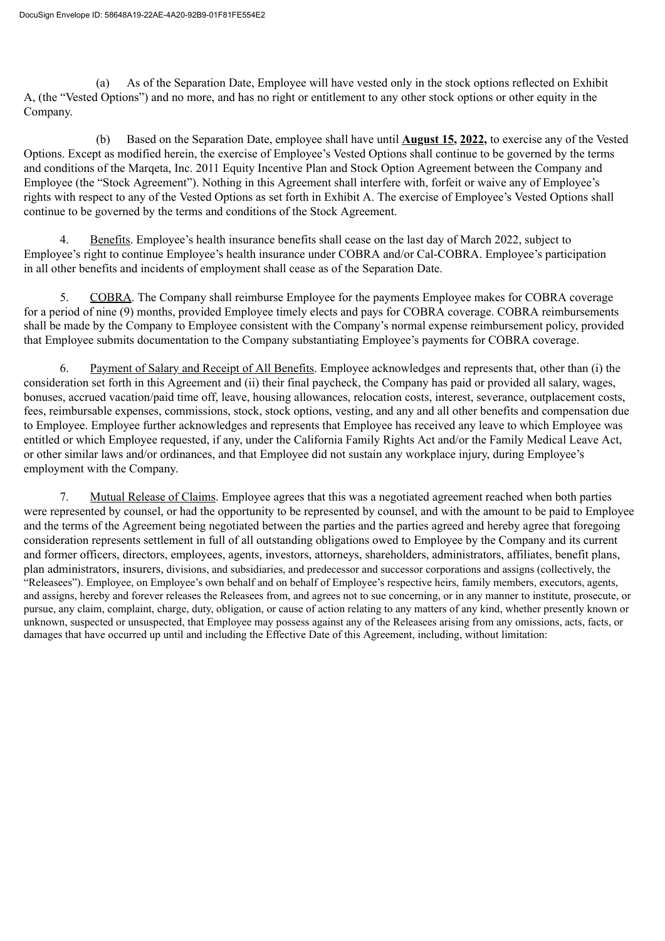(a) As of the Separation Date, Employee will have vested only in the stock options reflected on Exhibit A, (the "Vested Options") and no more, and has no right or entitlement to any other stock options or other equity in the Company.

(b) Based on the Separation Date, employee shall have until **August 15, 2022,** to exercise any of the Vested Options. Except as modified herein, the exercise of Employee's Vested Options shall continue to be governed by the terms and conditions of the Marqeta, Inc. 2011 Equity Incentive Plan and Stock Option Agreement between the Company and Employee (the "Stock Agreement"). Nothing in this Agreement shall interfere with, forfeit or waive any of Employee's rights with respect to any of the Vested Options as set forth in Exhibit A. The exercise of Employee's Vested Options shall continue to be governed by the terms and conditions of the Stock Agreement.

4. Benefits. Employee's health insurance benefits shall cease on the last day of March 2022, subject to Employee's right to continue Employee's health insurance under COBRA and/or Cal-COBRA. Employee's participation in all other benefits and incidents of employment shall cease as of the Separation Date.

5. COBRA. The Company shall reimburse Employee for the payments Employee makes for COBRA coverage for a period of nine (9) months, provided Employee timely elects and pays for COBRA coverage. COBRA reimbursements shall be made by the Company to Employee consistent with the Company's normal expense reimbursement policy, provided that Employee submits documentation to the Company substantiating Employee's payments for COBRA coverage.

6. Payment of Salary and Receipt of All Benefits. Employee acknowledges and represents that, other than (i) the consideration set forth in this Agreement and (ii) their final paycheck, the Company has paid or provided all salary, wages, bonuses, accrued vacation/paid time off, leave, housing allowances, relocation costs, interest, severance, outplacement costs, fees, reimbursable expenses, commissions, stock, stock options, vesting, and any and all other benefits and compensation due to Employee. Employee further acknowledges and represents that Employee has received any leave to which Employee was entitled or which Employee requested, if any, under the California Family Rights Act and/or the Family Medical Leave Act, or other similar laws and/or ordinances, and that Employee did not sustain any workplace injury, during Employee's employment with the Company.

7. Mutual Release of Claims. Employee agrees that this was a negotiated agreement reached when both parties were represented by counsel, or had the opportunity to be represented by counsel, and with the amount to be paid to Employee and the terms of the Agreement being negotiated between the parties and the parties agreed and hereby agree that foregoing consideration represents settlement in full of all outstanding obligations owed to Employee by the Company and its current and former officers, directors, employees, agents, investors, attorneys, shareholders, administrators, affiliates, benefit plans, plan administrators, insurers, divisions, and subsidiaries, and predecessor and successor corporations and assigns (collectively, the "Releasees"). Employee, on Employee's own behalf and on behalf of Employee's respective heirs, family members, executors, agents, and assigns, hereby and forever releases the Releasees from, and agrees not to sue concerning, or in any manner to institute, prosecute, or pursue, any claim, complaint, charge, duty, obligation, or cause of action relating to any matters of any kind, whether presently known or unknown, suspected or unsuspected, that Employee may possess against any of the Releasees arising from any omissions, acts, facts, or damages that have occurred up until and including the Effective Date of this Agreement, including, without limitation: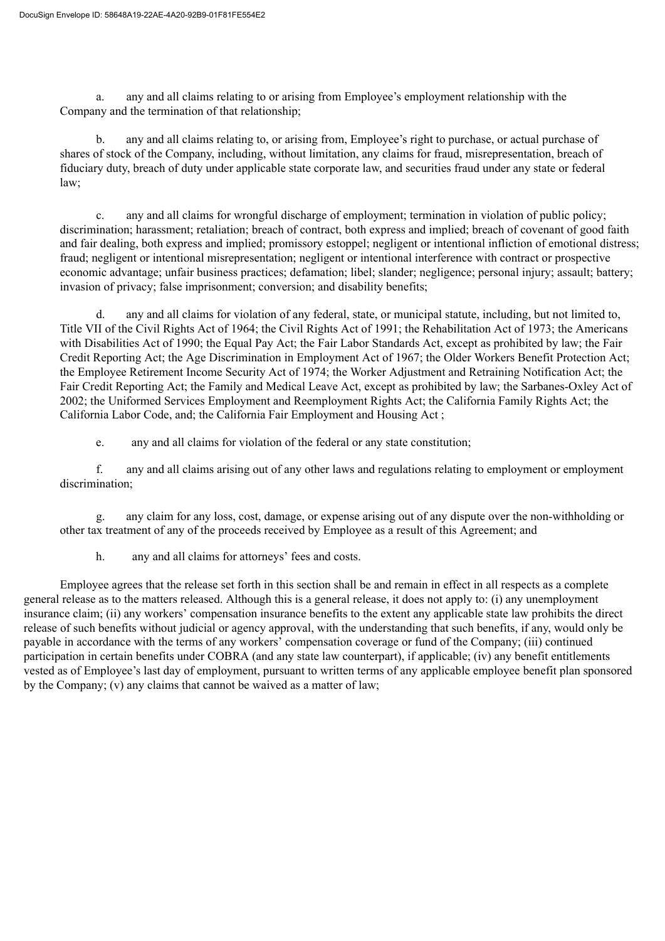a. any and all claims relating to or arising from Employee's employment relationship with the Company and the termination of that relationship;

b. any and all claims relating to, or arising from, Employee's right to purchase, or actual purchase of shares of stock of the Company, including, without limitation, any claims for fraud, misrepresentation, breach of fiduciary duty, breach of duty under applicable state corporate law, and securities fraud under any state or federal law;

c. any and all claims for wrongful discharge of employment; termination in violation of public policy; discrimination; harassment; retaliation; breach of contract, both express and implied; breach of covenant of good faith and fair dealing, both express and implied; promissory estoppel; negligent or intentional infliction of emotional distress; fraud; negligent or intentional misrepresentation; negligent or intentional interference with contract or prospective economic advantage; unfair business practices; defamation; libel; slander; negligence; personal injury; assault; battery; invasion of privacy; false imprisonment; conversion; and disability benefits;

d. any and all claims for violation of any federal, state, or municipal statute, including, but not limited to, Title VII of the Civil Rights Act of 1964; the Civil Rights Act of 1991; the Rehabilitation Act of 1973; the Americans with Disabilities Act of 1990; the Equal Pay Act; the Fair Labor Standards Act, except as prohibited by law; the Fair Credit Reporting Act; the Age Discrimination in Employment Act of 1967; the Older Workers Benefit Protection Act; the Employee Retirement Income Security Act of 1974; the Worker Adjustment and Retraining Notification Act; the Fair Credit Reporting Act; the Family and Medical Leave Act, except as prohibited by law; the Sarbanes-Oxley Act of 2002; the Uniformed Services Employment and Reemployment Rights Act; the California Family Rights Act; the California Labor Code, and; the California Fair Employment and Housing Act ;

e. any and all claims for violation of the federal or any state constitution;

f. any and all claims arising out of any other laws and regulations relating to employment or employment discrimination;

g. any claim for any loss, cost, damage, or expense arising out of any dispute over the non-withholding or other tax treatment of any of the proceeds received by Employee as a result of this Agreement; and

h. any and all claims for attorneys' fees and costs.

Employee agrees that the release set forth in this section shall be and remain in effect in all respects as a complete general release as to the matters released. Although this is a general release, it does not apply to: (i) any unemployment insurance claim; (ii) any workers' compensation insurance benefits to the extent any applicable state law prohibits the direct release of such benefits without judicial or agency approval, with the understanding that such benefits, if any, would only be payable in accordance with the terms of any workers' compensation coverage or fund of the Company; (iii) continued participation in certain benefits under COBRA (and any state law counterpart), if applicable; (iv) any benefit entitlements vested as of Employee's last day of employment, pursuant to written terms of any applicable employee benefit plan sponsored by the Company; (v) any claims that cannot be waived as a matter of law;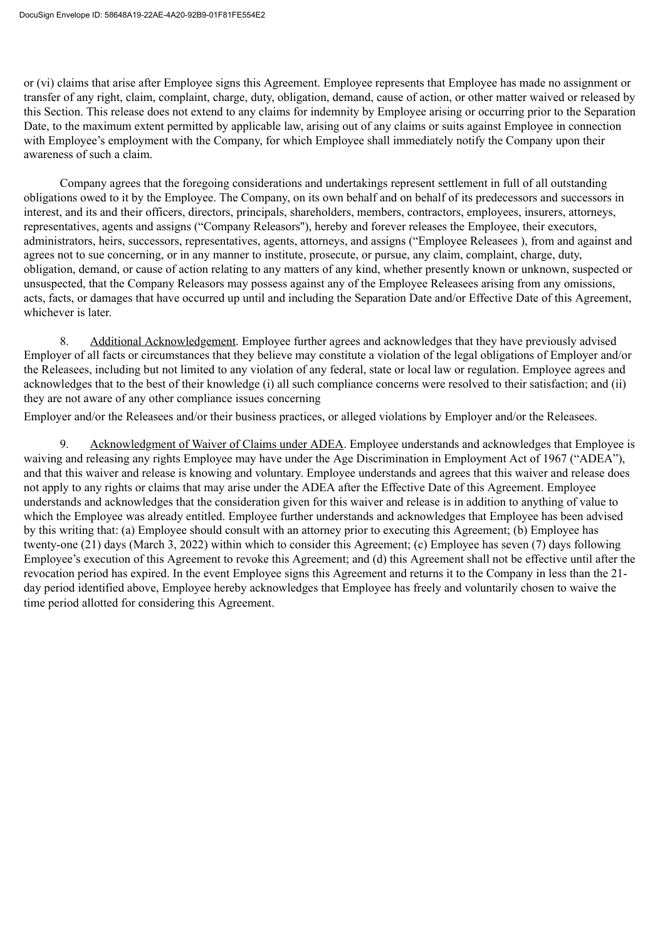or (vi) claims that arise after Employee signs this Agreement. Employee represents that Employee has made no assignment or transfer of any right, claim, complaint, charge, duty, obligation, demand, cause of action, or other matter waived or released by this Section. This release does not extend to any claims for indemnity by Employee arising or occurring prior to the Separation Date, to the maximum extent permitted by applicable law, arising out of any claims or suits against Employee in connection with Employee's employment with the Company, for which Employee shall immediately notify the Company upon their awareness of such a claim.

Company agrees that the foregoing considerations and undertakings represent settlement in full of all outstanding obligations owed to it by the Employee. The Company, on its own behalf and on behalf of its predecessors and successors in interest, and its and their officers, directors, principals, shareholders, members, contractors, employees, insurers, attorneys, representatives, agents and assigns ("Company Releasors''), hereby and forever releases the Employee, their executors, administrators, heirs, successors, representatives, agents, attorneys, and assigns ("Employee Releasees ), from and against and agrees not to sue concerning, or in any manner to institute, prosecute, or pursue, any claim, complaint, charge, duty, obligation, demand, or cause of action relating to any matters of any kind, whether presently known or unknown, suspected or unsuspected, that the Company Releasors may possess against any of the Employee Releasees arising from any omissions, acts, facts, or damages that have occurred up until and including the Separation Date and/or Effective Date of this Agreement, whichever is later.

8. Additional Acknowledgement. Employee further agrees and acknowledges that they have previously advised Employer of all facts or circumstances that they believe may constitute a violation of the legal obligations of Employer and/or the Releasees, including but not limited to any violation of any federal, state or local law or regulation. Employee agrees and acknowledges that to the best of their knowledge (i) all such compliance concerns were resolved to their satisfaction; and (ii) they are not aware of any other compliance issues concerning

Employer and/or the Releasees and/or their business practices, or alleged violations by Employer and/or the Releasees.

9. Acknowledgment of Waiver of Claims under ADEA. Employee understands and acknowledges that Employee is waiving and releasing any rights Employee may have under the Age Discrimination in Employment Act of 1967 ("ADEA"), and that this waiver and release is knowing and voluntary. Employee understands and agrees that this waiver and release does not apply to any rights or claims that may arise under the ADEA after the Effective Date of this Agreement. Employee understands and acknowledges that the consideration given for this waiver and release is in addition to anything of value to which the Employee was already entitled. Employee further understands and acknowledges that Employee has been advised by this writing that: (a) Employee should consult with an attorney prior to executing this Agreement; (b) Employee has twenty-one (21) days (March 3, 2022) within which to consider this Agreement; (c) Employee has seven (7) days following Employee's execution of this Agreement to revoke this Agreement; and (d) this Agreement shall not be effective until after the revocation period has expired. In the event Employee signs this Agreement and returns it to the Company in less than the 21 day period identified above, Employee hereby acknowledges that Employee has freely and voluntarily chosen to waive the time period allotted for considering this Agreement.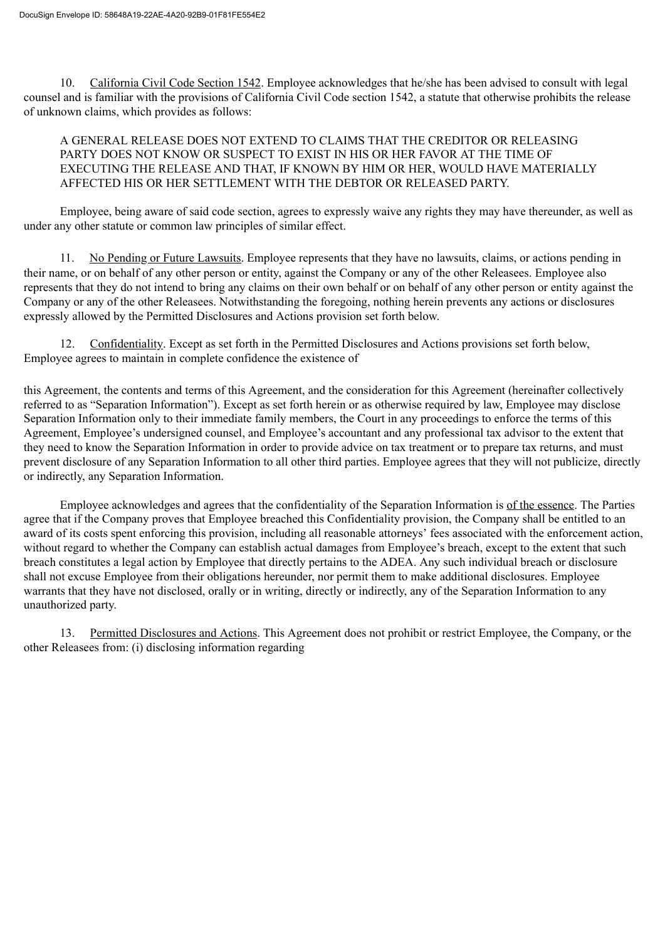10. California Civil Code Section 1542. Employee acknowledges that he/she has been advised to consult with legal counsel and is familiar with the provisions of California Civil Code section 1542, a statute that otherwise prohibits the release of unknown claims, which provides as follows:

## A GENERAL RELEASE DOES NOT EXTEND TO CLAIMS THAT THE CREDITOR OR RELEASING PARTY DOES NOT KNOW OR SUSPECT TO EXIST IN HIS OR HER FAVOR AT THE TIME OF EXECUTING THE RELEASE AND THAT, IF KNOWN BY HIM OR HER, WOULD HAVE MATERIALLY AFFECTED HIS OR HER SETTLEMENT WITH THE DEBTOR OR RELEASED PARTY.

Employee, being aware of said code section, agrees to expressly waive any rights they may have thereunder, as well as under any other statute or common law principles of similar effect.

11. No Pending or Future Lawsuits. Employee represents that they have no lawsuits, claims, or actions pending in their name, or on behalf of any other person or entity, against the Company or any of the other Releasees. Employee also represents that they do not intend to bring any claims on their own behalf or on behalf of any other person or entity against the Company or any of the other Releasees. Notwithstanding the foregoing, nothing herein prevents any actions or disclosures expressly allowed by the Permitted Disclosures and Actions provision set forth below.

12. Confidentiality. Except as set forth in the Permitted Disclosures and Actions provisions set forth below, Employee agrees to maintain in complete confidence the existence of

this Agreement, the contents and terms of this Agreement, and the consideration for this Agreement (hereinafter collectively referred to as "Separation Information"). Except as set forth herein or as otherwise required by law, Employee may disclose Separation Information only to their immediate family members, the Court in any proceedings to enforce the terms of this Agreement, Employee's undersigned counsel, and Employee's accountant and any professional tax advisor to the extent that they need to know the Separation Information in order to provide advice on tax treatment or to prepare tax returns, and must prevent disclosure of any Separation Information to all other third parties. Employee agrees that they will not publicize, directly or indirectly, any Separation Information.

Employee acknowledges and agrees that the confidentiality of the Separation Information is of the essence. The Parties agree that if the Company proves that Employee breached this Confidentiality provision, the Company shall be entitled to an award of its costs spent enforcing this provision, including all reasonable attorneys' fees associated with the enforcement action, without regard to whether the Company can establish actual damages from Employee's breach, except to the extent that such breach constitutes a legal action by Employee that directly pertains to the ADEA. Any such individual breach or disclosure shall not excuse Employee from their obligations hereunder, nor permit them to make additional disclosures. Employee warrants that they have not disclosed, orally or in writing, directly or indirectly, any of the Separation Information to any unauthorized party.

13. Permitted Disclosures and Actions. This Agreement does not prohibit or restrict Employee, the Company, or the other Releasees from: (i) disclosing information regarding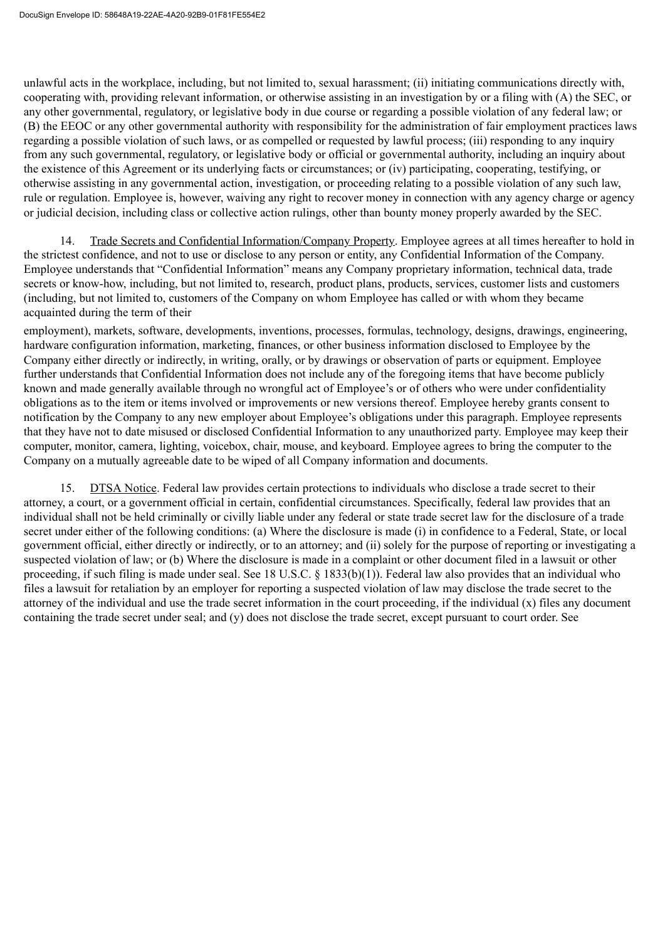unlawful acts in the workplace, including, but not limited to, sexual harassment; (ii) initiating communications directly with, cooperating with, providing relevant information, or otherwise assisting in an investigation by or a filing with (A) the SEC, or any other governmental, regulatory, or legislative body in due course or regarding a possible violation of any federal law; or (B) the EEOC or any other governmental authority with responsibility for the administration of fair employment practices laws regarding a possible violation of such laws, or as compelled or requested by lawful process; (iii) responding to any inquiry from any such governmental, regulatory, or legislative body or official or governmental authority, including an inquiry about the existence of this Agreement or its underlying facts or circumstances; or (iv) participating, cooperating, testifying, or otherwise assisting in any governmental action, investigation, or proceeding relating to a possible violation of any such law, rule or regulation. Employee is, however, waiving any right to recover money in connection with any agency charge or agency or judicial decision, including class or collective action rulings, other than bounty money properly awarded by the SEC.

14. Trade Secrets and Confidential Information/Company Property. Employee agrees at all times hereafter to hold in the strictest confidence, and not to use or disclose to any person or entity, any Confidential Information of the Company. Employee understands that "Confidential Information" means any Company proprietary information, technical data, trade secrets or know-how, including, but not limited to, research, product plans, products, services, customer lists and customers (including, but not limited to, customers of the Company on whom Employee has called or with whom they became acquainted during the term of their

employment), markets, software, developments, inventions, processes, formulas, technology, designs, drawings, engineering, hardware configuration information, marketing, finances, or other business information disclosed to Employee by the Company either directly or indirectly, in writing, orally, or by drawings or observation of parts or equipment. Employee further understands that Confidential Information does not include any of the foregoing items that have become publicly known and made generally available through no wrongful act of Employee's or of others who were under confidentiality obligations as to the item or items involved or improvements or new versions thereof. Employee hereby grants consent to notification by the Company to any new employer about Employee's obligations under this paragraph. Employee represents that they have not to date misused or disclosed Confidential Information to any unauthorized party. Employee may keep their computer, monitor, camera, lighting, voicebox, chair, mouse, and keyboard. Employee agrees to bring the computer to the Company on a mutually agreeable date to be wiped of all Company information and documents.

15. DTSA Notice. Federal law provides certain protections to individuals who disclose a trade secret to their attorney, a court, or a government official in certain, confidential circumstances. Specifically, federal law provides that an individual shall not be held criminally or civilly liable under any federal or state trade secret law for the disclosure of a trade secret under either of the following conditions: (a) Where the disclosure is made (i) in confidence to a Federal, State, or local government official, either directly or indirectly, or to an attorney; and (ii) solely for the purpose of reporting or investigating a suspected violation of law; or (b) Where the disclosure is made in a complaint or other document filed in a lawsuit or other proceeding, if such filing is made under seal. See 18 U.S.C. § 1833(b)(1)). Federal law also provides that an individual who files a lawsuit for retaliation by an employer for reporting a suspected violation of law may disclose the trade secret to the attorney of the individual and use the trade secret information in the court proceeding, if the individual (x) files any document containing the trade secret under seal; and (y) does not disclose the trade secret, except pursuant to court order. See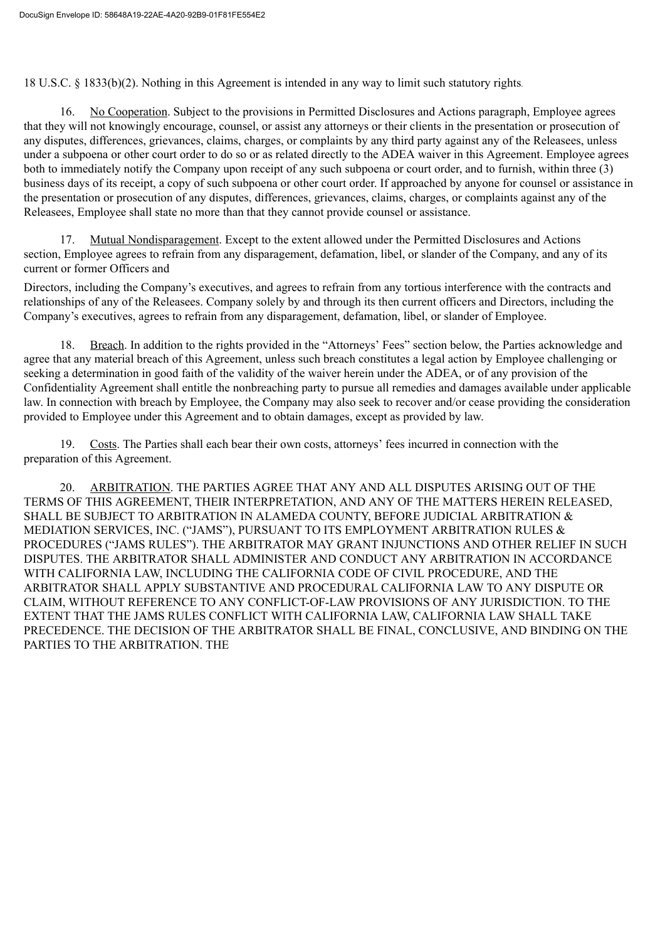18 U.S.C. § 1833(b)(2). Nothing in this Agreement is intended in any way to limit such statutory rights.

16. No Cooperation. Subject to the provisions in Permitted Disclosures and Actions paragraph, Employee agrees that they will not knowingly encourage, counsel, or assist any attorneys or their clients in the presentation or prosecution of any disputes, differences, grievances, claims, charges, or complaints by any third party against any of the Releasees, unless under a subpoena or other court order to do so or as related directly to the ADEA waiver in this Agreement. Employee agrees both to immediately notify the Company upon receipt of any such subpoena or court order, and to furnish, within three (3) business days of its receipt, a copy of such subpoena or other court order. If approached by anyone for counsel or assistance in the presentation or prosecution of any disputes, differences, grievances, claims, charges, or complaints against any of the Releasees, Employee shall state no more than that they cannot provide counsel or assistance.

17. Mutual Nondisparagement. Except to the extent allowed under the Permitted Disclosures and Actions section, Employee agrees to refrain from any disparagement, defamation, libel, or slander of the Company, and any of its current or former Officers and

Directors, including the Company's executives, and agrees to refrain from any tortious interference with the contracts and relationships of any of the Releasees. Company solely by and through its then current officers and Directors, including the Company's executives, agrees to refrain from any disparagement, defamation, libel, or slander of Employee.

18. Breach. In addition to the rights provided in the "Attorneys' Fees" section below, the Parties acknowledge and agree that any material breach of this Agreement, unless such breach constitutes a legal action by Employee challenging or seeking a determination in good faith of the validity of the waiver herein under the ADEA, or of any provision of the Confidentiality Agreement shall entitle the nonbreaching party to pursue all remedies and damages available under applicable law. In connection with breach by Employee, the Company may also seek to recover and/or cease providing the consideration provided to Employee under this Agreement and to obtain damages, except as provided by law.

19. Costs. The Parties shall each bear their own costs, attorneys' fees incurred in connection with the preparation of this Agreement.

20. ARBITRATION. THE PARTIES AGREE THAT ANY AND ALL DISPUTES ARISING OUT OF THE TERMS OF THIS AGREEMENT, THEIR INTERPRETATION, AND ANY OF THE MATTERS HEREIN RELEASED, SHALL BE SUBJECT TO ARBITRATION IN ALAMEDA COUNTY, BEFORE JUDICIAL ARBITRATION  $\&$ MEDIATION SERVICES, INC. ("JAMS"), PURSUANT TO ITS EMPLOYMENT ARBITRATION RULES & PROCEDURES ("JAMS RULES"). THE ARBITRATOR MAY GRANT INJUNCTIONS AND OTHER RELIEF IN SUCH DISPUTES. THE ARBITRATOR SHALL ADMINISTER AND CONDUCT ANY ARBITRATION IN ACCORDANCE WITH CALIFORNIA LAW, INCLUDING THE CALIFORNIA CODE OF CIVIL PROCEDURE, AND THE ARBITRATOR SHALL APPLY SUBSTANTIVE AND PROCEDURAL CALIFORNIA LAW TO ANY DISPUTE OR CLAIM, WITHOUT REFERENCE TO ANY CONFLICT-OF-LAW PROVISIONS OF ANY JURISDICTION. TO THE EXTENT THAT THE JAMS RULES CONFLICT WITH CALIFORNIA LAW, CALIFORNIA LAW SHALL TAKE PRECEDENCE. THE DECISION OF THE ARBITRATOR SHALL BE FINAL, CONCLUSIVE, AND BINDING ON THE PARTIES TO THE ARBITRATION. THE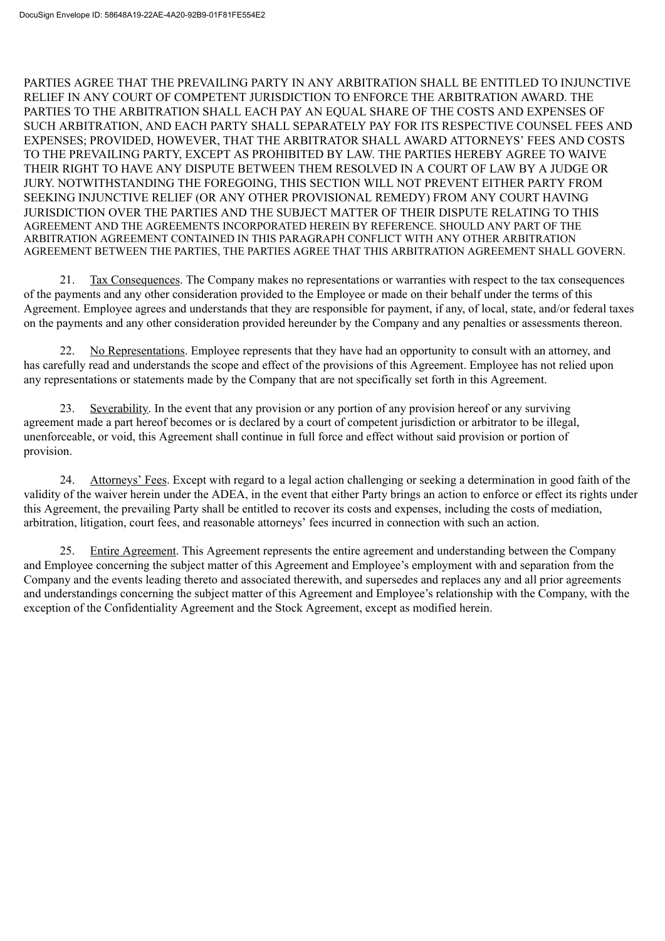PARTIES AGREE THAT THE PREVAILING PARTY IN ANY ARBITRATION SHALL BE ENTITLED TO INJUNCTIVE RELIEF IN ANY COURT OF COMPETENT JURISDICTION TO ENFORCE THE ARBITRATION AWARD. THE PARTIES TO THE ARBITRATION SHALL EACH PAY AN EQUAL SHARE OF THE COSTS AND EXPENSES OF SUCH ARBITRATION, AND EACH PARTY SHALL SEPARATELY PAY FOR ITS RESPECTIVE COUNSEL FEES AND EXPENSES; PROVIDED, HOWEVER, THAT THE ARBITRATOR SHALL AWARD ATTORNEYS' FEES AND COSTS TO THE PREVAILING PARTY, EXCEPT AS PROHIBITED BY LAW. THE PARTIES HEREBY AGREE TO WAIVE THEIR RIGHT TO HAVE ANY DISPUTE BETWEEN THEM RESOLVED IN A COURT OF LAW BY A JUDGE OR JURY. NOTWITHSTANDING THE FOREGOING, THIS SECTION WILL NOT PREVENT EITHER PARTY FROM SEEKING INJUNCTIVE RELIEF (OR ANY OTHER PROVISIONAL REMEDY) FROM ANY COURT HAVING JURISDICTION OVER THE PARTIES AND THE SUBJECT MATTER OF THEIR DISPUTE RELATING TO THIS AGREEMENT AND THE AGREEMENTS INCORPORATED HEREIN BY REFERENCE. SHOULD ANY PART OF THE ARBITRATION AGREEMENT CONTAINED IN THIS PARAGRAPH CONFLICT WITH ANY OTHER ARBITRATION AGREEMENT BETWEEN THE PARTIES, THE PARTIES AGREE THAT THIS ARBITRATION AGREEMENT SHALL GOVERN.

21. Tax Consequences. The Company makes no representations or warranties with respect to the tax consequences of the payments and any other consideration provided to the Employee or made on their behalf under the terms of this Agreement. Employee agrees and understands that they are responsible for payment, if any, of local, state, and/or federal taxes on the payments and any other consideration provided hereunder by the Company and any penalties or assessments thereon.

22. No Representations. Employee represents that they have had an opportunity to consult with an attorney, and has carefully read and understands the scope and effect of the provisions of this Agreement. Employee has not relied upon any representations or statements made by the Company that are not specifically set forth in this Agreement.

23. Severability. In the event that any provision or any portion of any provision hereof or any surviving agreement made a part hereof becomes or is declared by a court of competent jurisdiction or arbitrator to be illegal, unenforceable, or void, this Agreement shall continue in full force and effect without said provision or portion of provision.

24. Attorneys' Fees. Except with regard to a legal action challenging or seeking a determination in good faith of the validity of the waiver herein under the ADEA, in the event that either Party brings an action to enforce or effect its rights under this Agreement, the prevailing Party shall be entitled to recover its costs and expenses, including the costs of mediation, arbitration, litigation, court fees, and reasonable attorneys' fees incurred in connection with such an action.

25. Entire Agreement. This Agreement represents the entire agreement and understanding between the Company and Employee concerning the subject matter of this Agreement and Employee's employment with and separation from the Company and the events leading thereto and associated therewith, and supersedes and replaces any and all prior agreements and understandings concerning the subject matter of this Agreement and Employee's relationship with the Company, with the exception of the Confidentiality Agreement and the Stock Agreement, except as modified herein.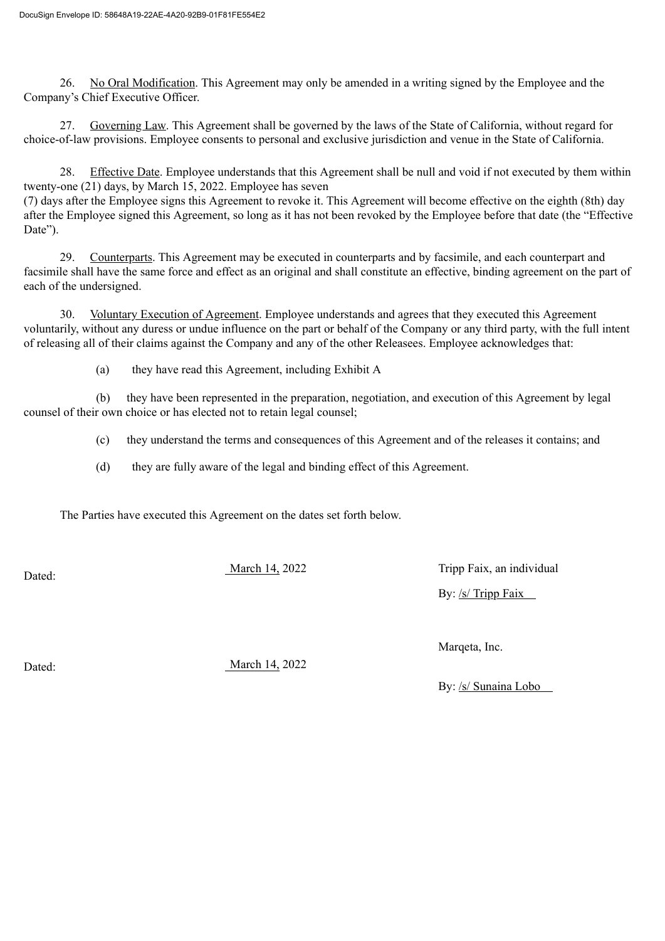26. No Oral Modification. This Agreement may only be amended in a writing signed by the Employee and the Company's Chief Executive Officer.

27. Governing Law. This Agreement shall be governed by the laws of the State of California, without regard for choice-of-law provisions. Employee consents to personal and exclusive jurisdiction and venue in the State of California.

28. Effective Date. Employee understands that this Agreement shall be null and void if not executed by them within twenty-one (21) days, by March 15, 2022. Employee has seven

(7) days after the Employee signs this Agreement to revoke it. This Agreement will become effective on the eighth (8th) day after the Employee signed this Agreement, so long as it has not been revoked by the Employee before that date (the "Effective Date").

29. Counterparts. This Agreement may be executed in counterparts and by facsimile, and each counterpart and facsimile shall have the same force and effect as an original and shall constitute an effective, binding agreement on the part of each of the undersigned.

30. Voluntary Execution of Agreement. Employee understands and agrees that they executed this Agreement voluntarily, without any duress or undue influence on the part or behalf of the Company or any third party, with the full intent of releasing all of their claims against the Company and any of the other Releasees. Employee acknowledges that:

(a) they have read this Agreement, including Exhibit A

(b) they have been represented in the preparation, negotiation, and execution of this Agreement by legal counsel of their own choice or has elected not to retain legal counsel;

(c) they understand the terms and consequences of this Agreement and of the releases it contains; and

(d) they are fully aware of the legal and binding effect of this Agreement.

The Parties have executed this Agreement on the dates set forth below.

Dated:

March 14, 2022

Tripp Faix, an individual

By: /s/ Tripp Faix

Marqeta, Inc.

Dated:

March 14, 2022

By: /s/ Sunaina Lobo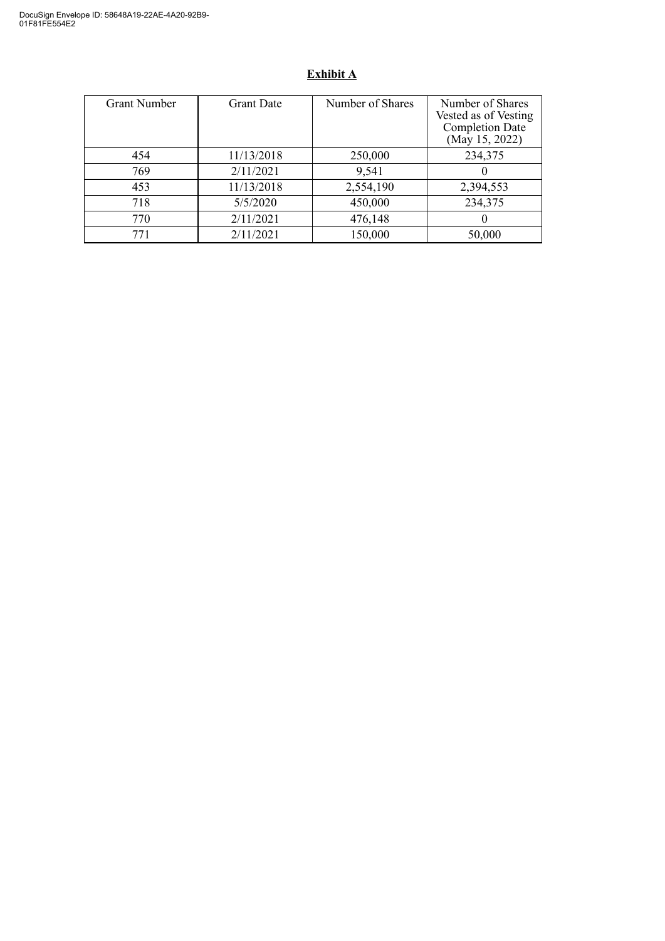# Grant Number Grant Date Number of Shares Number of Shares Vested as of Vesting Completion Date (May 15, 2022) 454 11/13/2018 250,000 234,375 769 2/11/2021 9,541 0 453 11/13/2018 2,554,190 2,394,553 718 5/5/2020 450,000 234,375 770 2/11/2021 476,148 0 771 2/11/2021 150,000 50,000

# **Exhibit A**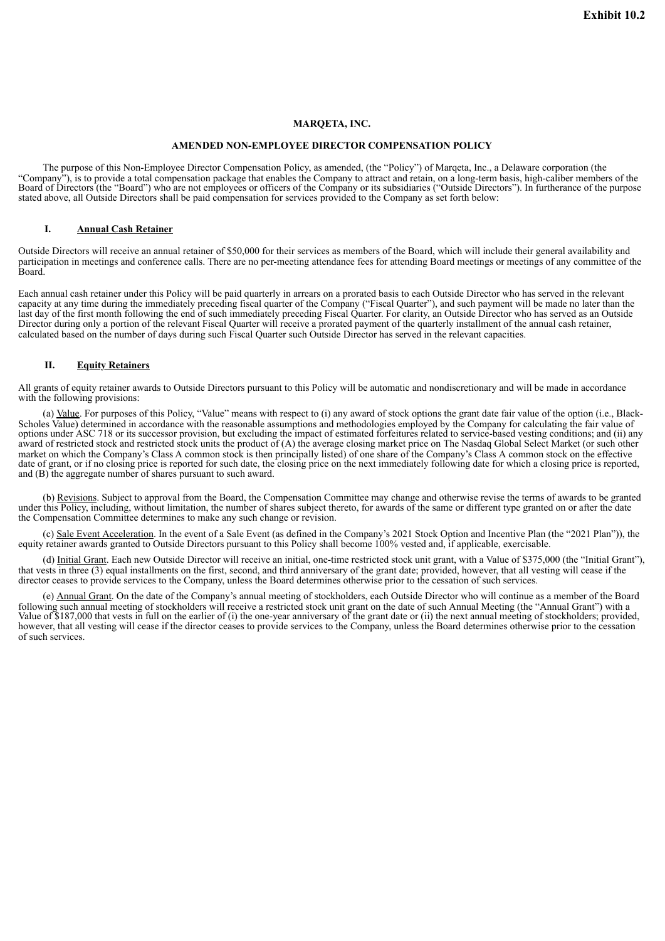#### **MARQETA, INC.**

#### **AMENDED NON-EMPLOYEE DIRECTOR COMPENSATION POLICY**

<span id="page-90-0"></span>The purpose of this Non-Employee Director Compensation Policy, as amended, (the "Policy") of Marqeta, Inc., a Delaware corporation (the "Company"), is to provide a total compensation package that enables the Company to attract and retain, on a long-term basis, high-caliber members of the Board of Directors (the "Board") who are not employees or officers of the Company or its subsidiaries ("Outside Directors"). In furtherance of the purpose stated above, all Outside Directors shall be paid compensation for services provided to the Company as set forth below:

#### **I. Annual Cash Retainer**

Outside Directors will receive an annual retainer of \$50,000 for their services as members of the Board, which will include their general availability and participation in meetings and conference calls. There are no per-meeting attendance fees for attending Board meetings or meetings of any committee of the Board.

Each annual cash retainer under this Policy will be paid quarterly in arrears on a prorated basis to each Outside Director who has served in the relevant capacity at any time during the immediately preceding fiscal quarter of the Company ("Fiscal Quarter"), and such payment will be made no later than the last day of the first month following the end of such immediately preceding Fiscal Quarter. For clarity, an Outside Director who has served as an Outside Director during only a portion of the relevant Fiscal Quarter will receive a prorated payment of the quarterly installment of the annual cash retainer, calculated based on the number of days during such Fiscal Quarter such Outside Director has served in the relevant capacities.

#### **II. Equity Retainers**

All grants of equity retainer awards to Outside Directors pursuant to this Policy will be automatic and nondiscretionary and will be made in accordance with the following provisions:

(a) Value. For purposes of this Policy, "Value" means with respect to (i) any award of stock options the grant date fair value of the option (i.e., Black-Scholes Value) determined in accordance with the reasonable assumptions and methodologies employed by the Company for calculating the fair value of options under ASC 718 or its successor provision, but excluding the impact of estimated forfeitures related to service-based vesting conditions; and (ii) any award of restricted stock and restricted stock units the product of (A) the average closing market price on The Nasdaq Global Select Market (or such other market on which the Company's Class A common stock is then principally listed) of one share of the Company's Class A common stock on the effective date of grant, or if no closing price is reported for such date, the closing price on the next immediately following date for which a closing price is reported, and (B) the aggregate number of shares pursuant to such award.

(b) Revisions. Subject to approval from the Board, the Compensation Committee may change and otherwise revise the terms of awards to be granted under this Policy, including, without limitation, the number of shares subject thereto, for awards of the same or different type granted on or after the date the Compensation Committee determines to make any such change or revision.

(c) Sale Event Acceleration. In the event of a Sale Event (as defined in the Company's 2021 Stock Option and Incentive Plan (the "2021 Plan")), the equity retainer awards granted to Outside Directors pursuant to this Policy shall become 100% vested and, if applicable, exercisable.

(d) Initial Grant. Each new Outside Director will receive an initial, one-time restricted stock unit grant, with a Value of \$375,000 (the "Initial Grant"), that vests in three (3) equal installments on the first, second, and third anniversary of the grant date; provided, however, that all vesting will cease if the director ceases to provide services to the Company, unless the Board determines otherwise prior to the cessation of such services.

(e) Annual Grant. On the date of the Company's annual meeting of stockholders, each Outside Director who will continue as a member of the Board following such annual meeting of stockholders will receive a restricted stock unit grant on the date of such Annual Meeting (the "Annual Grant") with a Value of \$187,000 that vests in full on the earlier of (i) the one-year anniversary of the grant date or (ii) the next annual meeting of stockholders; provided, however, that all vesting will cease if the director ceases to provide services to the Company, unless the Board determines otherwise prior to the cessation of such services.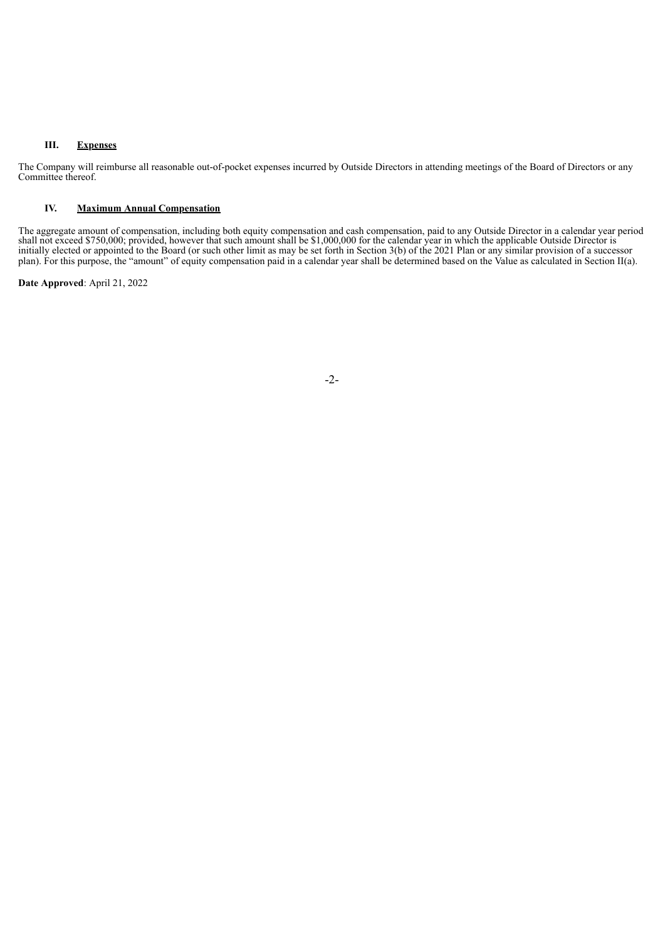### **III. Expenses**

The Company will reimburse all reasonable out-of-pocket expenses incurred by Outside Directors in attending meetings of the Board of Directors or any Committee thereof.

### **IV. Maximum Annual Compensation**

The aggregate amount of compensation, including both equity compensation and cash compensation, paid to any Outside Director in a calendar year period shall not exceed \$750,000; provided, however that such amount shall be \$1,000,000 for the calendar year in which the applicable Outside Director is initially elected or appointed to the Board (or such other limit as may be set forth in Section 3(b) of the 2021 Plan or any similar provision of a successor plan). For this purpose, the "amount" of equity compensation paid in a calendar year shall be determined based on the Value as calculated in Section II(a).

**Date Approved**: April 21, 2022

-2-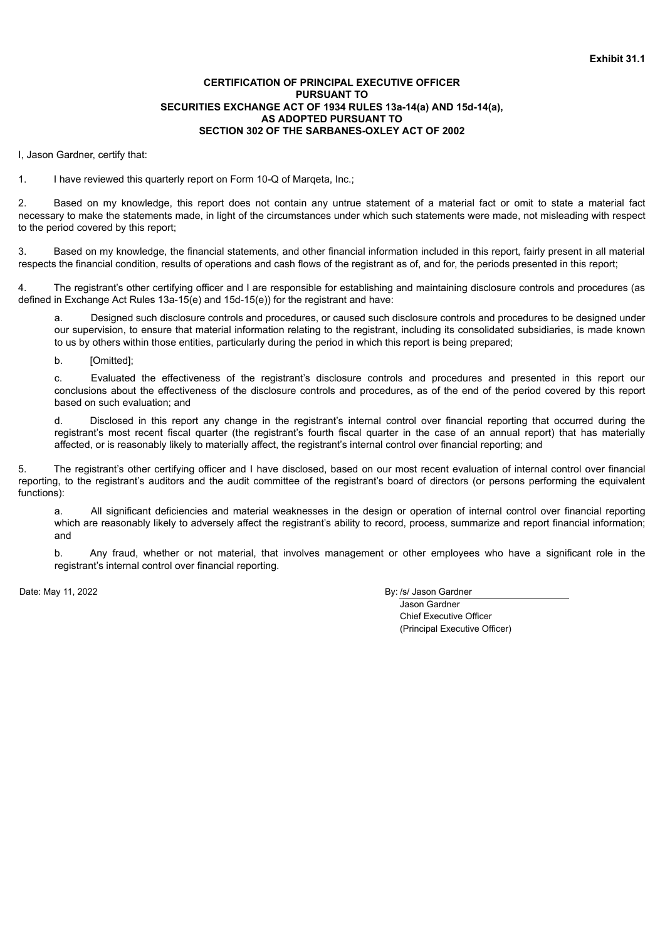### **CERTIFICATION OF PRINCIPAL EXECUTIVE OFFICER PURSUANT TO SECURITIES EXCHANGE ACT OF 1934 RULES 13a-14(a) AND 15d-14(a), AS ADOPTED PURSUANT TO SECTION 302 OF THE SARBANES-OXLEY ACT OF 2002**

<span id="page-92-0"></span>I, Jason Gardner, certify that:

1. I have reviewed this quarterly report on Form 10-Q of Marqeta, Inc.;

2. Based on my knowledge, this report does not contain any untrue statement of a material fact or omit to state a material fact necessary to make the statements made, in light of the circumstances under which such statements were made, not misleading with respect to the period covered by this report;

3. Based on my knowledge, the financial statements, and other financial information included in this report, fairly present in all material respects the financial condition, results of operations and cash flows of the registrant as of, and for, the periods presented in this report;

4. The registrant's other certifying officer and I are responsible for establishing and maintaining disclosure controls and procedures (as defined in Exchange Act Rules 13a-15(e) and 15d-15(e)) for the registrant and have:

a. Designed such disclosure controls and procedures, or caused such disclosure controls and procedures to be designed under our supervision, to ensure that material information relating to the registrant, including its consolidated subsidiaries, is made known to us by others within those entities, particularly during the period in which this report is being prepared;

b. **[Omitted]**:

c. Evaluated the effectiveness of the registrant's disclosure controls and procedures and presented in this report our conclusions about the effectiveness of the disclosure controls and procedures, as of the end of the period covered by this report based on such evaluation; and

Disclosed in this report any change in the registrant's internal control over financial reporting that occurred during the registrant's most recent fiscal quarter (the registrant's fourth fiscal quarter in the case of an annual report) that has materially affected, or is reasonably likely to materially affect, the registrant's internal control over financial reporting; and

5. The registrant's other certifying officer and I have disclosed, based on our most recent evaluation of internal control over financial reporting, to the registrant's auditors and the audit committee of the registrant's board of directors (or persons performing the equivalent functions):

a. All significant deficiencies and material weaknesses in the design or operation of internal control over financial reporting which are reasonably likely to adversely affect the registrant's ability to record, process, summarize and report financial information; and

b. Any fraud, whether or not material, that involves management or other employees who have a significant role in the registrant's internal control over financial reporting.

Date: May 11, 2022 **By: /s/ Jason Gardner** 

Jason Gardner Chief Executive Officer (Principal Executive Officer)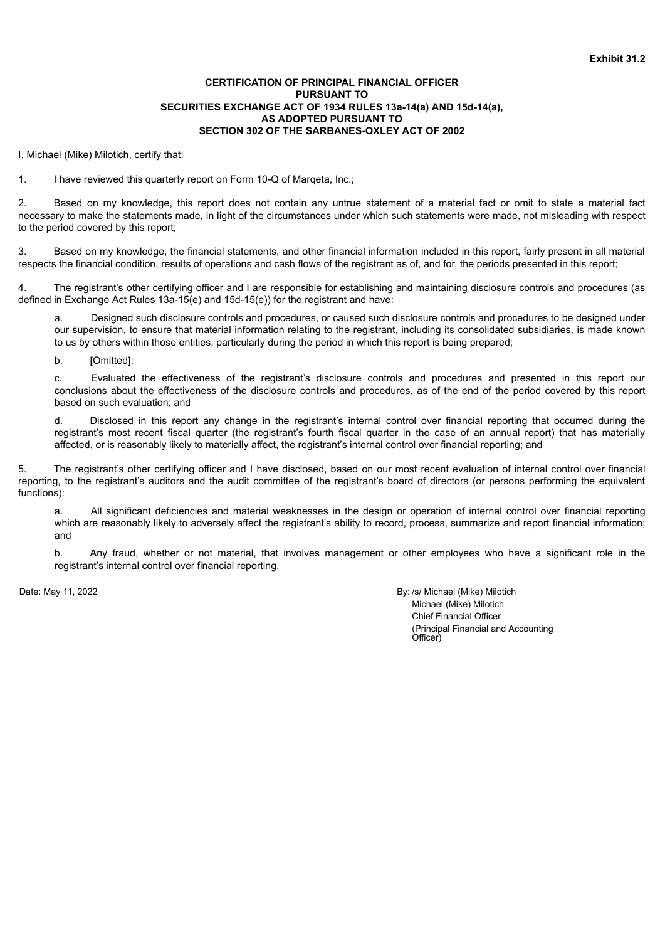### **CERTIFICATION OF PRINCIPAL FINANCIAL OFFICER PURSUANT TO SECURITIES EXCHANGE ACT OF 1934 RULES 13a-14(a) AND 15d-14(a), AS ADOPTED PURSUANT TO SECTION 302 OF THE SARBANES-OXLEY ACT OF 2002**

<span id="page-93-0"></span>I, Michael (Mike) Milotich, certify that:

1. I have reviewed this quarterly report on Form 10-Q of Marqeta, Inc.;

2. Based on my knowledge, this report does not contain any untrue statement of a material fact or omit to state a material fact necessary to make the statements made, in light of the circumstances under which such statements were made, not misleading with respect to the period covered by this report;

3. Based on my knowledge, the financial statements, and other financial information included in this report, fairly present in all material respects the financial condition, results of operations and cash flows of the registrant as of, and for, the periods presented in this report;

4. The registrant's other certifying officer and I are responsible for establishing and maintaining disclosure controls and procedures (as defined in Exchange Act Rules 13a-15(e) and 15d-15(e)) for the registrant and have:

a. Designed such disclosure controls and procedures, or caused such disclosure controls and procedures to be designed under our supervision, to ensure that material information relating to the registrant, including its consolidated subsidiaries, is made known to us by others within those entities, particularly during the period in which this report is being prepared;

b. **[Omitted]**:

c. Evaluated the effectiveness of the registrant's disclosure controls and procedures and presented in this report our conclusions about the effectiveness of the disclosure controls and procedures, as of the end of the period covered by this report based on such evaluation; and

Disclosed in this report any change in the registrant's internal control over financial reporting that occurred during the registrant's most recent fiscal quarter (the registrant's fourth fiscal quarter in the case of an annual report) that has materially affected, or is reasonably likely to materially affect, the registrant's internal control over financial reporting; and

5. The registrant's other certifying officer and I have disclosed, based on our most recent evaluation of internal control over financial reporting, to the registrant's auditors and the audit committee of the registrant's board of directors (or persons performing the equivalent functions):

a. All significant deficiencies and material weaknesses in the design or operation of internal control over financial reporting which are reasonably likely to adversely affect the registrant's ability to record, process, summarize and report financial information; and

b. Any fraud, whether or not material, that involves management or other employees who have a significant role in the registrant's internal control over financial reporting.

Date: May 11, 2022 **By: /s/ Michael (Mike) Milotich** 

Michael (Mike) Milotich Chief Financial Officer (Principal Financial and Accounting Officer)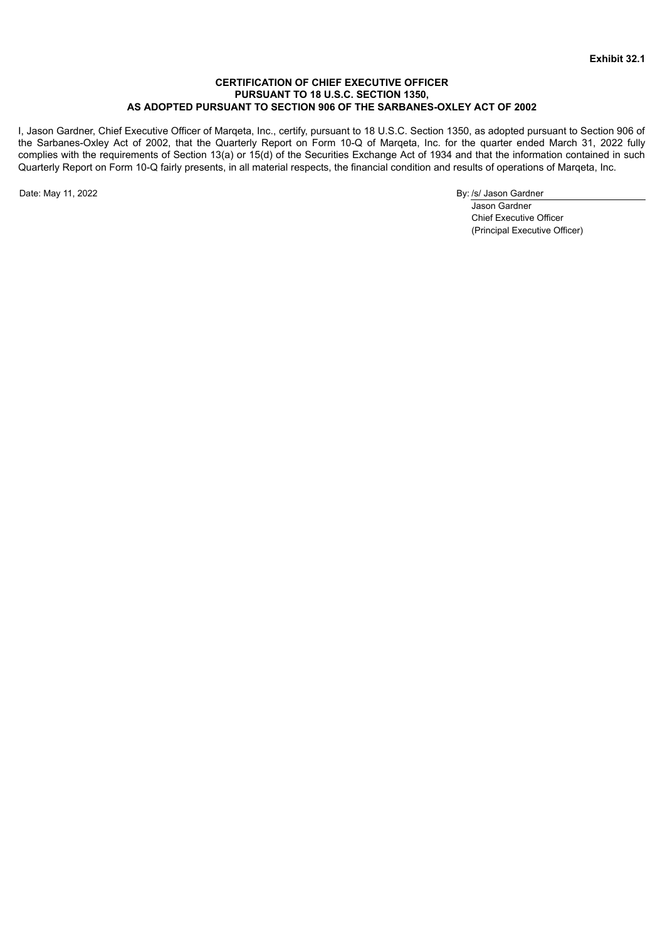### **CERTIFICATION OF CHIEF EXECUTIVE OFFICER PURSUANT TO 18 U.S.C. SECTION 1350, AS ADOPTED PURSUANT TO SECTION 906 OF THE SARBANES-OXLEY ACT OF 2002**

<span id="page-94-0"></span>I, Jason Gardner, Chief Executive Officer of Marqeta, Inc., certify, pursuant to 18 U.S.C. Section 1350, as adopted pursuant to Section 906 of the Sarbanes-Oxley Act of 2002, that the Quarterly Report on Form 10-Q of Marqeta, Inc. for the quarter ended March 31, 2022 fully complies with the requirements of Section 13(a) or 15(d) of the Securities Exchange Act of 1934 and that the information contained in such Quarterly Report on Form 10-Q fairly presents, in all material respects, the financial condition and results of operations of Marqeta, Inc.

Date: May 11, 2022 **By: /s/ Jason Gardner** By: /s/ Jason Gardner

Jason Gardner Chief Executive Officer (Principal Executive Officer)